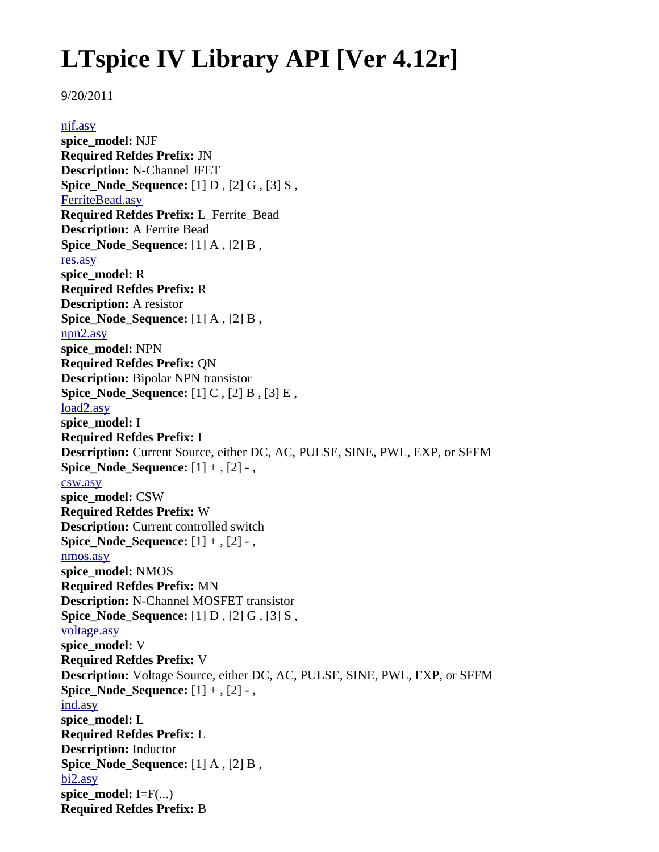# **LTspice IV Library API [Ver 4.12r]**

## 9/20/2011

[njf.asy](file:///home/cmcdowell/.wine/drive_c/Program%20Files/LTC/LTspiceIV/lib/sym/njf.asy) **spice\_model:** NJF **Required Refdes Prefix:** JN **Description:** N-Channel JFET **Spice Node Sequence:** [1] D, [2] G, [3] S, [FerriteBead.asy](file:///home/cmcdowell/.wine/drive_c/Program%20Files/LTC/LTspiceIV/lib/sym/FerriteBead.asy) **Required Refdes Prefix:** L\_Ferrite\_Bead **Description:** A Ferrite Bead **Spice\_Node\_Sequence:** [1] A , [2] B , [res.asy](file:///home/cmcdowell/.wine/drive_c/Program%20Files/LTC/LTspiceIV/lib/sym/res.asy) **spice\_model:** R **Required Refdes Prefix:** R **Description:** A resistor **Spice\_Node\_Sequence:** [1] A , [2] B , [npn2.asy](file:///home/cmcdowell/.wine/drive_c/Program%20Files/LTC/LTspiceIV/lib/sym/npn2.asy) **spice\_model:** NPN **Required Refdes Prefix:** QN **Description:** Bipolar NPN transistor **Spice\_Node\_Sequence:** [1] C , [2] B , [3] E , [load2.asy](file:///home/cmcdowell/.wine/drive_c/Program%20Files/LTC/LTspiceIV/lib/sym/load2.asy) **spice\_model:** I **Required Refdes Prefix:** I **Description:** Current Source, either DC, AC, PULSE, SINE, PWL, EXP, or SFFM **Spice\_Node\_Sequence:** [1] + , [2] - , [csw.asy](file:///home/cmcdowell/.wine/drive_c/Program%20Files/LTC/LTspiceIV/lib/sym/csw.asy) **spice\_model:** CSW **Required Refdes Prefix:** W **Description:** Current controlled switch **Spice\_Node\_Sequence:** [1] + , [2] - , [nmos.asy](file:///home/cmcdowell/.wine/drive_c/Program%20Files/LTC/LTspiceIV/lib/sym/nmos.asy) **spice\_model:** NMOS **Required Refdes Prefix:** MN **Description:** N-Channel MOSFET transistor **Spice\_Node\_Sequence:** [1] D , [2] G , [3] S , [voltage.asy](file:///home/cmcdowell/.wine/drive_c/Program%20Files/LTC/LTspiceIV/lib/sym/voltage.asy) **spice\_model:** V **Required Refdes Prefix:** V **Description:** Voltage Source, either DC, AC, PULSE, SINE, PWL, EXP, or SFFM **Spice\_Node\_Sequence:** [1] + , [2] - , [ind.asy](file:///home/cmcdowell/.wine/drive_c/Program%20Files/LTC/LTspiceIV/lib/sym/ind.asy) **spice\_model:** L **Required Refdes Prefix:** L **Description:** Inductor **Spice\_Node\_Sequence:** [1] A , [2] B , [bi2.asy](file:///home/cmcdowell/.wine/drive_c/Program%20Files/LTC/LTspiceIV/lib/sym/bi2.asy) spice model:  $I=F(...)$ **Required Refdes Prefix:** B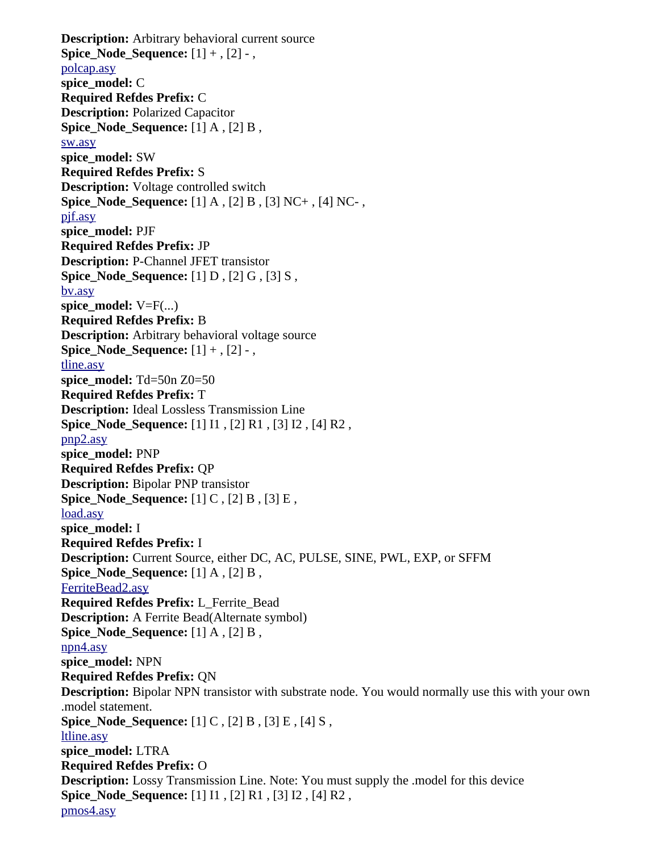**Description:** Arbitrary behavioral current source **Spice\_Node\_Sequence:** [1] + , [2] - , [polcap.asy](file:///home/cmcdowell/.wine/drive_c/Program%20Files/LTC/LTspiceIV/lib/sym/polcap.asy) **spice\_model:** C **Required Refdes Prefix:** C **Description:** Polarized Capacitor **Spice Node Sequence:** [1] A , [2] B , [sw.asy](file:///home/cmcdowell/.wine/drive_c/Program%20Files/LTC/LTspiceIV/lib/sym/sw.asy) **spice\_model:** SW **Required Refdes Prefix:** S **Description:** Voltage controlled switch **Spice\_Node\_Sequence:** [1] A , [2] B , [3] NC+ , [4] NC- , [pjf.asy](file:///home/cmcdowell/.wine/drive_c/Program%20Files/LTC/LTspiceIV/lib/sym/pjf.asy) **spice\_model:** PJF **Required Refdes Prefix:** JP **Description:** P-Channel JFET transistor **Spice\_Node\_Sequence:** [1] D , [2] G , [3] S , [bv.asy](file:///home/cmcdowell/.wine/drive_c/Program%20Files/LTC/LTspiceIV/lib/sym/bv.asy) **spice** model:  $V=F(...)$ **Required Refdes Prefix:** B **Description:** Arbitrary behavioral voltage source **Spice Node Sequence:**  $[1] +$ ,  $[2]$  -, [tline.asy](file:///home/cmcdowell/.wine/drive_c/Program%20Files/LTC/LTspiceIV/lib/sym/tline.asy) **spice\_model:** Td=50n Z0=50 **Required Refdes Prefix:** T **Description:** Ideal Lossless Transmission Line **Spice\_Node\_Sequence:** [1] I1 , [2] R1 , [3] I2 , [4] R2 , [pnp2.asy](file:///home/cmcdowell/.wine/drive_c/Program%20Files/LTC/LTspiceIV/lib/sym/pnp2.asy) **spice\_model:** PNP **Required Refdes Prefix:** QP **Description:** Bipolar PNP transistor **Spice Node Sequence:** [1] C, [2] B, [3] E, [load.asy](file:///home/cmcdowell/.wine/drive_c/Program%20Files/LTC/LTspiceIV/lib/sym/load.asy) **spice\_model:** I **Required Refdes Prefix:** I **Description:** Current Source, either DC, AC, PULSE, SINE, PWL, EXP, or SFFM **Spice\_Node\_Sequence:** [1] A , [2] B , [FerriteBead2.asy](file:///home/cmcdowell/.wine/drive_c/Program%20Files/LTC/LTspiceIV/lib/sym/FerriteBead2.asy) **Required Refdes Prefix:** L\_Ferrite\_Bead **Description:** A Ferrite Bead(Alternate symbol) **Spice Node Sequence:** [1] A , [2] B , [npn4.asy](file:///home/cmcdowell/.wine/drive_c/Program%20Files/LTC/LTspiceIV/lib/sym/npn4.asy) **spice\_model:** NPN **Required Refdes Prefix:** QN **Description:** Bipolar NPN transistor with substrate node. You would normally use this with your own .model statement. **Spice\_Node\_Sequence:** [1] C , [2] B , [3] E , [4] S , [ltline.asy](file:///home/cmcdowell/.wine/drive_c/Program%20Files/LTC/LTspiceIV/lib/sym/ltline.asy) **spice\_model:** LTRA **Required Refdes Prefix:** O **Description:** Lossy Transmission Line. Note: You must supply the .model for this device **Spice\_Node\_Sequence:** [1] I1 , [2] R1 , [3] I2 , [4] R2 , [pmos4.asy](file:///home/cmcdowell/.wine/drive_c/Program%20Files/LTC/LTspiceIV/lib/sym/pmos4.asy)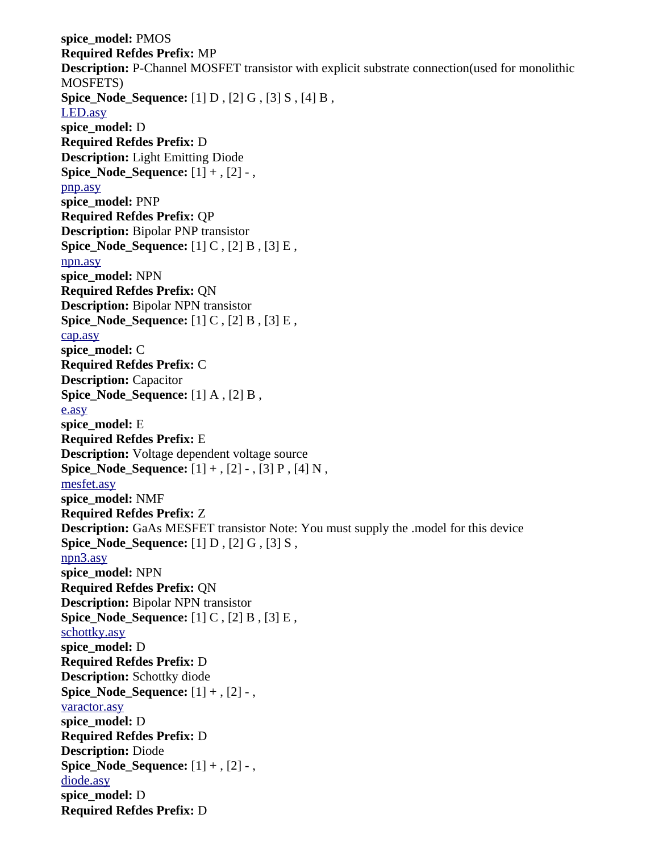**spice\_model:** PMOS **Required Refdes Prefix:** MP **Description:** P-Channel MOSFET transistor with explicit substrate connection(used for monolithic MOSFETS) **Spice\_Node\_Sequence:** [1] D , [2] G , [3] S , [4] B , [LED.asy](file:///home/cmcdowell/.wine/drive_c/Program%20Files/LTC/LTspiceIV/lib/sym/LED.asy) **spice\_model:** D **Required Refdes Prefix:** D **Description:** Light Emitting Diode **Spice\_Node\_Sequence:** [1] + , [2] - , [pnp.asy](file:///home/cmcdowell/.wine/drive_c/Program%20Files/LTC/LTspiceIV/lib/sym/pnp.asy) **spice\_model:** PNP **Required Refdes Prefix:** QP **Description:** Bipolar PNP transistor **Spice\_Node\_Sequence:** [1] C , [2] B , [3] E , [npn.asy](file:///home/cmcdowell/.wine/drive_c/Program%20Files/LTC/LTspiceIV/lib/sym/npn.asy) **spice\_model:** NPN **Required Refdes Prefix:** QN **Description:** Bipolar NPN transistor **Spice Node Sequence:** [1] C, [2] B, [3] E, [cap.asy](file:///home/cmcdowell/.wine/drive_c/Program%20Files/LTC/LTspiceIV/lib/sym/cap.asy) **spice\_model:** C **Required Refdes Prefix:** C **Description:** Capacitor **Spice\_Node\_Sequence:** [1] A , [2] B , [e.asy](file:///home/cmcdowell/.wine/drive_c/Program%20Files/LTC/LTspiceIV/lib/sym/e.asy) **spice\_model:** E **Required Refdes Prefix:** E **Description:** Voltage dependent voltage source **Spice Node Sequence:**  $[1] +$ ,  $[2] -$ ,  $[3]$  P,  $[4]$  N, [mesfet.asy](file:///home/cmcdowell/.wine/drive_c/Program%20Files/LTC/LTspiceIV/lib/sym/mesfet.asy) **spice\_model:** NMF **Required Refdes Prefix:** Z **Description:** GaAs MESFET transistor Note: You must supply the .model for this device **Spice\_Node\_Sequence:** [1] D , [2] G , [3] S , [npn3.asy](file:///home/cmcdowell/.wine/drive_c/Program%20Files/LTC/LTspiceIV/lib/sym/npn3.asy) **spice\_model:** NPN **Required Refdes Prefix:** QN **Description:** Bipolar NPN transistor **Spice\_Node\_Sequence:** [1] C , [2] B , [3] E , [schottky.asy](file:///home/cmcdowell/.wine/drive_c/Program%20Files/LTC/LTspiceIV/lib/sym/schottky.asy) **spice\_model:** D **Required Refdes Prefix:** D **Description:** Schottky diode **Spice\_Node\_Sequence:** [1] + , [2] - , [varactor.asy](file:///home/cmcdowell/.wine/drive_c/Program%20Files/LTC/LTspiceIV/lib/sym/varactor.asy) **spice\_model:** D **Required Refdes Prefix:** D **Description:** Diode **Spice Node Sequence:**  $[1] +$ ,  $[2]$  -, [diode.asy](file:///home/cmcdowell/.wine/drive_c/Program%20Files/LTC/LTspiceIV/lib/sym/diode.asy) **spice\_model:** D **Required Refdes Prefix:** D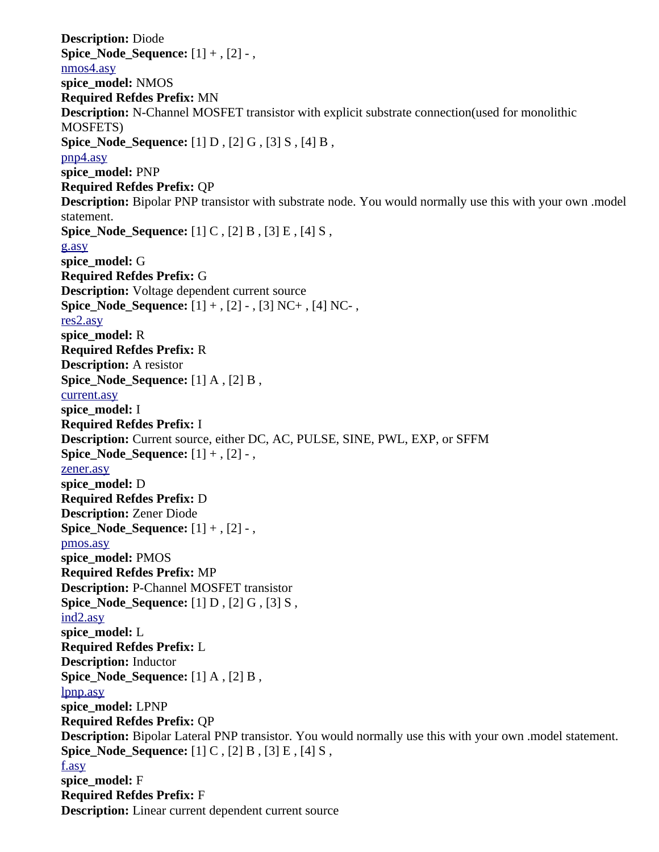**Description:** Diode **Spice\_Node\_Sequence:** [1] + , [2] - , [nmos4.asy](file:///home/cmcdowell/.wine/drive_c/Program%20Files/LTC/LTspiceIV/lib/sym/nmos4.asy) **spice\_model:** NMOS **Required Refdes Prefix:** MN **Description:** N-Channel MOSFET transistor with explicit substrate connection(used for monolithic MOSFETS) **Spice\_Node\_Sequence:** [1] D , [2] G , [3] S , [4] B , [pnp4.asy](file:///home/cmcdowell/.wine/drive_c/Program%20Files/LTC/LTspiceIV/lib/sym/pnp4.asy) **spice\_model:** PNP **Required Refdes Prefix:** QP **Description:** Bipolar PNP transistor with substrate node. You would normally use this with your own .model statement. **Spice\_Node\_Sequence:** [1] C , [2] B , [3] E , [4] S , [g.asy](file:///home/cmcdowell/.wine/drive_c/Program%20Files/LTC/LTspiceIV/lib/sym/g.asy) **spice\_model:** G **Required Refdes Prefix:** G **Description:** Voltage dependent current source **Spice\_Node\_Sequence:** [1] + , [2] - , [3] NC+ , [4] NC- , [res2.asy](file:///home/cmcdowell/.wine/drive_c/Program%20Files/LTC/LTspiceIV/lib/sym/res2.asy) **spice\_model:** R **Required Refdes Prefix:** R **Description:** A resistor **Spice Node Sequence:** [1] A , [2] B , [current.asy](file:///home/cmcdowell/.wine/drive_c/Program%20Files/LTC/LTspiceIV/lib/sym/current.asy) **spice\_model:** I **Required Refdes Prefix:** I **Description:** Current source, either DC, AC, PULSE, SINE, PWL, EXP, or SFFM **Spice\_Node\_Sequence:** [1] + , [2] - , [zener.asy](file:///home/cmcdowell/.wine/drive_c/Program%20Files/LTC/LTspiceIV/lib/sym/zener.asy) **spice\_model:** D **Required Refdes Prefix:** D **Description:** Zener Diode **Spice Node Sequence:**  $[1] +$ ,  $[2]$  -, [pmos.asy](file:///home/cmcdowell/.wine/drive_c/Program%20Files/LTC/LTspiceIV/lib/sym/pmos.asy) **spice\_model:** PMOS **Required Refdes Prefix:** MP **Description:** P-Channel MOSFET transistor **Spice\_Node\_Sequence:** [1] D , [2] G , [3] S , [ind2.asy](file:///home/cmcdowell/.wine/drive_c/Program%20Files/LTC/LTspiceIV/lib/sym/ind2.asy) **spice\_model:** L **Required Refdes Prefix:** L **Description:** Inductor **Spice\_Node\_Sequence:** [1] A , [2] B , [lpnp.asy](file:///home/cmcdowell/.wine/drive_c/Program%20Files/LTC/LTspiceIV/lib/sym/lpnp.asy) **spice\_model:** LPNP **Required Refdes Prefix:** QP **Description:** Bipolar Lateral PNP transistor. You would normally use this with your own .model statement. **Spice\_Node\_Sequence:** [1] C , [2] B , [3] E , [4] S , [f.asy](file:///home/cmcdowell/.wine/drive_c/Program%20Files/LTC/LTspiceIV/lib/sym/f.asy) **spice\_model:** F **Required Refdes Prefix:** F **Description:** Linear current dependent current source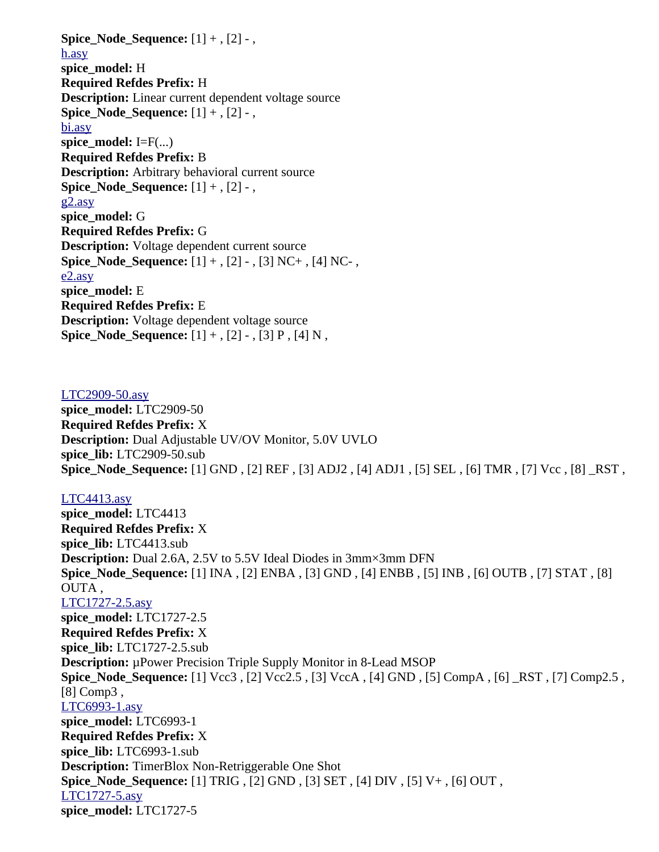**Spice\_Node\_Sequence:** [1] + , [2] - , [h.asy](file:///home/cmcdowell/.wine/drive_c/Program%20Files/LTC/LTspiceIV/lib/sym/h.asy) **spice\_model:** H **Required Refdes Prefix:** H **Description:** Linear current dependent voltage source **Spice Node Sequence:**  $[1] +$ ,  $[2]$  -, [bi.asy](file:///home/cmcdowell/.wine/drive_c/Program%20Files/LTC/LTspiceIV/lib/sym/bi.asy) **spice\_model:** I=F(...) **Required Refdes Prefix:** B **Description:** Arbitrary behavioral current source **Spice Node Sequence:**  $[1] +$ ,  $[2]$  -, [g2.asy](file:///home/cmcdowell/.wine/drive_c/Program%20Files/LTC/LTspiceIV/lib/sym/g2.asy) **spice\_model:** G **Required Refdes Prefix:** G **Description:** Voltage dependent current source **Spice Node Sequence:**  $[1] +$ ,  $[2] -$ ,  $[3]$  NC+,  $[4]$  NC-, [e2.asy](file:///home/cmcdowell/.wine/drive_c/Program%20Files/LTC/LTspiceIV/lib/sym/e2.asy) **spice\_model:** E **Required Refdes Prefix:** E **Description:** Voltage dependent voltage source **Spice\_Node\_Sequence:** [1] + , [2] - , [3] P , [4] N ,

[LTC2909-50.asy](file:///home/cmcdowell/.wine/drive_c/Program%20Files/LTC/LTspiceIV/lib/sym/SpecialFunctions/LTC2909-50.asy) **spice\_model:** LTC2909-50 **Required Refdes Prefix:** X **Description:** Dual Adjustable UV/OV Monitor, 5.0V UVLO **spice\_lib:** LTC2909-50.sub **Spice\_Node\_Sequence:** [1] GND , [2] REF , [3] ADJ2 , [4] ADJ1 , [5] SEL , [6] TMR , [7] Vcc , [8] \_RST ,

## [LTC4413.asy](file:///home/cmcdowell/.wine/drive_c/Program%20Files/LTC/LTspiceIV/lib/sym/SpecialFunctions/LTC4413.asy) **spice\_model:** LTC4413 **Required Refdes Prefix:** X **spice\_lib:** LTC4413.sub **Description:** Dual 2.6A, 2.5V to 5.5V Ideal Diodes in 3mm×3mm DFN **Spice\_Node\_Sequence:** [1] INA , [2] ENBA , [3] GND , [4] ENBB , [5] INB , [6] OUTB , [7] STAT , [8] OUTA , [LTC1727-2.5.asy](file:///home/cmcdowell/.wine/drive_c/Program%20Files/LTC/LTspiceIV/lib/sym/SpecialFunctions/LTC1727-2.5.asy) **spice\_model:** LTC1727-2.5 **Required Refdes Prefix:** X **spice\_lib:** LTC1727-2.5.sub **Description:** µPower Precision Triple Supply Monitor in 8-Lead MSOP **Spice\_Node\_Sequence:** [1] Vcc3 , [2] Vcc2.5 , [3] VccA , [4] GND , [5] CompA , [6] \_RST , [7] Comp2.5 , [8] Comp3 , [LTC6993-1.asy](file:///home/cmcdowell/.wine/drive_c/Program%20Files/LTC/LTspiceIV/lib/sym/SpecialFunctions/LTC6993-1.asy) **spice\_model:** LTC6993-1 **Required Refdes Prefix:** X **spice\_lib:** LTC6993-1.sub **Description:** TimerBlox Non-Retriggerable One Shot **Spice\_Node\_Sequence:** [1] TRIG , [2] GND , [3] SET , [4] DIV , [5] V+ , [6] OUT , [LTC1727-5.asy](file:///home/cmcdowell/.wine/drive_c/Program%20Files/LTC/LTspiceIV/lib/sym/SpecialFunctions/LTC1727-5.asy) **spice\_model:** LTC1727-5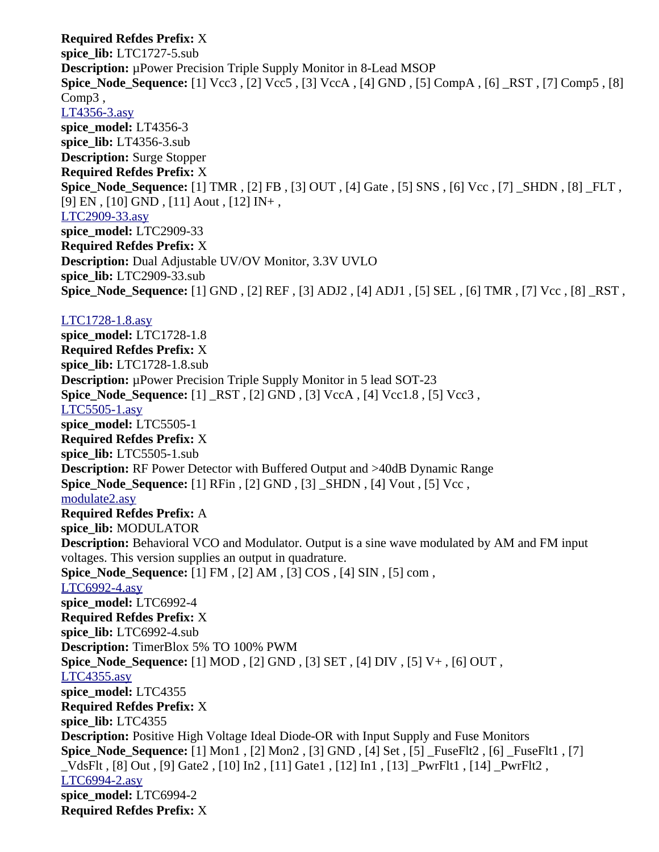**Required Refdes Prefix:** X **spice\_lib:** LTC1727-5.sub **Description:** µPower Precision Triple Supply Monitor in 8-Lead MSOP **Spice\_Node\_Sequence:** [1] Vcc3 , [2] Vcc5 , [3] VccA , [4] GND , [5] CompA , [6] \_RST , [7] Comp5 , [8] Comp3 , [LT4356-3.asy](file:///home/cmcdowell/.wine/drive_c/Program%20Files/LTC/LTspiceIV/lib/sym/SpecialFunctions/LT4356-3.asy) **spice\_model:** LT4356-3 **spice\_lib:** LT4356-3.sub **Description:** Surge Stopper **Required Refdes Prefix:** X **Spice\_Node\_Sequence:** [1] TMR , [2] FB , [3] OUT , [4] Gate , [5] SNS , [6] Vcc , [7] \_SHDN , [8] \_FLT , [9] EN, [10] GND, [11] Aout, [12] IN+, [LTC2909-33.asy](file:///home/cmcdowell/.wine/drive_c/Program%20Files/LTC/LTspiceIV/lib/sym/SpecialFunctions/LTC2909-33.asy) **spice\_model:** LTC2909-33 **Required Refdes Prefix:** X **Description:** Dual Adjustable UV/OV Monitor, 3.3V UVLO **spice\_lib:** LTC2909-33.sub **Spice\_Node\_Sequence:** [1] GND , [2] REF , [3] ADJ2 , [4] ADJ1 , [5] SEL , [6] TMR , [7] Vcc , [8] \_RST , [LTC1728-1.8.asy](file:///home/cmcdowell/.wine/drive_c/Program%20Files/LTC/LTspiceIV/lib/sym/SpecialFunctions/LTC1728-1.8.asy) **spice\_model:** LTC1728-1.8 **Required Refdes Prefix:** X **spice\_lib:** LTC1728-1.8.sub **Description:** µPower Precision Triple Supply Monitor in 5 lead SOT-23 **Spice\_Node\_Sequence:** [1] \_RST , [2] GND , [3] VccA , [4] Vcc1.8 , [5] Vcc3 , [LTC5505-1.asy](file:///home/cmcdowell/.wine/drive_c/Program%20Files/LTC/LTspiceIV/lib/sym/SpecialFunctions/LTC5505-1.asy) **spice\_model:** LTC5505-1 **Required Refdes Prefix:** X **spice\_lib:** LTC5505-1.sub **Description:** RF Power Detector with Buffered Output and >40dB Dynamic Range **Spice\_Node\_Sequence:** [1] RFin , [2] GND , [3] \_SHDN , [4] Vout , [5] Vcc , [modulate2.asy](file:///home/cmcdowell/.wine/drive_c/Program%20Files/LTC/LTspiceIV/lib/sym/SpecialFunctions/modulate2.asy) **Required Refdes Prefix:** A **spice\_lib:** MODULATOR **Description:** Behavioral VCO and Modulator. Output is a sine wave modulated by AM and FM input voltages. This version supplies an output in quadrature. **Spice\_Node\_Sequence:** [1] FM , [2] AM , [3] COS , [4] SIN , [5] com , [LTC6992-4.asy](file:///home/cmcdowell/.wine/drive_c/Program%20Files/LTC/LTspiceIV/lib/sym/SpecialFunctions/LTC6992-4.asy) **spice\_model:** LTC6992-4 **Required Refdes Prefix:** X **spice\_lib:** LTC6992-4.sub **Description:** TimerBlox 5% TO 100% PWM **Spice\_Node\_Sequence:** [1] MOD , [2] GND , [3] SET , [4] DIV , [5] V+ , [6] OUT , [LTC4355.asy](file:///home/cmcdowell/.wine/drive_c/Program%20Files/LTC/LTspiceIV/lib/sym/SpecialFunctions/LTC4355.asy) **spice\_model:** LTC4355 **Required Refdes Prefix:** X **spice\_lib:** LTC4355 **Description:** Positive High Voltage Ideal Diode-OR with Input Supply and Fuse Monitors **Spice\_Node\_Sequence:** [1] Mon1 , [2] Mon2 , [3] GND , [4] Set , [5] \_FuseFlt2 , [6] \_FuseFlt1 , [7] \_VdsFlt , [8] Out , [9] Gate2 , [10] In2 , [11] Gate1 , [12] In1 , [13] \_PwrFlt1 , [14] \_PwrFlt2 , [LTC6994-2.asy](file:///home/cmcdowell/.wine/drive_c/Program%20Files/LTC/LTspiceIV/lib/sym/SpecialFunctions/LTC6994-2.asy) **spice\_model:** LTC6994-2 **Required Refdes Prefix:** X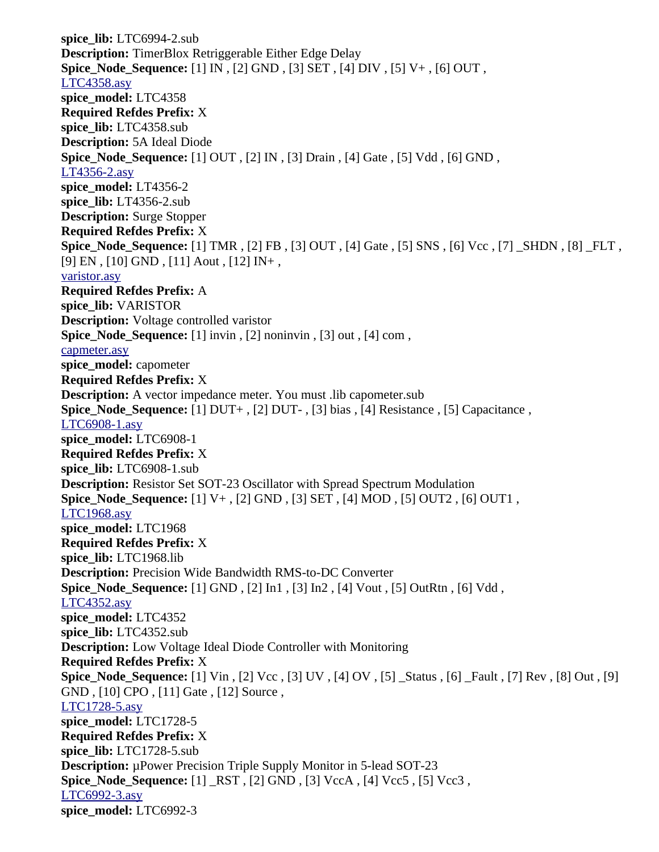**spice\_lib:** LTC6994-2.sub **Description:** TimerBlox Retriggerable Either Edge Delay **Spice\_Node\_Sequence:** [1] IN , [2] GND , [3] SET , [4] DIV , [5] V+ , [6] OUT , [LTC4358.asy](file:///home/cmcdowell/.wine/drive_c/Program%20Files/LTC/LTspiceIV/lib/sym/SpecialFunctions/LTC4358.asy) **spice\_model:** LTC4358 **Required Refdes Prefix:** X **spice\_lib:** LTC4358.sub **Description:** 5A Ideal Diode **Spice\_Node\_Sequence:** [1] OUT , [2] IN , [3] Drain , [4] Gate , [5] Vdd , [6] GND , [LT4356-2.asy](file:///home/cmcdowell/.wine/drive_c/Program%20Files/LTC/LTspiceIV/lib/sym/SpecialFunctions/LT4356-2.asy) **spice\_model:** LT4356-2 **spice\_lib:** LT4356-2.sub **Description:** Surge Stopper **Required Refdes Prefix:** X **Spice\_Node\_Sequence:** [1] TMR , [2] FB , [3] OUT , [4] Gate , [5] SNS , [6] Vcc , [7] \_SHDN , [8] \_FLT , [9] EN , [10] GND , [11] Aout , [12] IN+ , [varistor.asy](file:///home/cmcdowell/.wine/drive_c/Program%20Files/LTC/LTspiceIV/lib/sym/SpecialFunctions/varistor.asy) **Required Refdes Prefix:** A **spice\_lib:** VARISTOR **Description:** Voltage controlled varistor **Spice Node Sequence:** [1] invin , [2] noninvin , [3] out , [4] com , [capmeter.asy](file:///home/cmcdowell/.wine/drive_c/Program%20Files/LTC/LTspiceIV/lib/sym/SpecialFunctions/capmeter.asy) **spice\_model:** capometer **Required Refdes Prefix:** X **Description:** A vector impedance meter. You must .lib capometer.sub **Spice\_Node\_Sequence:** [1] DUT+ , [2] DUT- , [3] bias , [4] Resistance , [5] Capacitance , [LTC6908-1.asy](file:///home/cmcdowell/.wine/drive_c/Program%20Files/LTC/LTspiceIV/lib/sym/SpecialFunctions/LTC6908-1.asy) **spice\_model:** LTC6908-1 **Required Refdes Prefix:** X **spice\_lib:** LTC6908-1.sub **Description:** Resistor Set SOT-23 Oscillator with Spread Spectrum Modulation **Spice\_Node\_Sequence:** [1] V+ , [2] GND , [3] SET , [4] MOD , [5] OUT2 , [6] OUT1 , [LTC1968.asy](file:///home/cmcdowell/.wine/drive_c/Program%20Files/LTC/LTspiceIV/lib/sym/SpecialFunctions/LTC1968.asy) **spice\_model:** LTC1968 **Required Refdes Prefix:** X **spice\_lib:** LTC1968.lib **Description:** Precision Wide Bandwidth RMS-to-DC Converter **Spice\_Node\_Sequence:** [1] GND , [2] In1 , [3] In2 , [4] Vout , [5] OutRtn , [6] Vdd , [LTC4352.asy](file:///home/cmcdowell/.wine/drive_c/Program%20Files/LTC/LTspiceIV/lib/sym/SpecialFunctions/LTC4352.asy) **spice\_model:** LTC4352 **spice\_lib:** LTC4352.sub **Description:** Low Voltage Ideal Diode Controller with Monitoring **Required Refdes Prefix:** X **Spice\_Node\_Sequence:** [1] Vin , [2] Vcc , [3] UV , [4] OV , [5] \_Status , [6] \_Fault , [7] Rev , [8] Out , [9] GND , [10] CPO , [11] Gate , [12] Source , [LTC1728-5.asy](file:///home/cmcdowell/.wine/drive_c/Program%20Files/LTC/LTspiceIV/lib/sym/SpecialFunctions/LTC1728-5.asy) **spice\_model:** LTC1728-5 **Required Refdes Prefix:** X **spice\_lib:** LTC1728-5.sub **Description:** µPower Precision Triple Supply Monitor in 5-lead SOT-23 **Spice\_Node\_Sequence:** [1] \_RST , [2] GND , [3] VccA , [4] Vcc5 , [5] Vcc3 , [LTC6992-3.asy](file:///home/cmcdowell/.wine/drive_c/Program%20Files/LTC/LTspiceIV/lib/sym/SpecialFunctions/LTC6992-3.asy) **spice\_model:** LTC6992-3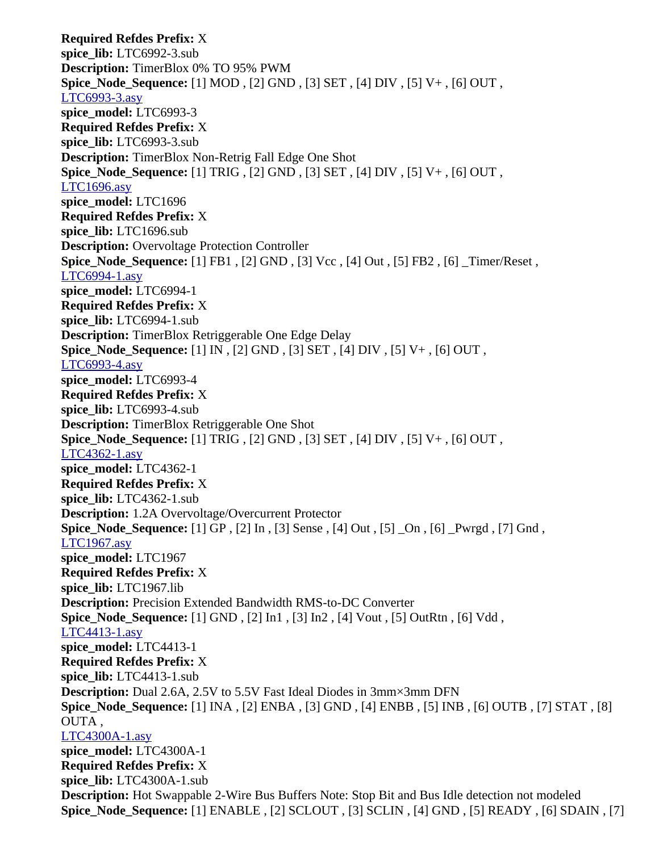**Required Refdes Prefix:** X **spice\_lib:** LTC6992-3.sub **Description:** TimerBlox 0% TO 95% PWM **Spice\_Node\_Sequence:** [1] MOD , [2] GND , [3] SET , [4] DIV , [5] V+ , [6] OUT , [LTC6993-3.asy](file:///home/cmcdowell/.wine/drive_c/Program%20Files/LTC/LTspiceIV/lib/sym/SpecialFunctions/LTC6993-3.asy) **spice\_model:** LTC6993-3 **Required Refdes Prefix:** X **spice\_lib:** LTC6993-3.sub **Description:** TimerBlox Non-Retrig Fall Edge One Shot **Spice\_Node\_Sequence:** [1] TRIG , [2] GND , [3] SET , [4] DIV , [5] V+ , [6] OUT , [LTC1696.asy](file:///home/cmcdowell/.wine/drive_c/Program%20Files/LTC/LTspiceIV/lib/sym/SpecialFunctions/LTC1696.asy) **spice\_model:** LTC1696 **Required Refdes Prefix:** X **spice\_lib:** LTC1696.sub **Description:** Overvoltage Protection Controller **Spice\_Node\_Sequence:** [1] FB1, [2] GND, [3] Vcc, [4] Out, [5] FB2, [6] Timer/Reset, [LTC6994-1.asy](file:///home/cmcdowell/.wine/drive_c/Program%20Files/LTC/LTspiceIV/lib/sym/SpecialFunctions/LTC6994-1.asy) **spice\_model:** LTC6994-1 **Required Refdes Prefix:** X **spice\_lib:** LTC6994-1.sub **Description:** TimerBlox Retriggerable One Edge Delay **Spice\_Node\_Sequence:** [1] IN , [2] GND , [3] SET , [4] DIV , [5] V+ , [6] OUT , [LTC6993-4.asy](file:///home/cmcdowell/.wine/drive_c/Program%20Files/LTC/LTspiceIV/lib/sym/SpecialFunctions/LTC6993-4.asy) **spice\_model:** LTC6993-4 **Required Refdes Prefix:** X **spice\_lib:** LTC6993-4.sub **Description:** TimerBlox Retriggerable One Shot **Spice\_Node\_Sequence:** [1] TRIG , [2] GND , [3] SET , [4] DIV , [5] V+ , [6] OUT , [LTC4362-1.asy](file:///home/cmcdowell/.wine/drive_c/Program%20Files/LTC/LTspiceIV/lib/sym/SpecialFunctions/LTC4362-1.asy) **spice\_model:** LTC4362-1 **Required Refdes Prefix:** X **spice\_lib:** LTC4362-1.sub **Description:** 1.2A Overvoltage/Overcurrent Protector **Spice\_Node\_Sequence:** [1] GP , [2] In , [3] Sense , [4] Out , [5] \_On , [6] \_Pwrgd , [7] Gnd , [LTC1967.asy](file:///home/cmcdowell/.wine/drive_c/Program%20Files/LTC/LTspiceIV/lib/sym/SpecialFunctions/LTC1967.asy) **spice\_model:** LTC1967 **Required Refdes Prefix:** X **spice\_lib:** LTC1967.lib **Description:** Precision Extended Bandwidth RMS-to-DC Converter **Spice\_Node\_Sequence:** [1] GND , [2] In1 , [3] In2 , [4] Vout , [5] OutRtn , [6] Vdd , [LTC4413-1.asy](file:///home/cmcdowell/.wine/drive_c/Program%20Files/LTC/LTspiceIV/lib/sym/SpecialFunctions/LTC4413-1.asy) **spice\_model:** LTC4413-1 **Required Refdes Prefix:** X **spice\_lib:** LTC4413-1.sub **Description:** Dual 2.6A, 2.5V to 5.5V Fast Ideal Diodes in 3mm×3mm DFN **Spice\_Node\_Sequence:** [1] INA , [2] ENBA , [3] GND , [4] ENBB , [5] INB , [6] OUTB , [7] STAT , [8] OUTA , [LTC4300A-1.asy](file:///home/cmcdowell/.wine/drive_c/Program%20Files/LTC/LTspiceIV/lib/sym/SpecialFunctions/LTC4300A-1.asy) **spice\_model:** LTC4300A-1 **Required Refdes Prefix:** X **spice\_lib:** LTC4300A-1.sub **Description:** Hot Swappable 2-Wire Bus Buffers Note: Stop Bit and Bus Idle detection not modeled **Spice\_Node\_Sequence:** [1] ENABLE , [2] SCLOUT , [3] SCLIN , [4] GND , [5] READY , [6] SDAIN , [7]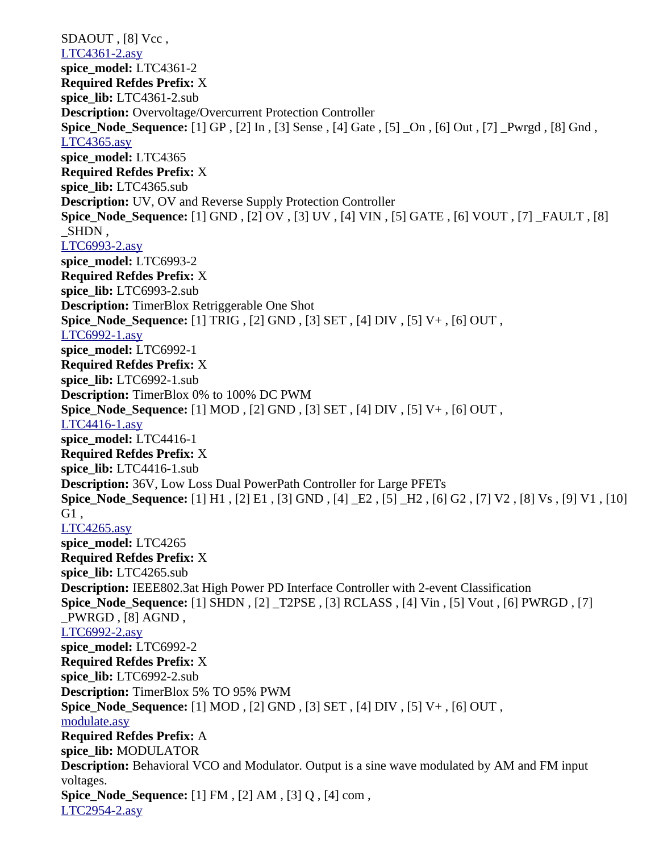SDAOUT, [8] Vcc, [LTC4361-2.asy](file:///home/cmcdowell/.wine/drive_c/Program%20Files/LTC/LTspiceIV/lib/sym/SpecialFunctions/LTC4361-2.asy) **spice\_model:** LTC4361-2 **Required Refdes Prefix:** X **spice\_lib:** LTC4361-2.sub **Description:** Overvoltage/Overcurrent Protection Controller **Spice\_Node\_Sequence:** [1] GP , [2] In , [3] Sense , [4] Gate , [5] \_On , [6] Out , [7] \_Pwrgd , [8] Gnd , [LTC4365.asy](file:///home/cmcdowell/.wine/drive_c/Program%20Files/LTC/LTspiceIV/lib/sym/SpecialFunctions/LTC4365.asy) **spice\_model:** LTC4365 **Required Refdes Prefix:** X **spice\_lib:** LTC4365.sub **Description:** UV, OV and Reverse Supply Protection Controller **Spice\_Node\_Sequence:** [1] GND , [2] OV , [3] UV , [4] VIN , [5] GATE , [6] VOUT , [7] \_FAULT , [8] \_SHDN , [LTC6993-2.asy](file:///home/cmcdowell/.wine/drive_c/Program%20Files/LTC/LTspiceIV/lib/sym/SpecialFunctions/LTC6993-2.asy) **spice\_model:** LTC6993-2 **Required Refdes Prefix:** X **spice\_lib:** LTC6993-2.sub **Description:** TimerBlox Retriggerable One Shot **Spice\_Node\_Sequence:** [1] TRIG , [2] GND , [3] SET , [4] DIV , [5] V+ , [6] OUT , [LTC6992-1.asy](file:///home/cmcdowell/.wine/drive_c/Program%20Files/LTC/LTspiceIV/lib/sym/SpecialFunctions/LTC6992-1.asy) **spice\_model:** LTC6992-1 **Required Refdes Prefix:** X **spice\_lib:** LTC6992-1.sub **Description:** TimerBlox 0% to 100% DC PWM **Spice\_Node\_Sequence:** [1] MOD , [2] GND , [3] SET , [4] DIV , [5] V+ , [6] OUT , [LTC4416-1.asy](file:///home/cmcdowell/.wine/drive_c/Program%20Files/LTC/LTspiceIV/lib/sym/SpecialFunctions/LTC4416-1.asy) **spice\_model:** LTC4416-1 **Required Refdes Prefix:** X **spice\_lib:** LTC4416-1.sub **Description:** 36V, Low Loss Dual PowerPath Controller for Large PFETs **Spice\_Node\_Sequence:** [1] H1 , [2] E1 , [3] GND , [4] \_E2 , [5] \_H2 , [6] G2 , [7] V2 , [8] Vs , [9] V1 , [10] G1 , [LTC4265.asy](file:///home/cmcdowell/.wine/drive_c/Program%20Files/LTC/LTspiceIV/lib/sym/SpecialFunctions/LTC4265.asy) **spice\_model:** LTC4265 **Required Refdes Prefix:** X **spice\_lib:** LTC4265.sub **Description:** IEEE802.3at High Power PD Interface Controller with 2-event Classification **Spice\_Node\_Sequence:** [1] SHDN , [2] \_T2PSE , [3] RCLASS , [4] Vin , [5] Vout , [6] PWRGD , [7] \_PWRGD , [8] AGND , [LTC6992-2.asy](file:///home/cmcdowell/.wine/drive_c/Program%20Files/LTC/LTspiceIV/lib/sym/SpecialFunctions/LTC6992-2.asy) **spice\_model:** LTC6992-2 **Required Refdes Prefix:** X **spice\_lib:** LTC6992-2.sub **Description:** TimerBlox 5% TO 95% PWM **Spice\_Node\_Sequence:** [1] MOD , [2] GND , [3] SET , [4] DIV , [5] V+ , [6] OUT , [modulate.asy](file:///home/cmcdowell/.wine/drive_c/Program%20Files/LTC/LTspiceIV/lib/sym/SpecialFunctions/modulate.asy) **Required Refdes Prefix:** A **spice\_lib:** MODULATOR **Description:** Behavioral VCO and Modulator. Output is a sine wave modulated by AM and FM input voltages. **Spice\_Node\_Sequence:** [1] FM , [2] AM , [3] Q , [4] com , [LTC2954-2.asy](file:///home/cmcdowell/.wine/drive_c/Program%20Files/LTC/LTspiceIV/lib/sym/SpecialFunctions/LTC2954-2.asy)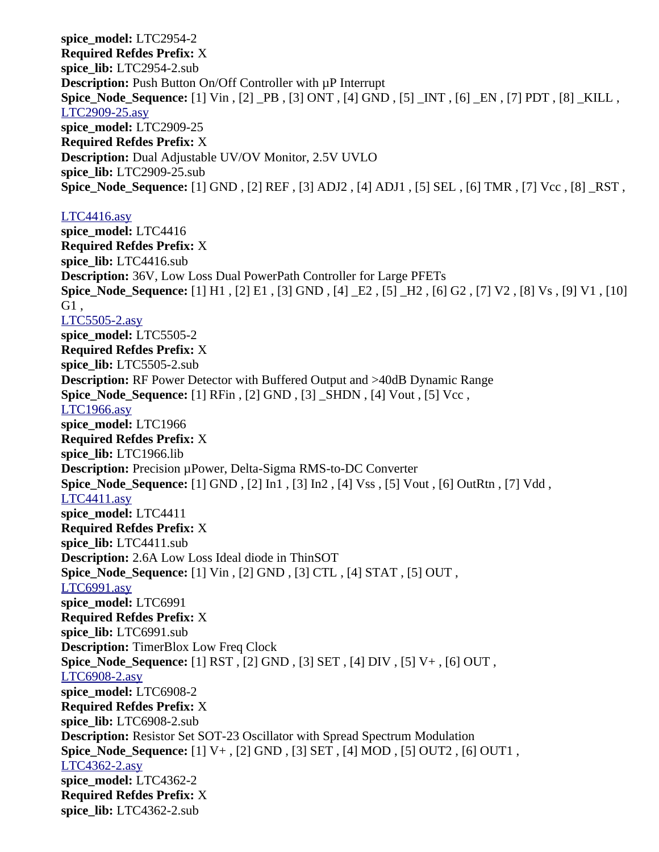**spice\_model:** LTC2954-2 **Required Refdes Prefix:** X **spice\_lib:** LTC2954-2.sub **Description:** Push Button On/Off Controller with  $\mu$ P Interrupt **Spice\_Node\_Sequence:** [1] Vin , [2] \_PB , [3] ONT , [4] GND , [5] \_INT , [6] \_EN , [7] PDT , [8] \_KILL , [LTC2909-25.asy](file:///home/cmcdowell/.wine/drive_c/Program%20Files/LTC/LTspiceIV/lib/sym/SpecialFunctions/LTC2909-25.asy) **spice\_model:** LTC2909-25 **Required Refdes Prefix:** X **Description:** Dual Adjustable UV/OV Monitor, 2.5V UVLO **spice\_lib:** LTC2909-25.sub **Spice\_Node\_Sequence:** [1] GND , [2] REF , [3] ADJ2 , [4] ADJ1 , [5] SEL , [6] TMR , [7] Vcc , [8] \_RST ,

### [LTC4416.asy](file:///home/cmcdowell/.wine/drive_c/Program%20Files/LTC/LTspiceIV/lib/sym/SpecialFunctions/LTC4416.asy)

**spice\_model:** LTC4416 **Required Refdes Prefix:** X **spice\_lib:** LTC4416.sub **Description:** 36V, Low Loss Dual PowerPath Controller for Large PFETs **Spice\_Node\_Sequence:** [1] H1 , [2] E1 , [3] GND , [4] \_E2 , [5] \_H2 , [6] G2 , [7] V2 , [8] Vs , [9] V1 , [10] G1 , [LTC5505-2.asy](file:///home/cmcdowell/.wine/drive_c/Program%20Files/LTC/LTspiceIV/lib/sym/SpecialFunctions/LTC5505-2.asy) **spice\_model:** LTC5505-2 **Required Refdes Prefix:** X **spice\_lib:** LTC5505-2.sub **Description:** RF Power Detector with Buffered Output and >40dB Dynamic Range **Spice\_Node\_Sequence:** [1] RFin , [2] GND , [3] \_SHDN , [4] Vout , [5] Vcc , [LTC1966.asy](file:///home/cmcdowell/.wine/drive_c/Program%20Files/LTC/LTspiceIV/lib/sym/SpecialFunctions/LTC1966.asy) **spice\_model:** LTC1966 **Required Refdes Prefix:** X **spice\_lib:** LTC1966.lib **Description:** Precision µPower, Delta-Sigma RMS-to-DC Converter **Spice\_Node\_Sequence:** [1] GND , [2] In1 , [3] In2 , [4] Vss , [5] Vout , [6] OutRtn , [7] Vdd , [LTC4411.asy](file:///home/cmcdowell/.wine/drive_c/Program%20Files/LTC/LTspiceIV/lib/sym/SpecialFunctions/LTC4411.asy) **spice\_model:** LTC4411 **Required Refdes Prefix:** X **spice\_lib:** LTC4411.sub **Description:** 2.6A Low Loss Ideal diode in ThinSOT **Spice\_Node\_Sequence:** [1] Vin , [2] GND , [3] CTL , [4] STAT , [5] OUT , [LTC6991.asy](file:///home/cmcdowell/.wine/drive_c/Program%20Files/LTC/LTspiceIV/lib/sym/SpecialFunctions/LTC6991.asy) **spice\_model:** LTC6991 **Required Refdes Prefix:** X **spice\_lib:** LTC6991.sub **Description:** TimerBlox Low Freq Clock **Spice\_Node\_Sequence:** [1] RST , [2] GND , [3] SET , [4] DIV , [5] V+ , [6] OUT , [LTC6908-2.asy](file:///home/cmcdowell/.wine/drive_c/Program%20Files/LTC/LTspiceIV/lib/sym/SpecialFunctions/LTC6908-2.asy) **spice\_model:** LTC6908-2 **Required Refdes Prefix:** X **spice\_lib:** LTC6908-2.sub **Description:** Resistor Set SOT-23 Oscillator with Spread Spectrum Modulation **Spice\_Node\_Sequence:** [1] V+ , [2] GND , [3] SET , [4] MOD , [5] OUT2 , [6] OUT1 , [LTC4362-2.asy](file:///home/cmcdowell/.wine/drive_c/Program%20Files/LTC/LTspiceIV/lib/sym/SpecialFunctions/LTC4362-2.asy) **spice\_model:** LTC4362-2 **Required Refdes Prefix:** X **spice\_lib:** LTC4362-2.sub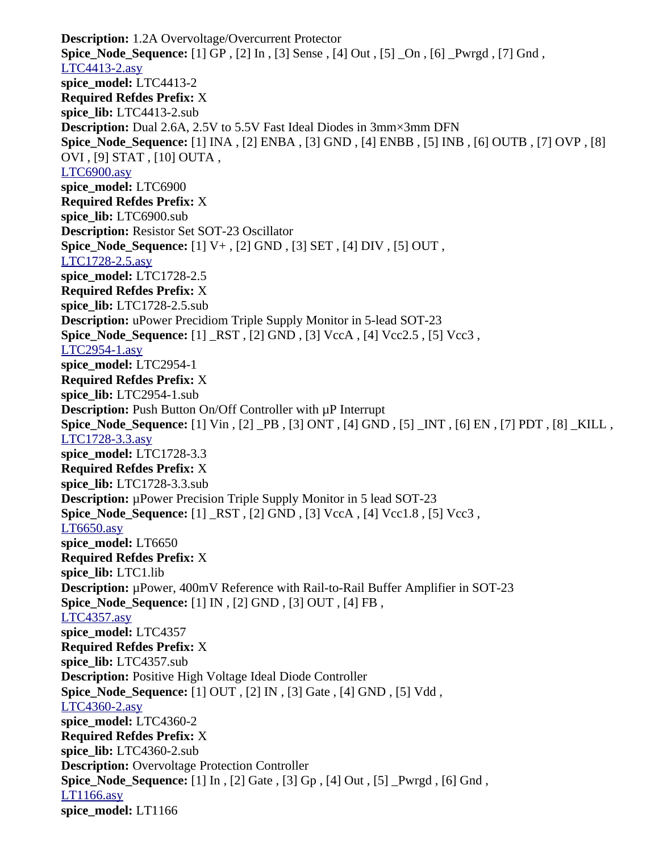**Description:** 1.2A Overvoltage/Overcurrent Protector **Spice\_Node\_Sequence:** [1] GP , [2] In , [3] Sense , [4] Out , [5] \_On , [6] \_Pwrgd , [7] Gnd , [LTC4413-2.asy](file:///home/cmcdowell/.wine/drive_c/Program%20Files/LTC/LTspiceIV/lib/sym/SpecialFunctions/LTC4413-2.asy) **spice\_model:** LTC4413-2 **Required Refdes Prefix:** X **spice\_lib:** LTC4413-2.sub **Description:** Dual 2.6A, 2.5V to 5.5V Fast Ideal Diodes in 3mm×3mm DFN **Spice\_Node\_Sequence:** [1] INA , [2] ENBA , [3] GND , [4] ENBB , [5] INB , [6] OUTB , [7] OVP , [8] OVI , [9] STAT , [10] OUTA , [LTC6900.asy](file:///home/cmcdowell/.wine/drive_c/Program%20Files/LTC/LTspiceIV/lib/sym/SpecialFunctions/LTC6900.asy) **spice\_model:** LTC6900 **Required Refdes Prefix:** X **spice\_lib:** LTC6900.sub **Description:** Resistor Set SOT-23 Oscillator **Spice\_Node\_Sequence:** [1] V+ , [2] GND , [3] SET , [4] DIV , [5] OUT , [LTC1728-2.5.asy](file:///home/cmcdowell/.wine/drive_c/Program%20Files/LTC/LTspiceIV/lib/sym/SpecialFunctions/LTC1728-2.5.asy) **spice\_model:** LTC1728-2.5 **Required Refdes Prefix:** X **spice\_lib:** LTC1728-2.5.sub **Description:** uPower Precidiom Triple Supply Monitor in 5-lead SOT-23 **Spice\_Node\_Sequence:** [1] \_RST , [2] GND , [3] VccA , [4] Vcc2.5 , [5] Vcc3 , [LTC2954-1.asy](file:///home/cmcdowell/.wine/drive_c/Program%20Files/LTC/LTspiceIV/lib/sym/SpecialFunctions/LTC2954-1.asy) **spice\_model:** LTC2954-1 **Required Refdes Prefix:** X **spice\_lib:** LTC2954-1.sub **Description:** Push Button On/Off Controller with  $\mu$ P Interrupt **Spice\_Node\_Sequence:** [1] Vin , [2] \_PB , [3] ONT , [4] GND , [5] \_INT , [6] EN , [7] PDT , [8] \_KILL , [LTC1728-3.3.asy](file:///home/cmcdowell/.wine/drive_c/Program%20Files/LTC/LTspiceIV/lib/sym/SpecialFunctions/LTC1728-3.3.asy) **spice\_model:** LTC1728-3.3 **Required Refdes Prefix:** X **spice\_lib:** LTC1728-3.3.sub **Description:** µPower Precision Triple Supply Monitor in 5 lead SOT-23 **Spice\_Node\_Sequence:** [1] \_RST , [2] GND , [3] VccA , [4] Vcc1.8 , [5] Vcc3 , [LT6650.asy](file:///home/cmcdowell/.wine/drive_c/Program%20Files/LTC/LTspiceIV/lib/sym/SpecialFunctions/LT6650.asy) **spice\_model:** LT6650 **Required Refdes Prefix:** X **spice\_lib:** LTC1.lib **Description:** µPower, 400mV Reference with Rail-to-Rail Buffer Amplifier in SOT-23 **Spice\_Node\_Sequence:** [1] IN , [2] GND , [3] OUT , [4] FB , [LTC4357.asy](file:///home/cmcdowell/.wine/drive_c/Program%20Files/LTC/LTspiceIV/lib/sym/SpecialFunctions/LTC4357.asy) **spice\_model:** LTC4357 **Required Refdes Prefix:** X **spice\_lib:** LTC4357.sub **Description:** Positive High Voltage Ideal Diode Controller **Spice\_Node\_Sequence:** [1] OUT , [2] IN , [3] Gate , [4] GND , [5] Vdd , [LTC4360-2.asy](file:///home/cmcdowell/.wine/drive_c/Program%20Files/LTC/LTspiceIV/lib/sym/SpecialFunctions/LTC4360-2.asy) **spice\_model:** LTC4360-2 **Required Refdes Prefix:** X **spice\_lib:** LTC4360-2.sub **Description:** Overvoltage Protection Controller **Spice\_Node\_Sequence:** [1] In , [2] Gate , [3] Gp , [4] Out , [5] \_Pwrgd , [6] Gnd , [LT1166.asy](file:///home/cmcdowell/.wine/drive_c/Program%20Files/LTC/LTspiceIV/lib/sym/SpecialFunctions/LT1166.asy) **spice\_model:** LT1166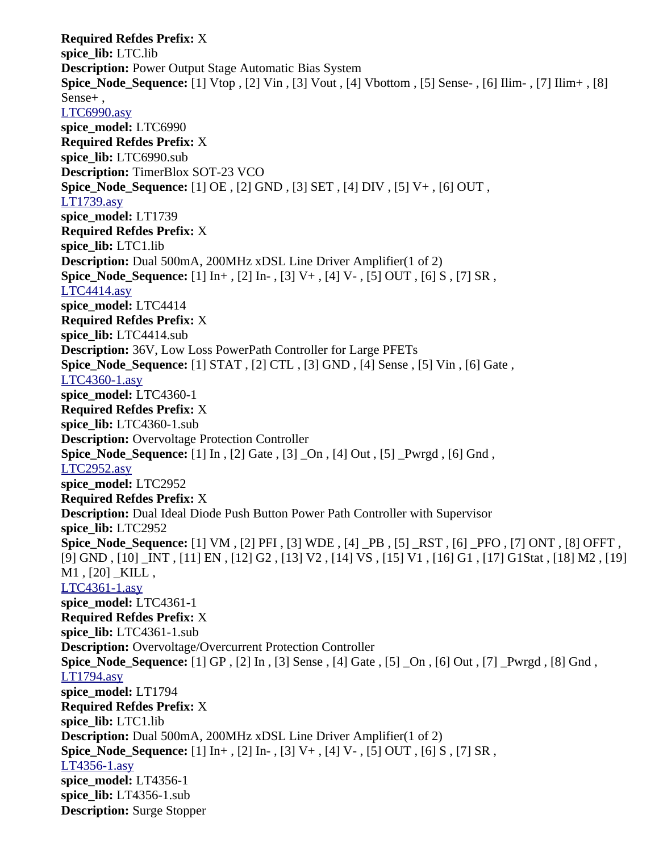**Required Refdes Prefix:** X **spice\_lib:** LTC.lib **Description:** Power Output Stage Automatic Bias System **Spice\_Node\_Sequence:** [1] Vtop , [2] Vin , [3] Vout , [4] Vbottom , [5] Sense- , [6] Ilim- , [7] Ilim+ , [8] Sense+ , [LTC6990.asy](file:///home/cmcdowell/.wine/drive_c/Program%20Files/LTC/LTspiceIV/lib/sym/SpecialFunctions/LTC6990.asy) **spice\_model:** LTC6990 **Required Refdes Prefix:** X **spice\_lib:** LTC6990.sub **Description:** TimerBlox SOT-23 VCO **Spice\_Node\_Sequence:** [1] OE , [2] GND , [3] SET , [4] DIV , [5] V+ , [6] OUT , [LT1739.asy](file:///home/cmcdowell/.wine/drive_c/Program%20Files/LTC/LTspiceIV/lib/sym/SpecialFunctions/LT1739.asy) **spice\_model:** LT1739 **Required Refdes Prefix:** X **spice\_lib:** LTC1.lib **Description:** Dual 500mA, 200MHz xDSL Line Driver Amplifier(1 of 2) **Spice\_Node\_Sequence:** [1] In+ , [2] In- , [3] V+ , [4] V- , [5] OUT , [6] S , [7] SR , [LTC4414.asy](file:///home/cmcdowell/.wine/drive_c/Program%20Files/LTC/LTspiceIV/lib/sym/SpecialFunctions/LTC4414.asy) **spice\_model:** LTC4414 **Required Refdes Prefix:** X **spice\_lib:** LTC4414.sub **Description:** 36V, Low Loss PowerPath Controller for Large PFETs **Spice\_Node\_Sequence:** [1] STAT , [2] CTL , [3] GND , [4] Sense , [5] Vin , [6] Gate , [LTC4360-1.asy](file:///home/cmcdowell/.wine/drive_c/Program%20Files/LTC/LTspiceIV/lib/sym/SpecialFunctions/LTC4360-1.asy) **spice\_model:** LTC4360-1 **Required Refdes Prefix:** X **spice\_lib:** LTC4360-1.sub **Description:** Overvoltage Protection Controller **Spice\_Node\_Sequence:** [1] In , [2] Gate , [3] \_On , [4] Out , [5] \_Pwrgd , [6] Gnd , [LTC2952.asy](file:///home/cmcdowell/.wine/drive_c/Program%20Files/LTC/LTspiceIV/lib/sym/SpecialFunctions/LTC2952.asy) **spice\_model:** LTC2952 **Required Refdes Prefix:** X **Description:** Dual Ideal Diode Push Button Power Path Controller with Supervisor **spice\_lib:** LTC2952 **Spice\_Node\_Sequence:** [1] VM , [2] PFI , [3] WDE , [4] \_PB , [5] \_RST , [6] \_PFO , [7] ONT , [8] OFFT , [9] GND , [10] \_INT , [11] EN , [12] G2 , [13] V2 , [14] VS , [15] V1 , [16] G1 , [17] G1Stat , [18] M2 , [19] M1, [20] KILL, [LTC4361-1.asy](file:///home/cmcdowell/.wine/drive_c/Program%20Files/LTC/LTspiceIV/lib/sym/SpecialFunctions/LTC4361-1.asy) **spice\_model:** LTC4361-1 **Required Refdes Prefix:** X **spice\_lib:** LTC4361-1.sub **Description:** Overvoltage/Overcurrent Protection Controller **Spice\_Node\_Sequence:** [1] GP , [2] In , [3] Sense , [4] Gate , [5] \_On , [6] Out , [7] \_Pwrgd , [8] Gnd , [LT1794.asy](file:///home/cmcdowell/.wine/drive_c/Program%20Files/LTC/LTspiceIV/lib/sym/SpecialFunctions/LT1794.asy) **spice\_model:** LT1794 **Required Refdes Prefix:** X **spice\_lib:** LTC1.lib **Description:** Dual 500mA, 200MHz xDSL Line Driver Amplifier(1 of 2) **Spice\_Node\_Sequence:** [1] In+ , [2] In- , [3] V+ , [4] V- , [5] OUT , [6] S , [7] SR , [LT4356-1.asy](file:///home/cmcdowell/.wine/drive_c/Program%20Files/LTC/LTspiceIV/lib/sym/SpecialFunctions/LT4356-1.asy) **spice\_model:** LT4356-1 **spice\_lib:** LT4356-1.sub **Description:** Surge Stopper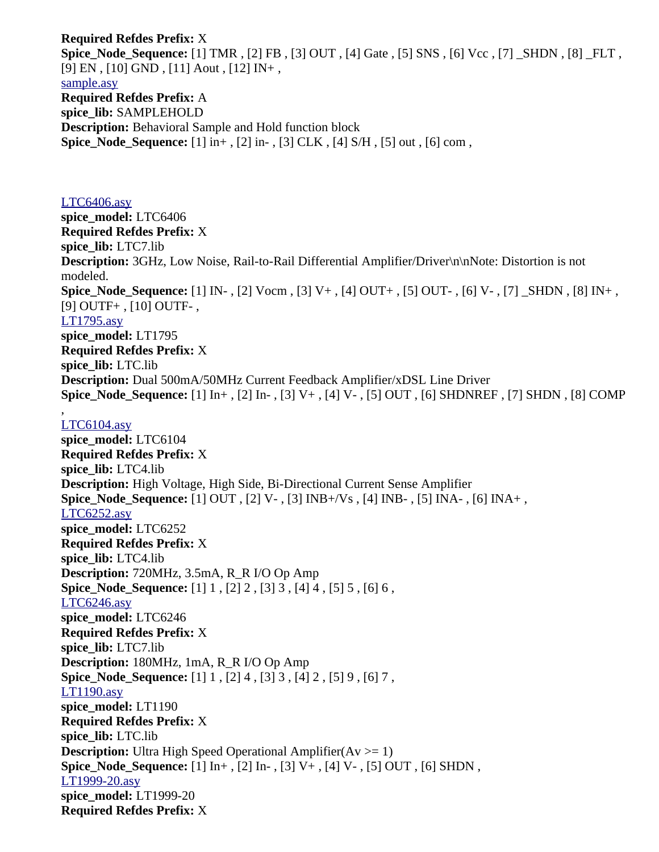**Required Refdes Prefix:** X **Spice\_Node\_Sequence:** [1] TMR , [2] FB , [3] OUT , [4] Gate , [5] SNS , [6] Vcc , [7] \_SHDN , [8] \_FLT , [9] EN , [10] GND , [11] Aout , [12] IN+ , [sample.asy](file:///home/cmcdowell/.wine/drive_c/Program%20Files/LTC/LTspiceIV/lib/sym/SpecialFunctions/sample.asy) **Required Refdes Prefix:** A **spice\_lib:** SAMPLEHOLD **Description:** Behavioral Sample and Hold function block **Spice\_Node\_Sequence:** [1] in+ , [2] in- , [3] CLK , [4] S/H , [5] out , [6] com ,

## [LTC6406.asy](file:///home/cmcdowell/.wine/drive_c/Program%20Files/LTC/LTspiceIV/lib/sym/Opamps/LTC6406.asy) **spice\_model:** LTC6406 **Required Refdes Prefix:** X **spice\_lib:** LTC7.lib **Description:** 3GHz, Low Noise, Rail-to-Rail Differential Amplifier/Driver\n\nNote: Distortion is not modeled. **Spice\_Node\_Sequence:** [1] IN- , [2] Vocm , [3] V+ , [4] OUT+ , [5] OUT- , [6] V- , [7] \_SHDN , [8] IN+ , [9] OUTF+ , [10] OUTF- , [LT1795.asy](file:///home/cmcdowell/.wine/drive_c/Program%20Files/LTC/LTspiceIV/lib/sym/Opamps/LT1795.asy) **spice\_model:** LT1795 **Required Refdes Prefix:** X **spice\_lib:** LTC.lib **Description:** Dual 500mA/50MHz Current Feedback Amplifier/xDSL Line Driver **Spice\_Node\_Sequence:** [1] In+ , [2] In- , [3] V+ , [4] V- , [5] OUT , [6] SHDNREF , [7] SHDN , [8] COMP

#### , [LTC6104.asy](file:///home/cmcdowell/.wine/drive_c/Program%20Files/LTC/LTspiceIV/lib/sym/Opamps/LTC6104.asy)

**spice\_model:** LTC6104 **Required Refdes Prefix:** X **spice\_lib:** LTC4.lib **Description:** High Voltage, High Side, Bi-Directional Current Sense Amplifier **Spice\_Node\_Sequence:** [1] OUT , [2] V- , [3] INB+/Vs , [4] INB- , [5] INA- , [6] INA+ , [LTC6252.asy](file:///home/cmcdowell/.wine/drive_c/Program%20Files/LTC/LTspiceIV/lib/sym/Opamps/LTC6252.asy) **spice\_model:** LTC6252 **Required Refdes Prefix:** X **spice\_lib:** LTC4.lib **Description:** 720MHz, 3.5mA, R\_R I/O Op Amp **Spice\_Node\_Sequence:** [1] 1 , [2] 2 , [3] 3 , [4] 4 , [5] 5 , [6] 6 , [LTC6246.asy](file:///home/cmcdowell/.wine/drive_c/Program%20Files/LTC/LTspiceIV/lib/sym/Opamps/LTC6246.asy) **spice\_model:** LTC6246 **Required Refdes Prefix:** X **spice\_lib:** LTC7.lib **Description:** 180MHz, 1mA, R\_R I/O Op Amp **Spice\_Node\_Sequence:** [1] 1 , [2] 4 , [3] 3 , [4] 2 , [5] 9 , [6] 7 , [LT1190.asy](file:///home/cmcdowell/.wine/drive_c/Program%20Files/LTC/LTspiceIV/lib/sym/Opamps/LT1190.asy) **spice\_model:** LT1190 **Required Refdes Prefix:** X **spice\_lib:** LTC.lib **Description:** Ultra High Speed Operational Amplifier( $Av \ge 1$ ) **Spice\_Node\_Sequence:** [1] In+ , [2] In- , [3] V+ , [4] V- , [5] OUT , [6] SHDN , [LT1999-20.asy](file:///home/cmcdowell/.wine/drive_c/Program%20Files/LTC/LTspiceIV/lib/sym/Opamps/LT1999-20.asy) **spice\_model:** LT1999-20 **Required Refdes Prefix:** X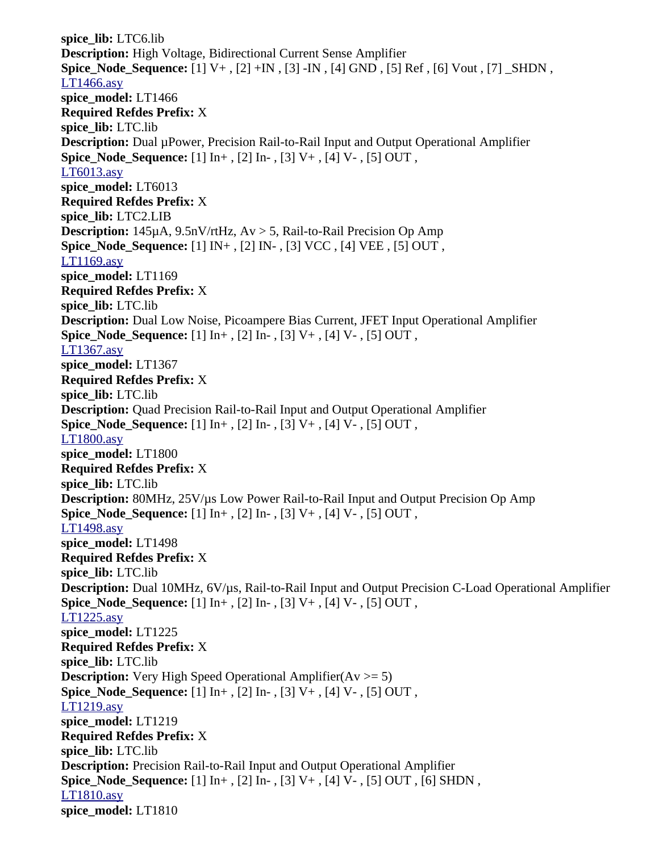**spice\_lib:** LTC6.lib **Description:** High Voltage, Bidirectional Current Sense Amplifier **Spice\_Node\_Sequence:** [1] V+ , [2] +IN , [3] -IN , [4] GND , [5] Ref , [6] Vout , [7] \_SHDN , [LT1466.asy](file:///home/cmcdowell/.wine/drive_c/Program%20Files/LTC/LTspiceIV/lib/sym/Opamps/LT1466.asy) **spice\_model:** LT1466 **Required Refdes Prefix:** X **spice\_lib:** LTC.lib **Description:** Dual µPower, Precision Rail-to-Rail Input and Output Operational Amplifier **Spice\_Node\_Sequence:** [1] In+ , [2] In- , [3] V+ , [4] V- , [5] OUT , [LT6013.asy](file:///home/cmcdowell/.wine/drive_c/Program%20Files/LTC/LTspiceIV/lib/sym/Opamps/LT6013.asy) **spice\_model:** LT6013 **Required Refdes Prefix:** X **spice\_lib:** LTC2.LIB **Description:** 145µA, 9.5nV/rtHz, Av > 5, Rail-to-Rail Precision Op Amp **Spice\_Node\_Sequence:** [1] IN+ , [2] IN- , [3] VCC , [4] VEE , [5] OUT , [LT1169.asy](file:///home/cmcdowell/.wine/drive_c/Program%20Files/LTC/LTspiceIV/lib/sym/Opamps/LT1169.asy) **spice\_model:** LT1169 **Required Refdes Prefix:** X **spice\_lib:** LTC.lib **Description:** Dual Low Noise, Picoampere Bias Current, JFET Input Operational Amplifier **Spice\_Node\_Sequence:** [1] In+ , [2] In- , [3] V+ , [4] V- , [5] OUT , [LT1367.asy](file:///home/cmcdowell/.wine/drive_c/Program%20Files/LTC/LTspiceIV/lib/sym/Opamps/LT1367.asy) **spice\_model:** LT1367 **Required Refdes Prefix:** X **spice\_lib:** LTC.lib **Description:** Quad Precision Rail-to-Rail Input and Output Operational Amplifier **Spice\_Node\_Sequence:** [1] In+ , [2] In- , [3] V+ , [4] V- , [5] OUT , [LT1800.asy](file:///home/cmcdowell/.wine/drive_c/Program%20Files/LTC/LTspiceIV/lib/sym/Opamps/LT1800.asy) **spice\_model:** LT1800 **Required Refdes Prefix:** X **spice\_lib:** LTC.lib **Description:** 80MHz, 25V/µs Low Power Rail-to-Rail Input and Output Precision Op Amp **Spice\_Node\_Sequence:** [1] In+ , [2] In- , [3] V+ , [4] V- , [5] OUT , [LT1498.asy](file:///home/cmcdowell/.wine/drive_c/Program%20Files/LTC/LTspiceIV/lib/sym/Opamps/LT1498.asy) **spice\_model:** LT1498 **Required Refdes Prefix:** X **spice\_lib:** LTC.lib **Description:** Dual 10MHz, 6V/µs, Rail-to-Rail Input and Output Precision C-Load Operational Amplifier **Spice\_Node\_Sequence:** [1] In+ , [2] In- , [3] V+ , [4] V- , [5] OUT , [LT1225.asy](file:///home/cmcdowell/.wine/drive_c/Program%20Files/LTC/LTspiceIV/lib/sym/Opamps/LT1225.asy) **spice\_model:** LT1225 **Required Refdes Prefix:** X **spice\_lib:** LTC.lib **Description:** Very High Speed Operational Amplifier( $Av \ge 5$ ) **Spice\_Node\_Sequence:** [1] In+ , [2] In- , [3] V+ , [4] V- , [5] OUT , [LT1219.asy](file:///home/cmcdowell/.wine/drive_c/Program%20Files/LTC/LTspiceIV/lib/sym/Opamps/LT1219.asy) **spice\_model:** LT1219 **Required Refdes Prefix:** X **spice\_lib:** LTC.lib **Description:** Precision Rail-to-Rail Input and Output Operational Amplifier **Spice\_Node\_Sequence:** [1] In+ , [2] In- , [3] V+ , [4] V- , [5] OUT , [6] SHDN , [LT1810.asy](file:///home/cmcdowell/.wine/drive_c/Program%20Files/LTC/LTspiceIV/lib/sym/Opamps/LT1810.asy) **spice\_model:** LT1810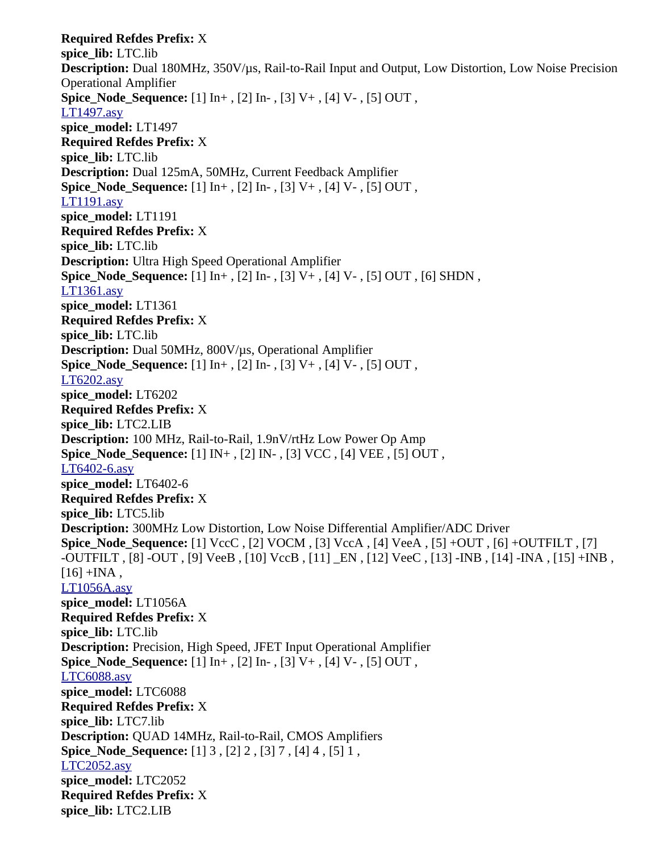**Required Refdes Prefix:** X **spice\_lib:** LTC.lib **Description:** Dual 180MHz, 350V/µs, Rail-to-Rail Input and Output, Low Distortion, Low Noise Precision Operational Amplifier **Spice\_Node\_Sequence:** [1] In+ , [2] In- , [3] V+ , [4] V- , [5] OUT , [LT1497.asy](file:///home/cmcdowell/.wine/drive_c/Program%20Files/LTC/LTspiceIV/lib/sym/Opamps/LT1497.asy) **spice\_model:** LT1497 **Required Refdes Prefix:** X **spice\_lib:** LTC.lib **Description:** Dual 125mA, 50MHz, Current Feedback Amplifier **Spice Node Sequence:** [1] In+, [2] In-, [3] V+, [4] V-, [5] OUT, [LT1191.asy](file:///home/cmcdowell/.wine/drive_c/Program%20Files/LTC/LTspiceIV/lib/sym/Opamps/LT1191.asy) **spice\_model:** LT1191 **Required Refdes Prefix:** X **spice\_lib:** LTC.lib **Description:** Ultra High Speed Operational Amplifier **Spice\_Node\_Sequence:** [1] In+ , [2] In- , [3] V+ , [4] V- , [5] OUT , [6] SHDN , [LT1361.asy](file:///home/cmcdowell/.wine/drive_c/Program%20Files/LTC/LTspiceIV/lib/sym/Opamps/LT1361.asy) **spice\_model:** LT1361 **Required Refdes Prefix:** X **spice\_lib:** LTC.lib **Description:** Dual 50MHz, 800V/µs, Operational Amplifier **Spice\_Node\_Sequence:** [1] In+ , [2] In- , [3] V+ , [4] V- , [5] OUT , [LT6202.asy](file:///home/cmcdowell/.wine/drive_c/Program%20Files/LTC/LTspiceIV/lib/sym/Opamps/LT6202.asy) **spice\_model:** LT6202 **Required Refdes Prefix:** X **spice\_lib:** LTC2.LIB **Description:** 100 MHz, Rail-to-Rail, 1.9nV/rtHz Low Power Op Amp **Spice\_Node\_Sequence:** [1] IN+ , [2] IN- , [3] VCC , [4] VEE , [5] OUT , [LT6402-6.asy](file:///home/cmcdowell/.wine/drive_c/Program%20Files/LTC/LTspiceIV/lib/sym/Opamps/LT6402-6.asy) **spice\_model:** LT6402-6 **Required Refdes Prefix:** X **spice\_lib:** LTC5.lib **Description:** 300MHz Low Distortion, Low Noise Differential Amplifier/ADC Driver **Spice\_Node\_Sequence:** [1] VccC , [2] VOCM , [3] VccA , [4] VeeA , [5] +OUT , [6] +OUTFILT , [7] -OUTFILT , [8] -OUT , [9] VeeB , [10] VccB , [11] \_EN , [12] VeeC , [13] -INB , [14] -INA , [15] +INB ,  $[16]$  +INA, [LT1056A.asy](file:///home/cmcdowell/.wine/drive_c/Program%20Files/LTC/LTspiceIV/lib/sym/Opamps/LT1056A.asy) **spice\_model:** LT1056A **Required Refdes Prefix:** X **spice\_lib:** LTC.lib **Description:** Precision, High Speed, JFET Input Operational Amplifier **Spice\_Node\_Sequence:** [1] In+ , [2] In- , [3] V+ , [4] V- , [5] OUT , [LTC6088.asy](file:///home/cmcdowell/.wine/drive_c/Program%20Files/LTC/LTspiceIV/lib/sym/Opamps/LTC6088.asy) **spice\_model:** LTC6088 **Required Refdes Prefix:** X **spice\_lib:** LTC7.lib **Description:** QUAD 14MHz, Rail-to-Rail, CMOS Amplifiers **Spice\_Node\_Sequence:** [1] 3 , [2] 2 , [3] 7 , [4] 4 , [5] 1 , [LTC2052.asy](file:///home/cmcdowell/.wine/drive_c/Program%20Files/LTC/LTspiceIV/lib/sym/Opamps/LTC2052.asy) **spice\_model:** LTC2052 **Required Refdes Prefix:** X **spice\_lib:** LTC2.LIB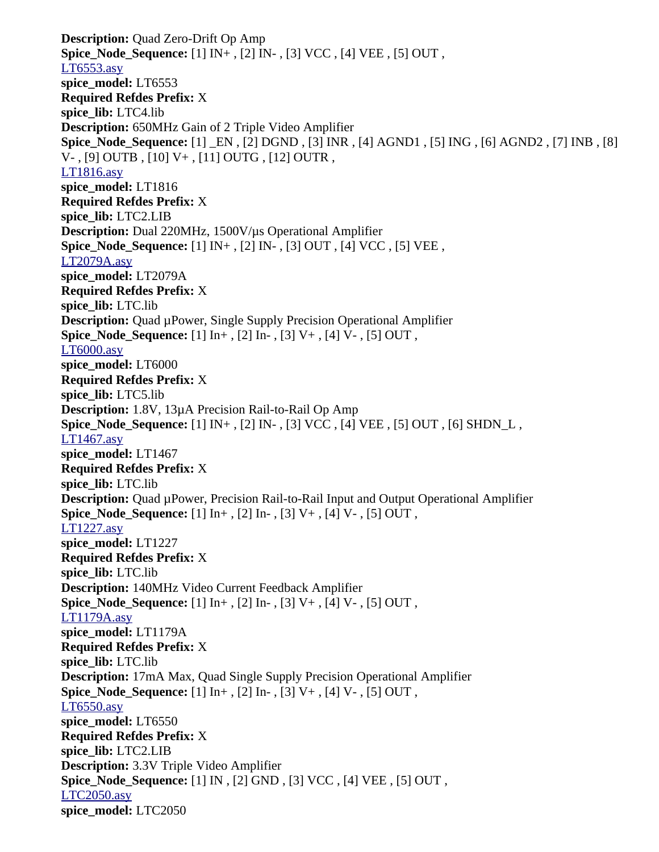**Description:** Quad Zero-Drift Op Amp **Spice\_Node\_Sequence:** [1] IN+ , [2] IN- , [3] VCC , [4] VEE , [5] OUT , [LT6553.asy](file:///home/cmcdowell/.wine/drive_c/Program%20Files/LTC/LTspiceIV/lib/sym/Opamps/LT6553.asy) **spice\_model:** LT6553 **Required Refdes Prefix:** X **spice\_lib:** LTC4.lib **Description:** 650MHz Gain of 2 Triple Video Amplifier **Spice\_Node\_Sequence:** [1] \_EN , [2] DGND , [3] INR , [4] AGND1 , [5] ING , [6] AGND2 , [7] INB , [8] V- , [9] OUTB , [10] V+ , [11] OUTG , [12] OUTR , [LT1816.asy](file:///home/cmcdowell/.wine/drive_c/Program%20Files/LTC/LTspiceIV/lib/sym/Opamps/LT1816.asy) **spice\_model:** LT1816 **Required Refdes Prefix:** X **spice\_lib:** LTC2.LIB **Description:** Dual 220MHz, 1500V/µs Operational Amplifier **Spice\_Node\_Sequence:** [1] IN+ , [2] IN- , [3] OUT , [4] VCC , [5] VEE , [LT2079A.asy](file:///home/cmcdowell/.wine/drive_c/Program%20Files/LTC/LTspiceIV/lib/sym/Opamps/LT2079A.asy) **spice\_model:** LT2079A **Required Refdes Prefix:** X **spice\_lib:** LTC.lib **Description:** Quad µPower, Single Supply Precision Operational Amplifier **Spice\_Node\_Sequence:** [1] In+ , [2] In- , [3] V+ , [4] V- , [5] OUT , [LT6000.asy](file:///home/cmcdowell/.wine/drive_c/Program%20Files/LTC/LTspiceIV/lib/sym/Opamps/LT6000.asy) **spice\_model:** LT6000 **Required Refdes Prefix:** X **spice\_lib:** LTC5.lib **Description:** 1.8V, 13µA Precision Rail-to-Rail Op Amp **Spice\_Node\_Sequence:** [1] IN+ , [2] IN- , [3] VCC , [4] VEE , [5] OUT , [6] SHDN\_L , [LT1467.asy](file:///home/cmcdowell/.wine/drive_c/Program%20Files/LTC/LTspiceIV/lib/sym/Opamps/LT1467.asy) **spice\_model:** LT1467 **Required Refdes Prefix:** X **spice\_lib:** LTC.lib **Description:** Quad µPower, Precision Rail-to-Rail Input and Output Operational Amplifier **Spice\_Node\_Sequence:** [1] In+ , [2] In- , [3] V+ , [4] V- , [5] OUT , [LT1227.asy](file:///home/cmcdowell/.wine/drive_c/Program%20Files/LTC/LTspiceIV/lib/sym/Opamps/LT1227.asy) **spice\_model:** LT1227 **Required Refdes Prefix:** X **spice\_lib:** LTC.lib **Description:** 140MHz Video Current Feedback Amplifier **Spice\_Node\_Sequence:** [1] In+ , [2] In- , [3] V+ , [4] V- , [5] OUT , [LT1179A.asy](file:///home/cmcdowell/.wine/drive_c/Program%20Files/LTC/LTspiceIV/lib/sym/Opamps/LT1179A.asy) **spice\_model:** LT1179A **Required Refdes Prefix:** X **spice\_lib:** LTC.lib **Description:** 17mA Max, Quad Single Supply Precision Operational Amplifier **Spice\_Node\_Sequence:** [1] In+ , [2] In- , [3] V+ , [4] V- , [5] OUT , [LT6550.asy](file:///home/cmcdowell/.wine/drive_c/Program%20Files/LTC/LTspiceIV/lib/sym/Opamps/LT6550.asy) **spice\_model:** LT6550 **Required Refdes Prefix:** X **spice\_lib:** LTC2.LIB **Description:** 3.3V Triple Video Amplifier **Spice\_Node\_Sequence:** [1] IN , [2] GND , [3] VCC , [4] VEE , [5] OUT , [LTC2050.asy](file:///home/cmcdowell/.wine/drive_c/Program%20Files/LTC/LTspiceIV/lib/sym/Opamps/LTC2050.asy) **spice\_model:** LTC2050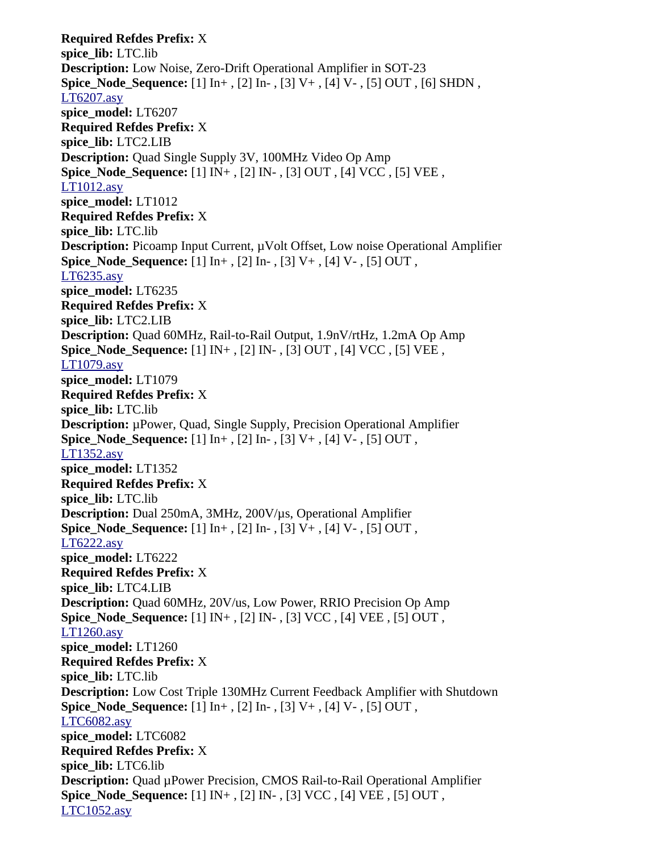**Required Refdes Prefix:** X **spice\_lib:** LTC.lib **Description:** Low Noise, Zero-Drift Operational Amplifier in SOT-23 **Spice\_Node\_Sequence:** [1] In+ , [2] In- , [3] V+ , [4] V- , [5] OUT , [6] SHDN , [LT6207.asy](file:///home/cmcdowell/.wine/drive_c/Program%20Files/LTC/LTspiceIV/lib/sym/Opamps/LT6207.asy) **spice\_model:** LT6207 **Required Refdes Prefix:** X **spice\_lib:** LTC2.LIB **Description:** Quad Single Supply 3V, 100MHz Video Op Amp **Spice\_Node\_Sequence:** [1] IN+ , [2] IN- , [3] OUT , [4] VCC , [5] VEE , [LT1012.asy](file:///home/cmcdowell/.wine/drive_c/Program%20Files/LTC/LTspiceIV/lib/sym/Opamps/LT1012.asy) **spice\_model:** LT1012 **Required Refdes Prefix:** X **spice\_lib:** LTC.lib **Description:** Picoamp Input Current,  $\mu$ Volt Offset, Low noise Operational Amplifier **Spice Node Sequence:** [1] In+, [2] In-, [3] V+, [4] V-, [5] OUT, [LT6235.asy](file:///home/cmcdowell/.wine/drive_c/Program%20Files/LTC/LTspiceIV/lib/sym/Opamps/LT6235.asy) **spice\_model:** LT6235 **Required Refdes Prefix:** X **spice\_lib:** LTC2.LIB **Description:** Quad 60MHz, Rail-to-Rail Output, 1.9nV/rtHz, 1.2mA Op Amp **Spice\_Node\_Sequence:** [1] IN+ , [2] IN- , [3] OUT , [4] VCC , [5] VEE , [LT1079.asy](file:///home/cmcdowell/.wine/drive_c/Program%20Files/LTC/LTspiceIV/lib/sym/Opamps/LT1079.asy) **spice\_model:** LT1079 **Required Refdes Prefix:** X **spice\_lib:** LTC.lib **Description:** µPower, Quad, Single Supply, Precision Operational Amplifier **Spice\_Node\_Sequence:** [1] In+ , [2] In- , [3] V+ , [4] V- , [5] OUT , [LT1352.asy](file:///home/cmcdowell/.wine/drive_c/Program%20Files/LTC/LTspiceIV/lib/sym/Opamps/LT1352.asy) **spice\_model:** LT1352 **Required Refdes Prefix:** X **spice\_lib:** LTC.lib **Description:** Dual 250mA, 3MHz, 200V/µs, Operational Amplifier **Spice\_Node\_Sequence:** [1] In+ , [2] In- , [3] V+ , [4] V- , [5] OUT , [LT6222.asy](file:///home/cmcdowell/.wine/drive_c/Program%20Files/LTC/LTspiceIV/lib/sym/Opamps/LT6222.asy) **spice\_model:** LT6222 **Required Refdes Prefix:** X **spice\_lib:** LTC4.LIB **Description:** Quad 60MHz, 20V/us, Low Power, RRIO Precision Op Amp **Spice\_Node\_Sequence:** [1] IN+ , [2] IN- , [3] VCC , [4] VEE , [5] OUT , [LT1260.asy](file:///home/cmcdowell/.wine/drive_c/Program%20Files/LTC/LTspiceIV/lib/sym/Opamps/LT1260.asy) **spice\_model:** LT1260 **Required Refdes Prefix:** X **spice\_lib:** LTC.lib **Description:** Low Cost Triple 130MHz Current Feedback Amplifier with Shutdown **Spice Node Sequence:** [1] In+, [2] In-, [3] V+, [4] V-, [5] OUT, [LTC6082.asy](file:///home/cmcdowell/.wine/drive_c/Program%20Files/LTC/LTspiceIV/lib/sym/Opamps/LTC6082.asy) **spice\_model:** LTC6082 **Required Refdes Prefix:** X **spice\_lib:** LTC6.lib **Description:** Quad µPower Precision, CMOS Rail-to-Rail Operational Amplifier **Spice\_Node\_Sequence:** [1] IN+ , [2] IN- , [3] VCC , [4] VEE , [5] OUT , [LTC1052.asy](file:///home/cmcdowell/.wine/drive_c/Program%20Files/LTC/LTspiceIV/lib/sym/Opamps/LTC1052.asy)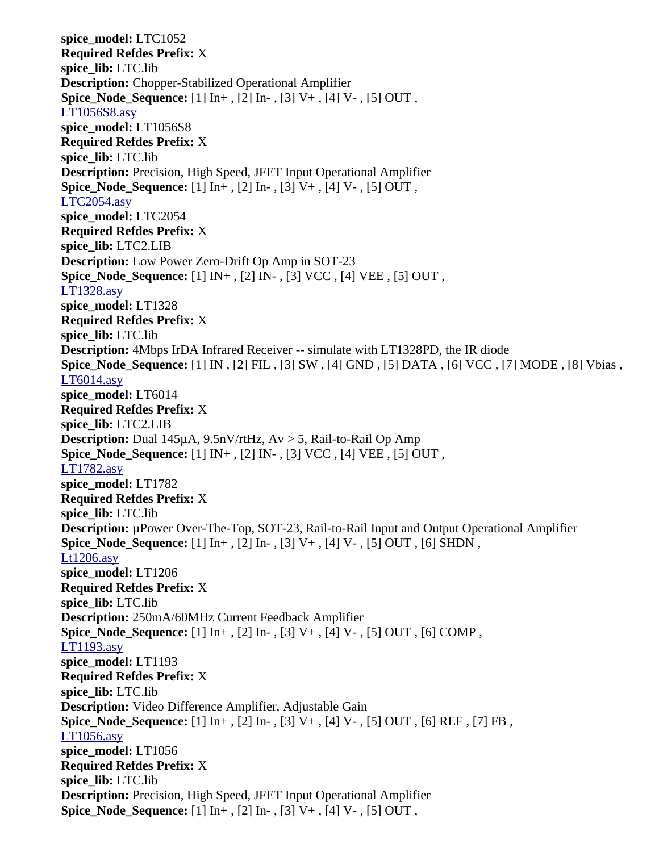**spice\_model:** LTC1052 **Required Refdes Prefix:** X **spice\_lib:** LTC.lib **Description:** Chopper-Stabilized Operational Amplifier **Spice\_Node\_Sequence:** [1] In+ , [2] In- , [3] V+ , [4] V- , [5] OUT , [LT1056S8.asy](file:///home/cmcdowell/.wine/drive_c/Program%20Files/LTC/LTspiceIV/lib/sym/Opamps/LT1056S8.asy) **spice\_model:** LT1056S8 **Required Refdes Prefix:** X **spice\_lib:** LTC.lib **Description:** Precision, High Speed, JFET Input Operational Amplifier **Spice Node Sequence:** [1] In+, [2] In-, [3] V+, [4] V-, [5] OUT, [LTC2054.asy](file:///home/cmcdowell/.wine/drive_c/Program%20Files/LTC/LTspiceIV/lib/sym/Opamps/LTC2054.asy) **spice\_model:** LTC2054 **Required Refdes Prefix:** X **spice\_lib:** LTC2.LIB **Description:** Low Power Zero-Drift Op Amp in SOT-23 **Spice\_Node\_Sequence:** [1] IN+ , [2] IN- , [3] VCC , [4] VEE , [5] OUT , [LT1328.asy](file:///home/cmcdowell/.wine/drive_c/Program%20Files/LTC/LTspiceIV/lib/sym/Opamps/LT1328.asy) **spice\_model:** LT1328 **Required Refdes Prefix:** X **spice\_lib:** LTC.lib **Description:** 4Mbps IrDA Infrared Receiver -- simulate with LT1328PD, the IR diode **Spice\_Node\_Sequence:** [1] IN , [2] FIL , [3] SW , [4] GND , [5] DATA , [6] VCC , [7] MODE , [8] Vbias , [LT6014.asy](file:///home/cmcdowell/.wine/drive_c/Program%20Files/LTC/LTspiceIV/lib/sym/Opamps/LT6014.asy) **spice\_model:** LT6014 **Required Refdes Prefix:** X **spice\_lib:** LTC2.LIB **Description:** Dual 145µA, 9.5nV/rtHz, Av > 5, Rail-to-Rail Op Amp **Spice\_Node\_Sequence:** [1] IN+ , [2] IN- , [3] VCC , [4] VEE , [5] OUT , [LT1782.asy](file:///home/cmcdowell/.wine/drive_c/Program%20Files/LTC/LTspiceIV/lib/sym/Opamps/LT1782.asy) **spice\_model:** LT1782 **Required Refdes Prefix:** X **spice\_lib:** LTC.lib **Description:** µPower Over-The-Top, SOT-23, Rail-to-Rail Input and Output Operational Amplifier **Spice\_Node\_Sequence:** [1] In+ , [2] In- , [3] V+ , [4] V- , [5] OUT , [6] SHDN , [Lt1206.asy](file:///home/cmcdowell/.wine/drive_c/Program%20Files/LTC/LTspiceIV/lib/sym/Opamps/Lt1206.asy) **spice\_model:** LT1206 **Required Refdes Prefix:** X **spice\_lib:** LTC.lib **Description:** 250mA/60MHz Current Feedback Amplifier **Spice\_Node\_Sequence:** [1] In+ , [2] In- , [3] V+ , [4] V- , [5] OUT , [6] COMP , [LT1193.asy](file:///home/cmcdowell/.wine/drive_c/Program%20Files/LTC/LTspiceIV/lib/sym/Opamps/LT1193.asy) **spice\_model:** LT1193 **Required Refdes Prefix:** X **spice\_lib:** LTC.lib **Description:** Video Difference Amplifier, Adjustable Gain **Spice\_Node\_Sequence:** [1] In+ , [2] In- , [3] V+ , [4] V- , [5] OUT , [6] REF , [7] FB , [LT1056.asy](file:///home/cmcdowell/.wine/drive_c/Program%20Files/LTC/LTspiceIV/lib/sym/Opamps/LT1056.asy) **spice\_model:** LT1056 **Required Refdes Prefix:** X **spice\_lib:** LTC.lib **Description:** Precision, High Speed, JFET Input Operational Amplifier **Spice\_Node\_Sequence:** [1] In+ , [2] In- , [3] V+ , [4] V- , [5] OUT ,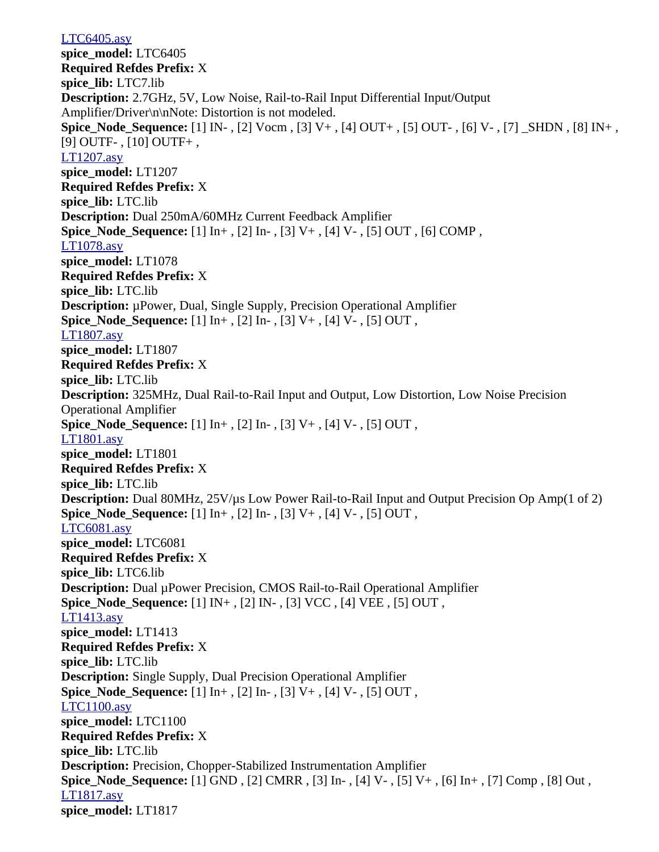[LTC6405.asy](file:///home/cmcdowell/.wine/drive_c/Program%20Files/LTC/LTspiceIV/lib/sym/Opamps/LTC6405.asy) **spice\_model:** LTC6405 **Required Refdes Prefix:** X **spice\_lib:** LTC7.lib **Description:** 2.7GHz, 5V, Low Noise, Rail-to-Rail Input Differential Input/Output Amplifier/Driver\n\nNote: Distortion is not modeled. **Spice\_Node\_Sequence:** [1] IN- , [2] Vocm , [3] V+ , [4] OUT+ , [5] OUT- , [6] V- , [7] \_SHDN , [8] IN+ , [9] OUTF- , [10] OUTF+ , [LT1207.asy](file:///home/cmcdowell/.wine/drive_c/Program%20Files/LTC/LTspiceIV/lib/sym/Opamps/LT1207.asy) **spice\_model:** LT1207 **Required Refdes Prefix:** X **spice\_lib:** LTC.lib **Description:** Dual 250mA/60MHz Current Feedback Amplifier **Spice Node Sequence:**  $[1]$  In+ ,  $[2]$  In- ,  $[3]$  V+ ,  $[4]$  V- ,  $[5]$  OUT ,  $[6]$  COMP , [LT1078.asy](file:///home/cmcdowell/.wine/drive_c/Program%20Files/LTC/LTspiceIV/lib/sym/Opamps/LT1078.asy) **spice\_model:** LT1078 **Required Refdes Prefix:** X **spice\_lib:** LTC.lib **Description:** µPower, Dual, Single Supply, Precision Operational Amplifier **Spice\_Node\_Sequence:** [1] In+ , [2] In- , [3] V+ , [4] V- , [5] OUT , [LT1807.asy](file:///home/cmcdowell/.wine/drive_c/Program%20Files/LTC/LTspiceIV/lib/sym/Opamps/LT1807.asy) **spice\_model:** LT1807 **Required Refdes Prefix:** X **spice\_lib:** LTC.lib **Description:** 325MHz, Dual Rail-to-Rail Input and Output, Low Distortion, Low Noise Precision Operational Amplifier **Spice\_Node\_Sequence:** [1] In+ , [2] In- , [3] V+ , [4] V- , [5] OUT , [LT1801.asy](file:///home/cmcdowell/.wine/drive_c/Program%20Files/LTC/LTspiceIV/lib/sym/Opamps/LT1801.asy) **spice\_model:** LT1801 **Required Refdes Prefix:** X **spice\_lib:** LTC.lib **Description:** Dual 80MHz, 25V/µs Low Power Rail-to-Rail Input and Output Precision Op Amp(1 of 2) **Spice\_Node\_Sequence:** [1] In+ , [2] In- , [3] V+ , [4] V- , [5] OUT , [LTC6081.asy](file:///home/cmcdowell/.wine/drive_c/Program%20Files/LTC/LTspiceIV/lib/sym/Opamps/LTC6081.asy) **spice\_model:** LTC6081 **Required Refdes Prefix:** X **spice\_lib:** LTC6.lib **Description:** Dual µPower Precision, CMOS Rail-to-Rail Operational Amplifier **Spice\_Node\_Sequence:** [1] IN+ , [2] IN- , [3] VCC , [4] VEE , [5] OUT , [LT1413.asy](file:///home/cmcdowell/.wine/drive_c/Program%20Files/LTC/LTspiceIV/lib/sym/Opamps/LT1413.asy) **spice\_model:** LT1413 **Required Refdes Prefix:** X **spice\_lib:** LTC.lib **Description:** Single Supply, Dual Precision Operational Amplifier **Spice\_Node\_Sequence:** [1] In+ , [2] In- , [3] V+ , [4] V- , [5] OUT , [LTC1100.asy](file:///home/cmcdowell/.wine/drive_c/Program%20Files/LTC/LTspiceIV/lib/sym/Opamps/LTC1100.asy) **spice\_model:** LTC1100 **Required Refdes Prefix:** X **spice\_lib:** LTC.lib **Description:** Precision, Chopper-Stabilized Instrumentation Amplifier **Spice\_Node\_Sequence:** [1] GND , [2] CMRR , [3] In- , [4] V- , [5] V+ , [6] In+ , [7] Comp , [8] Out , [LT1817.asy](file:///home/cmcdowell/.wine/drive_c/Program%20Files/LTC/LTspiceIV/lib/sym/Opamps/LT1817.asy) **spice\_model:** LT1817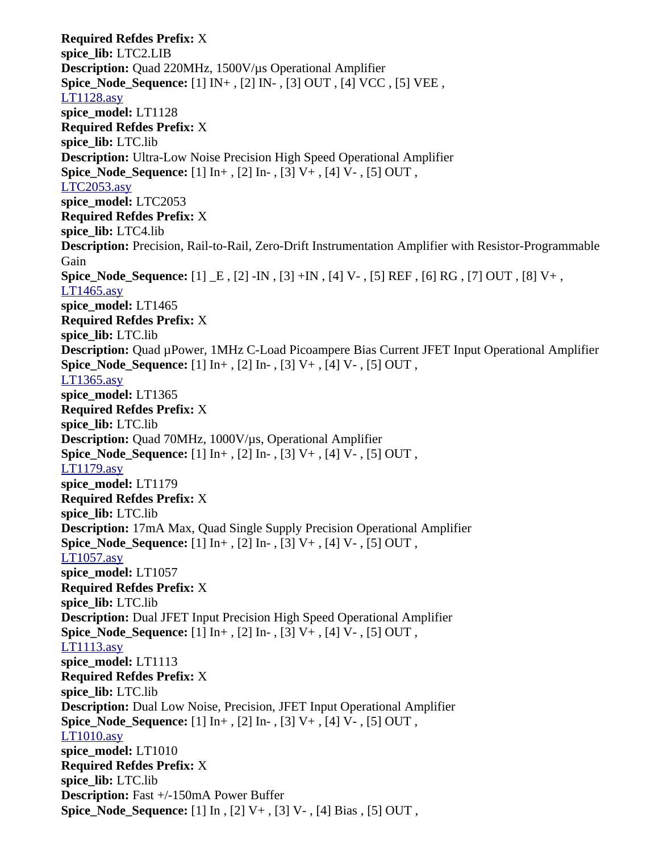**Required Refdes Prefix:** X **spice\_lib:** LTC2.LIB **Description:** Quad 220MHz, 1500V/µs Operational Amplifier **Spice\_Node\_Sequence:** [1] IN+ , [2] IN- , [3] OUT , [4] VCC , [5] VEE , [LT1128.asy](file:///home/cmcdowell/.wine/drive_c/Program%20Files/LTC/LTspiceIV/lib/sym/Opamps/LT1128.asy) **spice\_model:** LT1128 **Required Refdes Prefix:** X **spice\_lib:** LTC.lib **Description:** Ultra-Low Noise Precision High Speed Operational Amplifier **Spice\_Node\_Sequence:** [1] In+ , [2] In- , [3] V+ , [4] V- , [5] OUT , [LTC2053.asy](file:///home/cmcdowell/.wine/drive_c/Program%20Files/LTC/LTspiceIV/lib/sym/Opamps/LTC2053.asy) **spice\_model:** LTC2053 **Required Refdes Prefix:** X **spice\_lib:** LTC4.lib **Description:** Precision, Rail-to-Rail, Zero-Drift Instrumentation Amplifier with Resistor-Programmable Gain **Spice\_Node\_Sequence:** [1] \_E , [2] -IN , [3] +IN , [4] V- , [5] REF , [6] RG , [7] OUT , [8] V+ , [LT1465.asy](file:///home/cmcdowell/.wine/drive_c/Program%20Files/LTC/LTspiceIV/lib/sym/Opamps/LT1465.asy) **spice\_model:** LT1465 **Required Refdes Prefix:** X **spice\_lib:** LTC.lib **Description:** Quad µPower, 1MHz C-Load Picoampere Bias Current JFET Input Operational Amplifier **Spice\_Node\_Sequence:** [1] In+ , [2] In- , [3] V+ , [4] V- , [5] OUT , [LT1365.asy](file:///home/cmcdowell/.wine/drive_c/Program%20Files/LTC/LTspiceIV/lib/sym/Opamps/LT1365.asy) **spice\_model:** LT1365 **Required Refdes Prefix:** X **spice\_lib:** LTC.lib **Description:** Quad 70MHz, 1000V/µs, Operational Amplifier **Spice\_Node\_Sequence:** [1] In+ , [2] In- , [3] V+ , [4] V- , [5] OUT , [LT1179.asy](file:///home/cmcdowell/.wine/drive_c/Program%20Files/LTC/LTspiceIV/lib/sym/Opamps/LT1179.asy) **spice\_model:** LT1179 **Required Refdes Prefix:** X **spice\_lib:** LTC.lib **Description:** 17mA Max, Quad Single Supply Precision Operational Amplifier **Spice\_Node\_Sequence:** [1] In+ , [2] In- , [3] V+ , [4] V- , [5] OUT , [LT1057.asy](file:///home/cmcdowell/.wine/drive_c/Program%20Files/LTC/LTspiceIV/lib/sym/Opamps/LT1057.asy) **spice\_model:** LT1057 **Required Refdes Prefix:** X **spice\_lib:** LTC.lib **Description:** Dual JFET Input Precision High Speed Operational Amplifier **Spice\_Node\_Sequence:** [1] In+ , [2] In- , [3] V+ , [4] V- , [5] OUT , [LT1113.asy](file:///home/cmcdowell/.wine/drive_c/Program%20Files/LTC/LTspiceIV/lib/sym/Opamps/LT1113.asy) **spice\_model:** LT1113 **Required Refdes Prefix:** X **spice\_lib:** LTC.lib **Description:** Dual Low Noise, Precision, JFET Input Operational Amplifier **Spice\_Node\_Sequence:** [1] In+ , [2] In- , [3] V+ , [4] V- , [5] OUT , [LT1010.asy](file:///home/cmcdowell/.wine/drive_c/Program%20Files/LTC/LTspiceIV/lib/sym/Opamps/LT1010.asy) **spice\_model:** LT1010 **Required Refdes Prefix:** X **spice\_lib:** LTC.lib **Description:** Fast +/-150mA Power Buffer **Spice\_Node\_Sequence:** [1] In , [2] V+ , [3] V- , [4] Bias , [5] OUT ,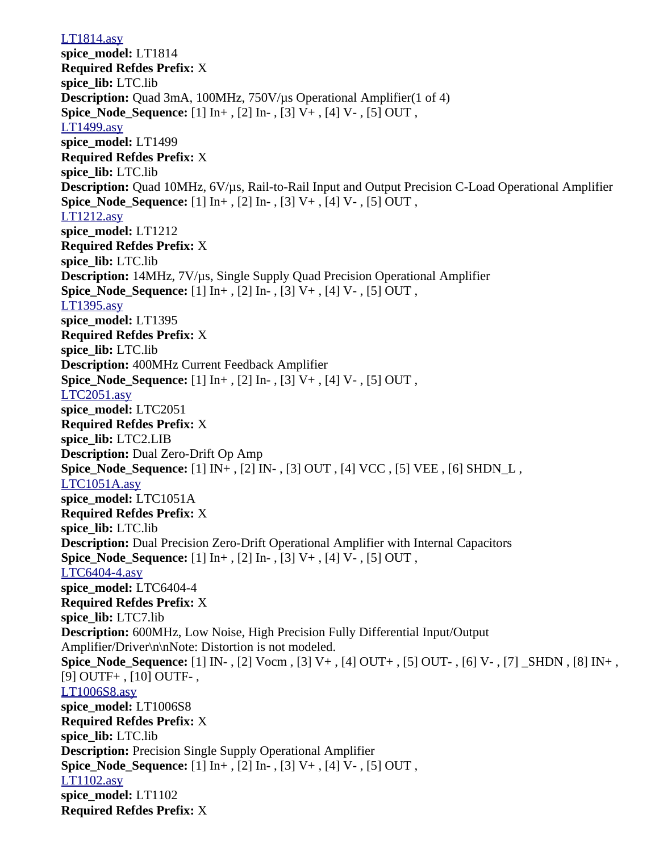[LT1814.asy](file:///home/cmcdowell/.wine/drive_c/Program%20Files/LTC/LTspiceIV/lib/sym/Opamps/LT1814.asy) **spice\_model:** LT1814 **Required Refdes Prefix:** X **spice\_lib:** LTC.lib **Description:** Quad 3mA, 100MHz, 750V/µs Operational Amplifier(1 of 4) **Spice Node Sequence:** [1] In+, [2] In-, [3] V+, [4] V-, [5] OUT, [LT1499.asy](file:///home/cmcdowell/.wine/drive_c/Program%20Files/LTC/LTspiceIV/lib/sym/Opamps/LT1499.asy) **spice\_model:** LT1499 **Required Refdes Prefix:** X **spice\_lib:** LTC.lib **Description:** Quad 10MHz, 6V/µs, Rail-to-Rail Input and Output Precision C-Load Operational Amplifier **Spice Node Sequence:** [1] In+, [2] In-, [3] V+, [4] V-, [5] OUT, [LT1212.asy](file:///home/cmcdowell/.wine/drive_c/Program%20Files/LTC/LTspiceIV/lib/sym/Opamps/LT1212.asy) **spice\_model:** LT1212 **Required Refdes Prefix:** X **spice\_lib:** LTC.lib **Description:** 14MHz, 7V/µs, Single Supply Quad Precision Operational Amplifier **Spice\_Node\_Sequence:** [1] In+ , [2] In- , [3] V+ , [4] V- , [5] OUT , [LT1395.asy](file:///home/cmcdowell/.wine/drive_c/Program%20Files/LTC/LTspiceIV/lib/sym/Opamps/LT1395.asy) **spice\_model:** LT1395 **Required Refdes Prefix:** X **spice\_lib:** LTC.lib **Description:** 400MHz Current Feedback Amplifier **Spice Node Sequence:** [1] In+, [2] In-, [3] V+, [4] V-, [5] OUT, [LTC2051.asy](file:///home/cmcdowell/.wine/drive_c/Program%20Files/LTC/LTspiceIV/lib/sym/Opamps/LTC2051.asy) **spice\_model:** LTC2051 **Required Refdes Prefix:** X **spice\_lib:** LTC2.LIB **Description:** Dual Zero-Drift Op Amp **Spice\_Node\_Sequence:** [1] IN+ , [2] IN- , [3] OUT , [4] VCC , [5] VEE , [6] SHDN\_L , [LTC1051A.asy](file:///home/cmcdowell/.wine/drive_c/Program%20Files/LTC/LTspiceIV/lib/sym/Opamps/LTC1051A.asy) **spice\_model:** LTC1051A **Required Refdes Prefix:** X **spice\_lib:** LTC.lib **Description:** Dual Precision Zero-Drift Operational Amplifier with Internal Capacitors **Spice Node Sequence:** [1] In+, [2] In-, [3] V+, [4] V-, [5] OUT, [LTC6404-4.asy](file:///home/cmcdowell/.wine/drive_c/Program%20Files/LTC/LTspiceIV/lib/sym/Opamps/LTC6404-4.asy) **spice\_model:** LTC6404-4 **Required Refdes Prefix:** X **spice\_lib:** LTC7.lib **Description:** 600MHz, Low Noise, High Precision Fully Differential Input/Output Amplifier/Driver\n\nNote: Distortion is not modeled. **Spice\_Node\_Sequence:** [1] IN- , [2] Vocm , [3] V+ , [4] OUT+ , [5] OUT- , [6] V- , [7] \_SHDN , [8] IN+ , [9] OUTF+ , [10] OUTF- , [LT1006S8.asy](file:///home/cmcdowell/.wine/drive_c/Program%20Files/LTC/LTspiceIV/lib/sym/Opamps/LT1006S8.asy) **spice\_model:** LT1006S8 **Required Refdes Prefix:** X **spice\_lib:** LTC.lib **Description:** Precision Single Supply Operational Amplifier **Spice Node Sequence:** [1] In+, [2] In-, [3] V+, [4] V-, [5] OUT, [LT1102.asy](file:///home/cmcdowell/.wine/drive_c/Program%20Files/LTC/LTspiceIV/lib/sym/Opamps/LT1102.asy) **spice\_model:** LT1102 **Required Refdes Prefix:** X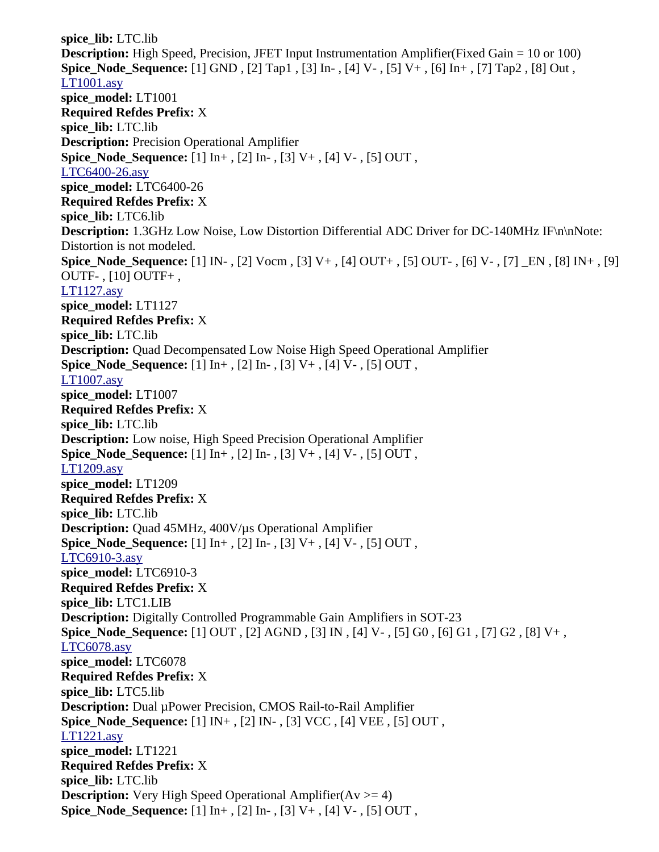**spice\_lib:** LTC.lib **Description:** High Speed, Precision, JFET Input Instrumentation Amplifier(Fixed Gain = 10 or 100) **Spice\_Node\_Sequence:** [1] GND , [2] Tap1 , [3] In- , [4] V- , [5] V+ , [6] In+ , [7] Tap2 , [8] Out , [LT1001.asy](file:///home/cmcdowell/.wine/drive_c/Program%20Files/LTC/LTspiceIV/lib/sym/Opamps/LT1001.asy) **spice\_model:** LT1001 **Required Refdes Prefix:** X **spice\_lib:** LTC.lib **Description:** Precision Operational Amplifier **Spice\_Node\_Sequence:** [1] In+ , [2] In- , [3] V+ , [4] V- , [5] OUT , [LTC6400-26.asy](file:///home/cmcdowell/.wine/drive_c/Program%20Files/LTC/LTspiceIV/lib/sym/Opamps/LTC6400-26.asy) **spice\_model:** LTC6400-26 **Required Refdes Prefix:** X **spice\_lib:** LTC6.lib **Description:** 1.3GHz Low Noise, Low Distortion Differential ADC Driver for DC-140MHz IF\n\nNote: Distortion is not modeled. **Spice\_Node\_Sequence:** [1] IN- , [2] Vocm , [3] V+ , [4] OUT+ , [5] OUT- , [6] V- , [7] \_EN , [8] IN+ , [9] OUTF- , [10] OUTF+ , [LT1127.asy](file:///home/cmcdowell/.wine/drive_c/Program%20Files/LTC/LTspiceIV/lib/sym/Opamps/LT1127.asy) **spice\_model:** LT1127 **Required Refdes Prefix:** X **spice\_lib:** LTC.lib **Description:** Quad Decompensated Low Noise High Speed Operational Amplifier **Spice\_Node\_Sequence:** [1] In+ , [2] In- , [3] V+ , [4] V- , [5] OUT , [LT1007.asy](file:///home/cmcdowell/.wine/drive_c/Program%20Files/LTC/LTspiceIV/lib/sym/Opamps/LT1007.asy) **spice\_model:** LT1007 **Required Refdes Prefix:** X **spice\_lib:** LTC.lib **Description:** Low noise, High Speed Precision Operational Amplifier **Spice\_Node\_Sequence:** [1] In+ , [2] In- , [3] V+ , [4] V- , [5] OUT , [LT1209.asy](file:///home/cmcdowell/.wine/drive_c/Program%20Files/LTC/LTspiceIV/lib/sym/Opamps/LT1209.asy) **spice\_model:** LT1209 **Required Refdes Prefix:** X **spice\_lib:** LTC.lib **Description:** Quad 45MHz, 400V/µs Operational Amplifier **Spice\_Node\_Sequence:** [1] In+ , [2] In- , [3] V+ , [4] V- , [5] OUT , [LTC6910-3.asy](file:///home/cmcdowell/.wine/drive_c/Program%20Files/LTC/LTspiceIV/lib/sym/Opamps/LTC6910-3.asy) **spice\_model:** LTC6910-3 **Required Refdes Prefix:** X **spice\_lib:** LTC1.LIB **Description:** Digitally Controlled Programmable Gain Amplifiers in SOT-23 **Spice\_Node\_Sequence:** [1] OUT , [2] AGND , [3] IN , [4] V- , [5] G0 , [6] G1 , [7] G2 , [8] V+ , [LTC6078.asy](file:///home/cmcdowell/.wine/drive_c/Program%20Files/LTC/LTspiceIV/lib/sym/Opamps/LTC6078.asy) **spice\_model:** LTC6078 **Required Refdes Prefix:** X **spice\_lib:** LTC5.lib **Description:** Dual µPower Precision, CMOS Rail-to-Rail Amplifier **Spice\_Node\_Sequence:** [1] IN+ , [2] IN- , [3] VCC , [4] VEE , [5] OUT , [LT1221.asy](file:///home/cmcdowell/.wine/drive_c/Program%20Files/LTC/LTspiceIV/lib/sym/Opamps/LT1221.asy) **spice\_model:** LT1221 **Required Refdes Prefix:** X **spice\_lib:** LTC.lib **Description:** Very High Speed Operational Amplifier( $Av \ge 4$ ) **Spice\_Node\_Sequence:** [1] In+ , [2] In- , [3] V+ , [4] V- , [5] OUT ,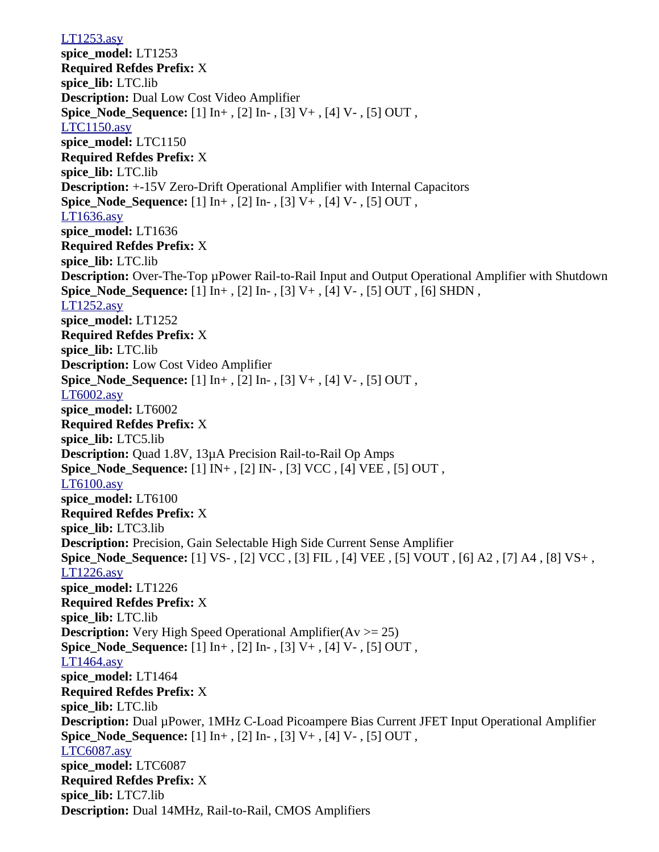[LT1253.asy](file:///home/cmcdowell/.wine/drive_c/Program%20Files/LTC/LTspiceIV/lib/sym/Opamps/LT1253.asy) **spice\_model:** LT1253 **Required Refdes Prefix:** X **spice\_lib:** LTC.lib **Description:** Dual Low Cost Video Amplifier **Spice Node Sequence:** [1] In+, [2] In-, [3] V+, [4] V-, [5] OUT, [LTC1150.asy](file:///home/cmcdowell/.wine/drive_c/Program%20Files/LTC/LTspiceIV/lib/sym/Opamps/LTC1150.asy) **spice\_model:** LTC1150 **Required Refdes Prefix:** X **spice\_lib:** LTC.lib **Description:** +-15V Zero-Drift Operational Amplifier with Internal Capacitors **Spice Node Sequence:** [1] In+, [2] In-, [3] V+, [4] V-, [5] OUT, [LT1636.asy](file:///home/cmcdowell/.wine/drive_c/Program%20Files/LTC/LTspiceIV/lib/sym/Opamps/LT1636.asy) **spice\_model:** LT1636 **Required Refdes Prefix:** X **spice\_lib:** LTC.lib **Description:** Over-The-Top µPower Rail-to-Rail Input and Output Operational Amplifier with Shutdown **Spice\_Node\_Sequence:** [1] In+ , [2] In- , [3] V+ , [4] V- , [5] OUT , [6] SHDN , [LT1252.asy](file:///home/cmcdowell/.wine/drive_c/Program%20Files/LTC/LTspiceIV/lib/sym/Opamps/LT1252.asy) **spice\_model:** LT1252 **Required Refdes Prefix:** X **spice\_lib:** LTC.lib **Description:** Low Cost Video Amplifier **Spice Node Sequence:** [1] In+, [2] In-, [3] V+, [4] V-, [5] OUT, [LT6002.asy](file:///home/cmcdowell/.wine/drive_c/Program%20Files/LTC/LTspiceIV/lib/sym/Opamps/LT6002.asy) **spice\_model:** LT6002 **Required Refdes Prefix:** X **spice\_lib:** LTC5.lib **Description:** Quad 1.8V, 13µA Precision Rail-to-Rail Op Amps **Spice\_Node\_Sequence:** [1] IN+ , [2] IN- , [3] VCC , [4] VEE , [5] OUT , [LT6100.asy](file:///home/cmcdowell/.wine/drive_c/Program%20Files/LTC/LTspiceIV/lib/sym/Opamps/LT6100.asy) **spice\_model:** LT6100 **Required Refdes Prefix:** X **spice\_lib:** LTC3.lib **Description:** Precision, Gain Selectable High Side Current Sense Amplifier **Spice\_Node\_Sequence:** [1] VS- , [2] VCC , [3] FIL , [4] VEE , [5] VOUT , [6] A2 , [7] A4 , [8] VS+ , [LT1226.asy](file:///home/cmcdowell/.wine/drive_c/Program%20Files/LTC/LTspiceIV/lib/sym/Opamps/LT1226.asy) **spice\_model:** LT1226 **Required Refdes Prefix:** X **spice\_lib:** LTC.lib **Description:** Very High Speed Operational Amplifier(Av  $\ge$  = 25) **Spice\_Node\_Sequence:** [1] In+ , [2] In- , [3] V+ , [4] V- , [5] OUT , [LT1464.asy](file:///home/cmcdowell/.wine/drive_c/Program%20Files/LTC/LTspiceIV/lib/sym/Opamps/LT1464.asy) **spice\_model:** LT1464 **Required Refdes Prefix:** X **spice\_lib:** LTC.lib **Description:** Dual µPower, 1MHz C-Load Picoampere Bias Current JFET Input Operational Amplifier **Spice\_Node\_Sequence:** [1] In+ , [2] In- , [3] V+ , [4] V- , [5] OUT , [LTC6087.asy](file:///home/cmcdowell/.wine/drive_c/Program%20Files/LTC/LTspiceIV/lib/sym/Opamps/LTC6087.asy) **spice\_model:** LTC6087 **Required Refdes Prefix:** X **spice\_lib:** LTC7.lib **Description:** Dual 14MHz, Rail-to-Rail, CMOS Amplifiers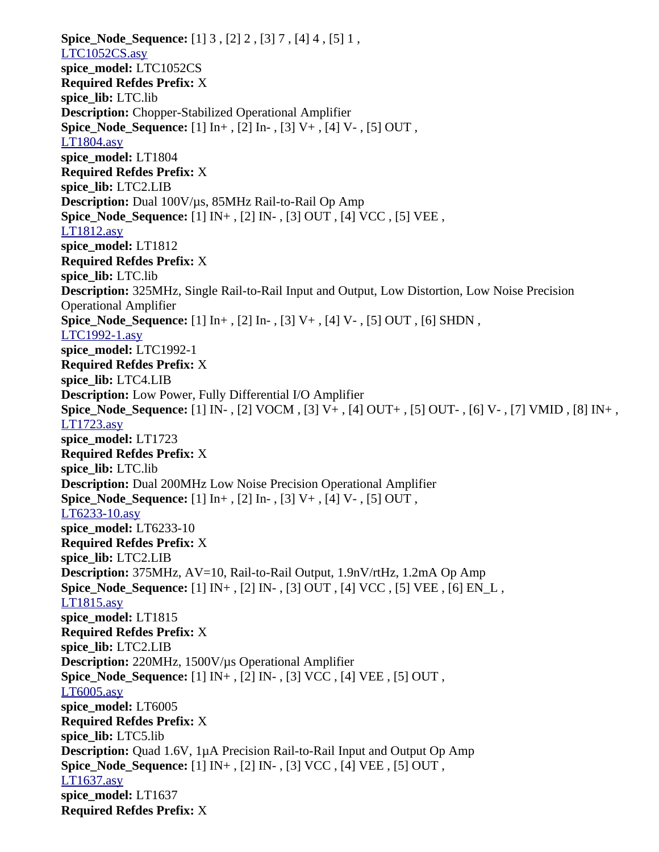**Spice\_Node\_Sequence:** [1] 3 , [2] 2 , [3] 7 , [4] 4 , [5] 1 , [LTC1052CS.asy](file:///home/cmcdowell/.wine/drive_c/Program%20Files/LTC/LTspiceIV/lib/sym/Opamps/LTC1052CS.asy) **spice\_model:** LTC1052CS **Required Refdes Prefix:** X **spice\_lib:** LTC.lib **Description:** Chopper-Stabilized Operational Amplifier **Spice\_Node\_Sequence:** [1] In+ , [2] In- , [3] V+ , [4] V- , [5] OUT , [LT1804.asy](file:///home/cmcdowell/.wine/drive_c/Program%20Files/LTC/LTspiceIV/lib/sym/Opamps/LT1804.asy) **spice\_model:** LT1804 **Required Refdes Prefix:** X **spice\_lib:** LTC2.LIB **Description:** Dual 100V/µs, 85MHz Rail-to-Rail Op Amp **Spice\_Node\_Sequence:** [1] IN+ , [2] IN- , [3] OUT , [4] VCC , [5] VEE , [LT1812.asy](file:///home/cmcdowell/.wine/drive_c/Program%20Files/LTC/LTspiceIV/lib/sym/Opamps/LT1812.asy) **spice\_model:** LT1812 **Required Refdes Prefix:** X **spice\_lib:** LTC.lib **Description:** 325MHz, Single Rail-to-Rail Input and Output, Low Distortion, Low Noise Precision Operational Amplifier **Spice\_Node\_Sequence:** [1] In+ , [2] In- , [3] V+ , [4] V- , [5] OUT , [6] SHDN , [LTC1992-1.asy](file:///home/cmcdowell/.wine/drive_c/Program%20Files/LTC/LTspiceIV/lib/sym/Opamps/LTC1992-1.asy) **spice\_model:** LTC1992-1 **Required Refdes Prefix:** X **spice\_lib:** LTC4.LIB **Description:** Low Power, Fully Differential I/O Amplifier **Spice\_Node\_Sequence:** [1] IN- , [2] VOCM , [3] V+ , [4] OUT+ , [5] OUT- , [6] V- , [7] VMID , [8] IN+ , [LT1723.asy](file:///home/cmcdowell/.wine/drive_c/Program%20Files/LTC/LTspiceIV/lib/sym/Opamps/LT1723.asy) **spice\_model:** LT1723 **Required Refdes Prefix:** X **spice\_lib:** LTC.lib **Description:** Dual 200MHz Low Noise Precision Operational Amplifier **Spice Node Sequence:** [1] In+, [2] In-, [3] V+, [4] V-, [5] OUT, [LT6233-10.asy](file:///home/cmcdowell/.wine/drive_c/Program%20Files/LTC/LTspiceIV/lib/sym/Opamps/LT6233-10.asy) **spice\_model:** LT6233-10 **Required Refdes Prefix:** X **spice\_lib:** LTC2.LIB **Description:** 375MHz, AV=10, Rail-to-Rail Output, 1.9nV/rtHz, 1.2mA Op Amp **Spice\_Node\_Sequence:** [1] IN+ , [2] IN- , [3] OUT , [4] VCC , [5] VEE , [6] EN\_L , [LT1815.asy](file:///home/cmcdowell/.wine/drive_c/Program%20Files/LTC/LTspiceIV/lib/sym/Opamps/LT1815.asy) **spice\_model:** LT1815 **Required Refdes Prefix:** X **spice\_lib:** LTC2.LIB **Description:** 220MHz, 1500V/µs Operational Amplifier **Spice\_Node\_Sequence:** [1] IN+ , [2] IN- , [3] VCC , [4] VEE , [5] OUT , [LT6005.asy](file:///home/cmcdowell/.wine/drive_c/Program%20Files/LTC/LTspiceIV/lib/sym/Opamps/LT6005.asy) **spice\_model:** LT6005 **Required Refdes Prefix:** X **spice\_lib:** LTC5.lib **Description:** Quad 1.6V, 1µA Precision Rail-to-Rail Input and Output Op Amp **Spice\_Node\_Sequence:** [1] IN+ , [2] IN- , [3] VCC , [4] VEE , [5] OUT , [LT1637.asy](file:///home/cmcdowell/.wine/drive_c/Program%20Files/LTC/LTspiceIV/lib/sym/Opamps/LT1637.asy) **spice\_model:** LT1637 **Required Refdes Prefix:** X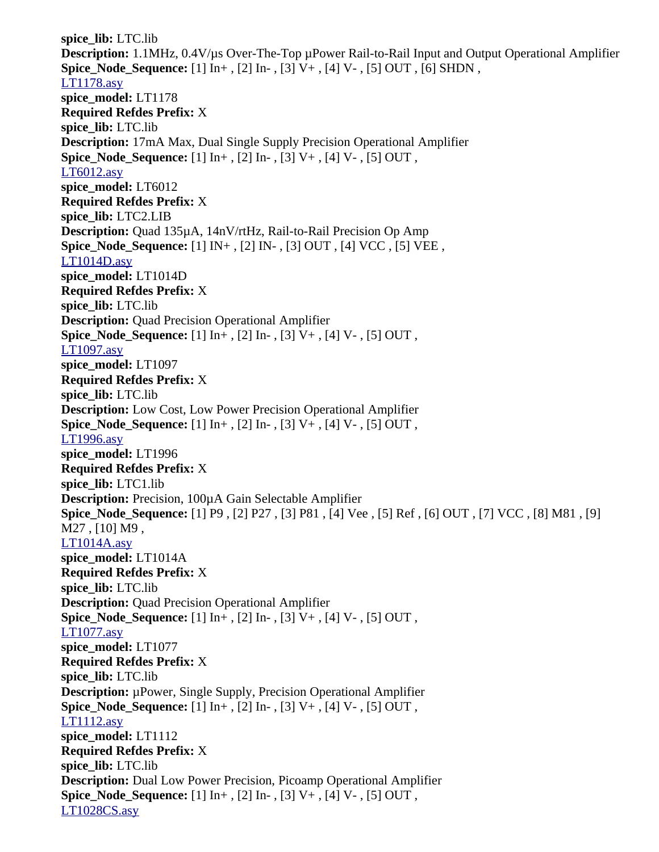**spice\_lib:** LTC.lib **Description:** 1.1MHz, 0.4V/µs Over-The-Top µPower Rail-to-Rail Input and Output Operational Amplifier **Spice\_Node\_Sequence:** [1] In+ , [2] In- , [3] V+ , [4] V- , [5] OUT , [6] SHDN , [LT1178.asy](file:///home/cmcdowell/.wine/drive_c/Program%20Files/LTC/LTspiceIV/lib/sym/Opamps/LT1178.asy) **spice\_model:** LT1178 **Required Refdes Prefix:** X **spice\_lib:** LTC.lib **Description:** 17mA Max, Dual Single Supply Precision Operational Amplifier **Spice\_Node\_Sequence:** [1] In+ , [2] In- , [3] V+ , [4] V- , [5] OUT , [LT6012.asy](file:///home/cmcdowell/.wine/drive_c/Program%20Files/LTC/LTspiceIV/lib/sym/Opamps/LT6012.asy) **spice\_model:** LT6012 **Required Refdes Prefix:** X **spice\_lib:** LTC2.LIB **Description:** Quad 135µA, 14nV/rtHz, Rail-to-Rail Precision Op Amp **Spice\_Node\_Sequence:** [1] IN+ , [2] IN- , [3] OUT , [4] VCC , [5] VEE , [LT1014D.asy](file:///home/cmcdowell/.wine/drive_c/Program%20Files/LTC/LTspiceIV/lib/sym/Opamps/LT1014D.asy) **spice\_model:** LT1014D **Required Refdes Prefix:** X **spice\_lib:** LTC.lib **Description:** Quad Precision Operational Amplifier **Spice\_Node\_Sequence:** [1] In+ , [2] In- , [3] V+ , [4] V- , [5] OUT , [LT1097.asy](file:///home/cmcdowell/.wine/drive_c/Program%20Files/LTC/LTspiceIV/lib/sym/Opamps/LT1097.asy) **spice\_model:** LT1097 **Required Refdes Prefix:** X **spice\_lib:** LTC.lib **Description:** Low Cost, Low Power Precision Operational Amplifier **Spice\_Node\_Sequence:** [1] In+ , [2] In- , [3] V+ , [4] V- , [5] OUT , [LT1996.asy](file:///home/cmcdowell/.wine/drive_c/Program%20Files/LTC/LTspiceIV/lib/sym/Opamps/LT1996.asy) **spice\_model:** LT1996 **Required Refdes Prefix:** X **spice\_lib:** LTC1.lib **Description:** Precision, 100µA Gain Selectable Amplifier **Spice\_Node\_Sequence:** [1] P9 , [2] P27 , [3] P81 , [4] Vee , [5] Ref , [6] OUT , [7] VCC , [8] M81 , [9] M27 , [10] M9 , [LT1014A.asy](file:///home/cmcdowell/.wine/drive_c/Program%20Files/LTC/LTspiceIV/lib/sym/Opamps/LT1014A.asy) **spice\_model:** LT1014A **Required Refdes Prefix:** X **spice\_lib:** LTC.lib **Description:** Quad Precision Operational Amplifier **Spice\_Node\_Sequence:** [1] In+ , [2] In- , [3] V+ , [4] V- , [5] OUT , [LT1077.asy](file:///home/cmcdowell/.wine/drive_c/Program%20Files/LTC/LTspiceIV/lib/sym/Opamps/LT1077.asy) **spice\_model:** LT1077 **Required Refdes Prefix:** X **spice\_lib:** LTC.lib **Description:** µPower, Single Supply, Precision Operational Amplifier **Spice Node Sequence:** [1] In+, [2] In-, [3] V+, [4] V-, [5] OUT, [LT1112.asy](file:///home/cmcdowell/.wine/drive_c/Program%20Files/LTC/LTspiceIV/lib/sym/Opamps/LT1112.asy) **spice\_model:** LT1112 **Required Refdes Prefix:** X **spice\_lib:** LTC.lib **Description:** Dual Low Power Precision, Picoamp Operational Amplifier **Spice\_Node\_Sequence:** [1] In+ , [2] In- , [3] V+ , [4] V- , [5] OUT , [LT1028CS.asy](file:///home/cmcdowell/.wine/drive_c/Program%20Files/LTC/LTspiceIV/lib/sym/Opamps/LT1028CS.asy)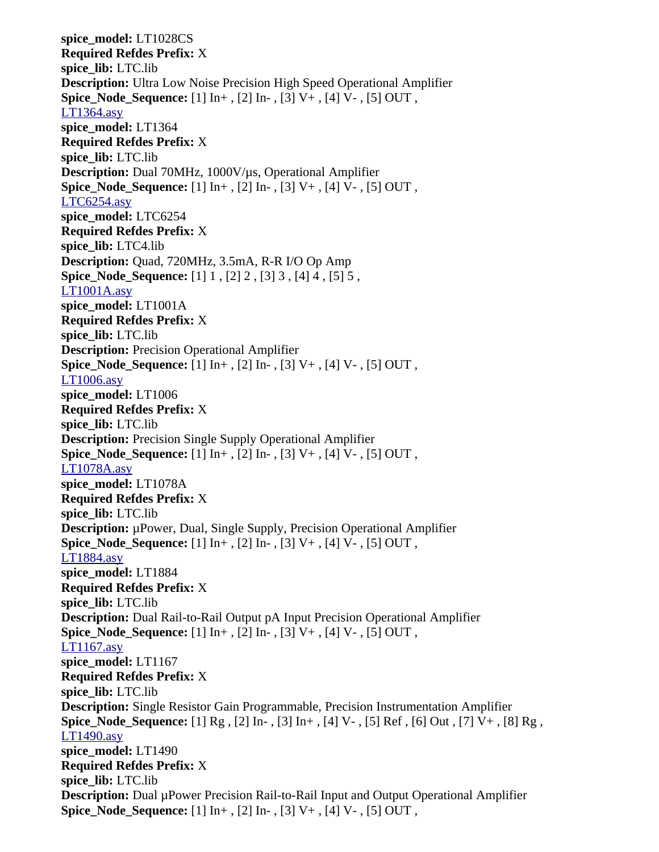**spice\_model:** LT1028CS **Required Refdes Prefix:** X **spice\_lib:** LTC.lib **Description:** Ultra Low Noise Precision High Speed Operational Amplifier **Spice\_Node\_Sequence:** [1] In+ , [2] In- , [3] V+ , [4] V- , [5] OUT , [LT1364.asy](file:///home/cmcdowell/.wine/drive_c/Program%20Files/LTC/LTspiceIV/lib/sym/Opamps/LT1364.asy) **spice\_model:** LT1364 **Required Refdes Prefix:** X **spice\_lib:** LTC.lib **Description:** Dual 70MHz, 1000V/µs, Operational Amplifier **Spice Node Sequence:** [1] In+, [2] In-, [3] V+, [4] V-, [5] OUT, [LTC6254.asy](file:///home/cmcdowell/.wine/drive_c/Program%20Files/LTC/LTspiceIV/lib/sym/Opamps/LTC6254.asy) **spice\_model:** LTC6254 **Required Refdes Prefix:** X **spice\_lib:** LTC4.lib **Description:** Quad, 720MHz, 3.5mA, R-R I/O Op Amp **Spice\_Node\_Sequence:** [1] 1 , [2] 2 , [3] 3 , [4] 4 , [5] 5 , [LT1001A.asy](file:///home/cmcdowell/.wine/drive_c/Program%20Files/LTC/LTspiceIV/lib/sym/Opamps/LT1001A.asy) **spice\_model:** LT1001A **Required Refdes Prefix:** X **spice\_lib:** LTC.lib **Description:** Precision Operational Amplifier **Spice\_Node\_Sequence:** [1] In+ , [2] In- , [3] V+ , [4] V- , [5] OUT , [LT1006.asy](file:///home/cmcdowell/.wine/drive_c/Program%20Files/LTC/LTspiceIV/lib/sym/Opamps/LT1006.asy) **spice\_model:** LT1006 **Required Refdes Prefix:** X **spice\_lib:** LTC.lib **Description:** Precision Single Supply Operational Amplifier **Spice\_Node\_Sequence:** [1] In+ , [2] In- , [3] V+ , [4] V- , [5] OUT , [LT1078A.asy](file:///home/cmcdowell/.wine/drive_c/Program%20Files/LTC/LTspiceIV/lib/sym/Opamps/LT1078A.asy) **spice\_model:** LT1078A **Required Refdes Prefix:** X **spice\_lib:** LTC.lib **Description:** µPower, Dual, Single Supply, Precision Operational Amplifier **Spice\_Node\_Sequence:** [1] In+ , [2] In- , [3] V+ , [4] V- , [5] OUT , [LT1884.asy](file:///home/cmcdowell/.wine/drive_c/Program%20Files/LTC/LTspiceIV/lib/sym/Opamps/LT1884.asy) **spice\_model:** LT1884 **Required Refdes Prefix:** X **spice\_lib:** LTC.lib **Description:** Dual Rail-to-Rail Output pA Input Precision Operational Amplifier **Spice\_Node\_Sequence:** [1] In+ , [2] In- , [3] V+ , [4] V- , [5] OUT , [LT1167.asy](file:///home/cmcdowell/.wine/drive_c/Program%20Files/LTC/LTspiceIV/lib/sym/Opamps/LT1167.asy) **spice\_model:** LT1167 **Required Refdes Prefix:** X **spice\_lib:** LTC.lib **Description:** Single Resistor Gain Programmable, Precision Instrumentation Amplifier **Spice\_Node\_Sequence:** [1] Rg , [2] In- , [3] In+ , [4] V- , [5] Ref , [6] Out , [7] V+ , [8] Rg , [LT1490.asy](file:///home/cmcdowell/.wine/drive_c/Program%20Files/LTC/LTspiceIV/lib/sym/Opamps/LT1490.asy) **spice\_model:** LT1490 **Required Refdes Prefix:** X **spice\_lib:** LTC.lib **Description:** Dual µPower Precision Rail-to-Rail Input and Output Operational Amplifier **Spice\_Node\_Sequence:** [1] In+ , [2] In- , [3] V+ , [4] V- , [5] OUT ,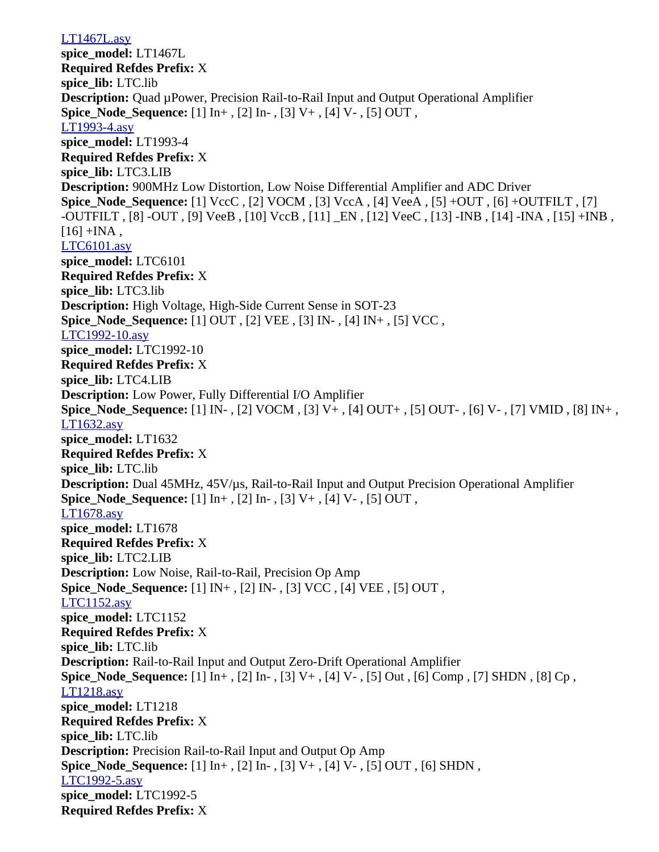[LT1467L.asy](file:///home/cmcdowell/.wine/drive_c/Program%20Files/LTC/LTspiceIV/lib/sym/Opamps/LT1467L.asy) **spice\_model:** LT1467L **Required Refdes Prefix:** X **spice\_lib:** LTC.lib **Description:** Quad µPower, Precision Rail-to-Rail Input and Output Operational Amplifier **Spice Node Sequence:** [1] In+, [2] In-, [3] V+, [4] V-, [5] OUT, [LT1993-4.asy](file:///home/cmcdowell/.wine/drive_c/Program%20Files/LTC/LTspiceIV/lib/sym/Opamps/LT1993-4.asy) **spice\_model:** LT1993-4 **Required Refdes Prefix:** X **spice\_lib:** LTC3.LIB **Description:** 900MHz Low Distortion, Low Noise Differential Amplifier and ADC Driver **Spice\_Node\_Sequence:** [1] VccC , [2] VOCM , [3] VccA , [4] VeeA , [5] +OUT , [6] +OUTFILT , [7] -OUTFILT , [8] -OUT , [9] VeeB , [10] VccB , [11] \_EN , [12] VeeC , [13] -INB , [14] -INA , [15] +INB ,  $[16]$  +INA, [LTC6101.asy](file:///home/cmcdowell/.wine/drive_c/Program%20Files/LTC/LTspiceIV/lib/sym/Opamps/LTC6101.asy) **spice\_model:** LTC6101 **Required Refdes Prefix:** X **spice\_lib:** LTC3.lib **Description:** High Voltage, High-Side Current Sense in SOT-23 **Spice\_Node\_Sequence:** [1] OUT , [2] VEE , [3] IN- , [4] IN+ , [5] VCC , [LTC1992-10.asy](file:///home/cmcdowell/.wine/drive_c/Program%20Files/LTC/LTspiceIV/lib/sym/Opamps/LTC1992-10.asy) **spice\_model:** LTC1992-10 **Required Refdes Prefix:** X **spice\_lib:** LTC4.LIB **Description:** Low Power, Fully Differential I/O Amplifier **Spice\_Node\_Sequence:** [1] IN- , [2] VOCM , [3] V+ , [4] OUT+ , [5] OUT- , [6] V- , [7] VMID , [8] IN+ , [LT1632.asy](file:///home/cmcdowell/.wine/drive_c/Program%20Files/LTC/LTspiceIV/lib/sym/Opamps/LT1632.asy) **spice\_model:** LT1632 **Required Refdes Prefix:** X **spice\_lib:** LTC.lib **Description:** Dual 45MHz, 45V/µs, Rail-to-Rail Input and Output Precision Operational Amplifier **Spice Node Sequence:** [1] In+, [2] In-, [3] V+, [4] V-, [5] OUT, [LT1678.asy](file:///home/cmcdowell/.wine/drive_c/Program%20Files/LTC/LTspiceIV/lib/sym/Opamps/LT1678.asy) **spice\_model:** LT1678 **Required Refdes Prefix:** X **spice\_lib:** LTC2.LIB **Description:** Low Noise, Rail-to-Rail, Precision Op Amp **Spice\_Node\_Sequence:** [1] IN+ , [2] IN- , [3] VCC , [4] VEE , [5] OUT , [LTC1152.asy](file:///home/cmcdowell/.wine/drive_c/Program%20Files/LTC/LTspiceIV/lib/sym/Opamps/LTC1152.asy) **spice\_model:** LTC1152 **Required Refdes Prefix:** X **spice\_lib:** LTC.lib **Description:** Rail-to-Rail Input and Output Zero-Drift Operational Amplifier **Spice\_Node\_Sequence:** [1] In+ , [2] In- , [3] V+ , [4] V- , [5] Out , [6] Comp , [7] SHDN , [8] Cp , [LT1218.asy](file:///home/cmcdowell/.wine/drive_c/Program%20Files/LTC/LTspiceIV/lib/sym/Opamps/LT1218.asy) **spice\_model:** LT1218 **Required Refdes Prefix:** X **spice\_lib:** LTC.lib **Description:** Precision Rail-to-Rail Input and Output Op Amp **Spice\_Node\_Sequence:** [1] In+ , [2] In- , [3] V+ , [4] V- , [5] OUT , [6] SHDN , [LTC1992-5.asy](file:///home/cmcdowell/.wine/drive_c/Program%20Files/LTC/LTspiceIV/lib/sym/Opamps/LTC1992-5.asy) **spice\_model:** LTC1992-5 **Required Refdes Prefix:** X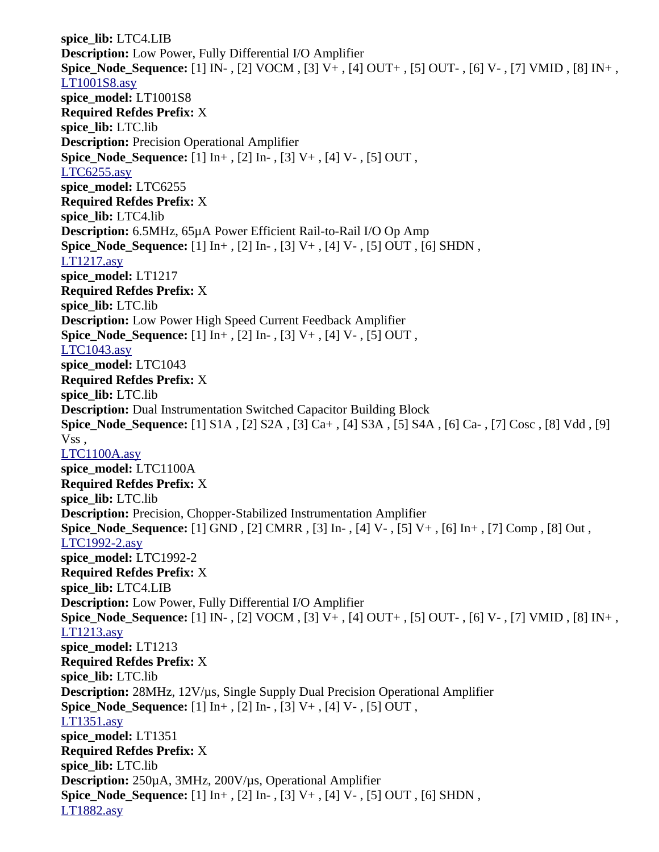**spice\_lib:** LTC4.LIB **Description:** Low Power, Fully Differential I/O Amplifier **Spice\_Node\_Sequence:** [1] IN- , [2] VOCM , [3] V+ , [4] OUT+ , [5] OUT- , [6] V- , [7] VMID , [8] IN+ , [LT1001S8.asy](file:///home/cmcdowell/.wine/drive_c/Program%20Files/LTC/LTspiceIV/lib/sym/Opamps/LT1001S8.asy) **spice\_model:** LT1001S8 **Required Refdes Prefix:** X **spice\_lib:** LTC.lib **Description:** Precision Operational Amplifier **Spice\_Node\_Sequence:** [1] In+ , [2] In- , [3] V+ , [4] V- , [5] OUT , [LTC6255.asy](file:///home/cmcdowell/.wine/drive_c/Program%20Files/LTC/LTspiceIV/lib/sym/Opamps/LTC6255.asy) **spice\_model:** LTC6255 **Required Refdes Prefix:** X **spice\_lib:** LTC4.lib **Description:** 6.5MHz, 65µA Power Efficient Rail-to-Rail I/O Op Amp **Spice\_Node\_Sequence:** [1] In+ , [2] In- , [3] V+ , [4] V- , [5] OUT , [6] SHDN , [LT1217.asy](file:///home/cmcdowell/.wine/drive_c/Program%20Files/LTC/LTspiceIV/lib/sym/Opamps/LT1217.asy) **spice\_model:** LT1217 **Required Refdes Prefix:** X **spice\_lib:** LTC.lib **Description:** Low Power High Speed Current Feedback Amplifier **Spice\_Node\_Sequence:** [1] In+ , [2] In- , [3] V+ , [4] V- , [5] OUT , [LTC1043.asy](file:///home/cmcdowell/.wine/drive_c/Program%20Files/LTC/LTspiceIV/lib/sym/Opamps/LTC1043.asy) **spice\_model:** LTC1043 **Required Refdes Prefix:** X **spice\_lib:** LTC.lib **Description:** Dual Instrumentation Switched Capacitor Building Block **Spice\_Node\_Sequence:** [1] S1A , [2] S2A , [3] Ca+ , [4] S3A , [5] S4A , [6] Ca- , [7] Cosc , [8] Vdd , [9] Vss , [LTC1100A.asy](file:///home/cmcdowell/.wine/drive_c/Program%20Files/LTC/LTspiceIV/lib/sym/Opamps/LTC1100A.asy) **spice\_model:** LTC1100A **Required Refdes Prefix:** X **spice\_lib:** LTC.lib **Description:** Precision, Chopper-Stabilized Instrumentation Amplifier **Spice\_Node\_Sequence:** [1] GND , [2] CMRR , [3] In- , [4] V- , [5] V+ , [6] In+ , [7] Comp , [8] Out , [LTC1992-2.asy](file:///home/cmcdowell/.wine/drive_c/Program%20Files/LTC/LTspiceIV/lib/sym/Opamps/LTC1992-2.asy) **spice\_model:** LTC1992-2 **Required Refdes Prefix:** X **spice\_lib:** LTC4.LIB **Description:** Low Power, Fully Differential I/O Amplifier **Spice\_Node\_Sequence:** [1] IN- , [2] VOCM , [3] V+ , [4] OUT+ , [5] OUT- , [6] V- , [7] VMID , [8] IN+ , [LT1213.asy](file:///home/cmcdowell/.wine/drive_c/Program%20Files/LTC/LTspiceIV/lib/sym/Opamps/LT1213.asy) **spice\_model:** LT1213 **Required Refdes Prefix:** X **spice\_lib:** LTC.lib **Description:** 28MHz, 12V/µs, Single Supply Dual Precision Operational Amplifier **Spice Node Sequence:** [1] In+, [2] In-, [3] V+, [4] V-, [5] OUT, [LT1351.asy](file:///home/cmcdowell/.wine/drive_c/Program%20Files/LTC/LTspiceIV/lib/sym/Opamps/LT1351.asy) **spice\_model:** LT1351 **Required Refdes Prefix:** X **spice\_lib:** LTC.lib **Description:** 250µA, 3MHz, 200V/µs, Operational Amplifier **Spice\_Node\_Sequence:** [1] In+ , [2] In- , [3] V+ , [4] V- , [5] OUT , [6] SHDN , [LT1882.asy](file:///home/cmcdowell/.wine/drive_c/Program%20Files/LTC/LTspiceIV/lib/sym/Opamps/LT1882.asy)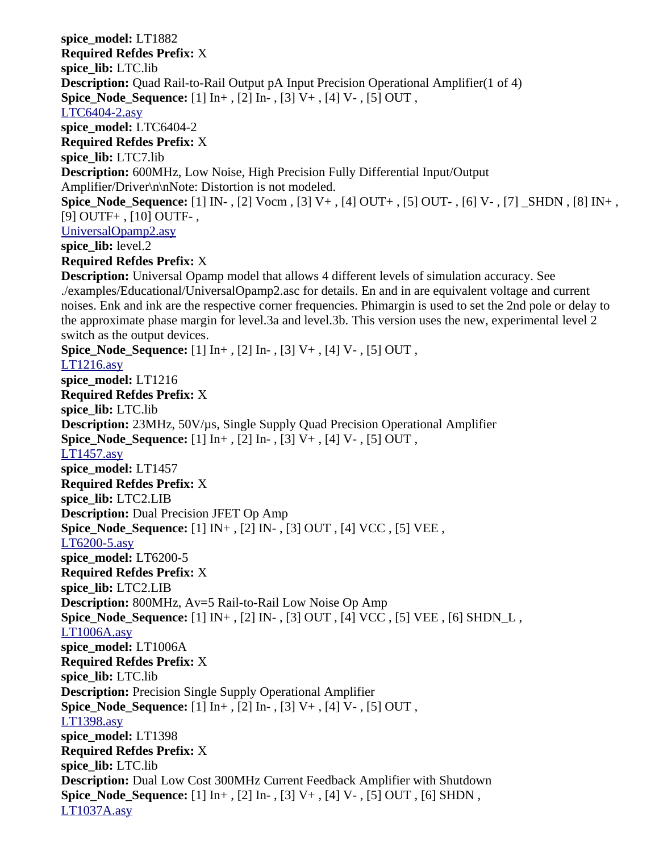**spice\_model:** LT1882 **Required Refdes Prefix:** X **spice\_lib:** LTC.lib **Description:** Quad Rail-to-Rail Output pA Input Precision Operational Amplifier(1 of 4) **Spice\_Node\_Sequence:** [1] In+ , [2] In- , [3] V+ , [4] V- , [5] OUT , [LTC6404-2.asy](file:///home/cmcdowell/.wine/drive_c/Program%20Files/LTC/LTspiceIV/lib/sym/Opamps/LTC6404-2.asy) **spice\_model:** LTC6404-2 **Required Refdes Prefix:** X **spice\_lib:** LTC7.lib **Description:** 600MHz, Low Noise, High Precision Fully Differential Input/Output Amplifier/Driver\n\nNote: Distortion is not modeled. **Spice\_Node\_Sequence:** [1] IN- , [2] Vocm , [3] V+ , [4] OUT+ , [5] OUT- , [6] V- , [7] \_SHDN , [8] IN+ , [9] OUTF+ , [10] OUTF- , [UniversalOpamp2.asy](file:///home/cmcdowell/.wine/drive_c/Program%20Files/LTC/LTspiceIV/lib/sym/Opamps/UniversalOpamp2.asy) spice lib: level.2 **Required Refdes Prefix:** X **Description:** Universal Opamp model that allows 4 different levels of simulation accuracy. See ./examples/Educational/UniversalOpamp2.asc for details. En and in are equivalent voltage and current noises. Enk and ink are the respective corner frequencies. Phimargin is used to set the 2nd pole or delay to the approximate phase margin for level.3a and level.3b. This version uses the new, experimental level 2 switch as the output devices. **Spice Node Sequence:** [1] In+, [2] In-, [3] V+, [4] V-, [5] OUT, [LT1216.asy](file:///home/cmcdowell/.wine/drive_c/Program%20Files/LTC/LTspiceIV/lib/sym/Opamps/LT1216.asy) **spice\_model:** LT1216 **Required Refdes Prefix:** X **spice\_lib:** LTC.lib **Description:** 23MHz, 50V/µs, Single Supply Quad Precision Operational Amplifier **Spice\_Node\_Sequence:** [1] In+ , [2] In- , [3] V+ , [4] V- , [5] OUT , [LT1457.asy](file:///home/cmcdowell/.wine/drive_c/Program%20Files/LTC/LTspiceIV/lib/sym/Opamps/LT1457.asy) **spice\_model:** LT1457 **Required Refdes Prefix:** X **spice\_lib:** LTC2.LIB **Description:** Dual Precision JFET Op Amp **Spice\_Node\_Sequence:** [1] IN+ , [2] IN- , [3] OUT , [4] VCC , [5] VEE , [LT6200-5.asy](file:///home/cmcdowell/.wine/drive_c/Program%20Files/LTC/LTspiceIV/lib/sym/Opamps/LT6200-5.asy) **spice\_model:** LT6200-5 **Required Refdes Prefix:** X **spice\_lib:** LTC2.LIB **Description:** 800MHz, Av=5 Rail-to-Rail Low Noise Op Amp **Spice\_Node\_Sequence:** [1] IN+ , [2] IN- , [3] OUT , [4] VCC , [5] VEE , [6] SHDN\_L , [LT1006A.asy](file:///home/cmcdowell/.wine/drive_c/Program%20Files/LTC/LTspiceIV/lib/sym/Opamps/LT1006A.asy) **spice\_model:** LT1006A **Required Refdes Prefix:** X **spice\_lib:** LTC.lib **Description:** Precision Single Supply Operational Amplifier **Spice Node Sequence:** [1] In+, [2] In-, [3] V+, [4] V-, [5] OUT, [LT1398.asy](file:///home/cmcdowell/.wine/drive_c/Program%20Files/LTC/LTspiceIV/lib/sym/Opamps/LT1398.asy) **spice\_model:** LT1398 **Required Refdes Prefix:** X **spice\_lib:** LTC.lib **Description:** Dual Low Cost 300MHz Current Feedback Amplifier with Shutdown **Spice\_Node\_Sequence:** [1] In+ , [2] In- , [3] V+ , [4] V- , [5] OUT , [6] SHDN , [LT1037A.asy](file:///home/cmcdowell/.wine/drive_c/Program%20Files/LTC/LTspiceIV/lib/sym/Opamps/LT1037A.asy)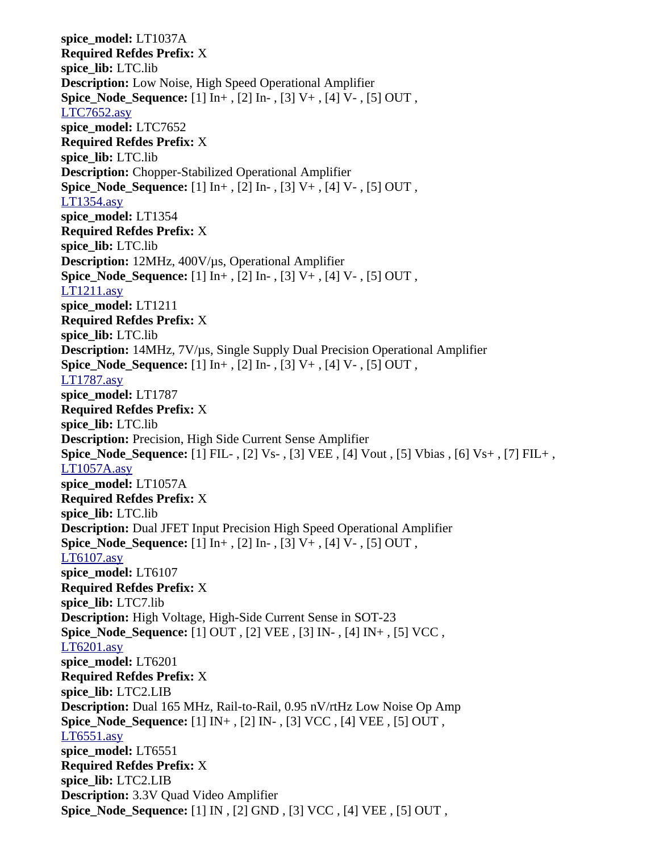**spice\_model:** LT1037A **Required Refdes Prefix:** X **spice\_lib:** LTC.lib **Description:** Low Noise, High Speed Operational Amplifier **Spice\_Node\_Sequence:** [1] In+ , [2] In- , [3] V+ , [4] V- , [5] OUT , [LTC7652.asy](file:///home/cmcdowell/.wine/drive_c/Program%20Files/LTC/LTspiceIV/lib/sym/Opamps/LTC7652.asy) **spice\_model:** LTC7652 **Required Refdes Prefix:** X **spice\_lib:** LTC.lib **Description:** Chopper-Stabilized Operational Amplifier **Spice Node Sequence:** [1] In+, [2] In-, [3] V+, [4] V-, [5] OUT, [LT1354.asy](file:///home/cmcdowell/.wine/drive_c/Program%20Files/LTC/LTspiceIV/lib/sym/Opamps/LT1354.asy) **spice\_model:** LT1354 **Required Refdes Prefix:** X **spice\_lib:** LTC.lib **Description:** 12MHz, 400V/µs, Operational Amplifier **Spice\_Node\_Sequence:** [1] In+ , [2] In- , [3] V+ , [4] V- , [5] OUT , [LT1211.asy](file:///home/cmcdowell/.wine/drive_c/Program%20Files/LTC/LTspiceIV/lib/sym/Opamps/LT1211.asy) **spice\_model:** LT1211 **Required Refdes Prefix:** X **spice\_lib:** LTC.lib **Description:** 14MHz, 7V/µs, Single Supply Dual Precision Operational Amplifier **Spice\_Node\_Sequence:** [1] In+ , [2] In- , [3] V+ , [4] V- , [5] OUT , [LT1787.asy](file:///home/cmcdowell/.wine/drive_c/Program%20Files/LTC/LTspiceIV/lib/sym/Opamps/LT1787.asy) **spice\_model:** LT1787 **Required Refdes Prefix:** X **spice\_lib:** LTC.lib **Description:** Precision, High Side Current Sense Amplifier **Spice\_Node\_Sequence:** [1] FIL- , [2] Vs- , [3] VEE , [4] Vout , [5] Vbias , [6] Vs+ , [7] FIL+ , [LT1057A.asy](file:///home/cmcdowell/.wine/drive_c/Program%20Files/LTC/LTspiceIV/lib/sym/Opamps/LT1057A.asy) **spice\_model:** LT1057A **Required Refdes Prefix:** X **spice\_lib:** LTC.lib **Description:** Dual JFET Input Precision High Speed Operational Amplifier **Spice\_Node\_Sequence:** [1] In+ , [2] In- , [3] V+ , [4] V- , [5] OUT , [LT6107.asy](file:///home/cmcdowell/.wine/drive_c/Program%20Files/LTC/LTspiceIV/lib/sym/Opamps/LT6107.asy) **spice\_model:** LT6107 **Required Refdes Prefix:** X **spice\_lib:** LTC7.lib **Description:** High Voltage, High-Side Current Sense in SOT-23 **Spice\_Node\_Sequence:** [1] OUT , [2] VEE , [3] IN- , [4] IN+ , [5] VCC , [LT6201.asy](file:///home/cmcdowell/.wine/drive_c/Program%20Files/LTC/LTspiceIV/lib/sym/Opamps/LT6201.asy) **spice\_model:** LT6201 **Required Refdes Prefix:** X **spice\_lib:** LTC2.LIB **Description:** Dual 165 MHz, Rail-to-Rail, 0.95 nV/rtHz Low Noise Op Amp **Spice\_Node\_Sequence:** [1] IN+ , [2] IN- , [3] VCC , [4] VEE , [5] OUT , [LT6551.asy](file:///home/cmcdowell/.wine/drive_c/Program%20Files/LTC/LTspiceIV/lib/sym/Opamps/LT6551.asy) **spice\_model:** LT6551 **Required Refdes Prefix:** X **spice\_lib:** LTC2.LIB **Description:** 3.3V Quad Video Amplifier **Spice\_Node\_Sequence:** [1] IN , [2] GND , [3] VCC , [4] VEE , [5] OUT ,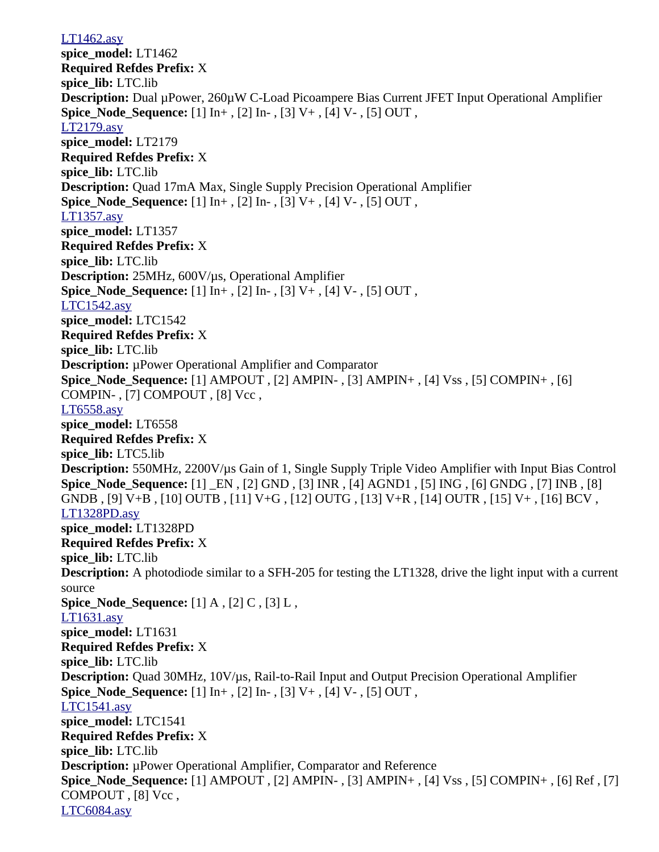[LT1462.asy](file:///home/cmcdowell/.wine/drive_c/Program%20Files/LTC/LTspiceIV/lib/sym/Opamps/LT1462.asy) **spice\_model:** LT1462 **Required Refdes Prefix:** X **spice\_lib:** LTC.lib **Description:** Dual µPower, 260µW C-Load Picoampere Bias Current JFET Input Operational Amplifier **Spice Node Sequence:** [1] In+, [2] In-, [3] V+, [4] V-, [5] OUT, [LT2179.asy](file:///home/cmcdowell/.wine/drive_c/Program%20Files/LTC/LTspiceIV/lib/sym/Opamps/LT2179.asy) **spice\_model:** LT2179 **Required Refdes Prefix:** X **spice\_lib:** LTC.lib **Description:** Quad 17mA Max, Single Supply Precision Operational Amplifier **Spice Node Sequence:** [1] In+, [2] In-, [3] V+, [4] V-, [5] OUT, [LT1357.asy](file:///home/cmcdowell/.wine/drive_c/Program%20Files/LTC/LTspiceIV/lib/sym/Opamps/LT1357.asy) **spice\_model:** LT1357 **Required Refdes Prefix:** X **spice\_lib:** LTC.lib **Description:** 25MHz, 600V/µs, Operational Amplifier **Spice\_Node\_Sequence:** [1] In+ , [2] In- , [3] V+ , [4] V- , [5] OUT , [LTC1542.asy](file:///home/cmcdowell/.wine/drive_c/Program%20Files/LTC/LTspiceIV/lib/sym/Opamps/LTC1542.asy) **spice\_model:** LTC1542 **Required Refdes Prefix:** X **spice\_lib:** LTC.lib **Description:** µPower Operational Amplifier and Comparator **Spice\_Node\_Sequence:** [1] AMPOUT, [2] AMPIN-, [3] AMPIN+, [4] Vss, [5] COMPIN+, [6] COMPIN-, [7] COMPOUT, [8] Vcc, [LT6558.asy](file:///home/cmcdowell/.wine/drive_c/Program%20Files/LTC/LTspiceIV/lib/sym/Opamps/LT6558.asy) **spice\_model:** LT6558 **Required Refdes Prefix:** X **spice\_lib:** LTC5.lib **Description:** 550MHz, 2200V/µs Gain of 1, Single Supply Triple Video Amplifier with Input Bias Control **Spice\_Node\_Sequence:** [1] \_EN , [2] GND , [3] INR , [4] AGND1 , [5] ING , [6] GNDG , [7] INB , [8] GNDB , [9] V+B , [10] OUTB , [11] V+G , [12] OUTG , [13] V+R , [14] OUTR , [15] V+ , [16] BCV , [LT1328PD.asy](file:///home/cmcdowell/.wine/drive_c/Program%20Files/LTC/LTspiceIV/lib/sym/Opamps/LT1328PD.asy) **spice\_model:** LT1328PD **Required Refdes Prefix:** X **spice\_lib:** LTC.lib **Description:** A photodiode similar to a SFH-205 for testing the LT1328, drive the light input with a current source **Spice\_Node\_Sequence:** [1] A , [2] C , [3] L , [LT1631.asy](file:///home/cmcdowell/.wine/drive_c/Program%20Files/LTC/LTspiceIV/lib/sym/Opamps/LT1631.asy) **spice\_model:** LT1631 **Required Refdes Prefix:** X **spice\_lib:** LTC.lib **Description:** Quad 30MHz, 10V/µs, Rail-to-Rail Input and Output Precision Operational Amplifier **Spice\_Node\_Sequence:** [1] In+ , [2] In- , [3] V+ , [4] V- , [5] OUT , [LTC1541.asy](file:///home/cmcdowell/.wine/drive_c/Program%20Files/LTC/LTspiceIV/lib/sym/Opamps/LTC1541.asy) **spice\_model:** LTC1541 **Required Refdes Prefix:** X **spice\_lib:** LTC.lib **Description:** µPower Operational Amplifier, Comparator and Reference **Spice\_Node\_Sequence:** [1] AMPOUT , [2] AMPIN- , [3] AMPIN+ , [4] Vss , [5] COMPIN+ , [6] Ref , [7] COMPOUT, [8] Vcc, [LTC6084.asy](file:///home/cmcdowell/.wine/drive_c/Program%20Files/LTC/LTspiceIV/lib/sym/Opamps/LTC6084.asy)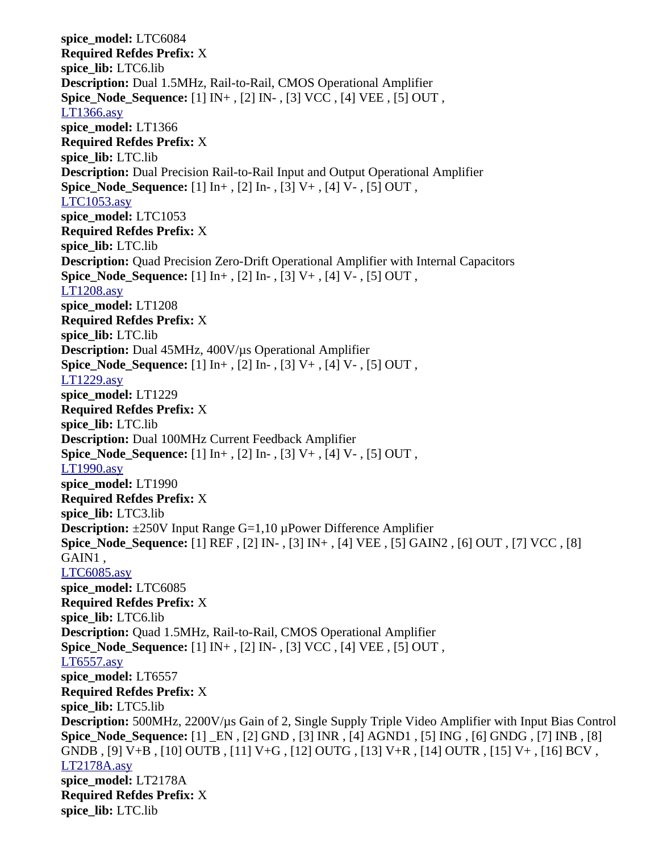**spice\_model:** LTC6084 **Required Refdes Prefix:** X **spice\_lib:** LTC6.lib **Description:** Dual 1.5MHz, Rail-to-Rail, CMOS Operational Amplifier **Spice\_Node\_Sequence:** [1] IN+ , [2] IN- , [3] VCC , [4] VEE , [5] OUT , [LT1366.asy](file:///home/cmcdowell/.wine/drive_c/Program%20Files/LTC/LTspiceIV/lib/sym/Opamps/LT1366.asy) **spice\_model:** LT1366 **Required Refdes Prefix:** X **spice\_lib:** LTC.lib **Description:** Dual Precision Rail-to-Rail Input and Output Operational Amplifier **Spice Node Sequence:** [1] In+, [2] In-, [3] V+, [4] V-, [5] OUT, [LTC1053.asy](file:///home/cmcdowell/.wine/drive_c/Program%20Files/LTC/LTspiceIV/lib/sym/Opamps/LTC1053.asy) **spice\_model:** LTC1053 **Required Refdes Prefix:** X **spice\_lib:** LTC.lib **Description:** Quad Precision Zero-Drift Operational Amplifier with Internal Capacitors **Spice\_Node\_Sequence:** [1] In+ , [2] In- , [3] V+ , [4] V- , [5] OUT , [LT1208.asy](file:///home/cmcdowell/.wine/drive_c/Program%20Files/LTC/LTspiceIV/lib/sym/Opamps/LT1208.asy) **spice\_model:** LT1208 **Required Refdes Prefix:** X **spice\_lib:** LTC.lib **Description:** Dual 45MHz, 400V/µs Operational Amplifier **Spice\_Node\_Sequence:** [1] In+ , [2] In- , [3] V+ , [4] V- , [5] OUT , [LT1229.asy](file:///home/cmcdowell/.wine/drive_c/Program%20Files/LTC/LTspiceIV/lib/sym/Opamps/LT1229.asy) **spice\_model:** LT1229 **Required Refdes Prefix:** X **spice\_lib:** LTC.lib **Description:** Dual 100MHz Current Feedback Amplifier **Spice\_Node\_Sequence:** [1] In+ , [2] In- , [3] V+ , [4] V- , [5] OUT , [LT1990.asy](file:///home/cmcdowell/.wine/drive_c/Program%20Files/LTC/LTspiceIV/lib/sym/Opamps/LT1990.asy) **spice\_model:** LT1990 **Required Refdes Prefix:** X **spice\_lib:** LTC3.lib **Description:** ±250V Input Range G=1,10 µPower Difference Amplifier **Spice\_Node\_Sequence:** [1] REF , [2] IN- , [3] IN+ , [4] VEE , [5] GAIN2 , [6] OUT , [7] VCC , [8] GAIN1 , [LTC6085.asy](file:///home/cmcdowell/.wine/drive_c/Program%20Files/LTC/LTspiceIV/lib/sym/Opamps/LTC6085.asy) **spice\_model:** LTC6085 **Required Refdes Prefix:** X **spice\_lib:** LTC6.lib **Description:** Quad 1.5MHz, Rail-to-Rail, CMOS Operational Amplifier **Spice\_Node\_Sequence:** [1] IN+ , [2] IN- , [3] VCC , [4] VEE , [5] OUT , [LT6557.asy](file:///home/cmcdowell/.wine/drive_c/Program%20Files/LTC/LTspiceIV/lib/sym/Opamps/LT6557.asy) **spice\_model:** LT6557 **Required Refdes Prefix:** X **spice\_lib:** LTC5.lib **Description:** 500MHz, 2200V/µs Gain of 2, Single Supply Triple Video Amplifier with Input Bias Control **Spice\_Node\_Sequence:** [1] \_EN , [2] GND , [3] INR , [4] AGND1 , [5] ING , [6] GNDG , [7] INB , [8] GNDB , [9] V+B , [10] OUTB , [11] V+G , [12] OUTG , [13] V+R , [14] OUTR , [15] V+ , [16] BCV , [LT2178A.asy](file:///home/cmcdowell/.wine/drive_c/Program%20Files/LTC/LTspiceIV/lib/sym/Opamps/LT2178A.asy) **spice\_model:** LT2178A **Required Refdes Prefix:** X **spice\_lib:** LTC.lib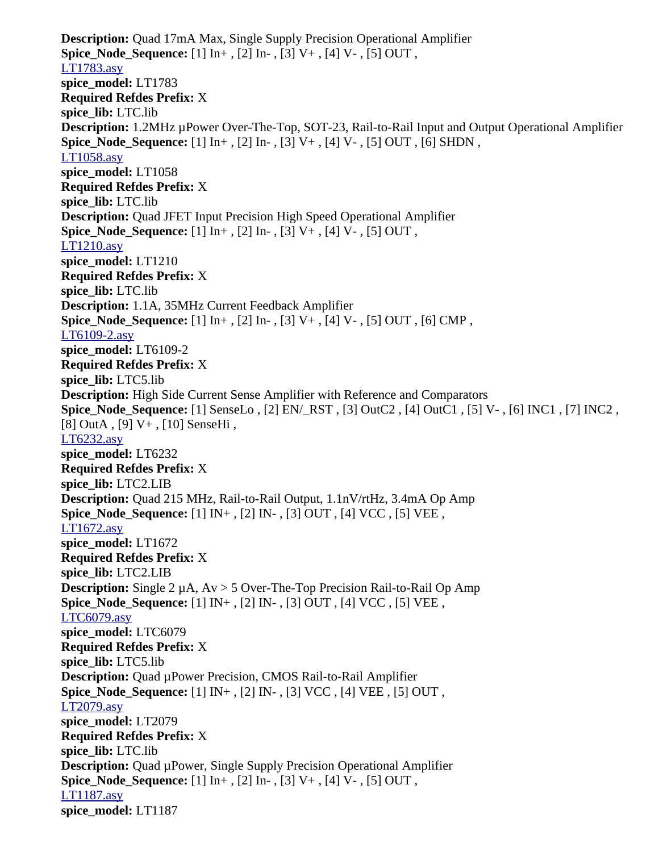**Description:** Quad 17mA Max, Single Supply Precision Operational Amplifier **Spice\_Node\_Sequence:** [1] In+ , [2] In- , [3] V+ , [4] V- , [5] OUT , [LT1783.asy](file:///home/cmcdowell/.wine/drive_c/Program%20Files/LTC/LTspiceIV/lib/sym/Opamps/LT1783.asy) **spice\_model:** LT1783 **Required Refdes Prefix:** X **spice\_lib:** LTC.lib **Description:** 1.2MHz µPower Over-The-Top, SOT-23, Rail-to-Rail Input and Output Operational Amplifier **Spice\_Node\_Sequence:** [1] In+ , [2] In- , [3] V+ , [4] V- , [5] OUT , [6] SHDN , [LT1058.asy](file:///home/cmcdowell/.wine/drive_c/Program%20Files/LTC/LTspiceIV/lib/sym/Opamps/LT1058.asy) **spice\_model:** LT1058 **Required Refdes Prefix:** X **spice\_lib:** LTC.lib **Description:** Quad JFET Input Precision High Speed Operational Amplifier **Spice Node Sequence:** [1] In+, [2] In-, [3] V+, [4] V-, [5] OUT, [LT1210.asy](file:///home/cmcdowell/.wine/drive_c/Program%20Files/LTC/LTspiceIV/lib/sym/Opamps/LT1210.asy) **spice\_model:** LT1210 **Required Refdes Prefix:** X **spice\_lib:** LTC.lib **Description:** 1.1A, 35MHz Current Feedback Amplifier **Spice\_Node\_Sequence:** [1] In+ , [2] In- , [3] V+ , [4] V- , [5] OUT , [6] CMP , [LT6109-2.asy](file:///home/cmcdowell/.wine/drive_c/Program%20Files/LTC/LTspiceIV/lib/sym/Opamps/LT6109-2.asy) **spice\_model:** LT6109-2 **Required Refdes Prefix:** X **spice\_lib:** LTC5.lib **Description:** High Side Current Sense Amplifier with Reference and Comparators **Spice\_Node\_Sequence:** [1] SenseLo , [2] EN/\_RST , [3] OutC2 , [4] OutC1 , [5] V- , [6] INC1 , [7] INC2 , [8] OutA , [9] V+ , [10] SenseHi , [LT6232.asy](file:///home/cmcdowell/.wine/drive_c/Program%20Files/LTC/LTspiceIV/lib/sym/Opamps/LT6232.asy) **spice\_model:** LT6232 **Required Refdes Prefix:** X **spice\_lib:** LTC2.LIB **Description:** Quad 215 MHz, Rail-to-Rail Output, 1.1nV/rtHz, 3.4mA Op Amp **Spice\_Node\_Sequence:** [1] IN+ , [2] IN- , [3] OUT , [4] VCC , [5] VEE , [LT1672.asy](file:///home/cmcdowell/.wine/drive_c/Program%20Files/LTC/LTspiceIV/lib/sym/Opamps/LT1672.asy) **spice\_model:** LT1672 **Required Refdes Prefix:** X **spice\_lib:** LTC2.LIB **Description:** Single 2 µA, Av > 5 Over-The-Top Precision Rail-to-Rail Op Amp **Spice\_Node\_Sequence:** [1] IN+ , [2] IN- , [3] OUT , [4] VCC , [5] VEE , [LTC6079.asy](file:///home/cmcdowell/.wine/drive_c/Program%20Files/LTC/LTspiceIV/lib/sym/Opamps/LTC6079.asy) **spice\_model:** LTC6079 **Required Refdes Prefix:** X **spice\_lib:** LTC5.lib **Description:** Quad µPower Precision, CMOS Rail-to-Rail Amplifier **Spice\_Node\_Sequence:** [1] IN+ , [2] IN- , [3] VCC , [4] VEE , [5] OUT , [LT2079.asy](file:///home/cmcdowell/.wine/drive_c/Program%20Files/LTC/LTspiceIV/lib/sym/Opamps/LT2079.asy) **spice\_model:** LT2079 **Required Refdes Prefix:** X **spice\_lib:** LTC.lib **Description:** Quad µPower, Single Supply Precision Operational Amplifier **Spice\_Node\_Sequence:** [1] In+ , [2] In- , [3] V+ , [4] V- , [5] OUT , [LT1187.asy](file:///home/cmcdowell/.wine/drive_c/Program%20Files/LTC/LTspiceIV/lib/sym/Opamps/LT1187.asy) **spice\_model:** LT1187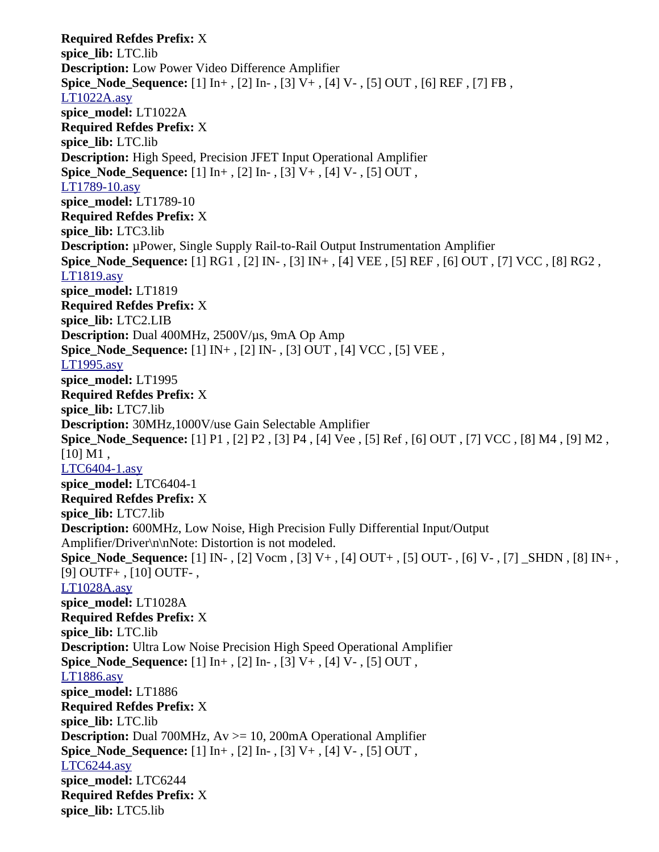**Required Refdes Prefix:** X **spice\_lib:** LTC.lib **Description:** Low Power Video Difference Amplifier **Spice\_Node\_Sequence:** [1] In+ , [2] In- , [3] V+ , [4] V- , [5] OUT , [6] REF , [7] FB , [LT1022A.asy](file:///home/cmcdowell/.wine/drive_c/Program%20Files/LTC/LTspiceIV/lib/sym/Opamps/LT1022A.asy) **spice\_model:** LT1022A **Required Refdes Prefix:** X **spice\_lib:** LTC.lib **Description:** High Speed, Precision JFET Input Operational Amplifier **Spice\_Node\_Sequence:** [1] In+ , [2] In- , [3] V+ , [4] V- , [5] OUT , [LT1789-10.asy](file:///home/cmcdowell/.wine/drive_c/Program%20Files/LTC/LTspiceIV/lib/sym/Opamps/LT1789-10.asy) **spice\_model:** LT1789-10 **Required Refdes Prefix:** X **spice\_lib:** LTC3.lib **Description:** µPower, Single Supply Rail-to-Rail Output Instrumentation Amplifier **Spice\_Node\_Sequence:** [1] RG1 , [2] IN- , [3] IN+ , [4] VEE , [5] REF , [6] OUT , [7] VCC , [8] RG2 , [LT1819.asy](file:///home/cmcdowell/.wine/drive_c/Program%20Files/LTC/LTspiceIV/lib/sym/Opamps/LT1819.asy) **spice\_model:** LT1819 **Required Refdes Prefix:** X **spice\_lib:** LTC2.LIB **Description:** Dual 400MHz, 2500V/µs, 9mA Op Amp **Spice Node Sequence:** [1] IN+, [2] IN-, [3] OUT, [4] VCC, [5] VEE, [LT1995.asy](file:///home/cmcdowell/.wine/drive_c/Program%20Files/LTC/LTspiceIV/lib/sym/Opamps/LT1995.asy) **spice\_model:** LT1995 **Required Refdes Prefix:** X **spice\_lib:** LTC7.lib **Description:** 30MHz,1000V/use Gain Selectable Amplifier **Spice\_Node\_Sequence:** [1] P1 , [2] P2 , [3] P4 , [4] Vee , [5] Ref , [6] OUT , [7] VCC , [8] M4 , [9] M2 ,  $[10] M1$ , [LTC6404-1.asy](file:///home/cmcdowell/.wine/drive_c/Program%20Files/LTC/LTspiceIV/lib/sym/Opamps/LTC6404-1.asy) **spice\_model:** LTC6404-1 **Required Refdes Prefix:** X **spice\_lib:** LTC7.lib **Description:** 600MHz, Low Noise, High Precision Fully Differential Input/Output Amplifier/Driver\n\nNote: Distortion is not modeled. **Spice\_Node\_Sequence:** [1] IN- , [2] Vocm , [3] V+ , [4] OUT+ , [5] OUT- , [6] V- , [7] \_SHDN , [8] IN+ , [9] OUTF+ , [10] OUTF- , [LT1028A.asy](file:///home/cmcdowell/.wine/drive_c/Program%20Files/LTC/LTspiceIV/lib/sym/Opamps/LT1028A.asy) **spice\_model:** LT1028A **Required Refdes Prefix:** X **spice\_lib:** LTC.lib **Description:** Ultra Low Noise Precision High Speed Operational Amplifier **Spice\_Node\_Sequence:** [1] In+ , [2] In- , [3] V+ , [4] V- , [5] OUT , [LT1886.asy](file:///home/cmcdowell/.wine/drive_c/Program%20Files/LTC/LTspiceIV/lib/sym/Opamps/LT1886.asy) **spice\_model:** LT1886 **Required Refdes Prefix:** X **spice\_lib:** LTC.lib **Description:** Dual 700MHz, Av >= 10, 200mA Operational Amplifier **Spice\_Node\_Sequence:** [1] In+ , [2] In- , [3] V+ , [4] V- , [5] OUT , [LTC6244.asy](file:///home/cmcdowell/.wine/drive_c/Program%20Files/LTC/LTspiceIV/lib/sym/Opamps/LTC6244.asy) **spice\_model:** LTC6244 **Required Refdes Prefix:** X **spice\_lib:** LTC5.lib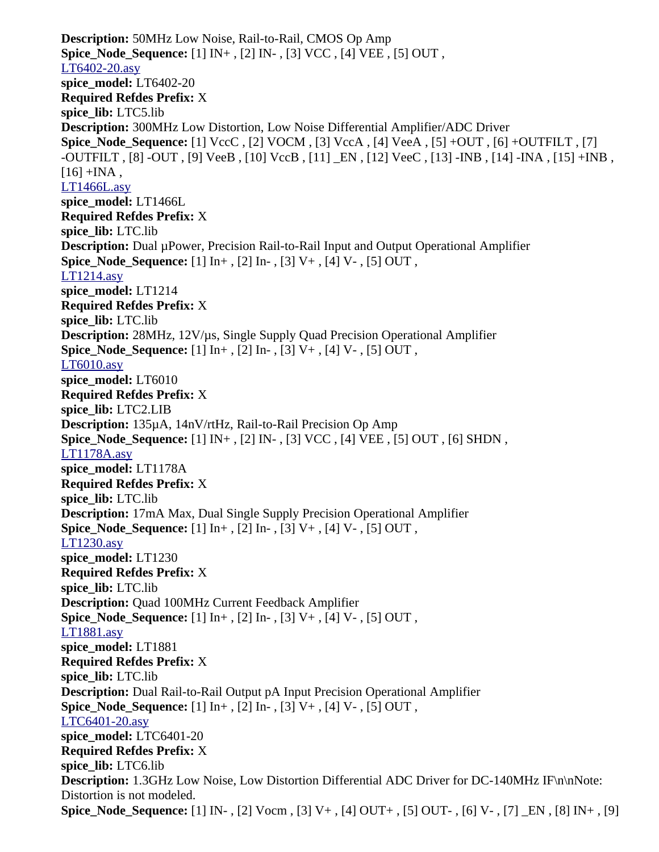**Description:** 50MHz Low Noise, Rail-to-Rail, CMOS Op Amp **Spice\_Node\_Sequence:** [1] IN+ , [2] IN- , [3] VCC , [4] VEE , [5] OUT , [LT6402-20.asy](file:///home/cmcdowell/.wine/drive_c/Program%20Files/LTC/LTspiceIV/lib/sym/Opamps/LT6402-20.asy) **spice\_model:** LT6402-20 **Required Refdes Prefix:** X **spice\_lib:** LTC5.lib **Description:** 300MHz Low Distortion, Low Noise Differential Amplifier/ADC Driver **Spice\_Node\_Sequence:** [1] VccC , [2] VOCM , [3] VccA , [4] VeeA , [5] +OUT , [6] +OUTFILT , [7] -OUTFILT , [8] -OUT , [9] VeeB , [10] VccB , [11] \_EN , [12] VeeC , [13] -INB , [14] -INA , [15] +INB ,  $[16]$  +INA, [LT1466L.asy](file:///home/cmcdowell/.wine/drive_c/Program%20Files/LTC/LTspiceIV/lib/sym/Opamps/LT1466L.asy) **spice\_model:** LT1466L **Required Refdes Prefix:** X **spice\_lib:** LTC.lib **Description:** Dual µPower, Precision Rail-to-Rail Input and Output Operational Amplifier **Spice Node Sequence:** [1] In+, [2] In-, [3] V+, [4] V-, [5] OUT, [LT1214.asy](file:///home/cmcdowell/.wine/drive_c/Program%20Files/LTC/LTspiceIV/lib/sym/Opamps/LT1214.asy) **spice\_model:** LT1214 **Required Refdes Prefix:** X **spice\_lib:** LTC.lib **Description:** 28MHz, 12V/µs, Single Supply Quad Precision Operational Amplifier **Spice Node Sequence:** [1] In+, [2] In-, [3] V+, [4] V-, [5] OUT, [LT6010.asy](file:///home/cmcdowell/.wine/drive_c/Program%20Files/LTC/LTspiceIV/lib/sym/Opamps/LT6010.asy) **spice\_model:** LT6010 **Required Refdes Prefix:** X **spice\_lib:** LTC2.LIB **Description:** 135µA, 14nV/rtHz, Rail-to-Rail Precision Op Amp **Spice\_Node\_Sequence:** [1] IN+ , [2] IN- , [3] VCC , [4] VEE , [5] OUT , [6] SHDN , [LT1178A.asy](file:///home/cmcdowell/.wine/drive_c/Program%20Files/LTC/LTspiceIV/lib/sym/Opamps/LT1178A.asy) **spice\_model:** LT1178A **Required Refdes Prefix:** X **spice\_lib:** LTC.lib **Description:** 17mA Max, Dual Single Supply Precision Operational Amplifier **Spice\_Node\_Sequence:** [1] In+ , [2] In- , [3] V+ , [4] V- , [5] OUT , [LT1230.asy](file:///home/cmcdowell/.wine/drive_c/Program%20Files/LTC/LTspiceIV/lib/sym/Opamps/LT1230.asy) **spice\_model:** LT1230 **Required Refdes Prefix:** X **spice\_lib:** LTC.lib **Description:** Quad 100MHz Current Feedback Amplifier **Spice\_Node\_Sequence:** [1] In+ , [2] In- , [3] V+ , [4] V- , [5] OUT , [LT1881.asy](file:///home/cmcdowell/.wine/drive_c/Program%20Files/LTC/LTspiceIV/lib/sym/Opamps/LT1881.asy) **spice\_model:** LT1881 **Required Refdes Prefix:** X **spice\_lib:** LTC.lib **Description:** Dual Rail-to-Rail Output pA Input Precision Operational Amplifier **Spice Node Sequence:** [1] In+, [2] In-, [3] V+, [4] V-, [5] OUT, [LTC6401-20.asy](file:///home/cmcdowell/.wine/drive_c/Program%20Files/LTC/LTspiceIV/lib/sym/Opamps/LTC6401-20.asy) **spice\_model:** LTC6401-20 **Required Refdes Prefix:** X **spice\_lib:** LTC6.lib **Description:** 1.3GHz Low Noise, Low Distortion Differential ADC Driver for DC-140MHz IF\n\nNote: Distortion is not modeled. **Spice\_Node\_Sequence:** [1] IN- , [2] Vocm , [3] V+ , [4] OUT+ , [5] OUT- , [6] V- , [7] \_EN , [8] IN+ , [9]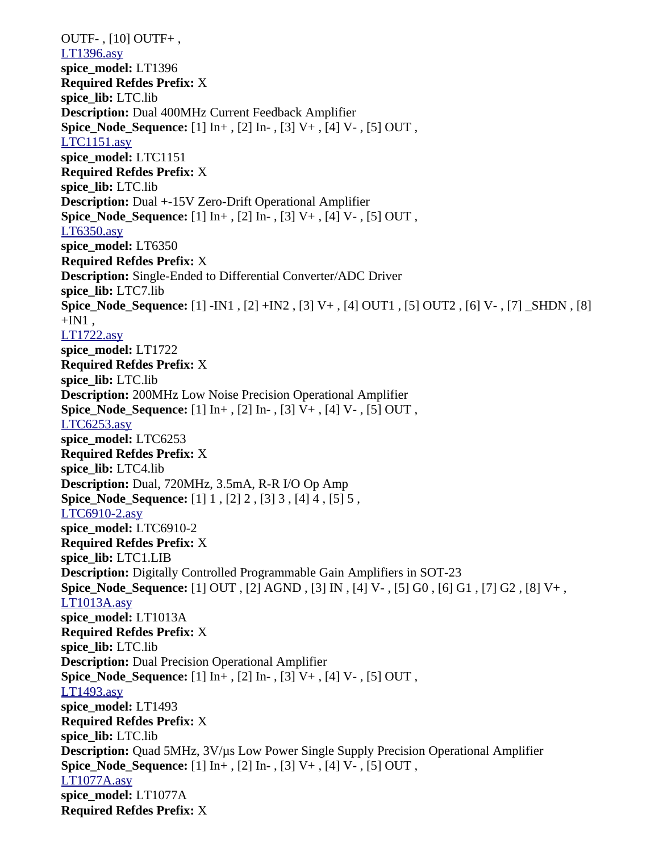OUTF- , [10] OUTF+ , [LT1396.asy](file:///home/cmcdowell/.wine/drive_c/Program%20Files/LTC/LTspiceIV/lib/sym/Opamps/LT1396.asy) **spice\_model:** LT1396 **Required Refdes Prefix:** X **spice\_lib:** LTC.lib **Description:** Dual 400MHz Current Feedback Amplifier **Spice\_Node\_Sequence:** [1] In+ , [2] In- , [3] V+ , [4] V- , [5] OUT , [LTC1151.asy](file:///home/cmcdowell/.wine/drive_c/Program%20Files/LTC/LTspiceIV/lib/sym/Opamps/LTC1151.asy) **spice\_model:** LTC1151 **Required Refdes Prefix:** X **spice\_lib:** LTC.lib **Description:** Dual +-15V Zero-Drift Operational Amplifier **Spice\_Node\_Sequence:** [1] In+ , [2] In- , [3] V+ , [4] V- , [5] OUT , [LT6350.asy](file:///home/cmcdowell/.wine/drive_c/Program%20Files/LTC/LTspiceIV/lib/sym/Opamps/LT6350.asy) **spice\_model:** LT6350 **Required Refdes Prefix:** X **Description:** Single-Ended to Differential Converter/ADC Driver **spice\_lib:** LTC7.lib **Spice\_Node\_Sequence:** [1] -IN1 , [2] +IN2 , [3] V+ , [4] OUT1 , [5] OUT2 , [6] V- , [7] \_SHDN , [8]  $+IN1$ . [LT1722.asy](file:///home/cmcdowell/.wine/drive_c/Program%20Files/LTC/LTspiceIV/lib/sym/Opamps/LT1722.asy) **spice\_model:** LT1722 **Required Refdes Prefix:** X **spice\_lib:** LTC.lib **Description:** 200MHz Low Noise Precision Operational Amplifier **Spice Node Sequence:** [1] In+, [2] In-, [3] V+, [4] V-, [5] OUT, [LTC6253.asy](file:///home/cmcdowell/.wine/drive_c/Program%20Files/LTC/LTspiceIV/lib/sym/Opamps/LTC6253.asy) **spice\_model:** LTC6253 **Required Refdes Prefix:** X **spice\_lib:** LTC4.lib **Description:** Dual, 720MHz, 3.5mA, R-R I/O Op Amp **Spice\_Node\_Sequence:** [1] 1 , [2] 2 , [3] 3 , [4] 4 , [5] 5 , [LTC6910-2.asy](file:///home/cmcdowell/.wine/drive_c/Program%20Files/LTC/LTspiceIV/lib/sym/Opamps/LTC6910-2.asy) **spice\_model:** LTC6910-2 **Required Refdes Prefix:** X **spice\_lib:** LTC1.LIB **Description:** Digitally Controlled Programmable Gain Amplifiers in SOT-23 **Spice\_Node\_Sequence:** [1] OUT , [2] AGND , [3] IN , [4] V- , [5] G0 , [6] G1 , [7] G2 , [8] V+ , [LT1013A.asy](file:///home/cmcdowell/.wine/drive_c/Program%20Files/LTC/LTspiceIV/lib/sym/Opamps/LT1013A.asy) **spice\_model:** LT1013A **Required Refdes Prefix:** X **spice\_lib:** LTC.lib **Description:** Dual Precision Operational Amplifier **Spice\_Node\_Sequence:** [1] In+ , [2] In- , [3] V+ , [4] V- , [5] OUT , [LT1493.asy](file:///home/cmcdowell/.wine/drive_c/Program%20Files/LTC/LTspiceIV/lib/sym/Opamps/LT1493.asy) **spice\_model:** LT1493 **Required Refdes Prefix:** X **spice\_lib:** LTC.lib **Description:** Quad 5MHz, 3V/µs Low Power Single Supply Precision Operational Amplifier **Spice Node Sequence:** [1] In+, [2] In-, [3] V+, [4] V-, [5] OUT, [LT1077A.asy](file:///home/cmcdowell/.wine/drive_c/Program%20Files/LTC/LTspiceIV/lib/sym/Opamps/LT1077A.asy) **spice\_model:** LT1077A **Required Refdes Prefix:** X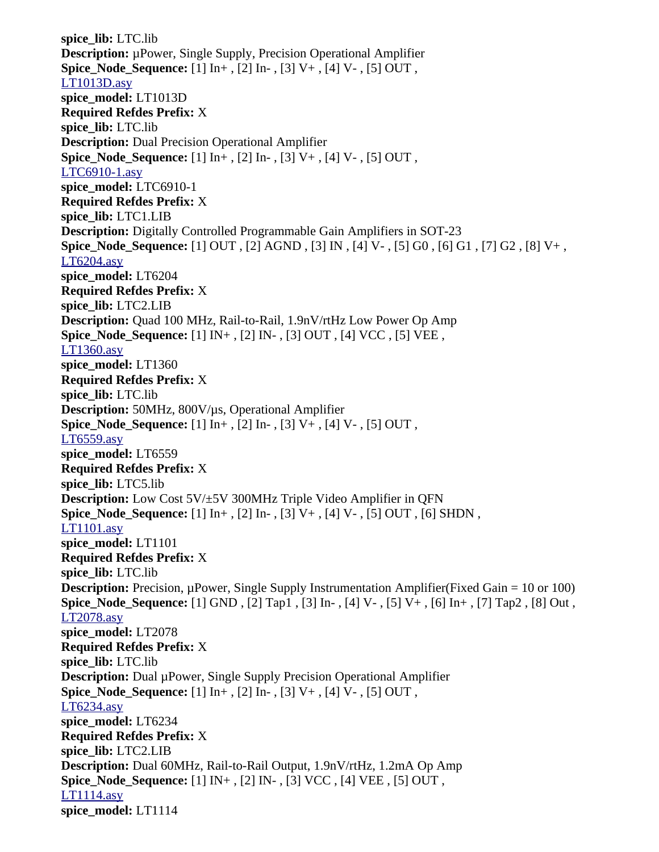**spice\_lib:** LTC.lib **Description:** µPower, Single Supply, Precision Operational Amplifier **Spice\_Node\_Sequence:** [1] In+ , [2] In- , [3] V+ , [4] V- , [5] OUT , [LT1013D.asy](file:///home/cmcdowell/.wine/drive_c/Program%20Files/LTC/LTspiceIV/lib/sym/Opamps/LT1013D.asy) **spice\_model:** LT1013D **Required Refdes Prefix:** X **spice\_lib:** LTC.lib **Description:** Dual Precision Operational Amplifier **Spice\_Node\_Sequence:** [1] In+ , [2] In- , [3] V+ , [4] V- , [5] OUT , [LTC6910-1.asy](file:///home/cmcdowell/.wine/drive_c/Program%20Files/LTC/LTspiceIV/lib/sym/Opamps/LTC6910-1.asy) **spice\_model:** LTC6910-1 **Required Refdes Prefix:** X **spice\_lib:** LTC1.LIB **Description:** Digitally Controlled Programmable Gain Amplifiers in SOT-23 **Spice\_Node\_Sequence:** [1] OUT , [2] AGND , [3] IN , [4] V- , [5] G0 , [6] G1 , [7] G2 , [8] V+ , [LT6204.asy](file:///home/cmcdowell/.wine/drive_c/Program%20Files/LTC/LTspiceIV/lib/sym/Opamps/LT6204.asy) **spice\_model:** LT6204 **Required Refdes Prefix:** X **spice\_lib:** LTC2.LIB **Description:** Quad 100 MHz, Rail-to-Rail, 1.9nV/rtHz Low Power Op Amp **Spice\_Node\_Sequence:** [1] IN+ , [2] IN- , [3] OUT , [4] VCC , [5] VEE , [LT1360.asy](file:///home/cmcdowell/.wine/drive_c/Program%20Files/LTC/LTspiceIV/lib/sym/Opamps/LT1360.asy) **spice\_model:** LT1360 **Required Refdes Prefix:** X **spice\_lib:** LTC.lib **Description:** 50MHz, 800V/µs, Operational Amplifier **Spice\_Node\_Sequence:** [1] In+ , [2] In- , [3] V+ , [4] V- , [5] OUT , [LT6559.asy](file:///home/cmcdowell/.wine/drive_c/Program%20Files/LTC/LTspiceIV/lib/sym/Opamps/LT6559.asy) **spice\_model:** LT6559 **Required Refdes Prefix:** X **spice\_lib:** LTC5.lib **Description:** Low Cost 5V/±5V 300MHz Triple Video Amplifier in QFN **Spice\_Node\_Sequence:** [1] In+ , [2] In- , [3] V+ , [4] V- , [5] OUT , [6] SHDN , [LT1101.asy](file:///home/cmcdowell/.wine/drive_c/Program%20Files/LTC/LTspiceIV/lib/sym/Opamps/LT1101.asy) **spice\_model:** LT1101 **Required Refdes Prefix:** X **spice\_lib:** LTC.lib **Description:** Precision, µPower, Single Supply Instrumentation Amplifier(Fixed Gain = 10 or 100) **Spice\_Node\_Sequence:** [1] GND , [2] Tap1 , [3] In- , [4] V- , [5] V+ , [6] In+ , [7] Tap2 , [8] Out , [LT2078.asy](file:///home/cmcdowell/.wine/drive_c/Program%20Files/LTC/LTspiceIV/lib/sym/Opamps/LT2078.asy) **spice\_model:** LT2078 **Required Refdes Prefix:** X **spice\_lib:** LTC.lib **Description:** Dual µPower, Single Supply Precision Operational Amplifier **Spice\_Node\_Sequence:** [1] In+ , [2] In- , [3] V+ , [4] V- , [5] OUT , [LT6234.asy](file:///home/cmcdowell/.wine/drive_c/Program%20Files/LTC/LTspiceIV/lib/sym/Opamps/LT6234.asy) **spice\_model:** LT6234 **Required Refdes Prefix:** X **spice\_lib:** LTC2.LIB **Description:** Dual 60MHz, Rail-to-Rail Output, 1.9nV/rtHz, 1.2mA Op Amp **Spice\_Node\_Sequence:** [1] IN+ , [2] IN- , [3] VCC , [4] VEE , [5] OUT , [LT1114.asy](file:///home/cmcdowell/.wine/drive_c/Program%20Files/LTC/LTspiceIV/lib/sym/Opamps/LT1114.asy) **spice\_model:** LT1114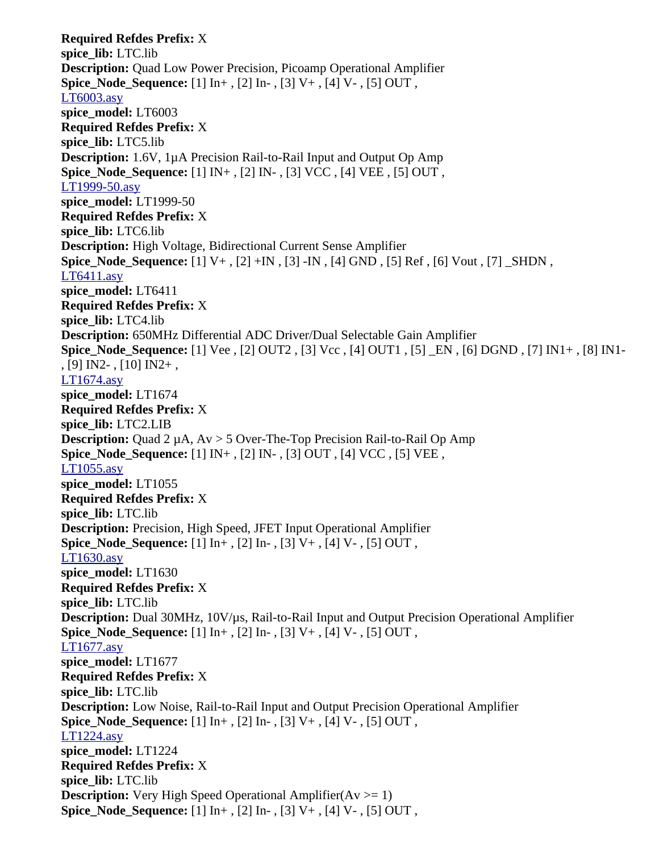**Required Refdes Prefix:** X **spice\_lib:** LTC.lib **Description:** Quad Low Power Precision, Picoamp Operational Amplifier **Spice\_Node\_Sequence:** [1] In+ , [2] In- , [3] V+ , [4] V- , [5] OUT , [LT6003.asy](file:///home/cmcdowell/.wine/drive_c/Program%20Files/LTC/LTspiceIV/lib/sym/Opamps/LT6003.asy) **spice\_model:** LT6003 **Required Refdes Prefix:** X **spice\_lib:** LTC5.lib **Description:** 1.6V, 1µA Precision Rail-to-Rail Input and Output Op Amp **Spice\_Node\_Sequence:** [1] IN+ , [2] IN- , [3] VCC , [4] VEE , [5] OUT , [LT1999-50.asy](file:///home/cmcdowell/.wine/drive_c/Program%20Files/LTC/LTspiceIV/lib/sym/Opamps/LT1999-50.asy) **spice\_model:** LT1999-50 **Required Refdes Prefix:** X **spice\_lib:** LTC6.lib **Description:** High Voltage, Bidirectional Current Sense Amplifier **Spice\_Node\_Sequence:** [1] V+, [2] +IN, [3] -IN, [4] GND, [5] Ref, [6] Vout, [7] \_SHDN, [LT6411.asy](file:///home/cmcdowell/.wine/drive_c/Program%20Files/LTC/LTspiceIV/lib/sym/Opamps/LT6411.asy) **spice\_model:** LT6411 **Required Refdes Prefix:** X **spice\_lib:** LTC4.lib **Description:** 650MHz Differential ADC Driver/Dual Selectable Gain Amplifier **Spice\_Node\_Sequence:** [1] Vee , [2] OUT2 , [3] Vcc , [4] OUT1 , [5] \_EN , [6] DGND , [7] IN1+ , [8] IN1- , [9] IN2- , [10] IN2+ , [LT1674.asy](file:///home/cmcdowell/.wine/drive_c/Program%20Files/LTC/LTspiceIV/lib/sym/Opamps/LT1674.asy) **spice\_model:** LT1674 **Required Refdes Prefix:** X **spice\_lib:** LTC2.LIB **Description:** Quad 2 µA, Av > 5 Over-The-Top Precision Rail-to-Rail Op Amp **Spice\_Node\_Sequence:** [1] IN+ , [2] IN- , [3] OUT , [4] VCC , [5] VEE , [LT1055.asy](file:///home/cmcdowell/.wine/drive_c/Program%20Files/LTC/LTspiceIV/lib/sym/Opamps/LT1055.asy) **spice\_model:** LT1055 **Required Refdes Prefix:** X **spice\_lib:** LTC.lib **Description:** Precision, High Speed, JFET Input Operational Amplifier **Spice\_Node\_Sequence:** [1] In+ , [2] In- , [3] V+ , [4] V- , [5] OUT , [LT1630.asy](file:///home/cmcdowell/.wine/drive_c/Program%20Files/LTC/LTspiceIV/lib/sym/Opamps/LT1630.asy) **spice\_model:** LT1630 **Required Refdes Prefix:** X **spice\_lib:** LTC.lib **Description:** Dual 30MHz, 10V/µs, Rail-to-Rail Input and Output Precision Operational Amplifier **Spice\_Node\_Sequence:** [1] In+ , [2] In- , [3] V+ , [4] V- , [5] OUT , [LT1677.asy](file:///home/cmcdowell/.wine/drive_c/Program%20Files/LTC/LTspiceIV/lib/sym/Opamps/LT1677.asy) **spice\_model:** LT1677 **Required Refdes Prefix:** X **spice\_lib:** LTC.lib **Description:** Low Noise, Rail-to-Rail Input and Output Precision Operational Amplifier **Spice\_Node\_Sequence:** [1] In+ , [2] In- , [3] V+ , [4] V- , [5] OUT , [LT1224.asy](file:///home/cmcdowell/.wine/drive_c/Program%20Files/LTC/LTspiceIV/lib/sym/Opamps/LT1224.asy) **spice\_model:** LT1224 **Required Refdes Prefix:** X **spice\_lib:** LTC.lib **Description:** Very High Speed Operational Amplifier( $Av \ge 1$ ) **Spice\_Node\_Sequence:** [1] In+ , [2] In- , [3] V+ , [4] V- , [5] OUT ,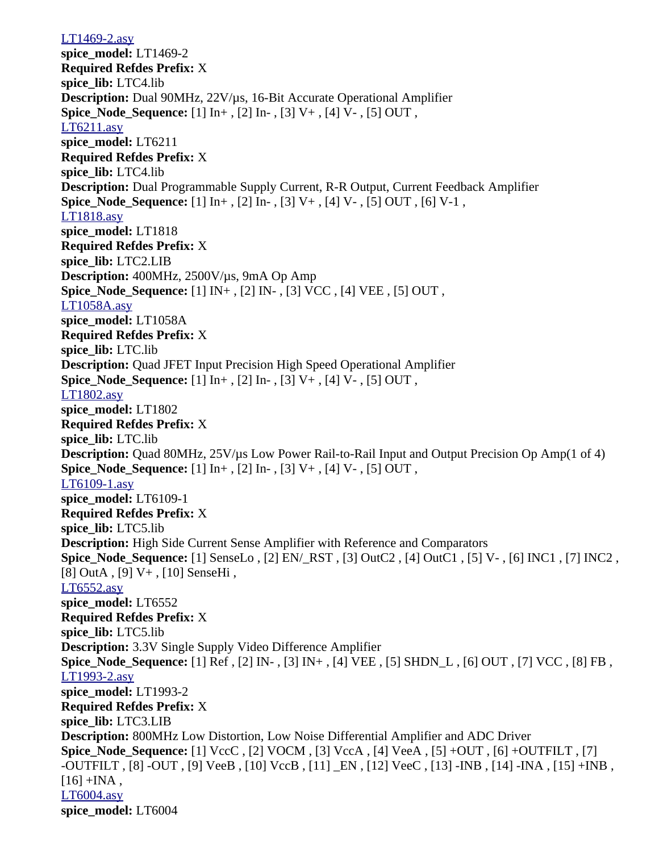[LT1469-2.asy](file:///home/cmcdowell/.wine/drive_c/Program%20Files/LTC/LTspiceIV/lib/sym/Opamps/LT1469-2.asy) **spice\_model:** LT1469-2 **Required Refdes Prefix:** X **spice\_lib:** LTC4.lib **Description:** Dual 90MHz, 22V/µs, 16-Bit Accurate Operational Amplifier **Spice Node Sequence:** [1]  $\text{In}^+$ , [2]  $\text{In}^-$ , [3] V+, [4] V-, [5] OUT, [LT6211.asy](file:///home/cmcdowell/.wine/drive_c/Program%20Files/LTC/LTspiceIV/lib/sym/Opamps/LT6211.asy) **spice\_model:** LT6211 **Required Refdes Prefix:** X **spice\_lib:** LTC4.lib **Description:** Dual Programmable Supply Current, R-R Output, Current Feedback Amplifier **Spice Node Sequence:** [1] In+, [2] In-, [3] V+, [4] V-, [5] OUT, [6] V-1, [LT1818.asy](file:///home/cmcdowell/.wine/drive_c/Program%20Files/LTC/LTspiceIV/lib/sym/Opamps/LT1818.asy) **spice\_model:** LT1818 **Required Refdes Prefix:** X **spice\_lib:** LTC2.LIB **Description:** 400MHz, 2500V/µs, 9mA Op Amp **Spice\_Node\_Sequence:** [1] IN+ , [2] IN- , [3] VCC , [4] VEE , [5] OUT , [LT1058A.asy](file:///home/cmcdowell/.wine/drive_c/Program%20Files/LTC/LTspiceIV/lib/sym/Opamps/LT1058A.asy) **spice\_model:** LT1058A **Required Refdes Prefix:** X **spice\_lib:** LTC.lib **Description:** Quad JFET Input Precision High Speed Operational Amplifier **Spice Node Sequence:** [1] In+, [2] In-, [3] V+, [4] V-, [5] OUT, [LT1802.asy](file:///home/cmcdowell/.wine/drive_c/Program%20Files/LTC/LTspiceIV/lib/sym/Opamps/LT1802.asy) **spice\_model:** LT1802 **Required Refdes Prefix:** X **spice\_lib:** LTC.lib **Description:** Quad 80MHz, 25V/us Low Power Rail-to-Rail Input and Output Precision Op Amp(1 of 4) **Spice Node Sequence:** [1] In+, [2] In-, [3] V+, [4] V-, [5] OUT, [LT6109-1.asy](file:///home/cmcdowell/.wine/drive_c/Program%20Files/LTC/LTspiceIV/lib/sym/Opamps/LT6109-1.asy) **spice\_model:** LT6109-1 **Required Refdes Prefix:** X **spice\_lib:** LTC5.lib **Description:** High Side Current Sense Amplifier with Reference and Comparators **Spice\_Node\_Sequence:** [1] SenseLo , [2] EN/\_RST , [3] OutC2 , [4] OutC1 , [5] V- , [6] INC1 , [7] INC2 , [8] OutA , [9] V+ , [10] SenseHi , [LT6552.asy](file:///home/cmcdowell/.wine/drive_c/Program%20Files/LTC/LTspiceIV/lib/sym/Opamps/LT6552.asy) **spice\_model:** LT6552 **Required Refdes Prefix:** X **spice\_lib:** LTC5.lib **Description:** 3.3V Single Supply Video Difference Amplifier **Spice\_Node\_Sequence:** [1] Ref , [2] IN- , [3] IN+ , [4] VEE , [5] SHDN\_L , [6] OUT , [7] VCC , [8] FB , [LT1993-2.asy](file:///home/cmcdowell/.wine/drive_c/Program%20Files/LTC/LTspiceIV/lib/sym/Opamps/LT1993-2.asy) **spice\_model:** LT1993-2 **Required Refdes Prefix:** X **spice\_lib:** LTC3.LIB **Description:** 800MHz Low Distortion, Low Noise Differential Amplifier and ADC Driver **Spice\_Node\_Sequence:** [1] VccC , [2] VOCM , [3] VccA , [4] VeeA , [5] +OUT , [6] +OUTFILT , [7] -OUTFILT , [8] -OUT , [9] VeeB , [10] VccB , [11] \_EN , [12] VeeC , [13] -INB , [14] -INA , [15] +INB ,  $[16]$  +INA, [LT6004.asy](file:///home/cmcdowell/.wine/drive_c/Program%20Files/LTC/LTspiceIV/lib/sym/Opamps/LT6004.asy) **spice\_model:** LT6004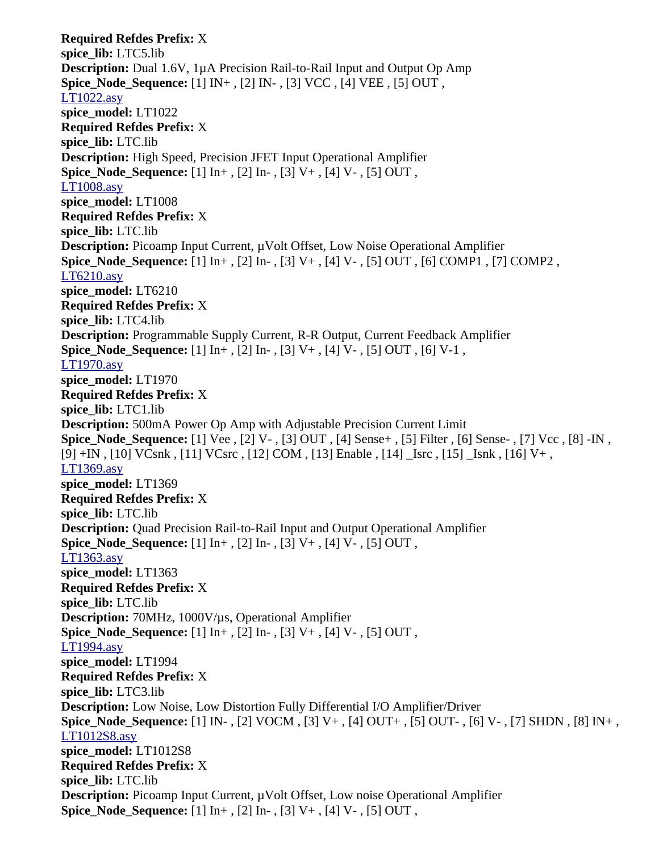**Required Refdes Prefix:** X **spice\_lib:** LTC5.lib **Description:** Dual 1.6V, 1µA Precision Rail-to-Rail Input and Output Op Amp **Spice\_Node\_Sequence:** [1] IN+ , [2] IN- , [3] VCC , [4] VEE , [5] OUT , [LT1022.asy](file:///home/cmcdowell/.wine/drive_c/Program%20Files/LTC/LTspiceIV/lib/sym/Opamps/LT1022.asy) **spice\_model:** LT1022 **Required Refdes Prefix:** X **spice\_lib:** LTC.lib **Description:** High Speed, Precision JFET Input Operational Amplifier **Spice\_Node\_Sequence:** [1] In+ , [2] In- , [3] V+ , [4] V- , [5] OUT , [LT1008.asy](file:///home/cmcdowell/.wine/drive_c/Program%20Files/LTC/LTspiceIV/lib/sym/Opamps/LT1008.asy) **spice\_model:** LT1008 **Required Refdes Prefix:** X **spice\_lib:** LTC.lib **Description:** Picoamp Input Current, µVolt Offset, Low Noise Operational Amplifier **Spice\_Node\_Sequence:** [1] In+ , [2] In- , [3] V+ , [4] V- , [5] OUT , [6] COMP1 , [7] COMP2 , [LT6210.asy](file:///home/cmcdowell/.wine/drive_c/Program%20Files/LTC/LTspiceIV/lib/sym/Opamps/LT6210.asy) **spice\_model:** LT6210 **Required Refdes Prefix:** X **spice\_lib:** LTC4.lib **Description:** Programmable Supply Current, R-R Output, Current Feedback Amplifier **Spice Node Sequence:**  $[1] \text{In}+, [2] \text{In}-, [3] \text{V}+, [4] \text{V}-, [5] \text{OUT}, [6] \text{V-1},$ [LT1970.asy](file:///home/cmcdowell/.wine/drive_c/Program%20Files/LTC/LTspiceIV/lib/sym/Opamps/LT1970.asy) **spice\_model:** LT1970 **Required Refdes Prefix:** X **spice\_lib:** LTC1.lib **Description:** 500mA Power Op Amp with Adjustable Precision Current Limit **Spice\_Node\_Sequence:** [1] Vee , [2] V- , [3] OUT , [4] Sense+ , [5] Filter , [6] Sense- , [7] Vcc , [8] -IN , [9] +IN , [10] VCsnk , [11] VCsrc , [12] COM , [13] Enable , [14] \_Isrc , [15] \_Isnk , [16] V+ , [LT1369.asy](file:///home/cmcdowell/.wine/drive_c/Program%20Files/LTC/LTspiceIV/lib/sym/Opamps/LT1369.asy) **spice\_model:** LT1369 **Required Refdes Prefix:** X **spice\_lib:** LTC.lib **Description:** Quad Precision Rail-to-Rail Input and Output Operational Amplifier **Spice\_Node\_Sequence:** [1] In+ , [2] In- , [3] V+ , [4] V- , [5] OUT , [LT1363.asy](file:///home/cmcdowell/.wine/drive_c/Program%20Files/LTC/LTspiceIV/lib/sym/Opamps/LT1363.asy) **spice\_model:** LT1363 **Required Refdes Prefix:** X **spice\_lib:** LTC.lib **Description:** 70MHz, 1000V/µs, Operational Amplifier **Spice\_Node\_Sequence:** [1] In+ , [2] In- , [3] V+ , [4] V- , [5] OUT , [LT1994.asy](file:///home/cmcdowell/.wine/drive_c/Program%20Files/LTC/LTspiceIV/lib/sym/Opamps/LT1994.asy) **spice\_model:** LT1994 **Required Refdes Prefix:** X **spice\_lib:** LTC3.lib **Description:** Low Noise, Low Distortion Fully Differential I/O Amplifier/Driver **Spice\_Node\_Sequence:** [1] IN- , [2] VOCM , [3] V+ , [4] OUT+ , [5] OUT- , [6] V- , [7] SHDN , [8] IN+ , [LT1012S8.asy](file:///home/cmcdowell/.wine/drive_c/Program%20Files/LTC/LTspiceIV/lib/sym/Opamps/LT1012S8.asy) **spice\_model:** LT1012S8 **Required Refdes Prefix:** X **spice\_lib:** LTC.lib **Description:** Picoamp Input Current, µVolt Offset, Low noise Operational Amplifier **Spice\_Node\_Sequence:** [1] In+ , [2] In- , [3] V+ , [4] V- , [5] OUT ,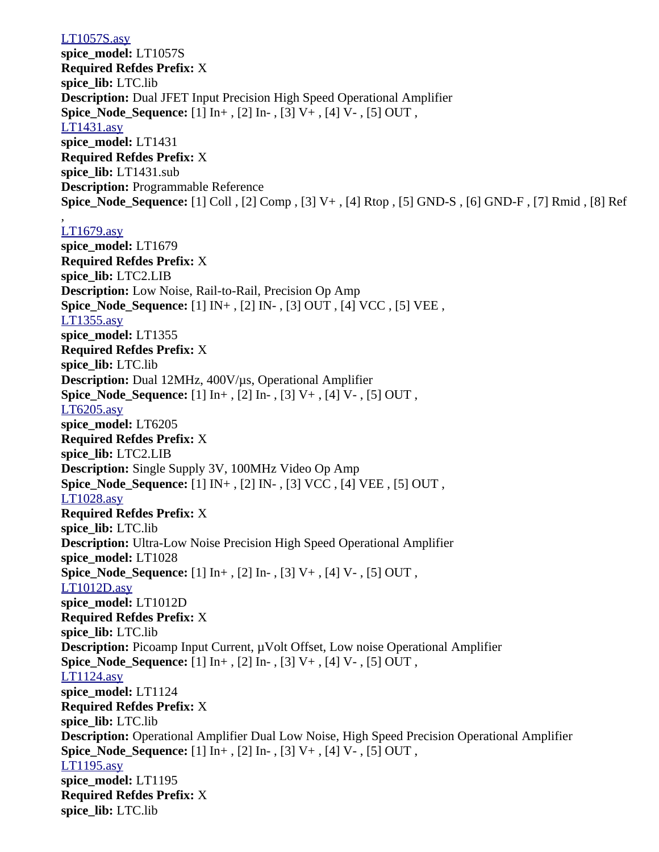## [LT1057S.asy](file:///home/cmcdowell/.wine/drive_c/Program%20Files/LTC/LTspiceIV/lib/sym/Opamps/LT1057S.asy)

**spice\_model:** LT1057S **Required Refdes Prefix:** X **spice\_lib:** LTC.lib **Description:** Dual JFET Input Precision High Speed Operational Amplifier **Spice Node Sequence:** [1]  $\text{In}^+$ , [2]  $\text{In}^-$ , [3] V+, [4] V-, [5] OUT, [LT1431.asy](file:///home/cmcdowell/.wine/drive_c/Program%20Files/LTC/LTspiceIV/lib/sym/Opamps/LT1431.asy) **spice\_model:** LT1431 **Required Refdes Prefix:** X **spice\_lib:** LT1431.sub **Description:** Programmable Reference **Spice\_Node\_Sequence:** [1] Coll , [2] Comp , [3] V+ , [4] Rtop , [5] GND-S , [6] GND-F , [7] Rmid , [8] Ref

## [LT1679.asy](file:///home/cmcdowell/.wine/drive_c/Program%20Files/LTC/LTspiceIV/lib/sym/Opamps/LT1679.asy)

,

**spice\_model:** LT1679 **Required Refdes Prefix:** X **spice\_lib:** LTC2.LIB **Description:** Low Noise, Rail-to-Rail, Precision Op Amp **Spice\_Node\_Sequence:** [1] IN+ , [2] IN- , [3] OUT , [4] VCC , [5] VEE , [LT1355.asy](file:///home/cmcdowell/.wine/drive_c/Program%20Files/LTC/LTspiceIV/lib/sym/Opamps/LT1355.asy) **spice\_model:** LT1355 **Required Refdes Prefix:** X **spice\_lib:** LTC.lib **Description:** Dual 12MHz, 400V/µs, Operational Amplifier **Spice\_Node\_Sequence:** [1] In+ , [2] In- , [3] V+ , [4] V- , [5] OUT , [LT6205.asy](file:///home/cmcdowell/.wine/drive_c/Program%20Files/LTC/LTspiceIV/lib/sym/Opamps/LT6205.asy) **spice\_model:** LT6205 **Required Refdes Prefix:** X **spice\_lib:** LTC2.LIB **Description:** Single Supply 3V, 100MHz Video Op Amp **Spice\_Node\_Sequence:** [1] IN+ , [2] IN- , [3] VCC , [4] VEE , [5] OUT , [LT1028.asy](file:///home/cmcdowell/.wine/drive_c/Program%20Files/LTC/LTspiceIV/lib/sym/Opamps/LT1028.asy) **Required Refdes Prefix:** X **spice\_lib:** LTC.lib **Description:** Ultra-Low Noise Precision High Speed Operational Amplifier **spice\_model:** LT1028 **Spice\_Node\_Sequence:** [1] In+ , [2] In- , [3] V+ , [4] V- , [5] OUT , [LT1012D.asy](file:///home/cmcdowell/.wine/drive_c/Program%20Files/LTC/LTspiceIV/lib/sym/Opamps/LT1012D.asy) **spice\_model:** LT1012D **Required Refdes Prefix:** X **spice\_lib:** LTC.lib **Description:** Picoamp Input Current,  $\mu$ Volt Offset, Low noise Operational Amplifier **Spice\_Node\_Sequence:** [1] In+ , [2] In- , [3] V+ , [4] V- , [5] OUT , [LT1124.asy](file:///home/cmcdowell/.wine/drive_c/Program%20Files/LTC/LTspiceIV/lib/sym/Opamps/LT1124.asy) **spice\_model:** LT1124 **Required Refdes Prefix:** X **spice\_lib:** LTC.lib **Description:** Operational Amplifier Dual Low Noise, High Speed Precision Operational Amplifier **Spice\_Node\_Sequence:** [1] In+ , [2] In- , [3] V+ , [4] V- , [5] OUT , [LT1195.asy](file:///home/cmcdowell/.wine/drive_c/Program%20Files/LTC/LTspiceIV/lib/sym/Opamps/LT1195.asy) **spice\_model:** LT1195 **Required Refdes Prefix:** X **spice\_lib:** LTC.lib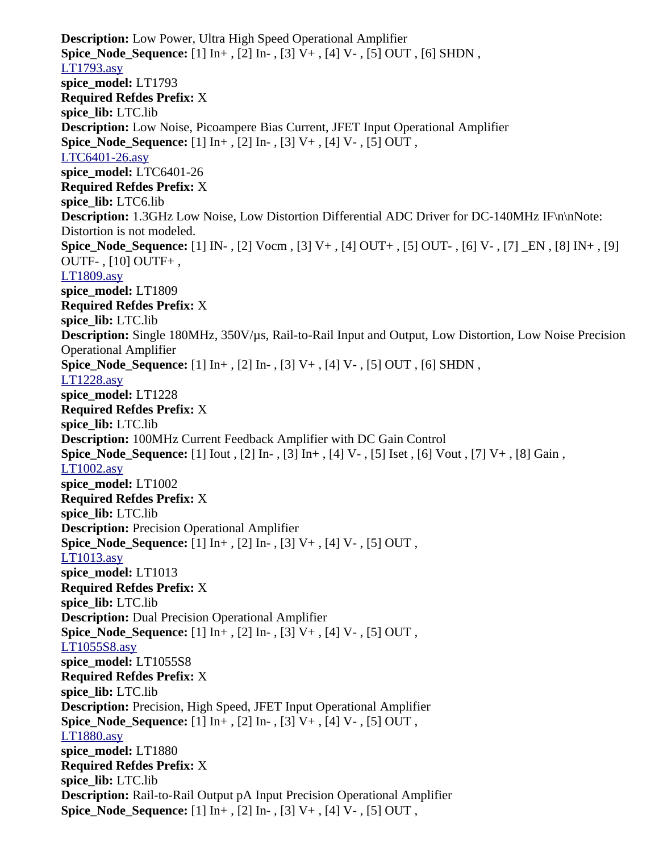**Description:** Low Power, Ultra High Speed Operational Amplifier **Spice\_Node\_Sequence:** [1] In+ , [2] In- , [3] V+ , [4] V- , [5] OUT , [6] SHDN , [LT1793.asy](file:///home/cmcdowell/.wine/drive_c/Program%20Files/LTC/LTspiceIV/lib/sym/Opamps/LT1793.asy) **spice\_model:** LT1793 **Required Refdes Prefix:** X **spice\_lib:** LTC.lib **Description:** Low Noise, Picoampere Bias Current, JFET Input Operational Amplifier **Spice\_Node\_Sequence:** [1] In+ , [2] In- , [3] V+ , [4] V- , [5] OUT , [LTC6401-26.asy](file:///home/cmcdowell/.wine/drive_c/Program%20Files/LTC/LTspiceIV/lib/sym/Opamps/LTC6401-26.asy) **spice\_model:** LTC6401-26 **Required Refdes Prefix:** X **spice\_lib:** LTC6.lib **Description:** 1.3GHz Low Noise, Low Distortion Differential ADC Driver for DC-140MHz IF\n\nNote: Distortion is not modeled. **Spice\_Node\_Sequence:** [1] IN- , [2] Vocm , [3] V+ , [4] OUT+ , [5] OUT- , [6] V- , [7] \_EN , [8] IN+ , [9] OUTF- , [10] OUTF+ , [LT1809.asy](file:///home/cmcdowell/.wine/drive_c/Program%20Files/LTC/LTspiceIV/lib/sym/Opamps/LT1809.asy) **spice\_model:** LT1809 **Required Refdes Prefix:** X **spice\_lib:** LTC.lib **Description:** Single 180MHz, 350V/µs, Rail-to-Rail Input and Output, Low Distortion, Low Noise Precision Operational Amplifier **Spice\_Node\_Sequence:** [1] In+ , [2] In- , [3] V+ , [4] V- , [5] OUT , [6] SHDN , [LT1228.asy](file:///home/cmcdowell/.wine/drive_c/Program%20Files/LTC/LTspiceIV/lib/sym/Opamps/LT1228.asy) **spice\_model:** LT1228 **Required Refdes Prefix:** X **spice\_lib:** LTC.lib **Description:** 100MHz Current Feedback Amplifier with DC Gain Control **Spice\_Node\_Sequence:** [1] Iout , [2] In- , [3] In+ , [4] V- , [5] Iset , [6] Vout , [7] V+ , [8] Gain , [LT1002.asy](file:///home/cmcdowell/.wine/drive_c/Program%20Files/LTC/LTspiceIV/lib/sym/Opamps/LT1002.asy) **spice\_model:** LT1002 **Required Refdes Prefix:** X **spice\_lib:** LTC.lib **Description:** Precision Operational Amplifier **Spice\_Node\_Sequence:** [1] In+ , [2] In- , [3] V+ , [4] V- , [5] OUT , [LT1013.asy](file:///home/cmcdowell/.wine/drive_c/Program%20Files/LTC/LTspiceIV/lib/sym/Opamps/LT1013.asy) **spice\_model:** LT1013 **Required Refdes Prefix:** X **spice\_lib:** LTC.lib **Description:** Dual Precision Operational Amplifier **Spice\_Node\_Sequence:** [1] In+ , [2] In- , [3] V+ , [4] V- , [5] OUT , [LT1055S8.asy](file:///home/cmcdowell/.wine/drive_c/Program%20Files/LTC/LTspiceIV/lib/sym/Opamps/LT1055S8.asy) **spice\_model:** LT1055S8 **Required Refdes Prefix:** X **spice\_lib:** LTC.lib **Description:** Precision, High Speed, JFET Input Operational Amplifier **Spice\_Node\_Sequence:** [1] In+ , [2] In- , [3] V+ , [4] V- , [5] OUT , [LT1880.asy](file:///home/cmcdowell/.wine/drive_c/Program%20Files/LTC/LTspiceIV/lib/sym/Opamps/LT1880.asy) **spice\_model:** LT1880 **Required Refdes Prefix:** X **spice\_lib:** LTC.lib **Description:** Rail-to-Rail Output pA Input Precision Operational Amplifier **Spice\_Node\_Sequence:** [1] In+ , [2] In- , [3] V+ , [4] V- , [5] OUT ,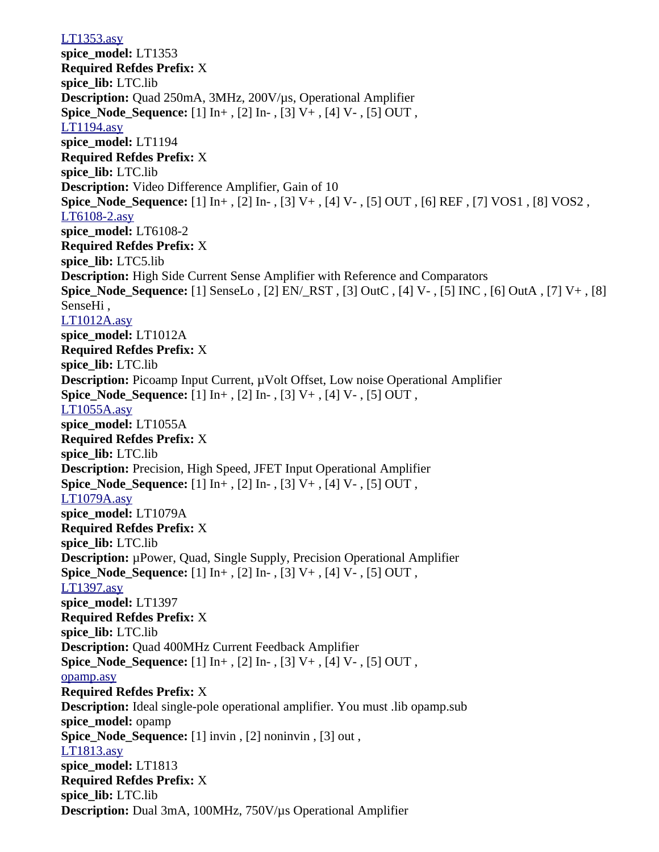[LT1353.asy](file:///home/cmcdowell/.wine/drive_c/Program%20Files/LTC/LTspiceIV/lib/sym/Opamps/LT1353.asy) **spice\_model:** LT1353 **Required Refdes Prefix:** X **spice\_lib:** LTC.lib **Description:** Quad 250mA, 3MHz, 200V/µs, Operational Amplifier **Spice Node Sequence:** [1]  $\text{In}^+$ , [2]  $\text{In}^-$ , [3] V+, [4] V-, [5] OUT, [LT1194.asy](file:///home/cmcdowell/.wine/drive_c/Program%20Files/LTC/LTspiceIV/lib/sym/Opamps/LT1194.asy) **spice\_model:** LT1194 **Required Refdes Prefix:** X **spice\_lib:** LTC.lib **Description:** Video Difference Amplifier, Gain of 10 **Spice\_Node\_Sequence:** [1] In+ , [2] In- , [3] V+ , [4] V- , [5] OUT , [6] REF , [7] VOS1 , [8] VOS2 , [LT6108-2.asy](file:///home/cmcdowell/.wine/drive_c/Program%20Files/LTC/LTspiceIV/lib/sym/Opamps/LT6108-2.asy) **spice\_model:** LT6108-2 **Required Refdes Prefix:** X **spice\_lib:** LTC5.lib **Description:** High Side Current Sense Amplifier with Reference and Comparators **Spice\_Node\_Sequence:** [1] SenseLo , [2] EN/\_RST , [3] OutC , [4] V- , [5] INC , [6] OutA , [7] V+ , [8] SenseHi , [LT1012A.asy](file:///home/cmcdowell/.wine/drive_c/Program%20Files/LTC/LTspiceIV/lib/sym/Opamps/LT1012A.asy) **spice\_model:** LT1012A **Required Refdes Prefix:** X **spice\_lib:** LTC.lib **Description:** Picoamp Input Current,  $\mu$ Volt Offset, Low noise Operational Amplifier **Spice\_Node\_Sequence:** [1] In+ , [2] In- , [3] V+ , [4] V- , [5] OUT , [LT1055A.asy](file:///home/cmcdowell/.wine/drive_c/Program%20Files/LTC/LTspiceIV/lib/sym/Opamps/LT1055A.asy) **spice\_model:** LT1055A **Required Refdes Prefix:** X **spice\_lib:** LTC.lib **Description:** Precision, High Speed, JFET Input Operational Amplifier **Spice\_Node\_Sequence:** [1] In+ , [2] In- , [3] V+ , [4] V- , [5] OUT , [LT1079A.asy](file:///home/cmcdowell/.wine/drive_c/Program%20Files/LTC/LTspiceIV/lib/sym/Opamps/LT1079A.asy) **spice\_model:** LT1079A **Required Refdes Prefix:** X **spice\_lib:** LTC.lib **Description:** µPower, Quad, Single Supply, Precision Operational Amplifier **Spice\_Node\_Sequence:** [1] In+ , [2] In- , [3] V+ , [4] V- , [5] OUT , [LT1397.asy](file:///home/cmcdowell/.wine/drive_c/Program%20Files/LTC/LTspiceIV/lib/sym/Opamps/LT1397.asy) **spice\_model:** LT1397 **Required Refdes Prefix:** X **spice\_lib:** LTC.lib **Description:** Quad 400MHz Current Feedback Amplifier **Spice\_Node\_Sequence:** [1] In+ , [2] In- , [3] V+ , [4] V- , [5] OUT , [opamp.asy](file:///home/cmcdowell/.wine/drive_c/Program%20Files/LTC/LTspiceIV/lib/sym/Opamps/opamp.asy) **Required Refdes Prefix:** X **Description:** Ideal single-pole operational amplifier. You must .lib opamp.sub **spice\_model:** opamp **Spice\_Node\_Sequence:** [1] invin , [2] noninvin , [3] out , [LT1813.asy](file:///home/cmcdowell/.wine/drive_c/Program%20Files/LTC/LTspiceIV/lib/sym/Opamps/LT1813.asy) **spice\_model:** LT1813 **Required Refdes Prefix:** X **spice\_lib:** LTC.lib **Description:** Dual 3mA, 100MHz, 750V/µs Operational Amplifier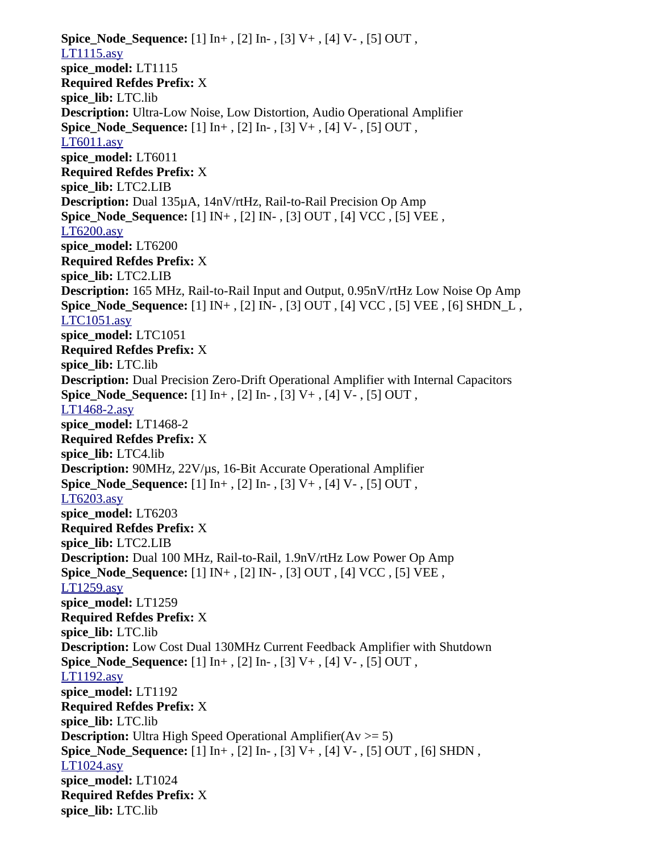**Spice\_Node\_Sequence:** [1] In+ , [2] In- , [3] V+ , [4] V- , [5] OUT , [LT1115.asy](file:///home/cmcdowell/.wine/drive_c/Program%20Files/LTC/LTspiceIV/lib/sym/Opamps/LT1115.asy) **spice\_model:** LT1115 **Required Refdes Prefix:** X **spice\_lib:** LTC.lib **Description:** Ultra-Low Noise, Low Distortion, Audio Operational Amplifier **Spice\_Node\_Sequence:** [1] In+ , [2] In- , [3] V+ , [4] V- , [5] OUT , [LT6011.asy](file:///home/cmcdowell/.wine/drive_c/Program%20Files/LTC/LTspiceIV/lib/sym/Opamps/LT6011.asy) **spice\_model:** LT6011 **Required Refdes Prefix:** X **spice\_lib:** LTC2.LIB **Description:** Dual 135µA, 14nV/rtHz, Rail-to-Rail Precision Op Amp **Spice\_Node\_Sequence:** [1] IN+ , [2] IN- , [3] OUT , [4] VCC , [5] VEE , [LT6200.asy](file:///home/cmcdowell/.wine/drive_c/Program%20Files/LTC/LTspiceIV/lib/sym/Opamps/LT6200.asy) **spice\_model:** LT6200 **Required Refdes Prefix:** X **spice\_lib:** LTC2.LIB **Description:** 165 MHz, Rail-to-Rail Input and Output, 0.95nV/rtHz Low Noise Op Amp **Spice\_Node\_Sequence:** [1] IN+ , [2] IN- , [3] OUT , [4] VCC , [5] VEE , [6] SHDN\_L , [LTC1051.asy](file:///home/cmcdowell/.wine/drive_c/Program%20Files/LTC/LTspiceIV/lib/sym/Opamps/LTC1051.asy) **spice\_model:** LTC1051 **Required Refdes Prefix:** X **spice\_lib:** LTC.lib **Description:** Dual Precision Zero-Drift Operational Amplifier with Internal Capacitors **Spice\_Node\_Sequence:** [1] In+ , [2] In- , [3] V+ , [4] V- , [5] OUT , [LT1468-2.asy](file:///home/cmcdowell/.wine/drive_c/Program%20Files/LTC/LTspiceIV/lib/sym/Opamps/LT1468-2.asy) **spice\_model:** LT1468-2 **Required Refdes Prefix:** X **spice\_lib:** LTC4.lib **Description:** 90MHz, 22V/µs, 16-Bit Accurate Operational Amplifier **Spice\_Node\_Sequence:** [1] In+ , [2] In- , [3] V+ , [4] V- , [5] OUT , [LT6203.asy](file:///home/cmcdowell/.wine/drive_c/Program%20Files/LTC/LTspiceIV/lib/sym/Opamps/LT6203.asy) **spice\_model:** LT6203 **Required Refdes Prefix:** X **spice\_lib:** LTC2.LIB **Description:** Dual 100 MHz, Rail-to-Rail, 1.9nV/rtHz Low Power Op Amp **Spice\_Node\_Sequence:** [1] IN+ , [2] IN- , [3] OUT , [4] VCC , [5] VEE , [LT1259.asy](file:///home/cmcdowell/.wine/drive_c/Program%20Files/LTC/LTspiceIV/lib/sym/Opamps/LT1259.asy) **spice\_model:** LT1259 **Required Refdes Prefix:** X **spice\_lib:** LTC.lib **Description:** Low Cost Dual 130MHz Current Feedback Amplifier with Shutdown **Spice\_Node\_Sequence:** [1] In+ , [2] In- , [3] V+ , [4] V- , [5] OUT , [LT1192.asy](file:///home/cmcdowell/.wine/drive_c/Program%20Files/LTC/LTspiceIV/lib/sym/Opamps/LT1192.asy) **spice\_model:** LT1192 **Required Refdes Prefix:** X **spice\_lib:** LTC.lib **Description:** Ultra High Speed Operational Amplifier(Av  $>= 5$ ) **Spice\_Node\_Sequence:** [1] In+ , [2] In- , [3] V+ , [4] V- , [5] OUT , [6] SHDN , [LT1024.asy](file:///home/cmcdowell/.wine/drive_c/Program%20Files/LTC/LTspiceIV/lib/sym/Opamps/LT1024.asy) **spice\_model:** LT1024 **Required Refdes Prefix:** X **spice\_lib:** LTC.lib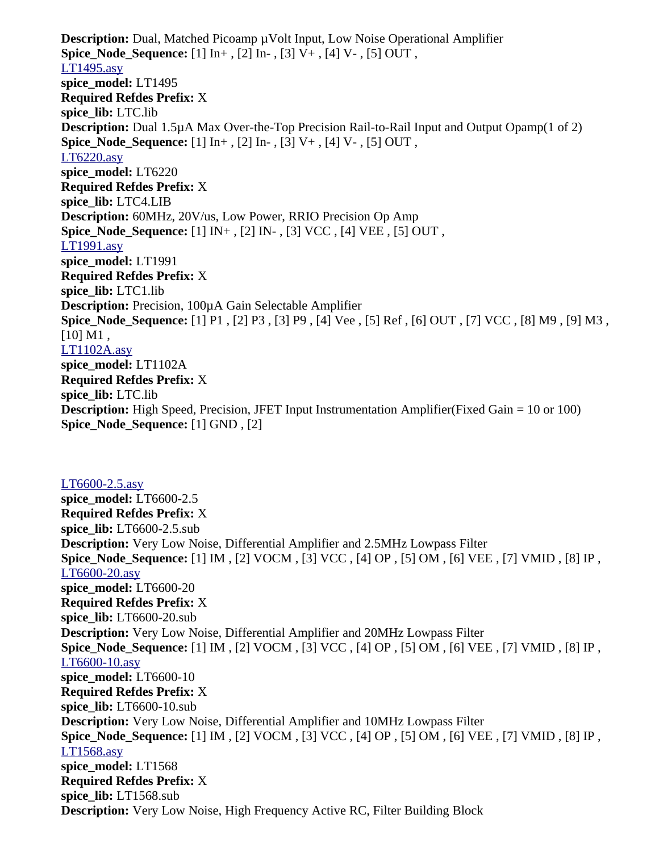**Description:** Dual, Matched Picoamp µVolt Input, Low Noise Operational Amplifier **Spice\_Node\_Sequence:** [1] In+ , [2] In- , [3] V+ , [4] V- , [5] OUT , [LT1495.asy](file:///home/cmcdowell/.wine/drive_c/Program%20Files/LTC/LTspiceIV/lib/sym/Opamps/LT1495.asy) **spice\_model:** LT1495 **Required Refdes Prefix:** X **spice\_lib:** LTC.lib **Description:** Dual 1.5µA Max Over-the-Top Precision Rail-to-Rail Input and Output Opamp(1 of 2) **Spice\_Node\_Sequence:** [1] In+ , [2] In- , [3] V+ , [4] V- , [5] OUT , [LT6220.asy](file:///home/cmcdowell/.wine/drive_c/Program%20Files/LTC/LTspiceIV/lib/sym/Opamps/LT6220.asy) **spice\_model:** LT6220 **Required Refdes Prefix:** X **spice\_lib:** LTC4.LIB **Description:** 60MHz, 20V/us, Low Power, RRIO Precision Op Amp **Spice\_Node\_Sequence:** [1] IN+ , [2] IN- , [3] VCC , [4] VEE , [5] OUT , [LT1991.asy](file:///home/cmcdowell/.wine/drive_c/Program%20Files/LTC/LTspiceIV/lib/sym/Opamps/LT1991.asy) **spice\_model:** LT1991 **Required Refdes Prefix:** X **spice\_lib:** LTC1.lib **Description:** Precision, 100µA Gain Selectable Amplifier **Spice\_Node\_Sequence:** [1] P1 , [2] P3 , [3] P9 , [4] Vee , [5] Ref , [6] OUT , [7] VCC , [8] M9 , [9] M3 ,  $[10] M1$ , [LT1102A.asy](file:///home/cmcdowell/.wine/drive_c/Program%20Files/LTC/LTspiceIV/lib/sym/Opamps/LT1102A.asy) **spice\_model:** LT1102A **Required Refdes Prefix:** X **spice\_lib:** LTC.lib **Description:** High Speed, Precision, JFET Input Instrumentation Amplifier(Fixed Gain = 10 or 100) **Spice\_Node\_Sequence:** [1] GND , [2]

[LT6600-2.5.asy](file:///home/cmcdowell/.wine/drive_c/Program%20Files/LTC/LTspiceIV/lib/sym/FilterProducts/LT6600-2.5.asy) **spice\_model:** LT6600-2.5 **Required Refdes Prefix:** X **spice\_lib:** LT6600-2.5.sub **Description:** Very Low Noise, Differential Amplifier and 2.5MHz Lowpass Filter **Spice\_Node\_Sequence:** [1] IM , [2] VOCM , [3] VCC , [4] OP , [5] OM , [6] VEE , [7] VMID , [8] IP , [LT6600-20.asy](file:///home/cmcdowell/.wine/drive_c/Program%20Files/LTC/LTspiceIV/lib/sym/FilterProducts/LT6600-20.asy) **spice\_model:** LT6600-20 **Required Refdes Prefix:** X **spice\_lib:** LT6600-20.sub **Description:** Very Low Noise, Differential Amplifier and 20MHz Lowpass Filter **Spice\_Node\_Sequence:** [1] IM , [2] VOCM , [3] VCC , [4] OP , [5] OM , [6] VEE , [7] VMID , [8] IP , [LT6600-10.asy](file:///home/cmcdowell/.wine/drive_c/Program%20Files/LTC/LTspiceIV/lib/sym/FilterProducts/LT6600-10.asy) **spice\_model:** LT6600-10 **Required Refdes Prefix:** X **spice\_lib:** LT6600-10.sub **Description:** Very Low Noise, Differential Amplifier and 10MHz Lowpass Filter **Spice\_Node\_Sequence:** [1] IM , [2] VOCM , [3] VCC , [4] OP , [5] OM , [6] VEE , [7] VMID , [8] IP , [LT1568.asy](file:///home/cmcdowell/.wine/drive_c/Program%20Files/LTC/LTspiceIV/lib/sym/FilterProducts/LT1568.asy) **spice\_model:** LT1568 **Required Refdes Prefix:** X **spice\_lib:** LT1568.sub **Description:** Very Low Noise, High Frequency Active RC, Filter Building Block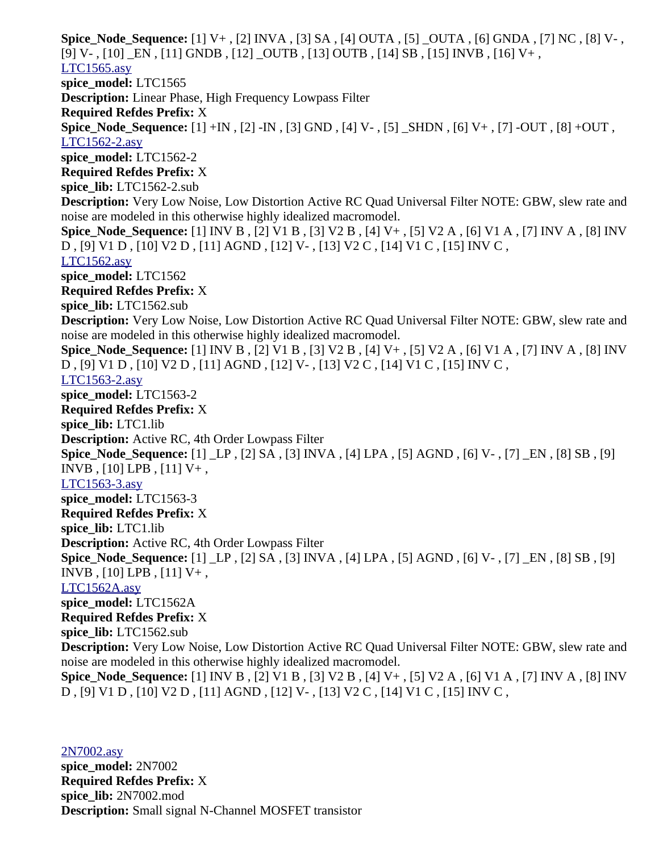**Spice\_Node\_Sequence:** [1] V+ , [2] INVA , [3] SA , [4] OUTA , [5] \_OUTA , [6] GNDA , [7] NC , [8] V- , [9] V- , [10] \_EN , [11] GNDB , [12] \_OUTB , [13] OUTB , [14] SB , [15] INVB , [16] V+ , [LTC1565.asy](file:///home/cmcdowell/.wine/drive_c/Program%20Files/LTC/LTspiceIV/lib/sym/FilterProducts/LTC1565.asy) **spice\_model:** LTC1565 **Description:** Linear Phase, High Frequency Lowpass Filter **Required Refdes Prefix:** X **Spice\_Node\_Sequence:** [1] +IN , [2] -IN , [3] GND , [4] V- , [5] \_SHDN , [6] V+ , [7] -OUT , [8] +OUT , [LTC1562-2.asy](file:///home/cmcdowell/.wine/drive_c/Program%20Files/LTC/LTspiceIV/lib/sym/FilterProducts/LTC1562-2.asy) **spice\_model:** LTC1562-2 **Required Refdes Prefix:** X **spice\_lib:** LTC1562-2.sub **Description:** Very Low Noise, Low Distortion Active RC Quad Universal Filter NOTE: GBW, slew rate and noise are modeled in this otherwise highly idealized macromodel. **Spice\_Node\_Sequence:** [1] INV B , [2] V1 B , [3] V2 B , [4] V+ , [5] V2 A , [6] V1 A , [7] INV A , [8] INV D , [9] V1 D , [10] V2 D , [11] AGND , [12] V- , [13] V2 C , [14] V1 C , [15] INV C , [LTC1562.asy](file:///home/cmcdowell/.wine/drive_c/Program%20Files/LTC/LTspiceIV/lib/sym/FilterProducts/LTC1562.asy) **spice\_model:** LTC1562 **Required Refdes Prefix:** X **spice\_lib:** LTC1562.sub **Description:** Very Low Noise, Low Distortion Active RC Quad Universal Filter NOTE: GBW, slew rate and noise are modeled in this otherwise highly idealized macromodel. **Spice\_Node\_Sequence:** [1] INV B , [2] V1 B , [3] V2 B , [4] V+ , [5] V2 A , [6] V1 A , [7] INV A , [8] INV D , [9] V1 D , [10] V2 D , [11] AGND , [12] V- , [13] V2 C , [14] V1 C , [15] INV C , [LTC1563-2.asy](file:///home/cmcdowell/.wine/drive_c/Program%20Files/LTC/LTspiceIV/lib/sym/FilterProducts/LTC1563-2.asy) **spice\_model:** LTC1563-2 **Required Refdes Prefix:** X **spice\_lib:** LTC1.lib **Description:** Active RC, 4th Order Lowpass Filter **Spice\_Node\_Sequence:** [1] \_LP , [2] SA , [3] INVA , [4] LPA , [5] AGND , [6] V- , [7] \_EN , [8] SB , [9] INVB , [10] LPB , [11] V+ , [LTC1563-3.asy](file:///home/cmcdowell/.wine/drive_c/Program%20Files/LTC/LTspiceIV/lib/sym/FilterProducts/LTC1563-3.asy) **spice\_model:** LTC1563-3 **Required Refdes Prefix:** X **spice\_lib:** LTC1.lib **Description:** Active RC, 4th Order Lowpass Filter **Spice\_Node\_Sequence:** [1] \_LP , [2] SA , [3] INVA , [4] LPA , [5] AGND , [6] V- , [7] \_EN , [8] SB , [9] INVB , [10] LPB , [11] V+ , [LTC1562A.asy](file:///home/cmcdowell/.wine/drive_c/Program%20Files/LTC/LTspiceIV/lib/sym/FilterProducts/LTC1562A.asy) **spice\_model:** LTC1562A **Required Refdes Prefix:** X **spice\_lib:** LTC1562.sub **Description:** Very Low Noise, Low Distortion Active RC Quad Universal Filter NOTE: GBW, slew rate and noise are modeled in this otherwise highly idealized macromodel. **Spice\_Node\_Sequence:** [1] INV B , [2] V1 B , [3] V2 B , [4] V+ , [5] V2 A , [6] V1 A , [7] INV A , [8] INV D , [9] V1 D , [10] V2 D , [11] AGND , [12] V- , [13] V2 C , [14] V1 C , [15] INV C ,

[2N7002.asy](file:///home/cmcdowell/.wine/drive_c/Program%20Files/LTC/LTspiceIV/lib/sym/Misc/2N7002.asy) **spice\_model:** 2N7002 **Required Refdes Prefix:** X **spice\_lib:** 2N7002.mod **Description:** Small signal N-Channel MOSFET transistor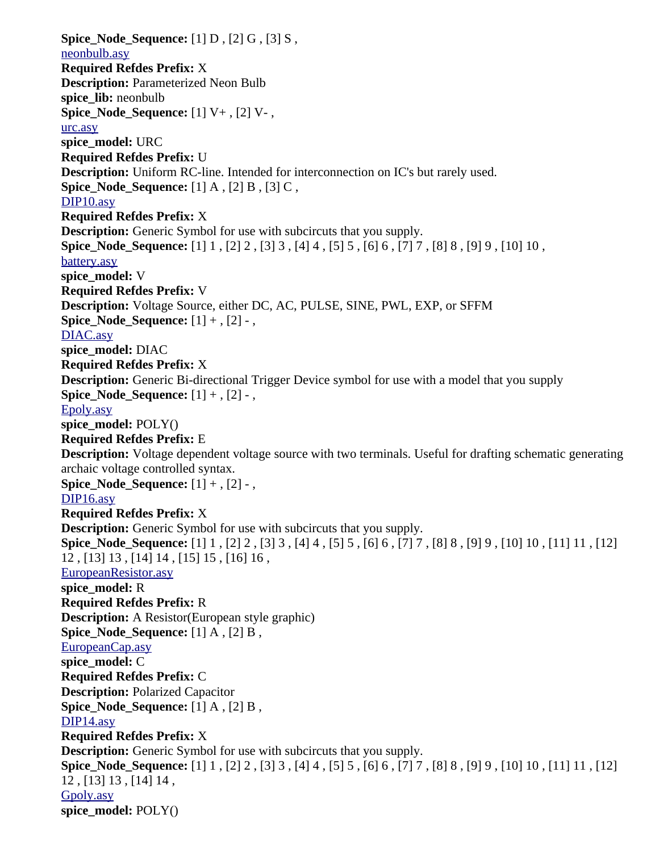**Spice\_Node\_Sequence:** [1] D , [2] G , [3] S , [neonbulb.asy](file:///home/cmcdowell/.wine/drive_c/Program%20Files/LTC/LTspiceIV/lib/sym/Misc/neonbulb.asy) **Required Refdes Prefix:** X **Description:** Parameterized Neon Bulb **spice\_lib:** neonbulb **Spice\_Node\_Sequence:** [1] V+ , [2] V- , [urc.asy](file:///home/cmcdowell/.wine/drive_c/Program%20Files/LTC/LTspiceIV/lib/sym/Misc/urc.asy) **spice\_model:** URC **Required Refdes Prefix:** U **Description:** Uniform RC-line. Intended for interconnection on IC's but rarely used. **Spice Node Sequence:** [1] A , [2] B , [3] C , [DIP10.asy](file:///home/cmcdowell/.wine/drive_c/Program%20Files/LTC/LTspiceIV/lib/sym/Misc/DIP10.asy) **Required Refdes Prefix:** X **Description:** Generic Symbol for use with subcircuts that you supply. **Spice\_Node\_Sequence:** [1] 1 , [2] 2 , [3] 3 , [4] 4 , [5] 5 , [6] 6 , [7] 7 , [8] 8 , [9] 9 , [10] 10 , [battery.asy](file:///home/cmcdowell/.wine/drive_c/Program%20Files/LTC/LTspiceIV/lib/sym/Misc/battery.asy) **spice\_model:** V **Required Refdes Prefix:** V **Description:** Voltage Source, either DC, AC, PULSE, SINE, PWL, EXP, or SFFM **Spice Node Sequence:**  $[1] +$ ,  $[2]$  -, [DIAC.asy](file:///home/cmcdowell/.wine/drive_c/Program%20Files/LTC/LTspiceIV/lib/sym/Misc/DIAC.asy) **spice\_model:** DIAC **Required Refdes Prefix:** X **Description:** Generic Bi-directional Trigger Device symbol for use with a model that you supply **Spice\_Node\_Sequence:** [1] + , [2] - , [Epoly.asy](file:///home/cmcdowell/.wine/drive_c/Program%20Files/LTC/LTspiceIV/lib/sym/Misc/Epoly.asy) **spice\_model:** POLY() **Required Refdes Prefix:** E **Description:** Voltage dependent voltage source with two terminals. Useful for drafting schematic generating archaic voltage controlled syntax. **Spice Node Sequence:**  $[1] +$ ,  $[2]$  -, [DIP16.asy](file:///home/cmcdowell/.wine/drive_c/Program%20Files/LTC/LTspiceIV/lib/sym/Misc/DIP16.asy) **Required Refdes Prefix:** X **Description:** Generic Symbol for use with subcircuts that you supply. **Spice\_Node\_Sequence:** [1] 1 , [2] 2 , [3] 3 , [4] 4 , [5] 5 , [6] 6 , [7] 7 , [8] 8 , [9] 9 , [10] 10 , [11] 11 , [12] 12 , [13] 13 , [14] 14 , [15] 15 , [16] 16 , [EuropeanResistor.asy](file:///home/cmcdowell/.wine/drive_c/Program%20Files/LTC/LTspiceIV/lib/sym/Misc/EuropeanResistor.asy) **spice\_model:** R **Required Refdes Prefix:** R **Description:** A Resistor(European style graphic) **Spice Node Sequence:** [1] A , [2] B , [EuropeanCap.asy](file:///home/cmcdowell/.wine/drive_c/Program%20Files/LTC/LTspiceIV/lib/sym/Misc/EuropeanCap.asy) **spice\_model:** C **Required Refdes Prefix:** C **Description:** Polarized Capacitor **Spice Node Sequence:** [1] A , [2] B , [DIP14.asy](file:///home/cmcdowell/.wine/drive_c/Program%20Files/LTC/LTspiceIV/lib/sym/Misc/DIP14.asy) **Required Refdes Prefix:** X **Description:** Generic Symbol for use with subcircuts that you supply. **Spice\_Node\_Sequence:** [1] 1 , [2] 2 , [3] 3 , [4] 4 , [5] 5 , [6] 6 , [7] 7 , [8] 8 , [9] 9 , [10] 10 , [11] 11 , [12] 12 , [13] 13 , [14] 14 , [Gpoly.asy](file:///home/cmcdowell/.wine/drive_c/Program%20Files/LTC/LTspiceIV/lib/sym/Misc/Gpoly.asy) **spice\_model:** POLY()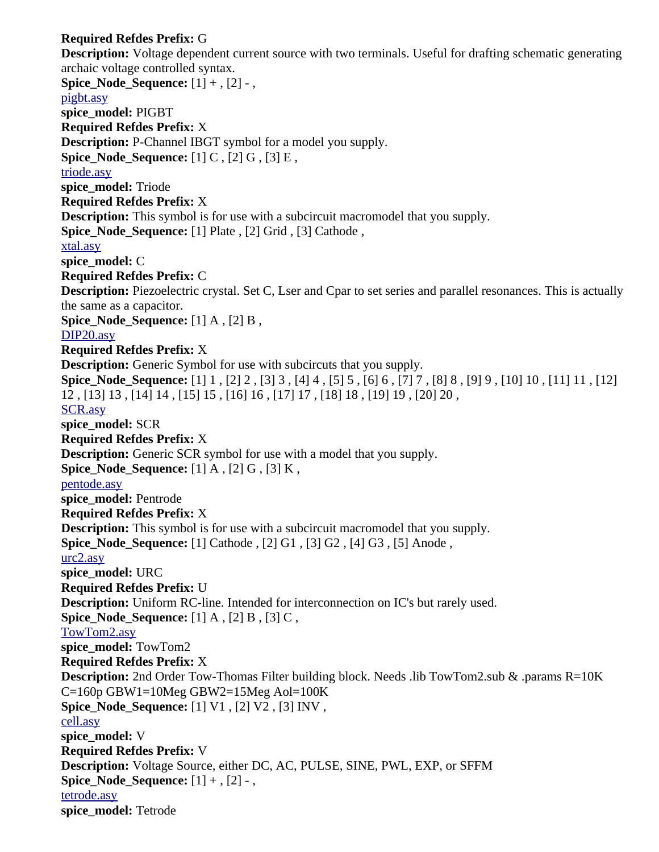## **Required Refdes Prefix:** G

**Description:** Voltage dependent current source with two terminals. Useful for drafting schematic generating archaic voltage controlled syntax. **Spice\_Node\_Sequence:** [1] + , [2] - , [pigbt.asy](file:///home/cmcdowell/.wine/drive_c/Program%20Files/LTC/LTspiceIV/lib/sym/Misc/pigbt.asy) **spice\_model:** PIGBT **Required Refdes Prefix:** X **Description:** P-Channel IBGT symbol for a model you supply. **Spice\_Node\_Sequence:** [1] C , [2] G , [3] E , [triode.asy](file:///home/cmcdowell/.wine/drive_c/Program%20Files/LTC/LTspiceIV/lib/sym/Misc/triode.asy) **spice\_model:** Triode **Required Refdes Prefix:** X **Description:** This symbol is for use with a subcircuit macromodel that you supply. **Spice Node Sequence:** [1] Plate , [2] Grid , [3] Cathode , [xtal.asy](file:///home/cmcdowell/.wine/drive_c/Program%20Files/LTC/LTspiceIV/lib/sym/Misc/xtal.asy) **spice\_model:** C **Required Refdes Prefix:** C **Description:** Piezoelectric crystal. Set C, Lser and Cpar to set series and parallel resonances. This is actually the same as a capacitor. **Spice Node Sequence:** [1] A , [2] B , [DIP20.asy](file:///home/cmcdowell/.wine/drive_c/Program%20Files/LTC/LTspiceIV/lib/sym/Misc/DIP20.asy) **Required Refdes Prefix:** X **Description:** Generic Symbol for use with subcircuts that you supply. **Spice\_Node\_Sequence:** [1] 1 , [2] 2 , [3] 3 , [4] 4 , [5] 5 , [6] 6 , [7] 7 , [8] 8 , [9] 9 , [10] 10 , [11] 11 , [12] 12 , [13] 13 , [14] 14 , [15] 15 , [16] 16 , [17] 17 , [18] 18 , [19] 19 , [20] 20 , [SCR.asy](file:///home/cmcdowell/.wine/drive_c/Program%20Files/LTC/LTspiceIV/lib/sym/Misc/SCR.asy) **spice\_model:** SCR **Required Refdes Prefix:** X **Description:** Generic SCR symbol for use with a model that you supply. **Spice Node Sequence:** [1] A , [2] G , [3] K , [pentode.asy](file:///home/cmcdowell/.wine/drive_c/Program%20Files/LTC/LTspiceIV/lib/sym/Misc/pentode.asy) **spice\_model:** Pentrode **Required Refdes Prefix:** X **Description:** This symbol is for use with a subcircuit macromodel that you supply. **Spice\_Node\_Sequence:** [1] Cathode , [2] G1 , [3] G2 , [4] G3 , [5] Anode , [urc2.asy](file:///home/cmcdowell/.wine/drive_c/Program%20Files/LTC/LTspiceIV/lib/sym/Misc/urc2.asy) **spice\_model:** URC **Required Refdes Prefix:** U **Description:** Uniform RC-line. Intended for interconnection on IC's but rarely used. **Spice Node Sequence:** [1] A , [2] B , [3] C , [TowTom2.asy](file:///home/cmcdowell/.wine/drive_c/Program%20Files/LTC/LTspiceIV/lib/sym/Misc/TowTom2.asy) **spice\_model:** TowTom2 **Required Refdes Prefix:** X **Description:** 2nd Order Tow-Thomas Filter building block. Needs .lib TowTom2.sub & .params R=10K C=160p GBW1=10Meg GBW2=15Meg Aol=100K **Spice Node Sequence:** [1] V1, [2] V2, [3] INV, [cell.asy](file:///home/cmcdowell/.wine/drive_c/Program%20Files/LTC/LTspiceIV/lib/sym/Misc/cell.asy) **spice\_model:** V **Required Refdes Prefix:** V **Description:** Voltage Source, either DC, AC, PULSE, SINE, PWL, EXP, or SFFM **Spice Node Sequence:**  $[1] +$ ,  $[2]$  -, [tetrode.asy](file:///home/cmcdowell/.wine/drive_c/Program%20Files/LTC/LTspiceIV/lib/sym/Misc/tetrode.asy) **spice\_model:** Tetrode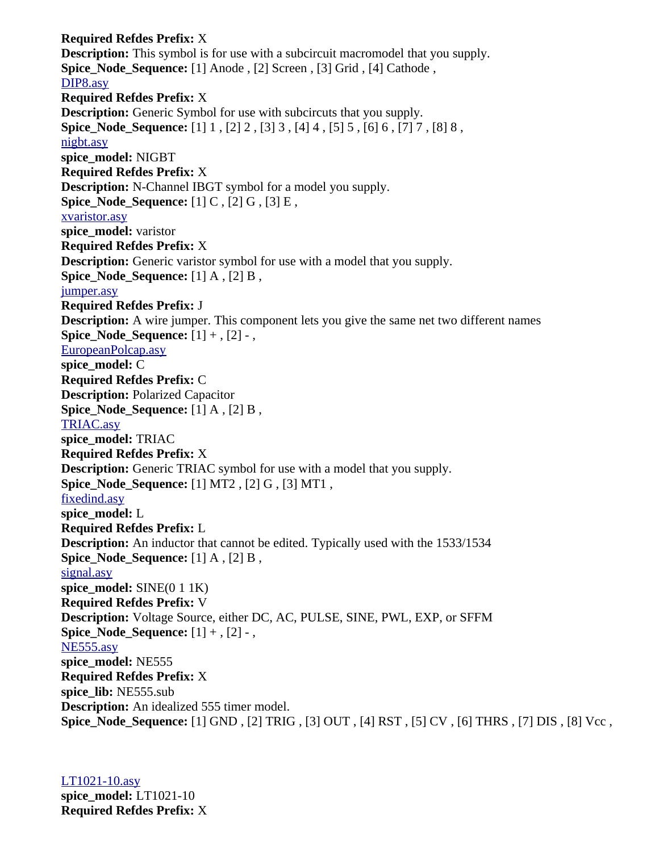**Required Refdes Prefix:** X **Description:** This symbol is for use with a subcircuit macromodel that you supply. **Spice\_Node\_Sequence:** [1] Anode , [2] Screen , [3] Grid , [4] Cathode , [DIP8.asy](file:///home/cmcdowell/.wine/drive_c/Program%20Files/LTC/LTspiceIV/lib/sym/Misc/DIP8.asy) **Required Refdes Prefix:** X **Description:** Generic Symbol for use with subcircuts that you supply. **Spice\_Node\_Sequence:** [1] 1 , [2] 2 , [3] 3 , [4] 4 , [5] 5 , [6] 6 , [7] 7 , [8] 8 , [nigbt.asy](file:///home/cmcdowell/.wine/drive_c/Program%20Files/LTC/LTspiceIV/lib/sym/Misc/nigbt.asy) **spice\_model:** NIGBT **Required Refdes Prefix:** X **Description:** N-Channel IBGT symbol for a model you supply. **Spice\_Node\_Sequence:** [1] C, [2] G, [3] E, [xvaristor.asy](file:///home/cmcdowell/.wine/drive_c/Program%20Files/LTC/LTspiceIV/lib/sym/Misc/xvaristor.asy) **spice\_model:** varistor **Required Refdes Prefix:** X **Description:** Generic varistor symbol for use with a model that you supply. **Spice Node Sequence:** [1] A , [2] B , [jumper.asy](file:///home/cmcdowell/.wine/drive_c/Program%20Files/LTC/LTspiceIV/lib/sym/Misc/jumper.asy) **Required Refdes Prefix:** J **Description:** A wire jumper. This component lets you give the same net two different names **Spice Node Sequence:**  $[1] +$ ,  $[2]$  -, [EuropeanPolcap.asy](file:///home/cmcdowell/.wine/drive_c/Program%20Files/LTC/LTspiceIV/lib/sym/Misc/EuropeanPolcap.asy) **spice\_model:** C **Required Refdes Prefix:** C **Description:** Polarized Capacitor **Spice Node Sequence:** [1] A , [2] B , [TRIAC.asy](file:///home/cmcdowell/.wine/drive_c/Program%20Files/LTC/LTspiceIV/lib/sym/Misc/TRIAC.asy) **spice\_model:** TRIAC **Required Refdes Prefix:** X **Description:** Generic TRIAC symbol for use with a model that you supply. **Spice\_Node\_Sequence:** [1] MT2 , [2] G , [3] MT1 , [fixedind.asy](file:///home/cmcdowell/.wine/drive_c/Program%20Files/LTC/LTspiceIV/lib/sym/Misc/fixedind.asy) **spice\_model:** L **Required Refdes Prefix:** L **Description:** An inductor that cannot be edited. Typically used with the 1533/1534 **Spice Node Sequence:** [1] A , [2] B , [signal.asy](file:///home/cmcdowell/.wine/drive_c/Program%20Files/LTC/LTspiceIV/lib/sym/Misc/signal.asy) **spice\_model:** SINE(0 1 1K) **Required Refdes Prefix:** V **Description:** Voltage Source, either DC, AC, PULSE, SINE, PWL, EXP, or SFFM **Spice Node Sequence:**  $[1] +$ ,  $[2]$  -, [NE555.asy](file:///home/cmcdowell/.wine/drive_c/Program%20Files/LTC/LTspiceIV/lib/sym/Misc/NE555.asy) **spice\_model:** NE555 **Required Refdes Prefix:** X **spice\_lib:** NE555.sub **Description:** An idealized 555 timer model. **Spice\_Node\_Sequence:** [1] GND , [2] TRIG , [3] OUT , [4] RST , [5] CV , [6] THRS , [7] DIS , [8] Vcc ,

[LT1021-10.asy](file:///home/cmcdowell/.wine/drive_c/Program%20Files/LTC/LTspiceIV/lib/sym/References/LT1021-10.asy) **spice\_model:** LT1021-10 **Required Refdes Prefix:** X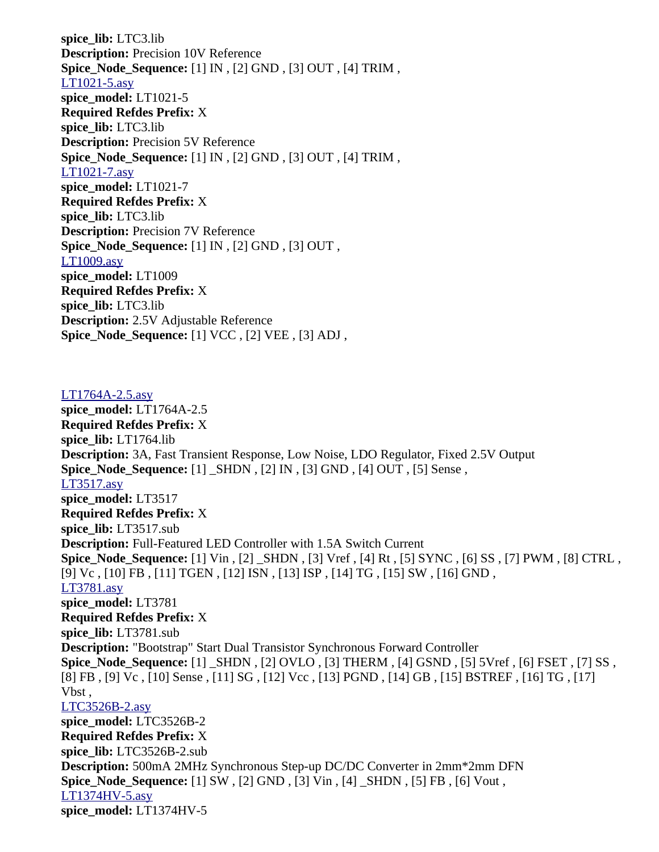**spice\_lib:** LTC3.lib **Description:** Precision 10V Reference **Spice\_Node\_Sequence:** [1] IN , [2] GND , [3] OUT , [4] TRIM , [LT1021-5.asy](file:///home/cmcdowell/.wine/drive_c/Program%20Files/LTC/LTspiceIV/lib/sym/References/LT1021-5.asy) **spice\_model:** LT1021-5 **Required Refdes Prefix:** X **spice\_lib:** LTC3.lib **Description:** Precision 5V Reference **Spice\_Node\_Sequence:** [1] IN , [2] GND , [3] OUT , [4] TRIM , [LT1021-7.asy](file:///home/cmcdowell/.wine/drive_c/Program%20Files/LTC/LTspiceIV/lib/sym/References/LT1021-7.asy) **spice\_model:** LT1021-7 **Required Refdes Prefix:** X **spice\_lib:** LTC3.lib **Description:** Precision 7V Reference **Spice\_Node\_Sequence:** [1] IN , [2] GND , [3] OUT , [LT1009.asy](file:///home/cmcdowell/.wine/drive_c/Program%20Files/LTC/LTspiceIV/lib/sym/References/LT1009.asy) **spice\_model:** LT1009 **Required Refdes Prefix:** X **spice\_lib:** LTC3.lib **Description:** 2.5V Adjustable Reference **Spice\_Node\_Sequence:** [1] VCC , [2] VEE , [3] ADJ ,

[LT1764A-2.5.asy](file:///home/cmcdowell/.wine/drive_c/Program%20Files/LTC/LTspiceIV/lib/sym/PowerProducts/LT1764A-2.5.asy) **spice\_model:** LT1764A-2.5 **Required Refdes Prefix:** X **spice\_lib:** LT1764.lib **Description:** 3A, Fast Transient Response, Low Noise, LDO Regulator, Fixed 2.5V Output **Spice\_Node\_Sequence:** [1] \_SHDN , [2] IN , [3] GND , [4] OUT , [5] Sense , [LT3517.asy](file:///home/cmcdowell/.wine/drive_c/Program%20Files/LTC/LTspiceIV/lib/sym/PowerProducts/LT3517.asy) **spice\_model:** LT3517 **Required Refdes Prefix:** X **spice\_lib:** LT3517.sub **Description:** Full-Featured LED Controller with 1.5A Switch Current **Spice\_Node\_Sequence:** [1] Vin , [2] \_SHDN , [3] Vref , [4] Rt , [5] SYNC , [6] SS , [7] PWM , [8] CTRL , [9] Vc , [10] FB , [11] TGEN , [12] ISN , [13] ISP , [14] TG , [15] SW , [16] GND , [LT3781.asy](file:///home/cmcdowell/.wine/drive_c/Program%20Files/LTC/LTspiceIV/lib/sym/PowerProducts/LT3781.asy) **spice\_model:** LT3781 **Required Refdes Prefix:** X **spice\_lib:** LT3781.sub **Description:** "Bootstrap" Start Dual Transistor Synchronous Forward Controller **Spice\_Node\_Sequence:** [1] \_SHDN , [2] OVLO , [3] THERM , [4] GSND , [5] 5Vref , [6] FSET , [7] SS , [8] FB , [9] Vc , [10] Sense , [11] SG , [12] Vcc , [13] PGND , [14] GB , [15] BSTREF , [16] TG , [17] Vbst , [LTC3526B-2.asy](file:///home/cmcdowell/.wine/drive_c/Program%20Files/LTC/LTspiceIV/lib/sym/PowerProducts/LTC3526B-2.asy) **spice\_model:** LTC3526B-2 **Required Refdes Prefix:** X **spice\_lib:** LTC3526B-2.sub **Description:** 500mA 2MHz Synchronous Step-up DC/DC Converter in 2mm\*2mm DFN **Spice\_Node\_Sequence:** [1] SW , [2] GND , [3] Vin , [4] \_SHDN , [5] FB , [6] Vout , [LT1374HV-5.asy](file:///home/cmcdowell/.wine/drive_c/Program%20Files/LTC/LTspiceIV/lib/sym/PowerProducts/LT1374HV-5.asy) **spice\_model:** LT1374HV-5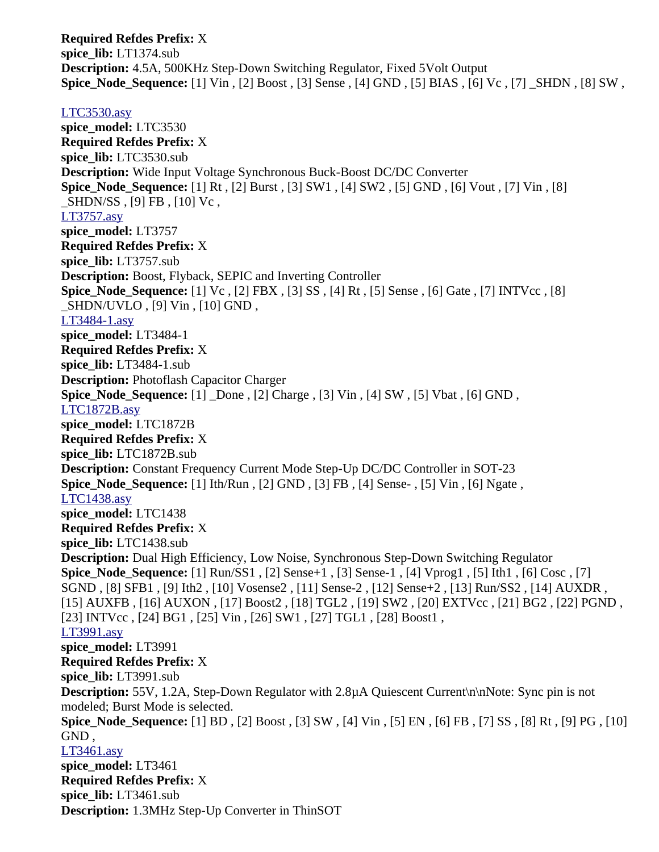**Required Refdes Prefix:** X **spice\_lib:** LT1374.sub **Description:** 4.5A, 500KHz Step-Down Switching Regulator, Fixed 5Volt Output **Spice\_Node\_Sequence:** [1] Vin , [2] Boost , [3] Sense , [4] GND , [5] BIAS , [6] Vc , [7] \_SHDN , [8] SW ,

## [LTC3530.asy](file:///home/cmcdowell/.wine/drive_c/Program%20Files/LTC/LTspiceIV/lib/sym/PowerProducts/LTC3530.asy)

**spice\_model:** LTC3530 **Required Refdes Prefix:** X **spice\_lib:** LTC3530.sub **Description:** Wide Input Voltage Synchronous Buck-Boost DC/DC Converter **Spice\_Node\_Sequence:** [1] Rt , [2] Burst , [3] SW1 , [4] SW2 , [5] GND , [6] Vout , [7] Vin , [8] \_SHDN/SS , [9] FB , [10] Vc , [LT3757.asy](file:///home/cmcdowell/.wine/drive_c/Program%20Files/LTC/LTspiceIV/lib/sym/PowerProducts/LT3757.asy) **spice\_model:** LT3757 **Required Refdes Prefix:** X **spice\_lib:** LT3757.sub **Description:** Boost, Flyback, SEPIC and Inverting Controller **Spice\_Node\_Sequence:** [1] Vc , [2] FBX , [3] SS , [4] Rt , [5] Sense , [6] Gate , [7] INTVcc , [8] \_SHDN/UVLO , [9] Vin , [10] GND , [LT3484-1.asy](file:///home/cmcdowell/.wine/drive_c/Program%20Files/LTC/LTspiceIV/lib/sym/PowerProducts/LT3484-1.asy) **spice\_model:** LT3484-1 **Required Refdes Prefix:** X **spice\_lib:** LT3484-1.sub **Description:** Photoflash Capacitor Charger **Spice\_Node\_Sequence:** [1] \_Done , [2] Charge , [3] Vin , [4] SW , [5] Vbat , [6] GND , [LTC1872B.asy](file:///home/cmcdowell/.wine/drive_c/Program%20Files/LTC/LTspiceIV/lib/sym/PowerProducts/LTC1872B.asy) **spice\_model:** LTC1872B **Required Refdes Prefix:** X **spice\_lib:** LTC1872B.sub **Description:** Constant Frequency Current Mode Step-Up DC/DC Controller in SOT-23 **Spice\_Node\_Sequence:** [1] Ith/Run , [2] GND , [3] FB , [4] Sense- , [5] Vin , [6] Ngate , [LTC1438.asy](file:///home/cmcdowell/.wine/drive_c/Program%20Files/LTC/LTspiceIV/lib/sym/PowerProducts/LTC1438.asy) **spice\_model:** LTC1438 **Required Refdes Prefix:** X **spice\_lib:** LTC1438.sub **Description:** Dual High Efficiency, Low Noise, Synchronous Step-Down Switching Regulator **Spice\_Node\_Sequence:** [1] Run/SS1 , [2] Sense+1 , [3] Sense-1 , [4] Vprog1 , [5] Ith1 , [6] Cosc , [7] SGND , [8] SFB1 , [9] Ith2 , [10] Vosense2 , [11] Sense-2 , [12] Sense+2 , [13] Run/SS2 , [14] AUXDR , [15] AUXFB , [16] AUXON , [17] Boost2 , [18] TGL2 , [19] SW2 , [20] EXTVcc , [21] BG2 , [22] PGND , [23] INTVcc , [24] BG1 , [25] Vin , [26] SW1 , [27] TGL1 , [28] Boost1 , [LT3991.asy](file:///home/cmcdowell/.wine/drive_c/Program%20Files/LTC/LTspiceIV/lib/sym/PowerProducts/LT3991.asy) **spice\_model:** LT3991 **Required Refdes Prefix:** X **spice\_lib:** LT3991.sub **Description:** 55V, 1.2A, Step-Down Regulator with 2.8µA Quiescent Current\n\nNote: Sync pin is not modeled; Burst Mode is selected. **Spice\_Node\_Sequence:** [1] BD , [2] Boost , [3] SW , [4] Vin , [5] EN , [6] FB , [7] SS , [8] Rt , [9] PG , [10] GND , [LT3461.asy](file:///home/cmcdowell/.wine/drive_c/Program%20Files/LTC/LTspiceIV/lib/sym/PowerProducts/LT3461.asy) **spice\_model:** LT3461 **Required Refdes Prefix:** X **spice\_lib:** LT3461.sub **Description:** 1.3MHz Step-Up Converter in ThinSOT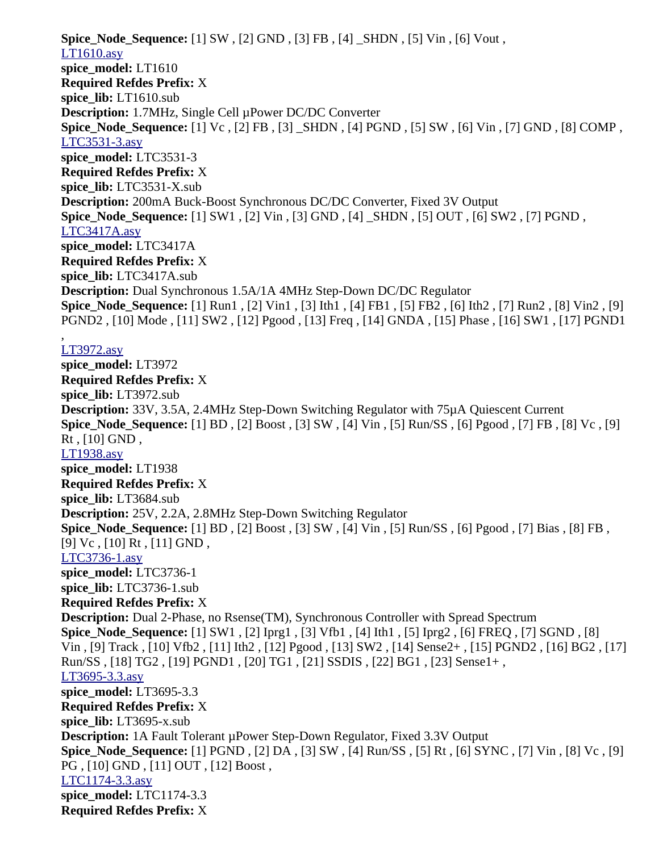**Spice\_Node\_Sequence:** [1] SW , [2] GND , [3] FB , [4] \_SHDN , [5] Vin , [6] Vout , [LT1610.asy](file:///home/cmcdowell/.wine/drive_c/Program%20Files/LTC/LTspiceIV/lib/sym/PowerProducts/LT1610.asy) **spice\_model:** LT1610 **Required Refdes Prefix:** X **spice\_lib:** LT1610.sub **Description:** 1.7MHz, Single Cell µPower DC/DC Converter **Spice\_Node\_Sequence:** [1] Vc , [2] FB , [3] \_SHDN , [4] PGND , [5] SW , [6] Vin , [7] GND , [8] COMP , [LTC3531-3.asy](file:///home/cmcdowell/.wine/drive_c/Program%20Files/LTC/LTspiceIV/lib/sym/PowerProducts/LTC3531-3.asy) **spice\_model:** LTC3531-3 **Required Refdes Prefix:** X **spice\_lib:** LTC3531-X.sub **Description:** 200mA Buck-Boost Synchronous DC/DC Converter, Fixed 3V Output **Spice\_Node\_Sequence:** [1] SW1 , [2] Vin , [3] GND , [4] \_SHDN , [5] OUT , [6] SW2 , [7] PGND , [LTC3417A.asy](file:///home/cmcdowell/.wine/drive_c/Program%20Files/LTC/LTspiceIV/lib/sym/PowerProducts/LTC3417A.asy) **spice\_model:** LTC3417A **Required Refdes Prefix:** X **spice\_lib:** LTC3417A.sub **Description:** Dual Synchronous 1.5A/1A 4MHz Step-Down DC/DC Regulator **Spice\_Node\_Sequence:** [1] Run1 , [2] Vin1 , [3] Ith1 , [4] FB1 , [5] FB2 , [6] Ith2 , [7] Run2 , [8] Vin2 , [9] PGND2 , [10] Mode , [11] SW2 , [12] Pgood , [13] Freq , [14] GNDA , [15] Phase , [16] SW1 , [17] PGND1 , [LT3972.asy](file:///home/cmcdowell/.wine/drive_c/Program%20Files/LTC/LTspiceIV/lib/sym/PowerProducts/LT3972.asy) **spice\_model:** LT3972 **Required Refdes Prefix:** X **spice\_lib:** LT3972.sub **Description:** 33V, 3.5A, 2.4MHz Step-Down Switching Regulator with 75µA Quiescent Current **Spice\_Node\_Sequence:** [1] BD , [2] Boost , [3] SW , [4] Vin , [5] Run/SS , [6] Pgood , [7] FB , [8] Vc , [9] Rt , [10] GND , [LT1938.asy](file:///home/cmcdowell/.wine/drive_c/Program%20Files/LTC/LTspiceIV/lib/sym/PowerProducts/LT1938.asy) **spice\_model:** LT1938 **Required Refdes Prefix:** X **spice\_lib:** LT3684.sub **Description:** 25V, 2.2A, 2.8MHz Step-Down Switching Regulator **Spice\_Node\_Sequence:** [1] BD , [2] Boost , [3] SW , [4] Vin , [5] Run/SS , [6] Pgood , [7] Bias , [8] FB , [9] Vc, [10] Rt, [11] GND, [LTC3736-1.asy](file:///home/cmcdowell/.wine/drive_c/Program%20Files/LTC/LTspiceIV/lib/sym/PowerProducts/LTC3736-1.asy) **spice\_model:** LTC3736-1 **spice\_lib:** LTC3736-1.sub **Required Refdes Prefix:** X **Description:** Dual 2-Phase, no Rsense(TM), Synchronous Controller with Spread Spectrum **Spice\_Node\_Sequence:** [1] SW1 , [2] Iprg1 , [3] Vfb1 , [4] Ith1 , [5] Iprg2 , [6] FREQ , [7] SGND , [8] Vin , [9] Track , [10] Vfb2 , [11] Ith2 , [12] Pgood , [13] SW2 , [14] Sense2+ , [15] PGND2 , [16] BG2 , [17] Run/SS , [18] TG2 , [19] PGND1 , [20] TG1 , [21] SSDIS , [22] BG1 , [23] Sense1+ , [LT3695-3.3.asy](file:///home/cmcdowell/.wine/drive_c/Program%20Files/LTC/LTspiceIV/lib/sym/PowerProducts/LT3695-3.3.asy) **spice\_model:** LT3695-3.3 **Required Refdes Prefix:** X **spice\_lib:** LT3695-x.sub **Description:** 1A Fault Tolerant µPower Step-Down Regulator, Fixed 3.3V Output **Spice\_Node\_Sequence:** [1] PGND , [2] DA , [3] SW , [4] Run/SS , [5] Rt , [6] SYNC , [7] Vin , [8] Vc , [9] PG , [10] GND , [11] OUT , [12] Boost , [LTC1174-3.3.asy](file:///home/cmcdowell/.wine/drive_c/Program%20Files/LTC/LTspiceIV/lib/sym/PowerProducts/LTC1174-3.3.asy) **spice\_model:** LTC1174-3.3 **Required Refdes Prefix:** X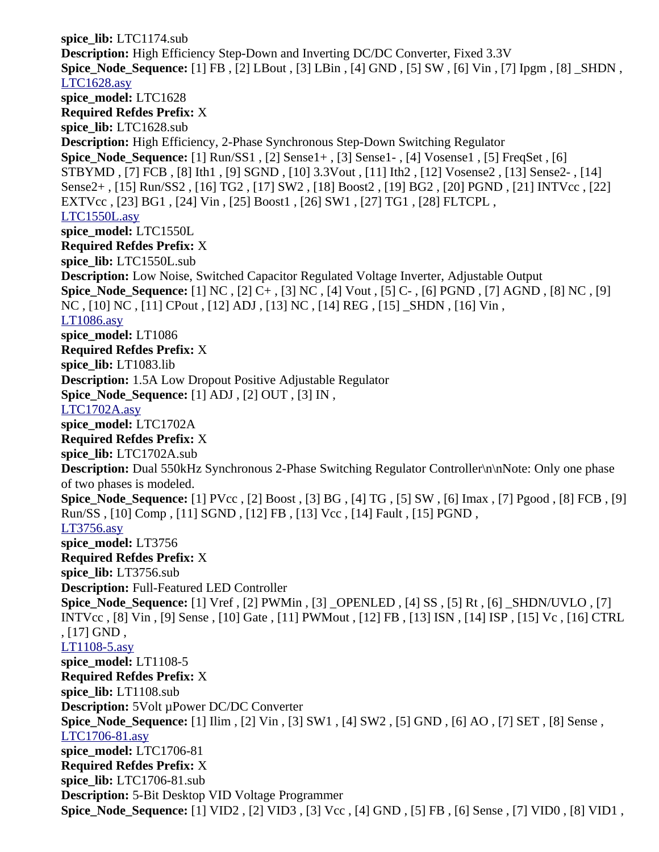**spice\_lib:** LTC1174.sub **Description:** High Efficiency Step-Down and Inverting DC/DC Converter, Fixed 3.3V **Spice\_Node\_Sequence:** [1] FB , [2] LBout , [3] LBin , [4] GND , [5] SW , [6] Vin , [7] Ipgm , [8] \_SHDN , [LTC1628.asy](file:///home/cmcdowell/.wine/drive_c/Program%20Files/LTC/LTspiceIV/lib/sym/PowerProducts/LTC1628.asy) **spice\_model:** LTC1628 **Required Refdes Prefix:** X **spice\_lib:** LTC1628.sub **Description:** High Efficiency, 2-Phase Synchronous Step-Down Switching Regulator **Spice\_Node\_Sequence:** [1] Run/SS1 , [2] Sense1+ , [3] Sense1- , [4] Vosense1 , [5] FreqSet , [6] STBYMD , [7] FCB , [8] Ith1 , [9] SGND , [10] 3.3Vout , [11] Ith2 , [12] Vosense2 , [13] Sense2- , [14] Sense2+ , [15] Run/SS2 , [16] TG2 , [17] SW2 , [18] Boost2 , [19] BG2 , [20] PGND , [21] INTVcc , [22] EXTVcc , [23] BG1 , [24] Vin , [25] Boost1 , [26] SW1 , [27] TG1 , [28] FLTCPL , [LTC1550L.asy](file:///home/cmcdowell/.wine/drive_c/Program%20Files/LTC/LTspiceIV/lib/sym/PowerProducts/LTC1550L.asy) **spice\_model:** LTC1550L **Required Refdes Prefix:** X **spice\_lib:** LTC1550L.sub **Description:** Low Noise, Switched Capacitor Regulated Voltage Inverter, Adjustable Output **Spice\_Node\_Sequence:** [1] NC , [2] C+ , [3] NC , [4] Vout , [5] C- , [6] PGND , [7] AGND , [8] NC , [9] NC , [10] NC , [11] CPout , [12] ADJ , [13] NC , [14] REG , [15] \_SHDN , [16] Vin , [LT1086.asy](file:///home/cmcdowell/.wine/drive_c/Program%20Files/LTC/LTspiceIV/lib/sym/PowerProducts/LT1086.asy) **spice\_model:** LT1086 **Required Refdes Prefix:** X **spice\_lib:** LT1083.lib **Description:** 1.5A Low Dropout Positive Adjustable Regulator **Spice\_Node\_Sequence:** [1] ADJ , [2] OUT , [3] IN , [LTC1702A.asy](file:///home/cmcdowell/.wine/drive_c/Program%20Files/LTC/LTspiceIV/lib/sym/PowerProducts/LTC1702A.asy) **spice\_model:** LTC1702A **Required Refdes Prefix:** X **spice\_lib:** LTC1702A.sub **Description:** Dual 550kHz Synchronous 2-Phase Switching Regulator Controller\n\nNote: Only one phase of two phases is modeled. **Spice\_Node\_Sequence:** [1] PVcc , [2] Boost , [3] BG , [4] TG , [5] SW , [6] Imax , [7] Pgood , [8] FCB , [9] Run/SS , [10] Comp , [11] SGND , [12] FB , [13] Vcc , [14] Fault , [15] PGND , [LT3756.asy](file:///home/cmcdowell/.wine/drive_c/Program%20Files/LTC/LTspiceIV/lib/sym/PowerProducts/LT3756.asy) **spice\_model:** LT3756 **Required Refdes Prefix:** X **spice\_lib:** LT3756.sub **Description:** Full-Featured LED Controller **Spice\_Node\_Sequence:** [1] Vref , [2] PWMin , [3] \_OPENLED , [4] SS , [5] Rt , [6] \_SHDN/UVLO , [7] INTVcc , [8] Vin , [9] Sense , [10] Gate , [11] PWMout , [12] FB , [13] ISN , [14] ISP , [15] Vc , [16] CTRL , [17] GND , [LT1108-5.asy](file:///home/cmcdowell/.wine/drive_c/Program%20Files/LTC/LTspiceIV/lib/sym/PowerProducts/LT1108-5.asy) **spice\_model:** LT1108-5 **Required Refdes Prefix:** X **spice\_lib:** LT1108.sub **Description:** 5Volt µPower DC/DC Converter **Spice\_Node\_Sequence:** [1] Ilim , [2] Vin , [3] SW1 , [4] SW2 , [5] GND , [6] AO , [7] SET , [8] Sense , [LTC1706-81.asy](file:///home/cmcdowell/.wine/drive_c/Program%20Files/LTC/LTspiceIV/lib/sym/PowerProducts/LTC1706-81.asy) **spice\_model:** LTC1706-81 **Required Refdes Prefix:** X **spice\_lib:** LTC1706-81.sub **Description:** 5-Bit Desktop VID Voltage Programmer **Spice\_Node\_Sequence:** [1] VID2 , [2] VID3 , [3] Vcc , [4] GND , [5] FB , [6] Sense , [7] VID0 , [8] VID1 ,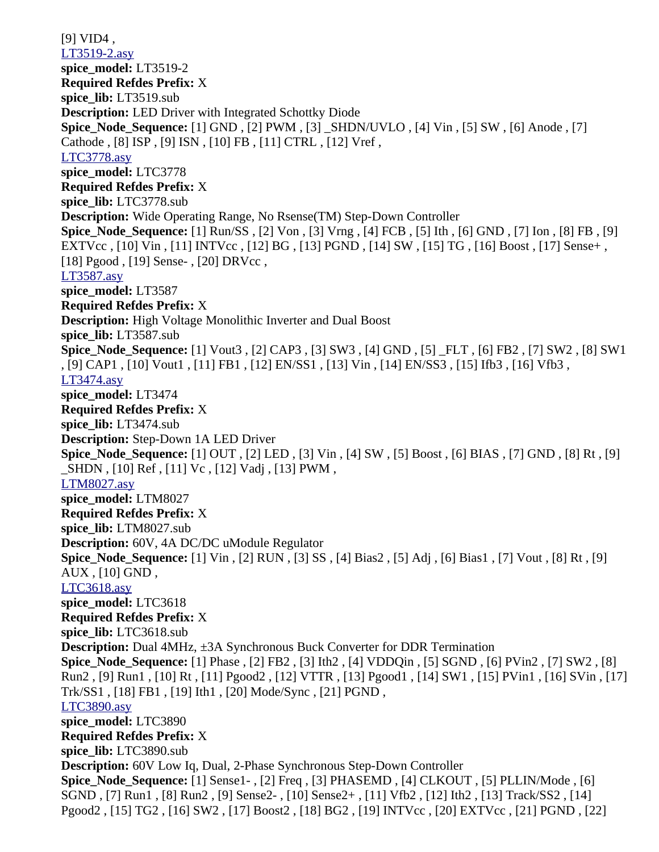[9] VID4 , [LT3519-2.asy](file:///home/cmcdowell/.wine/drive_c/Program%20Files/LTC/LTspiceIV/lib/sym/PowerProducts/LT3519-2.asy) **spice\_model:** LT3519-2 **Required Refdes Prefix:** X **spice\_lib:** LT3519.sub **Description:** LED Driver with Integrated Schottky Diode **Spice\_Node\_Sequence:** [1] GND , [2] PWM , [3] \_SHDN/UVLO , [4] Vin , [5] SW , [6] Anode , [7] Cathode , [8] ISP , [9] ISN , [10] FB , [11] CTRL , [12] Vref , [LTC3778.asy](file:///home/cmcdowell/.wine/drive_c/Program%20Files/LTC/LTspiceIV/lib/sym/PowerProducts/LTC3778.asy) **spice\_model:** LTC3778 **Required Refdes Prefix:** X **spice\_lib:** LTC3778.sub **Description:** Wide Operating Range, No Rsense(TM) Step-Down Controller **Spice\_Node\_Sequence:** [1] Run/SS , [2] Von , [3] Vrng , [4] FCB , [5] Ith , [6] GND , [7] Ion , [8] FB , [9] EXTVcc , [10] Vin , [11] INTVcc , [12] BG , [13] PGND , [14] SW , [15] TG , [16] Boost , [17] Sense+ , [18] Pgood , [19] Sense- , [20] DRVcc , [LT3587.asy](file:///home/cmcdowell/.wine/drive_c/Program%20Files/LTC/LTspiceIV/lib/sym/PowerProducts/LT3587.asy) **spice\_model:** LT3587 **Required Refdes Prefix:** X **Description:** High Voltage Monolithic Inverter and Dual Boost **spice\_lib:** LT3587.sub **Spice\_Node\_Sequence:** [1] Vout3 , [2] CAP3 , [3] SW3 , [4] GND , [5] \_FLT , [6] FB2 , [7] SW2 , [8] SW1 , [9] CAP1 , [10] Vout1 , [11] FB1 , [12] EN/SS1 , [13] Vin , [14] EN/SS3 , [15] Ifb3 , [16] Vfb3 , [LT3474.asy](file:///home/cmcdowell/.wine/drive_c/Program%20Files/LTC/LTspiceIV/lib/sym/PowerProducts/LT3474.asy) **spice\_model:** LT3474 **Required Refdes Prefix:** X **spice\_lib:** LT3474.sub **Description:** Step-Down 1A LED Driver **Spice\_Node\_Sequence:** [1] OUT , [2] LED , [3] Vin , [4] SW , [5] Boost , [6] BIAS , [7] GND , [8] Rt , [9] \_SHDN , [10] Ref , [11] Vc , [12] Vadj , [13] PWM , [LTM8027.asy](file:///home/cmcdowell/.wine/drive_c/Program%20Files/LTC/LTspiceIV/lib/sym/PowerProducts/LTM8027.asy) **spice\_model:** LTM8027 **Required Refdes Prefix:** X **spice\_lib:** LTM8027.sub **Description:** 60V, 4A DC/DC uModule Regulator **Spice\_Node\_Sequence:** [1] Vin , [2] RUN , [3] SS , [4] Bias2 , [5] Adj , [6] Bias1 , [7] Vout , [8] Rt , [9] AUX , [10] GND , [LTC3618.asy](file:///home/cmcdowell/.wine/drive_c/Program%20Files/LTC/LTspiceIV/lib/sym/PowerProducts/LTC3618.asy) **spice\_model:** LTC3618 **Required Refdes Prefix:** X **spice\_lib:** LTC3618.sub **Description:** Dual 4MHz, ±3A Synchronous Buck Converter for DDR Termination **Spice\_Node\_Sequence:** [1] Phase , [2] FB2 , [3] Ith2 , [4] VDDQin , [5] SGND , [6] PVin2 , [7] SW2 , [8] Run2 , [9] Run1 , [10] Rt , [11] Pgood2 , [12] VTTR , [13] Pgood1 , [14] SW1 , [15] PVin1 , [16] SVin , [17] Trk/SS1 , [18] FB1 , [19] Ith1 , [20] Mode/Sync , [21] PGND , [LTC3890.asy](file:///home/cmcdowell/.wine/drive_c/Program%20Files/LTC/LTspiceIV/lib/sym/PowerProducts/LTC3890.asy) **spice\_model:** LTC3890 **Required Refdes Prefix:** X **spice\_lib:** LTC3890.sub **Description:** 60V Low Iq, Dual, 2-Phase Synchronous Step-Down Controller **Spice\_Node\_Sequence:** [1] Sense1- , [2] Freq , [3] PHASEMD , [4] CLKOUT , [5] PLLIN/Mode , [6] SGND , [7] Run1 , [8] Run2 , [9] Sense2- , [10] Sense2+ , [11] Vfb2 , [12] Ith2 , [13] Track/SS2 , [14] Pgood2 , [15] TG2 , [16] SW2 , [17] Boost2 , [18] BG2 , [19] INTVcc , [20] EXTVcc , [21] PGND , [22]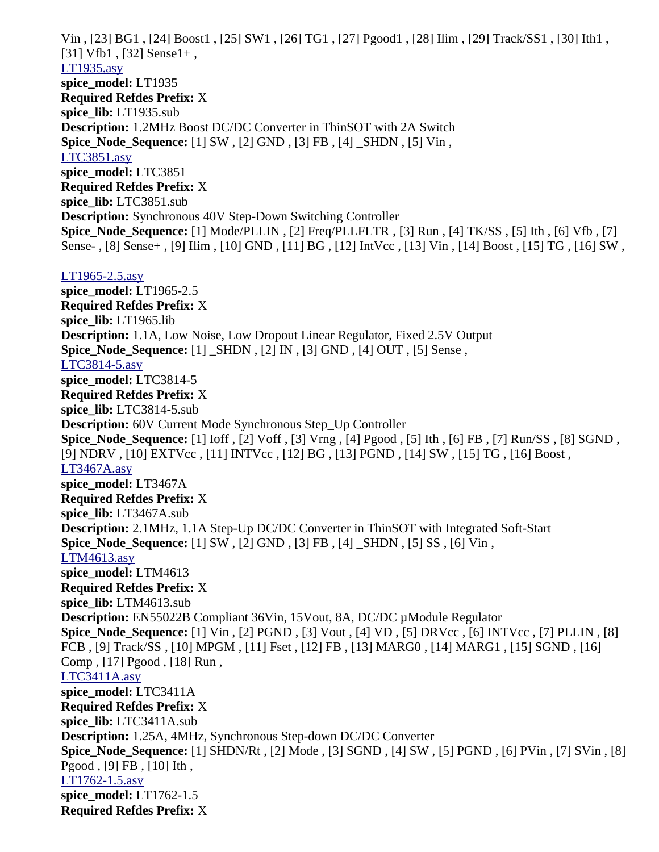Vin , [23] BG1 , [24] Boost1 , [25] SW1 , [26] TG1 , [27] Pgood1 , [28] Ilim , [29] Track/SS1 , [30] Ith1 , [31] Vfb1 , [32] Sense1+ , [LT1935.asy](file:///home/cmcdowell/.wine/drive_c/Program%20Files/LTC/LTspiceIV/lib/sym/PowerProducts/LT1935.asy) **spice\_model:** LT1935 **Required Refdes Prefix:** X **spice\_lib:** LT1935.sub **Description:** 1.2MHz Boost DC/DC Converter in ThinSOT with 2A Switch **Spice\_Node\_Sequence:** [1] SW , [2] GND , [3] FB , [4] \_SHDN , [5] Vin , [LTC3851.asy](file:///home/cmcdowell/.wine/drive_c/Program%20Files/LTC/LTspiceIV/lib/sym/PowerProducts/LTC3851.asy) **spice\_model:** LTC3851 **Required Refdes Prefix:** X **spice\_lib:** LTC3851.sub **Description:** Synchronous 40V Step-Down Switching Controller **Spice\_Node\_Sequence:** [1] Mode/PLLIN , [2] Freq/PLLFLTR , [3] Run , [4] TK/SS , [5] Ith , [6] Vfb , [7] Sense- , [8] Sense+ , [9] Ilim , [10] GND , [11] BG , [12] IntVcc , [13] Vin , [14] Boost , [15] TG , [16] SW , [LT1965-2.5.asy](file:///home/cmcdowell/.wine/drive_c/Program%20Files/LTC/LTspiceIV/lib/sym/PowerProducts/LT1965-2.5.asy) **spice\_model:** LT1965-2.5 **Required Refdes Prefix:** X **spice\_lib:** LT1965.lib **Description:** 1.1A, Low Noise, Low Dropout Linear Regulator, Fixed 2.5V Output **Spice\_Node\_Sequence:** [1] \_SHDN , [2] IN , [3] GND , [4] OUT , [5] Sense , [LTC3814-5.asy](file:///home/cmcdowell/.wine/drive_c/Program%20Files/LTC/LTspiceIV/lib/sym/PowerProducts/LTC3814-5.asy) **spice\_model:** LTC3814-5 **Required Refdes Prefix:** X **spice\_lib:** LTC3814-5.sub **Description:** 60V Current Mode Synchronous Step\_Up Controller **Spice\_Node\_Sequence:** [1] Ioff , [2] Voff , [3] Vrng , [4] Pgood , [5] Ith , [6] FB , [7] Run/SS , [8] SGND , [9] NDRV , [10] EXTVcc , [11] INTVcc , [12] BG , [13] PGND , [14] SW , [15] TG , [16] Boost , [LT3467A.asy](file:///home/cmcdowell/.wine/drive_c/Program%20Files/LTC/LTspiceIV/lib/sym/PowerProducts/LT3467A.asy) **spice\_model:** LT3467A **Required Refdes Prefix:** X **spice\_lib:** LT3467A.sub **Description:** 2.1MHz, 1.1A Step-Up DC/DC Converter in ThinSOT with Integrated Soft-Start **Spice\_Node\_Sequence:** [1] SW , [2] GND , [3] FB , [4] \_SHDN , [5] SS , [6] Vin , [LTM4613.asy](file:///home/cmcdowell/.wine/drive_c/Program%20Files/LTC/LTspiceIV/lib/sym/PowerProducts/LTM4613.asy) **spice\_model:** LTM4613 **Required Refdes Prefix:** X **spice\_lib:** LTM4613.sub **Description:** EN55022B Compliant 36Vin, 15Vout, 8A, DC/DC µModule Regulator **Spice\_Node\_Sequence:** [1] Vin , [2] PGND , [3] Vout , [4] VD , [5] DRVcc , [6] INTVcc , [7] PLLIN , [8] FCB , [9] Track/SS , [10] MPGM , [11] Fset , [12] FB , [13] MARG0 , [14] MARG1 , [15] SGND , [16] Comp , [17] Pgood , [18] Run , [LTC3411A.asy](file:///home/cmcdowell/.wine/drive_c/Program%20Files/LTC/LTspiceIV/lib/sym/PowerProducts/LTC3411A.asy) **spice\_model:** LTC3411A **Required Refdes Prefix:** X **spice\_lib:** LTC3411A.sub **Description:** 1.25A, 4MHz, Synchronous Step-down DC/DC Converter **Spice\_Node\_Sequence:** [1] SHDN/Rt , [2] Mode , [3] SGND , [4] SW , [5] PGND , [6] PVin , [7] SVin , [8] Pgood , [9] FB , [10] Ith , [LT1762-1.5.asy](file:///home/cmcdowell/.wine/drive_c/Program%20Files/LTC/LTspiceIV/lib/sym/PowerProducts/LT1762-1.5.asy) **spice\_model:** LT1762-1.5 **Required Refdes Prefix:** X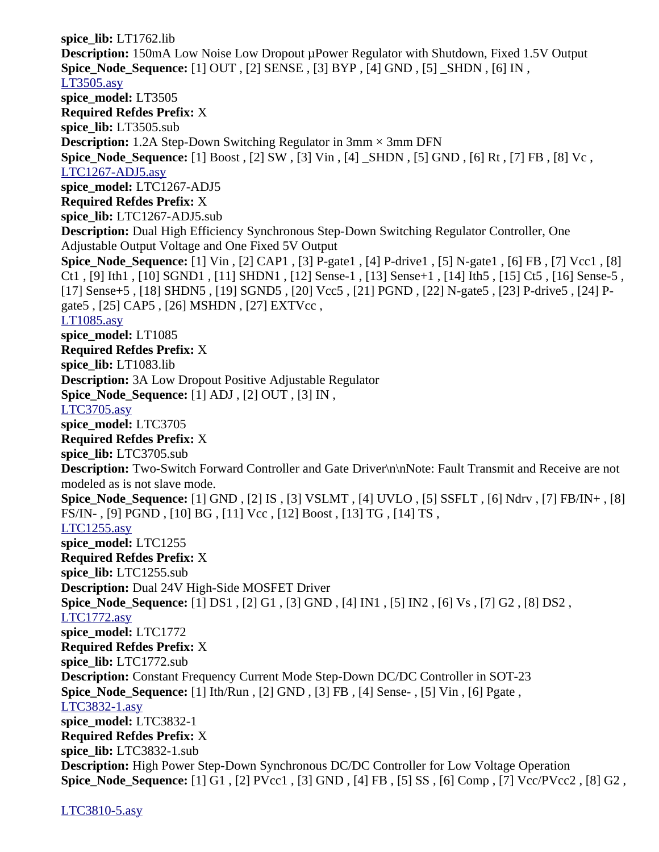**spice\_lib:** LT1762.lib **Description:** 150mA Low Noise Low Dropout µPower Regulator with Shutdown, Fixed 1.5V Output **Spice\_Node\_Sequence:** [1] OUT , [2] SENSE , [3] BYP , [4] GND , [5] \_SHDN , [6] IN , [LT3505.asy](file:///home/cmcdowell/.wine/drive_c/Program%20Files/LTC/LTspiceIV/lib/sym/PowerProducts/LT3505.asy) **spice\_model:** LT3505 **Required Refdes Prefix:** X **spice\_lib:** LT3505.sub **Description:** 1.2A Step-Down Switching Regulator in 3mm × 3mm DFN **Spice\_Node\_Sequence:** [1] Boost , [2] SW , [3] Vin , [4] \_SHDN , [5] GND , [6] Rt , [7] FB , [8] Vc , [LTC1267-ADJ5.asy](file:///home/cmcdowell/.wine/drive_c/Program%20Files/LTC/LTspiceIV/lib/sym/PowerProducts/LTC1267-ADJ5.asy) **spice\_model:** LTC1267-ADJ5 **Required Refdes Prefix:** X **spice\_lib:** LTC1267-ADJ5.sub **Description:** Dual High Efficiency Synchronous Step-Down Switching Regulator Controller, One Adjustable Output Voltage and One Fixed 5V Output **Spice\_Node\_Sequence:** [1] Vin , [2] CAP1 , [3] P-gate1 , [4] P-drive1 , [5] N-gate1 , [6] FB , [7] Vcc1 , [8] Ct1 , [9] Ith1 , [10] SGND1 , [11] SHDN1 , [12] Sense-1 , [13] Sense+1 , [14] Ith5 , [15] Ct5 , [16] Sense-5 , [17] Sense+5 , [18] SHDN5 , [19] SGND5 , [20] Vcc5 , [21] PGND , [22] N-gate5 , [23] P-drive5 , [24] Pgate5 , [25] CAP5 , [26] MSHDN , [27] EXTVcc , [LT1085.asy](file:///home/cmcdowell/.wine/drive_c/Program%20Files/LTC/LTspiceIV/lib/sym/PowerProducts/LT1085.asy) **spice\_model:** LT1085 **Required Refdes Prefix:** X **spice\_lib:** LT1083.lib **Description:** 3A Low Dropout Positive Adjustable Regulator **Spice\_Node\_Sequence:** [1] ADJ , [2] OUT , [3] IN , [LTC3705.asy](file:///home/cmcdowell/.wine/drive_c/Program%20Files/LTC/LTspiceIV/lib/sym/PowerProducts/LTC3705.asy) **spice\_model:** LTC3705 **Required Refdes Prefix:** X **spice\_lib:** LTC3705.sub **Description:** Two-Switch Forward Controller and Gate Driver\n\nNote: Fault Transmit and Receive are not modeled as is not slave mode. **Spice\_Node\_Sequence:** [1] GND , [2] IS , [3] VSLMT , [4] UVLO , [5] SSFLT , [6] Ndrv , [7] FB/IN+ , [8] FS/IN- , [9] PGND , [10] BG , [11] Vcc , [12] Boost , [13] TG , [14] TS , [LTC1255.asy](file:///home/cmcdowell/.wine/drive_c/Program%20Files/LTC/LTspiceIV/lib/sym/PowerProducts/LTC1255.asy) **spice\_model:** LTC1255 **Required Refdes Prefix:** X **spice\_lib:** LTC1255.sub **Description:** Dual 24V High-Side MOSFET Driver **Spice\_Node\_Sequence:** [1] DS1 , [2] G1 , [3] GND , [4] IN1 , [5] IN2 , [6] Vs , [7] G2 , [8] DS2 , [LTC1772.asy](file:///home/cmcdowell/.wine/drive_c/Program%20Files/LTC/LTspiceIV/lib/sym/PowerProducts/LTC1772.asy) **spice\_model:** LTC1772 **Required Refdes Prefix:** X **spice\_lib:** LTC1772.sub **Description:** Constant Frequency Current Mode Step-Down DC/DC Controller in SOT-23 **Spice\_Node\_Sequence:** [1] Ith/Run , [2] GND , [3] FB , [4] Sense- , [5] Vin , [6] Pgate , [LTC3832-1.asy](file:///home/cmcdowell/.wine/drive_c/Program%20Files/LTC/LTspiceIV/lib/sym/PowerProducts/LTC3832-1.asy) **spice\_model:** LTC3832-1 **Required Refdes Prefix:** X **spice\_lib:** LTC3832-1.sub **Description:** High Power Step-Down Synchronous DC/DC Controller for Low Voltage Operation **Spice\_Node\_Sequence:** [1] G1 , [2] PVcc1 , [3] GND , [4] FB , [5] SS , [6] Comp , [7] Vcc/PVcc2 , [8] G2 ,

[LTC3810-5.asy](file:///home/cmcdowell/.wine/drive_c/Program%20Files/LTC/LTspiceIV/lib/sym/PowerProducts/LTC3810-5.asy)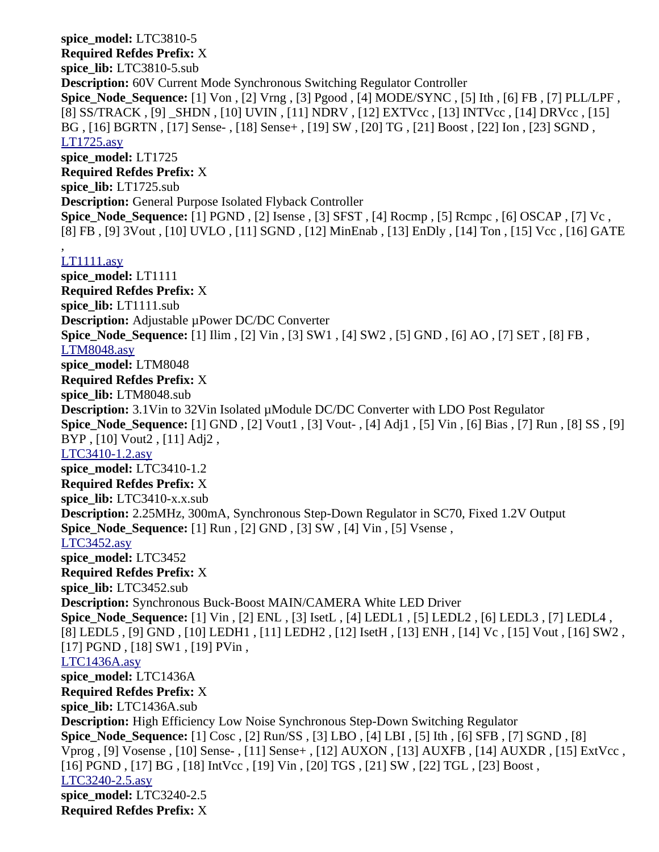**spice\_model:** LTC3810-5 **Required Refdes Prefix:** X **spice\_lib:** LTC3810-5.sub **Description:** 60V Current Mode Synchronous Switching Regulator Controller **Spice\_Node\_Sequence:** [1] Von , [2] Vrng , [3] Pgood , [4] MODE/SYNC , [5] Ith , [6] FB , [7] PLL/LPF , [8] SS/TRACK , [9] \_SHDN , [10] UVIN , [11] NDRV , [12] EXTVcc , [13] INTVcc , [14] DRVcc , [15] BG , [16] BGRTN , [17] Sense- , [18] Sense+ , [19] SW , [20] TG , [21] Boost , [22] Ion , [23] SGND , [LT1725.asy](file:///home/cmcdowell/.wine/drive_c/Program%20Files/LTC/LTspiceIV/lib/sym/PowerProducts/LT1725.asy) **spice\_model:** LT1725 **Required Refdes Prefix:** X **spice\_lib:** LT1725.sub **Description:** General Purpose Isolated Flyback Controller **Spice\_Node\_Sequence:** [1] PGND , [2] Isense , [3] SFST , [4] Rocmp , [5] Rcmpc , [6] OSCAP , [7] Vc , [8] FB , [9] 3Vout , [10] UVLO , [11] SGND , [12] MinEnab , [13] EnDly , [14] Ton , [15] Vcc , [16] GATE , [LT1111.asy](file:///home/cmcdowell/.wine/drive_c/Program%20Files/LTC/LTspiceIV/lib/sym/PowerProducts/LT1111.asy) **spice\_model:** LT1111

**Required Refdes Prefix:** X **spice\_lib:** LT1111.sub **Description:** Adjustable uPower DC/DC Converter **Spice\_Node\_Sequence:** [1] Ilim , [2] Vin , [3] SW1 , [4] SW2 , [5] GND , [6] AO , [7] SET , [8] FB , [LTM8048.asy](file:///home/cmcdowell/.wine/drive_c/Program%20Files/LTC/LTspiceIV/lib/sym/PowerProducts/LTM8048.asy) **spice\_model:** LTM8048 **Required Refdes Prefix:** X **spice\_lib:** LTM8048.sub **Description:** 3.1Vin to 32Vin Isolated µModule DC/DC Converter with LDO Post Regulator **Spice\_Node\_Sequence:** [1] GND, [2] Vout1, [3] Vout-, [4] Adj1, [5] Vin, [6] Bias, [7] Run, [8] SS, [9] BYP , [10] Vout2 , [11] Adj2 , [LTC3410-1.2.asy](file:///home/cmcdowell/.wine/drive_c/Program%20Files/LTC/LTspiceIV/lib/sym/PowerProducts/LTC3410-1.2.asy) **spice\_model:** LTC3410-1.2 **Required Refdes Prefix:** X **spice\_lib:** LTC3410-x.x.sub **Description:** 2.25MHz, 300mA, Synchronous Step-Down Regulator in SC70, Fixed 1.2V Output **Spice\_Node\_Sequence:** [1] Run , [2] GND , [3] SW , [4] Vin , [5] Vsense , [LTC3452.asy](file:///home/cmcdowell/.wine/drive_c/Program%20Files/LTC/LTspiceIV/lib/sym/PowerProducts/LTC3452.asy) **spice\_model:** LTC3452 **Required Refdes Prefix:** X **spice\_lib:** LTC3452.sub **Description:** Synchronous Buck-Boost MAIN/CAMERA White LED Driver **Spice\_Node\_Sequence:** [1] Vin , [2] ENL , [3] IsetL , [4] LEDL1 , [5] LEDL2 , [6] LEDL3 , [7] LEDL4 , [8] LEDL5 , [9] GND , [10] LEDH1 , [11] LEDH2 , [12] IsetH , [13] ENH , [14] Vc , [15] Vout , [16] SW2 , [17] PGND, [18] SW1, [19] PVin, [LTC1436A.asy](file:///home/cmcdowell/.wine/drive_c/Program%20Files/LTC/LTspiceIV/lib/sym/PowerProducts/LTC1436A.asy) **spice\_model:** LTC1436A **Required Refdes Prefix:** X **spice\_lib:** LTC1436A.sub **Description:** High Efficiency Low Noise Synchronous Step-Down Switching Regulator **Spice\_Node\_Sequence:** [1] Cosc , [2] Run/SS , [3] LBO , [4] LBI , [5] Ith , [6] SFB , [7] SGND , [8] Vprog , [9] Vosense , [10] Sense- , [11] Sense+ , [12] AUXON , [13] AUXFB , [14] AUXDR , [15] ExtVcc , [16] PGND , [17] BG , [18] IntVcc , [19] Vin , [20] TGS , [21] SW , [22] TGL , [23] Boost , [LTC3240-2.5.asy](file:///home/cmcdowell/.wine/drive_c/Program%20Files/LTC/LTspiceIV/lib/sym/PowerProducts/LTC3240-2.5.asy) **spice\_model:** LTC3240-2.5

**Required Refdes Prefix:** X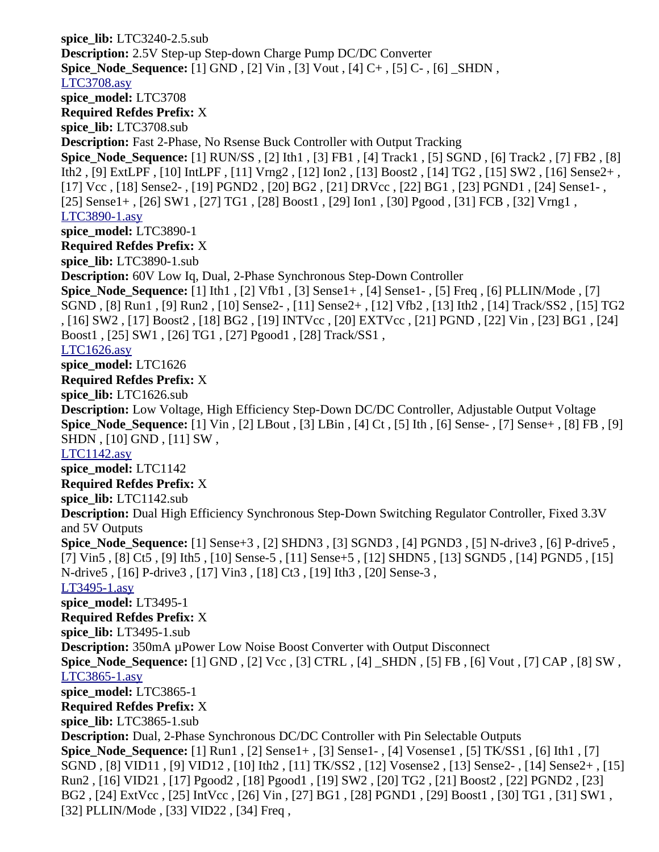**spice\_lib:** LTC3240-2.5.sub **Description:** 2.5V Step-up Step-down Charge Pump DC/DC Converter **Spice\_Node\_Sequence:** [1] GND , [2] Vin , [3] Vout , [4] C+ , [5] C- , [6] \_SHDN , [LTC3708.asy](file:///home/cmcdowell/.wine/drive_c/Program%20Files/LTC/LTspiceIV/lib/sym/PowerProducts/LTC3708.asy) **spice\_model:** LTC3708 **Required Refdes Prefix:** X **spice\_lib:** LTC3708.sub **Description:** Fast 2-Phase, No Rsense Buck Controller with Output Tracking **Spice\_Node\_Sequence:** [1] RUN/SS , [2] Ith1 , [3] FB1 , [4] Track1 , [5] SGND , [6] Track2 , [7] FB2 , [8] Ith2 , [9] ExtLPF , [10] IntLPF , [11] Vrng2 , [12] Ion2 , [13] Boost2 , [14] TG2 , [15] SW2 , [16] Sense2+ , [17] Vcc , [18] Sense2- , [19] PGND2 , [20] BG2 , [21] DRVcc , [22] BG1 , [23] PGND1 , [24] Sense1- , [25] Sense1+ , [26] SW1 , [27] TG1 , [28] Boost1 , [29] Ion1 , [30] Pgood , [31] FCB , [32] Vrng1 , [LTC3890-1.asy](file:///home/cmcdowell/.wine/drive_c/Program%20Files/LTC/LTspiceIV/lib/sym/PowerProducts/LTC3890-1.asy) **spice\_model:** LTC3890-1 **Required Refdes Prefix:** X **spice\_lib:** LTC3890-1.sub **Description:** 60V Low Iq, Dual, 2-Phase Synchronous Step-Down Controller **Spice\_Node\_Sequence:** [1] Ith1 , [2] Vfb1 , [3] Sense1+ , [4] Sense1- , [5] Freq , [6] PLLIN/Mode , [7] SGND , [8] Run1 , [9] Run2 , [10] Sense2- , [11] Sense2+ , [12] Vfb2 , [13] Ith2 , [14] Track/SS2 , [15] TG2 , [16] SW2 , [17] Boost2 , [18] BG2 , [19] INTVcc , [20] EXTVcc , [21] PGND , [22] Vin , [23] BG1 , [24] Boost1 , [25] SW1 , [26] TG1 , [27] Pgood1 , [28] Track/SS1 , [LTC1626.asy](file:///home/cmcdowell/.wine/drive_c/Program%20Files/LTC/LTspiceIV/lib/sym/PowerProducts/LTC1626.asy) **spice\_model:** LTC1626 **Required Refdes Prefix:** X **spice\_lib:** LTC1626.sub **Description:** Low Voltage, High Efficiency Step-Down DC/DC Controller, Adjustable Output Voltage **Spice\_Node\_Sequence:** [1] Vin , [2] LBout , [3] LBin , [4] Ct , [5] Ith , [6] Sense- , [7] Sense+ , [8] FB , [9] SHDN , [10] GND , [11] SW , [LTC1142.asy](file:///home/cmcdowell/.wine/drive_c/Program%20Files/LTC/LTspiceIV/lib/sym/PowerProducts/LTC1142.asy) **spice\_model:** LTC1142 **Required Refdes Prefix:** X **spice\_lib:** LTC1142.sub **Description:** Dual High Efficiency Synchronous Step-Down Switching Regulator Controller, Fixed 3.3V and 5V Outputs **Spice\_Node\_Sequence:** [1] Sense+3 , [2] SHDN3 , [3] SGND3 , [4] PGND3 , [5] N-drive3 , [6] P-drive5 , [7] Vin5 , [8] Ct5 , [9] Ith5 , [10] Sense-5 , [11] Sense+5 , [12] SHDN5 , [13] SGND5 , [14] PGND5 , [15] N-drive5 , [16] P-drive3 , [17] Vin3 , [18] Ct3 , [19] Ith3 , [20] Sense-3 , [LT3495-1.asy](file:///home/cmcdowell/.wine/drive_c/Program%20Files/LTC/LTspiceIV/lib/sym/PowerProducts/LT3495-1.asy) **spice\_model:** LT3495-1 **Required Refdes Prefix:** X **spice\_lib:** LT3495-1.sub **Description:** 350mA µPower Low Noise Boost Converter with Output Disconnect **Spice\_Node\_Sequence:** [1] GND , [2] Vcc , [3] CTRL , [4] \_SHDN , [5] FB , [6] Vout , [7] CAP , [8] SW , [LTC3865-1.asy](file:///home/cmcdowell/.wine/drive_c/Program%20Files/LTC/LTspiceIV/lib/sym/PowerProducts/LTC3865-1.asy) **spice\_model:** LTC3865-1 **Required Refdes Prefix:** X **spice\_lib:** LTC3865-1.sub **Description:** Dual, 2-Phase Synchronous DC/DC Controller with Pin Selectable Outputs **Spice\_Node\_Sequence:** [1] Run1 , [2] Sense1+ , [3] Sense1- , [4] Vosense1 , [5] TK/SS1 , [6] Ith1 , [7] SGND , [8] VID11 , [9] VID12 , [10] Ith2 , [11] TK/SS2 , [12] Vosense2 , [13] Sense2- , [14] Sense2+ , [15] Run2 , [16] VID21 , [17] Pgood2 , [18] Pgood1 , [19] SW2 , [20] TG2 , [21] Boost2 , [22] PGND2 , [23] BG2 , [24] ExtVcc , [25] IntVcc , [26] Vin , [27] BG1 , [28] PGND1 , [29] Boost1 , [30] TG1 , [31] SW1 , [32] PLLIN/Mode , [33] VID22 , [34] Freq ,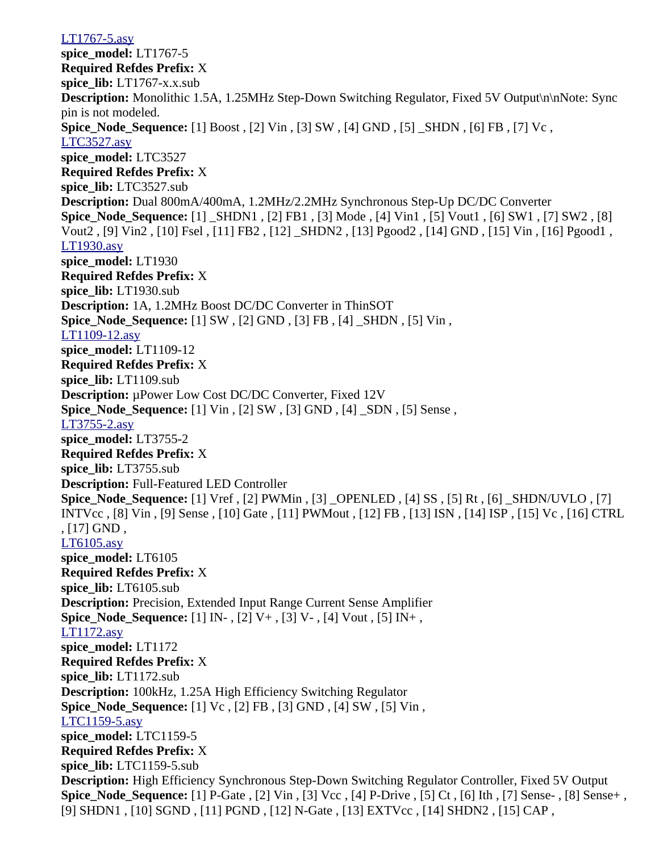[LT1767-5.asy](file:///home/cmcdowell/.wine/drive_c/Program%20Files/LTC/LTspiceIV/lib/sym/PowerProducts/LT1767-5.asy) **spice\_model:** LT1767-5 **Required Refdes Prefix:** X **spice\_lib:** LT1767-x.x.sub **Description:** Monolithic 1.5A, 1.25MHz Step-Down Switching Regulator, Fixed 5V Output\n\nNote: Sync pin is not modeled. **Spice\_Node\_Sequence:** [1] Boost , [2] Vin , [3] SW , [4] GND , [5] \_SHDN , [6] FB , [7] Vc , [LTC3527.asy](file:///home/cmcdowell/.wine/drive_c/Program%20Files/LTC/LTspiceIV/lib/sym/PowerProducts/LTC3527.asy) **spice\_model:** LTC3527 **Required Refdes Prefix:** X **spice\_lib:** LTC3527.sub **Description:** Dual 800mA/400mA, 1.2MHz/2.2MHz Synchronous Step-Up DC/DC Converter **Spice\_Node\_Sequence:** [1] \_SHDN1 , [2] FB1 , [3] Mode , [4] Vin1 , [5] Vout1 , [6] SW1 , [7] SW2 , [8] Vout2 , [9] Vin2 , [10] Fsel , [11] FB2 , [12] \_SHDN2 , [13] Pgood2 , [14] GND , [15] Vin , [16] Pgood1 , [LT1930.asy](file:///home/cmcdowell/.wine/drive_c/Program%20Files/LTC/LTspiceIV/lib/sym/PowerProducts/LT1930.asy) **spice\_model:** LT1930 **Required Refdes Prefix:** X **spice\_lib:** LT1930.sub **Description:** 1A, 1.2MHz Boost DC/DC Converter in ThinSOT **Spice Node Sequence:** [1] SW, [2] GND, [3] FB, [4] SHDN, [5] Vin, [LT1109-12.asy](file:///home/cmcdowell/.wine/drive_c/Program%20Files/LTC/LTspiceIV/lib/sym/PowerProducts/LT1109-12.asy) **spice\_model:** LT1109-12 **Required Refdes Prefix:** X **spice\_lib:** LT1109.sub **Description:** µPower Low Cost DC/DC Converter, Fixed 12V **Spice\_Node\_Sequence:** [1] Vin , [2] SW , [3] GND , [4] \_SDN , [5] Sense , [LT3755-2.asy](file:///home/cmcdowell/.wine/drive_c/Program%20Files/LTC/LTspiceIV/lib/sym/PowerProducts/LT3755-2.asy) **spice\_model:** LT3755-2 **Required Refdes Prefix:** X **spice\_lib:** LT3755.sub **Description:** Full-Featured LED Controller **Spice\_Node\_Sequence:** [1] Vref , [2] PWMin , [3] \_OPENLED , [4] SS , [5] Rt , [6] \_SHDN/UVLO , [7] INTVcc , [8] Vin , [9] Sense , [10] Gate , [11] PWMout , [12] FB , [13] ISN , [14] ISP , [15] Vc , [16] CTRL , [17] GND , [LT6105.asy](file:///home/cmcdowell/.wine/drive_c/Program%20Files/LTC/LTspiceIV/lib/sym/PowerProducts/LT6105.asy) **spice\_model:** LT6105 **Required Refdes Prefix:** X **spice\_lib:** LT6105.sub **Description:** Precision, Extended Input Range Current Sense Amplifier **Spice\_Node\_Sequence:** [1] IN- , [2] V+ , [3] V- , [4] Vout , [5] IN+ , [LT1172.asy](file:///home/cmcdowell/.wine/drive_c/Program%20Files/LTC/LTspiceIV/lib/sym/PowerProducts/LT1172.asy) **spice\_model:** LT1172 **Required Refdes Prefix:** X **spice\_lib:** LT1172.sub **Description:** 100kHz, 1.25A High Efficiency Switching Regulator **Spice\_Node\_Sequence:** [1] Vc , [2] FB , [3] GND , [4] SW , [5] Vin , [LTC1159-5.asy](file:///home/cmcdowell/.wine/drive_c/Program%20Files/LTC/LTspiceIV/lib/sym/PowerProducts/LTC1159-5.asy) **spice\_model:** LTC1159-5 **Required Refdes Prefix:** X **spice\_lib:** LTC1159-5.sub **Description:** High Efficiency Synchronous Step-Down Switching Regulator Controller, Fixed 5V Output **Spice\_Node\_Sequence:** [1] P-Gate , [2] Vin , [3] Vcc , [4] P-Drive , [5] Ct , [6] Ith , [7] Sense- , [8] Sense+ , [9] SHDN1 , [10] SGND , [11] PGND , [12] N-Gate , [13] EXTVcc , [14] SHDN2 , [15] CAP ,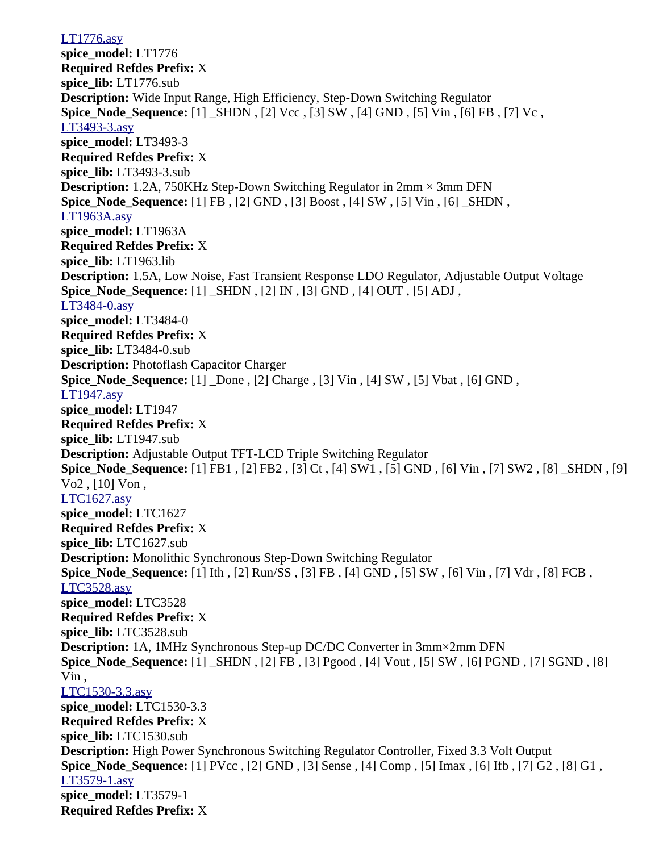[LT1776.asy](file:///home/cmcdowell/.wine/drive_c/Program%20Files/LTC/LTspiceIV/lib/sym/PowerProducts/LT1776.asy) **spice\_model:** LT1776 **Required Refdes Prefix:** X **spice\_lib:** LT1776.sub **Description:** Wide Input Range, High Efficiency, Step-Down Switching Regulator **Spice\_Node\_Sequence:** [1] \_SHDN, [2] Vcc, [3] SW, [4] GND, [5] Vin, [6] FB, [7] Vc, [LT3493-3.asy](file:///home/cmcdowell/.wine/drive_c/Program%20Files/LTC/LTspiceIV/lib/sym/PowerProducts/LT3493-3.asy) **spice\_model:** LT3493-3 **Required Refdes Prefix:** X **spice\_lib:** LT3493-3.sub **Description:** 1.2A, 750KHz Step-Down Switching Regulator in 2mm  $\times$  3mm DFN **Spice Node Sequence:** [1] FB , [2] GND , [3] Boost , [4] SW , [5] Vin , [6]  $\,$  SHDN , [LT1963A.asy](file:///home/cmcdowell/.wine/drive_c/Program%20Files/LTC/LTspiceIV/lib/sym/PowerProducts/LT1963A.asy) **spice\_model:** LT1963A **Required Refdes Prefix:** X **spice\_lib:** LT1963.lib **Description:** 1.5A, Low Noise, Fast Transient Response LDO Regulator, Adjustable Output Voltage **Spice\_Node\_Sequence:** [1] \_SHDN , [2] IN , [3] GND , [4] OUT , [5] ADJ , [LT3484-0.asy](file:///home/cmcdowell/.wine/drive_c/Program%20Files/LTC/LTspiceIV/lib/sym/PowerProducts/LT3484-0.asy) **spice\_model:** LT3484-0 **Required Refdes Prefix:** X **spice\_lib:** LT3484-0.sub **Description:** Photoflash Capacitor Charger **Spice Node Sequence:** [1] Done , [2] Charge , [3] Vin , [4] SW , [5] Vbat , [6] GND , [LT1947.asy](file:///home/cmcdowell/.wine/drive_c/Program%20Files/LTC/LTspiceIV/lib/sym/PowerProducts/LT1947.asy) **spice\_model:** LT1947 **Required Refdes Prefix:** X **spice\_lib:** LT1947.sub **Description:** Adjustable Output TFT-LCD Triple Switching Regulator **Spice\_Node\_Sequence:** [1] FB1 , [2] FB2 , [3] Ct , [4] SW1 , [5] GND , [6] Vin , [7] SW2 , [8] \_SHDN , [9] Vo2 , [10] Von , [LTC1627.asy](file:///home/cmcdowell/.wine/drive_c/Program%20Files/LTC/LTspiceIV/lib/sym/PowerProducts/LTC1627.asy) **spice\_model:** LTC1627 **Required Refdes Prefix:** X **spice\_lib:** LTC1627.sub **Description:** Monolithic Synchronous Step-Down Switching Regulator **Spice\_Node\_Sequence:** [1] Ith , [2] Run/SS , [3] FB , [4] GND , [5] SW , [6] Vin , [7] Vdr , [8] FCB , [LTC3528.asy](file:///home/cmcdowell/.wine/drive_c/Program%20Files/LTC/LTspiceIV/lib/sym/PowerProducts/LTC3528.asy) **spice\_model:** LTC3528 **Required Refdes Prefix:** X **spice\_lib:** LTC3528.sub **Description:** 1A, 1MHz Synchronous Step-up DC/DC Converter in 3mm×2mm DFN **Spice\_Node\_Sequence:** [1] \_SHDN , [2] FB , [3] Pgood , [4] Vout , [5] SW , [6] PGND , [7] SGND , [8] Vin , [LTC1530-3.3.asy](file:///home/cmcdowell/.wine/drive_c/Program%20Files/LTC/LTspiceIV/lib/sym/PowerProducts/LTC1530-3.3.asy) **spice\_model:** LTC1530-3.3 **Required Refdes Prefix:** X **spice\_lib:** LTC1530.sub **Description:** High Power Synchronous Switching Regulator Controller, Fixed 3.3 Volt Output **Spice\_Node\_Sequence:** [1] PVcc , [2] GND , [3] Sense , [4] Comp , [5] Imax , [6] Ifb , [7] G2 , [8] G1 , [LT3579-1.asy](file:///home/cmcdowell/.wine/drive_c/Program%20Files/LTC/LTspiceIV/lib/sym/PowerProducts/LT3579-1.asy) **spice\_model:** LT3579-1 **Required Refdes Prefix:** X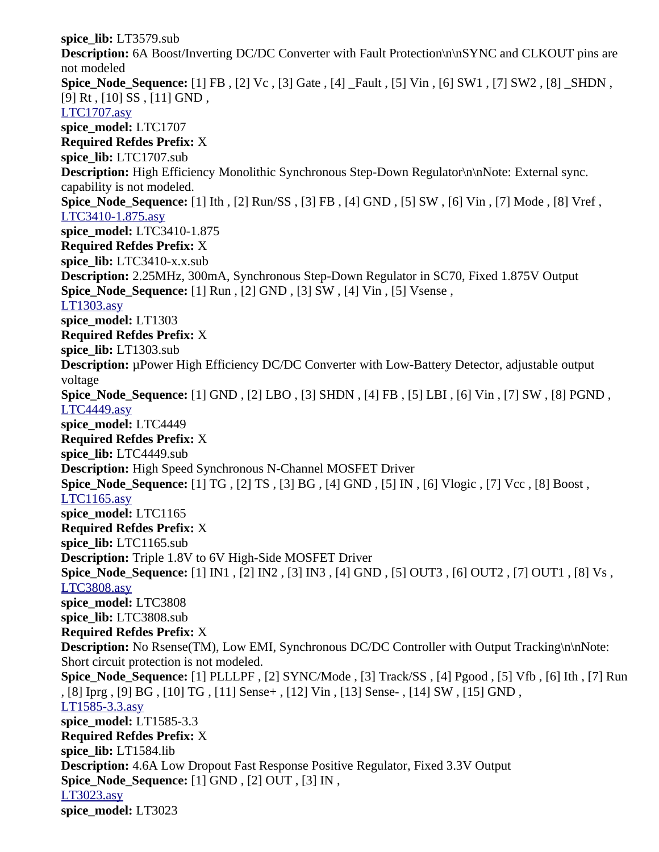**spice\_lib:** LT3579.sub **Description:** 6A Boost/Inverting DC/DC Converter with Fault Protection\n\nSYNC and CLKOUT pins are not modeled **Spice\_Node\_Sequence:** [1] FB , [2] Vc , [3] Gate , [4] \_Fault , [5] Vin , [6] SW1 , [7] SW2 , [8] \_SHDN , [9] Rt, [10] SS, [11] GND, [LTC1707.asy](file:///home/cmcdowell/.wine/drive_c/Program%20Files/LTC/LTspiceIV/lib/sym/PowerProducts/LTC1707.asy) **spice\_model:** LTC1707 **Required Refdes Prefix:** X **spice\_lib:** LTC1707.sub **Description:** High Efficiency Monolithic Synchronous Step-Down Regulator\n\nNote: External sync. capability is not modeled. **Spice\_Node\_Sequence:** [1] Ith , [2] Run/SS , [3] FB , [4] GND , [5] SW , [6] Vin , [7] Mode , [8] Vref , [LTC3410-1.875.asy](file:///home/cmcdowell/.wine/drive_c/Program%20Files/LTC/LTspiceIV/lib/sym/PowerProducts/LTC3410-1.875.asy) **spice\_model:** LTC3410-1.875 **Required Refdes Prefix:** X **spice\_lib:** LTC3410-x.x.sub **Description:** 2.25MHz, 300mA, Synchronous Step-Down Regulator in SC70, Fixed 1.875V Output **Spice\_Node\_Sequence:** [1] Run , [2] GND , [3] SW , [4] Vin , [5] Vsense , [LT1303.asy](file:///home/cmcdowell/.wine/drive_c/Program%20Files/LTC/LTspiceIV/lib/sym/PowerProducts/LT1303.asy) **spice\_model:** LT1303 **Required Refdes Prefix:** X **spice\_lib:** LT1303.sub **Description:** µPower High Efficiency DC/DC Converter with Low-Battery Detector, adjustable output voltage **Spice\_Node\_Sequence:** [1] GND , [2] LBO , [3] SHDN , [4] FB , [5] LBI , [6] Vin , [7] SW , [8] PGND , [LTC4449.asy](file:///home/cmcdowell/.wine/drive_c/Program%20Files/LTC/LTspiceIV/lib/sym/PowerProducts/LTC4449.asy) **spice\_model:** LTC4449 **Required Refdes Prefix:** X **spice\_lib:** LTC4449.sub **Description:** High Speed Synchronous N-Channel MOSFET Driver **Spice\_Node\_Sequence:** [1] TG , [2] TS , [3] BG , [4] GND , [5] IN , [6] Vlogic , [7] Vcc , [8] Boost , [LTC1165.asy](file:///home/cmcdowell/.wine/drive_c/Program%20Files/LTC/LTspiceIV/lib/sym/PowerProducts/LTC1165.asy) **spice\_model:** LTC1165 **Required Refdes Prefix:** X **spice\_lib:** LTC1165.sub **Description:** Triple 1.8V to 6V High-Side MOSFET Driver **Spice\_Node\_Sequence:** [1] IN1 , [2] IN2 , [3] IN3 , [4] GND , [5] OUT3 , [6] OUT2 , [7] OUT1 , [8] Vs , [LTC3808.asy](file:///home/cmcdowell/.wine/drive_c/Program%20Files/LTC/LTspiceIV/lib/sym/PowerProducts/LTC3808.asy) **spice\_model:** LTC3808 **spice\_lib:** LTC3808.sub **Required Refdes Prefix:** X **Description:** No Rsense(TM), Low EMI, Synchronous DC/DC Controller with Output Tracking\n\nNote: Short circuit protection is not modeled. **Spice\_Node\_Sequence:** [1] PLLLPF , [2] SYNC/Mode , [3] Track/SS , [4] Pgood , [5] Vfb , [6] Ith , [7] Run , [8] Iprg , [9] BG , [10] TG , [11] Sense+ , [12] Vin , [13] Sense- , [14] SW , [15] GND , [LT1585-3.3.asy](file:///home/cmcdowell/.wine/drive_c/Program%20Files/LTC/LTspiceIV/lib/sym/PowerProducts/LT1585-3.3.asy) **spice\_model:** LT1585-3.3 **Required Refdes Prefix:** X **spice\_lib:** LT1584.lib **Description:** 4.6A Low Dropout Fast Response Positive Regulator, Fixed 3.3V Output **Spice\_Node\_Sequence:** [1] GND , [2] OUT , [3] IN , [LT3023.asy](file:///home/cmcdowell/.wine/drive_c/Program%20Files/LTC/LTspiceIV/lib/sym/PowerProducts/LT3023.asy) **spice\_model:** LT3023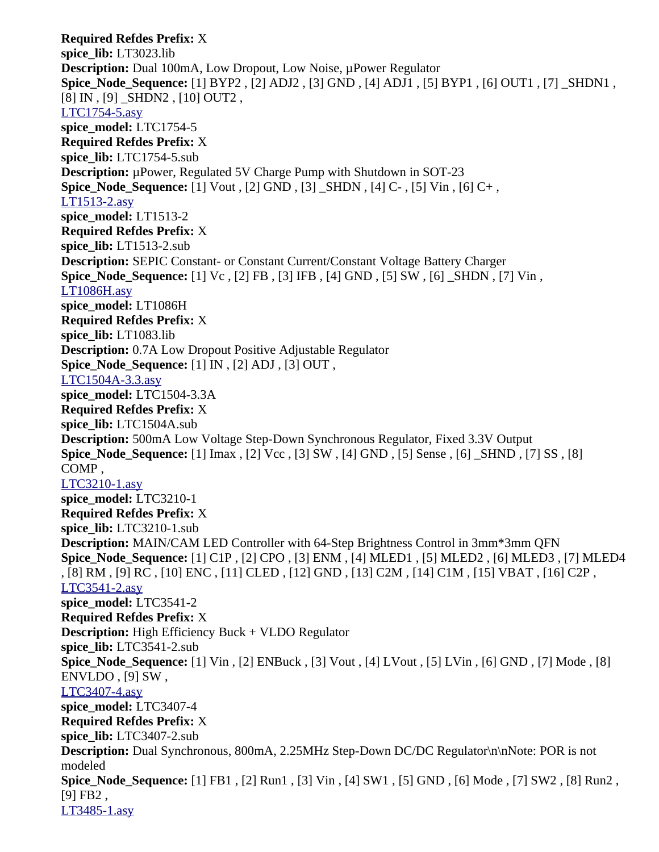**Required Refdes Prefix:** X **spice\_lib:** LT3023.lib **Description:** Dual 100mA, Low Dropout, Low Noise, µPower Regulator **Spice\_Node\_Sequence:** [1] BYP2 , [2] ADJ2 , [3] GND , [4] ADJ1 , [5] BYP1 , [6] OUT1 , [7] \_SHDN1 , [8] IN , [9] \_SHDN2 , [10] OUT2 , [LTC1754-5.asy](file:///home/cmcdowell/.wine/drive_c/Program%20Files/LTC/LTspiceIV/lib/sym/PowerProducts/LTC1754-5.asy) **spice\_model:** LTC1754-5 **Required Refdes Prefix:** X **spice\_lib:** LTC1754-5.sub **Description:** µPower, Regulated 5V Charge Pump with Shutdown in SOT-23 **Spice Node Sequence:** [1] Vout , [2] GND , [3] SHDN , [4] C- , [5] Vin , [6] C+, [LT1513-2.asy](file:///home/cmcdowell/.wine/drive_c/Program%20Files/LTC/LTspiceIV/lib/sym/PowerProducts/LT1513-2.asy) **spice\_model:** LT1513-2 **Required Refdes Prefix:** X **spice\_lib:** LT1513-2.sub **Description:** SEPIC Constant- or Constant Current/Constant Voltage Battery Charger **Spice\_Node\_Sequence:** [1] Vc , [2] FB , [3] IFB , [4] GND , [5] SW , [6] \_SHDN , [7] Vin , [LT1086H.asy](file:///home/cmcdowell/.wine/drive_c/Program%20Files/LTC/LTspiceIV/lib/sym/PowerProducts/LT1086H.asy) **spice\_model:** LT1086H **Required Refdes Prefix:** X **spice\_lib:** LT1083.lib **Description:** 0.7A Low Dropout Positive Adjustable Regulator **Spice\_Node\_Sequence:** [1] IN , [2] ADJ , [3] OUT , [LTC1504A-3.3.asy](file:///home/cmcdowell/.wine/drive_c/Program%20Files/LTC/LTspiceIV/lib/sym/PowerProducts/LTC1504A-3.3.asy) **spice\_model:** LTC1504-3.3A **Required Refdes Prefix:** X **spice\_lib:** LTC1504A.sub **Description:** 500mA Low Voltage Step-Down Synchronous Regulator, Fixed 3.3V Output **Spice\_Node\_Sequence:** [1] Imax , [2] Vcc , [3] SW , [4] GND , [5] Sense , [6] \_SHND , [7] SS , [8] COMP , [LTC3210-1.asy](file:///home/cmcdowell/.wine/drive_c/Program%20Files/LTC/LTspiceIV/lib/sym/PowerProducts/LTC3210-1.asy) **spice\_model:** LTC3210-1 **Required Refdes Prefix:** X **spice\_lib:** LTC3210-1.sub **Description:** MAIN/CAM LED Controller with 64-Step Brightness Control in 3mm\*3mm QFN **Spice\_Node\_Sequence:** [1] C1P , [2] CPO , [3] ENM , [4] MLED1 , [5] MLED2 , [6] MLED3 , [7] MLED4 , [8] RM , [9] RC , [10] ENC , [11] CLED , [12] GND , [13] C2M , [14] C1M , [15] VBAT , [16] C2P , [LTC3541-2.asy](file:///home/cmcdowell/.wine/drive_c/Program%20Files/LTC/LTspiceIV/lib/sym/PowerProducts/LTC3541-2.asy) **spice\_model:** LTC3541-2 **Required Refdes Prefix:** X **Description:** High Efficiency Buck + VLDO Regulator **spice\_lib:** LTC3541-2.sub **Spice\_Node\_Sequence:** [1] Vin , [2] ENBuck , [3] Vout , [4] LVout , [5] LVin , [6] GND , [7] Mode , [8] ENVLDO , [9] SW , [LTC3407-4.asy](file:///home/cmcdowell/.wine/drive_c/Program%20Files/LTC/LTspiceIV/lib/sym/PowerProducts/LTC3407-4.asy) **spice\_model:** LTC3407-4 **Required Refdes Prefix:** X **spice\_lib:** LTC3407-2.sub **Description:** Dual Synchronous, 800mA, 2.25MHz Step-Down DC/DC Regulator\n\nNote: POR is not modeled **Spice\_Node\_Sequence:** [1] FB1 , [2] Run1 , [3] Vin , [4] SW1 , [5] GND , [6] Mode , [7] SW2 , [8] Run2 , [9] FB2 , [LT3485-1.asy](file:///home/cmcdowell/.wine/drive_c/Program%20Files/LTC/LTspiceIV/lib/sym/PowerProducts/LT3485-1.asy)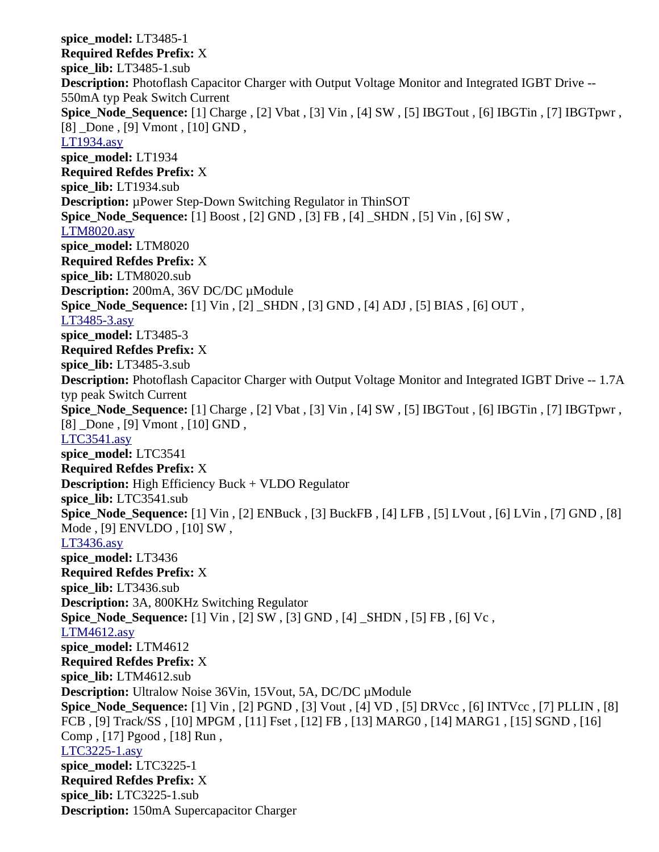**spice\_model:** LT3485-1 **Required Refdes Prefix:** X **spice\_lib:** LT3485-1.sub **Description:** Photoflash Capacitor Charger with Output Voltage Monitor and Integrated IGBT Drive -- 550mA typ Peak Switch Current **Spice\_Node\_Sequence:** [1] Charge , [2] Vbat , [3] Vin , [4] SW , [5] IBGTout , [6] IBGTin , [7] IBGTpwr , [8] Done , [9] Vmont , [10] GND, [LT1934.asy](file:///home/cmcdowell/.wine/drive_c/Program%20Files/LTC/LTspiceIV/lib/sym/PowerProducts/LT1934.asy) **spice\_model:** LT1934 **Required Refdes Prefix:** X **spice\_lib:** LT1934.sub **Description:** µPower Step-Down Switching Regulator in ThinSOT **Spice\_Node\_Sequence:** [1] Boost , [2] GND , [3] FB , [4] \_SHDN , [5] Vin , [6] SW , [LTM8020.asy](file:///home/cmcdowell/.wine/drive_c/Program%20Files/LTC/LTspiceIV/lib/sym/PowerProducts/LTM8020.asy) **spice\_model:** LTM8020 **Required Refdes Prefix:** X **spice\_lib:** LTM8020.sub **Description:** 200mA, 36V DC/DC µModule **Spice\_Node\_Sequence:** [1] Vin , [2] \_SHDN , [3] GND , [4] ADJ , [5] BIAS , [6] OUT , [LT3485-3.asy](file:///home/cmcdowell/.wine/drive_c/Program%20Files/LTC/LTspiceIV/lib/sym/PowerProducts/LT3485-3.asy) **spice\_model:** LT3485-3 **Required Refdes Prefix:** X **spice\_lib:** LT3485-3.sub **Description:** Photoflash Capacitor Charger with Output Voltage Monitor and Integrated IGBT Drive -- 1.7A typ peak Switch Current **Spice\_Node\_Sequence:** [1] Charge , [2] Vbat , [3] Vin , [4] SW , [5] IBGTout , [6] IBGTin , [7] IBGTpwr , [8] \_Done , [9] Vmont , [10] GND, [LTC3541.asy](file:///home/cmcdowell/.wine/drive_c/Program%20Files/LTC/LTspiceIV/lib/sym/PowerProducts/LTC3541.asy) **spice\_model:** LTC3541 **Required Refdes Prefix:** X **Description:** High Efficiency Buck + VLDO Regulator **spice\_lib:** LTC3541.sub **Spice\_Node\_Sequence:** [1] Vin , [2] ENBuck , [3] BuckFB , [4] LFB , [5] LVout , [6] LVin , [7] GND , [8] Mode , [9] ENVLDO , [10] SW , [LT3436.asy](file:///home/cmcdowell/.wine/drive_c/Program%20Files/LTC/LTspiceIV/lib/sym/PowerProducts/LT3436.asy) **spice\_model:** LT3436 **Required Refdes Prefix:** X **spice\_lib:** LT3436.sub **Description:** 3A, 800KHz Switching Regulator **Spice\_Node\_Sequence:** [1] Vin , [2] SW , [3] GND , [4] \_SHDN , [5] FB , [6] Vc , [LTM4612.asy](file:///home/cmcdowell/.wine/drive_c/Program%20Files/LTC/LTspiceIV/lib/sym/PowerProducts/LTM4612.asy) **spice\_model:** LTM4612 **Required Refdes Prefix:** X **spice\_lib:** LTM4612.sub **Description:** Ultralow Noise 36Vin, 15Vout, 5A, DC/DC µModule **Spice\_Node\_Sequence:** [1] Vin , [2] PGND , [3] Vout , [4] VD , [5] DRVcc , [6] INTVcc , [7] PLLIN , [8] FCB , [9] Track/SS , [10] MPGM , [11] Fset , [12] FB , [13] MARG0 , [14] MARG1 , [15] SGND , [16] Comp , [17] Pgood , [18] Run , [LTC3225-1.asy](file:///home/cmcdowell/.wine/drive_c/Program%20Files/LTC/LTspiceIV/lib/sym/PowerProducts/LTC3225-1.asy) **spice\_model:** LTC3225-1 **Required Refdes Prefix:** X **spice\_lib:** LTC3225-1.sub **Description:** 150mA Supercapacitor Charger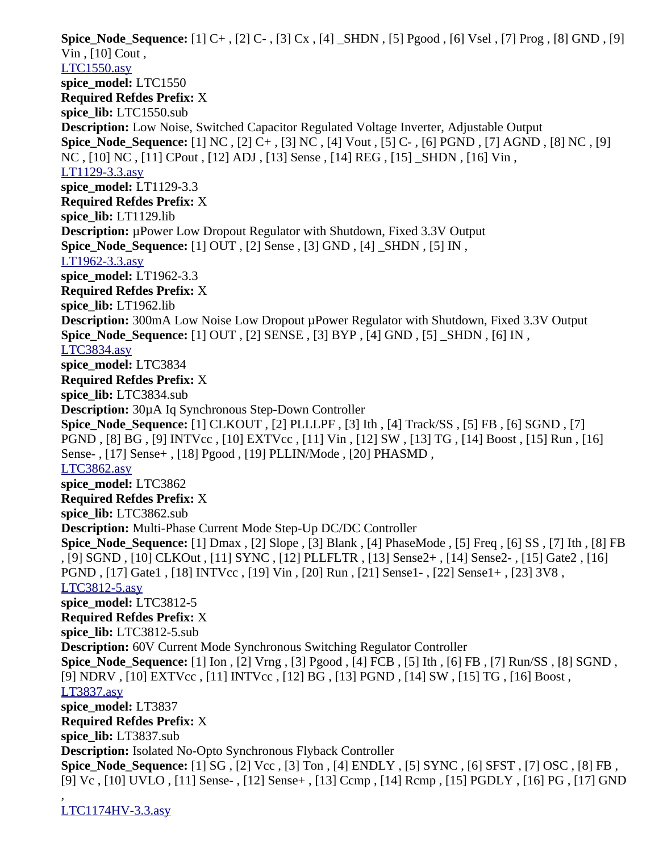**Spice\_Node\_Sequence:** [1] C+ , [2] C- , [3] Cx , [4] \_SHDN , [5] Pgood , [6] Vsel , [7] Prog , [8] GND , [9] Vin , [10] Cout , [LTC1550.asy](file:///home/cmcdowell/.wine/drive_c/Program%20Files/LTC/LTspiceIV/lib/sym/PowerProducts/LTC1550.asy) **spice\_model:** LTC1550 **Required Refdes Prefix:** X **spice\_lib:** LTC1550.sub **Description:** Low Noise, Switched Capacitor Regulated Voltage Inverter, Adjustable Output **Spice\_Node\_Sequence:** [1] NC , [2] C+ , [3] NC , [4] Vout , [5] C- , [6] PGND , [7] AGND , [8] NC , [9] NC , [10] NC , [11] CPout , [12] ADJ , [13] Sense , [14] REG , [15] \_SHDN , [16] Vin , [LT1129-3.3.asy](file:///home/cmcdowell/.wine/drive_c/Program%20Files/LTC/LTspiceIV/lib/sym/PowerProducts/LT1129-3.3.asy) **spice\_model:** LT1129-3.3 **Required Refdes Prefix:** X **spice\_lib:** LT1129.lib **Description:** µPower Low Dropout Regulator with Shutdown, Fixed 3.3V Output **Spice\_Node\_Sequence:** [1] OUT , [2] Sense , [3] GND , [4] \_SHDN , [5] IN , [LT1962-3.3.asy](file:///home/cmcdowell/.wine/drive_c/Program%20Files/LTC/LTspiceIV/lib/sym/PowerProducts/LT1962-3.3.asy) **spice\_model:** LT1962-3.3 **Required Refdes Prefix:** X **spice\_lib:** LT1962.lib **Description:** 300mA Low Noise Low Dropout µPower Regulator with Shutdown, Fixed 3.3V Output **Spice\_Node\_Sequence:** [1] OUT , [2] SENSE , [3] BYP , [4] GND , [5] \_SHDN , [6] IN , [LTC3834.asy](file:///home/cmcdowell/.wine/drive_c/Program%20Files/LTC/LTspiceIV/lib/sym/PowerProducts/LTC3834.asy) **spice\_model:** LTC3834 **Required Refdes Prefix:** X **spice\_lib:** LTC3834.sub **Description:** 30µA Iq Synchronous Step-Down Controller **Spice\_Node\_Sequence:** [1] CLKOUT , [2] PLLLPF , [3] Ith , [4] Track/SS , [5] FB , [6] SGND , [7] PGND , [8] BG , [9] INTVcc , [10] EXTVcc , [11] Vin , [12] SW , [13] TG , [14] Boost , [15] Run , [16] Sense- , [17] Sense+ , [18] Pgood , [19] PLLIN/Mode , [20] PHASMD , [LTC3862.asy](file:///home/cmcdowell/.wine/drive_c/Program%20Files/LTC/LTspiceIV/lib/sym/PowerProducts/LTC3862.asy) **spice\_model:** LTC3862 **Required Refdes Prefix:** X **spice\_lib:** LTC3862.sub **Description:** Multi-Phase Current Mode Step-Up DC/DC Controller **Spice\_Node\_Sequence:** [1] Dmax , [2] Slope , [3] Blank , [4] PhaseMode , [5] Freq , [6] SS , [7] Ith , [8] FB , [9] SGND , [10] CLKOut , [11] SYNC , [12] PLLFLTR , [13] Sense2+ , [14] Sense2- , [15] Gate2 , [16] PGND , [17] Gate1 , [18] INTVcc , [19] Vin , [20] Run , [21] Sense1- , [22] Sense1+ , [23] 3V8 , [LTC3812-5.asy](file:///home/cmcdowell/.wine/drive_c/Program%20Files/LTC/LTspiceIV/lib/sym/PowerProducts/LTC3812-5.asy) **spice\_model:** LTC3812-5 **Required Refdes Prefix:** X **spice\_lib:** LTC3812-5.sub **Description:** 60V Current Mode Synchronous Switching Regulator Controller **Spice\_Node\_Sequence:** [1] Ion , [2] Vrng , [3] Pgood , [4] FCB , [5] Ith , [6] FB , [7] Run/SS , [8] SGND , [9] NDRV , [10] EXTVcc , [11] INTVcc , [12] BG , [13] PGND , [14] SW , [15] TG , [16] Boost , [LT3837.asy](file:///home/cmcdowell/.wine/drive_c/Program%20Files/LTC/LTspiceIV/lib/sym/PowerProducts/LT3837.asy) **spice\_model:** LT3837 **Required Refdes Prefix:** X **spice\_lib:** LT3837.sub **Description:** Isolated No-Opto Synchronous Flyback Controller **Spice\_Node\_Sequence:** [1] SG , [2] Vcc , [3] Ton , [4] ENDLY , [5] SYNC , [6] SFST , [7] OSC , [8] FB , [9] Vc , [10] UVLO , [11] Sense- , [12] Sense+ , [13] Ccmp , [14] Rcmp , [15] PGDLY , [16] PG , [17] GND ,

[LTC1174HV-3.3.asy](file:///home/cmcdowell/.wine/drive_c/Program%20Files/LTC/LTspiceIV/lib/sym/PowerProducts/LTC1174HV-3.3.asy)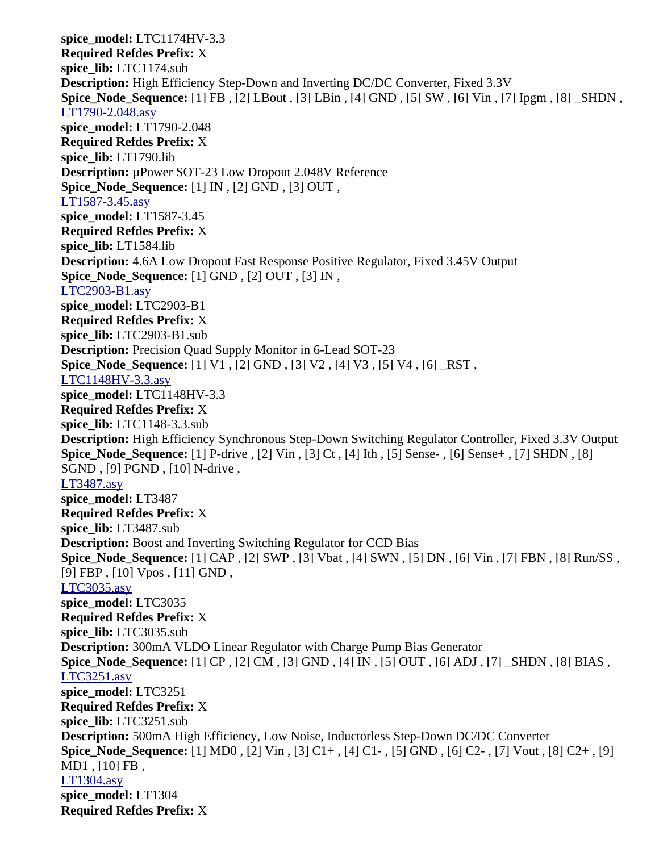**spice\_model:** LTC1174HV-3.3 **Required Refdes Prefix:** X **spice\_lib:** LTC1174.sub **Description:** High Efficiency Step-Down and Inverting DC/DC Converter, Fixed 3.3V **Spice\_Node\_Sequence:** [1] FB , [2] LBout , [3] LBin , [4] GND , [5] SW , [6] Vin , [7] Ipgm , [8] \_SHDN , [LT1790-2.048.asy](file:///home/cmcdowell/.wine/drive_c/Program%20Files/LTC/LTspiceIV/lib/sym/PowerProducts/LT1790-2.048.asy) **spice\_model:** LT1790-2.048 **Required Refdes Prefix:** X **spice\_lib:** LT1790.lib **Description:** µPower SOT-23 Low Dropout 2.048V Reference **Spice\_Node\_Sequence:** [1] IN , [2] GND , [3] OUT , [LT1587-3.45.asy](file:///home/cmcdowell/.wine/drive_c/Program%20Files/LTC/LTspiceIV/lib/sym/PowerProducts/LT1587-3.45.asy) **spice\_model:** LT1587-3.45 **Required Refdes Prefix:** X **spice\_lib:** LT1584.lib **Description:** 4.6A Low Dropout Fast Response Positive Regulator, Fixed 3.45V Output **Spice\_Node\_Sequence:** [1] GND , [2] OUT , [3] IN , [LTC2903-B1.asy](file:///home/cmcdowell/.wine/drive_c/Program%20Files/LTC/LTspiceIV/lib/sym/PowerProducts/LTC2903-B1.asy) **spice\_model:** LTC2903-B1 **Required Refdes Prefix:** X **spice\_lib:** LTC2903-B1.sub **Description:** Precision Quad Supply Monitor in 6-Lead SOT-23 **Spice\_Node\_Sequence:** [1] V1 , [2] GND , [3] V2 , [4] V3 , [5] V4 , [6] \_RST , [LTC1148HV-3.3.asy](file:///home/cmcdowell/.wine/drive_c/Program%20Files/LTC/LTspiceIV/lib/sym/PowerProducts/LTC1148HV-3.3.asy) **spice\_model:** LTC1148HV-3.3 **Required Refdes Prefix:** X **spice\_lib:** LTC1148-3.3.sub **Description:** High Efficiency Synchronous Step-Down Switching Regulator Controller, Fixed 3.3V Output **Spice\_Node\_Sequence:** [1] P-drive , [2] Vin , [3] Ct , [4] Ith , [5] Sense- , [6] Sense+ , [7] SHDN , [8] SGND , [9] PGND , [10] N-drive , [LT3487.asy](file:///home/cmcdowell/.wine/drive_c/Program%20Files/LTC/LTspiceIV/lib/sym/PowerProducts/LT3487.asy) **spice\_model:** LT3487 **Required Refdes Prefix:** X **spice\_lib:** LT3487.sub **Description:** Boost and Inverting Switching Regulator for CCD Bias **Spice\_Node\_Sequence:** [1] CAP , [2] SWP , [3] Vbat , [4] SWN , [5] DN , [6] Vin , [7] FBN , [8] Run/SS , [9] FBP , [10] Vpos , [11] GND , [LTC3035.asy](file:///home/cmcdowell/.wine/drive_c/Program%20Files/LTC/LTspiceIV/lib/sym/PowerProducts/LTC3035.asy) **spice\_model:** LTC3035 **Required Refdes Prefix:** X **spice\_lib:** LTC3035.sub **Description:** 300mA VLDO Linear Regulator with Charge Pump Bias Generator **Spice\_Node\_Sequence:** [1] CP , [2] CM , [3] GND , [4] IN , [5] OUT , [6] ADJ , [7] \_SHDN , [8] BIAS , [LTC3251.asy](file:///home/cmcdowell/.wine/drive_c/Program%20Files/LTC/LTspiceIV/lib/sym/PowerProducts/LTC3251.asy) **spice\_model:** LTC3251 **Required Refdes Prefix:** X **spice\_lib:** LTC3251.sub **Description:** 500mA High Efficiency, Low Noise, Inductorless Step-Down DC/DC Converter **Spice\_Node\_Sequence:** [1] MD0 , [2] Vin , [3] C1+ , [4] C1- , [5] GND , [6] C2- , [7] Vout , [8] C2+ , [9] MD1 , [10] FB , [LT1304.asy](file:///home/cmcdowell/.wine/drive_c/Program%20Files/LTC/LTspiceIV/lib/sym/PowerProducts/LT1304.asy) **spice\_model:** LT1304 **Required Refdes Prefix:** X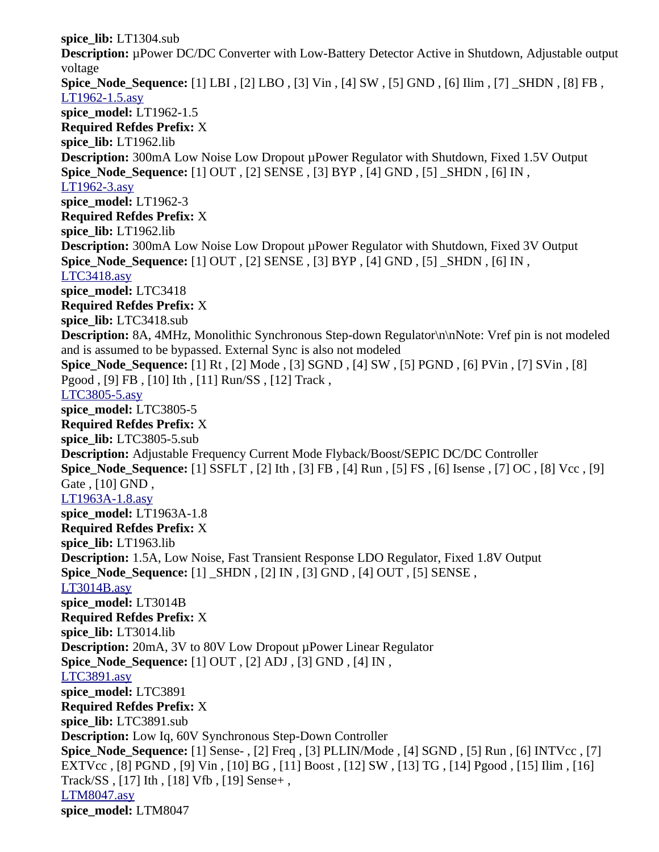**spice\_lib:** LT1304.sub **Description:** µPower DC/DC Converter with Low-Battery Detector Active in Shutdown, Adjustable output voltage **Spice\_Node\_Sequence:** [1] LBI , [2] LBO , [3] Vin , [4] SW , [5] GND , [6] Ilim , [7] \_SHDN , [8] FB , [LT1962-1.5.asy](file:///home/cmcdowell/.wine/drive_c/Program%20Files/LTC/LTspiceIV/lib/sym/PowerProducts/LT1962-1.5.asy) **spice\_model:** LT1962-1.5 **Required Refdes Prefix:** X **spice\_lib:** LT1962.lib **Description:** 300mA Low Noise Low Dropout µPower Regulator with Shutdown, Fixed 1.5V Output **Spice\_Node\_Sequence:** [1] OUT , [2] SENSE , [3] BYP , [4] GND , [5] \_SHDN , [6] IN , [LT1962-3.asy](file:///home/cmcdowell/.wine/drive_c/Program%20Files/LTC/LTspiceIV/lib/sym/PowerProducts/LT1962-3.asy) **spice\_model:** LT1962-3 **Required Refdes Prefix:** X **spice\_lib:** LT1962.lib **Description:** 300mA Low Noise Low Dropout µPower Regulator with Shutdown, Fixed 3V Output **Spice\_Node\_Sequence:** [1] OUT , [2] SENSE , [3] BYP , [4] GND , [5] \_SHDN , [6] IN , [LTC3418.asy](file:///home/cmcdowell/.wine/drive_c/Program%20Files/LTC/LTspiceIV/lib/sym/PowerProducts/LTC3418.asy) **spice\_model:** LTC3418 **Required Refdes Prefix:** X **spice\_lib:** LTC3418.sub **Description:** 8A, 4MHz, Monolithic Synchronous Step-down Regulator\n\nNote: Vref pin is not modeled and is assumed to be bypassed. External Sync is also not modeled **Spice\_Node\_Sequence:** [1] Rt , [2] Mode , [3] SGND , [4] SW , [5] PGND , [6] PVin , [7] SVin , [8] Pgood , [9] FB , [10] Ith , [11] Run/SS , [12] Track , [LTC3805-5.asy](file:///home/cmcdowell/.wine/drive_c/Program%20Files/LTC/LTspiceIV/lib/sym/PowerProducts/LTC3805-5.asy) **spice\_model:** LTC3805-5 **Required Refdes Prefix:** X **spice\_lib:** LTC3805-5.sub **Description:** Adjustable Frequency Current Mode Flyback/Boost/SEPIC DC/DC Controller **Spice\_Node\_Sequence:** [1] SSFLT , [2] Ith , [3] FB , [4] Run , [5] FS , [6] Isense , [7] OC , [8] Vcc , [9] Gate , [10] GND , [LT1963A-1.8.asy](file:///home/cmcdowell/.wine/drive_c/Program%20Files/LTC/LTspiceIV/lib/sym/PowerProducts/LT1963A-1.8.asy) **spice\_model:** LT1963A-1.8 **Required Refdes Prefix:** X **spice\_lib:** LT1963.lib **Description:** 1.5A, Low Noise, Fast Transient Response LDO Regulator, Fixed 1.8V Output **Spice\_Node\_Sequence:** [1] \_SHDN , [2] IN , [3] GND , [4] OUT , [5] SENSE , [LT3014B.asy](file:///home/cmcdowell/.wine/drive_c/Program%20Files/LTC/LTspiceIV/lib/sym/PowerProducts/LT3014B.asy) **spice\_model:** LT3014B **Required Refdes Prefix:** X **spice\_lib:** LT3014.lib **Description:** 20mA, 3V to 80V Low Dropout µPower Linear Regulator **Spice\_Node\_Sequence:** [1] OUT , [2] ADJ , [3] GND , [4] IN , [LTC3891.asy](file:///home/cmcdowell/.wine/drive_c/Program%20Files/LTC/LTspiceIV/lib/sym/PowerProducts/LTC3891.asy) **spice\_model:** LTC3891 **Required Refdes Prefix:** X **spice\_lib:** LTC3891.sub **Description:** Low Iq, 60V Synchronous Step-Down Controller **Spice\_Node\_Sequence:** [1] Sense- , [2] Freq , [3] PLLIN/Mode , [4] SGND , [5] Run , [6] INTVcc , [7] EXTVcc , [8] PGND , [9] Vin , [10] BG , [11] Boost , [12] SW , [13] TG , [14] Pgood , [15] Ilim , [16] Track/SS , [17] Ith , [18] Vfb , [19] Sense+ , [LTM8047.asy](file:///home/cmcdowell/.wine/drive_c/Program%20Files/LTC/LTspiceIV/lib/sym/PowerProducts/LTM8047.asy) **spice\_model:** LTM8047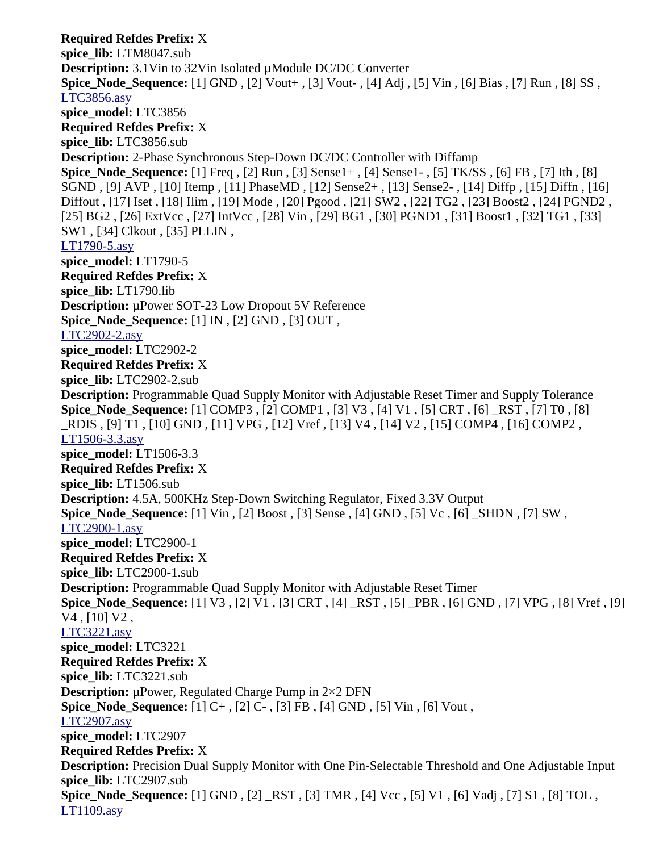**Required Refdes Prefix:** X **spice\_lib:** LTM8047.sub **Description:** 3.1Vin to 32Vin Isolated µModule DC/DC Converter **Spice\_Node\_Sequence:** [1] GND , [2] Vout+ , [3] Vout- , [4] Adj , [5] Vin , [6] Bias , [7] Run , [8] SS , [LTC3856.asy](file:///home/cmcdowell/.wine/drive_c/Program%20Files/LTC/LTspiceIV/lib/sym/PowerProducts/LTC3856.asy) **spice\_model:** LTC3856 **Required Refdes Prefix:** X **spice\_lib:** LTC3856.sub **Description:** 2-Phase Synchronous Step-Down DC/DC Controller with Diffamp **Spice\_Node\_Sequence:** [1] Freq , [2] Run , [3] Sense1+ , [4] Sense1- , [5] TK/SS , [6] FB , [7] Ith , [8] SGND , [9] AVP , [10] Itemp , [11] PhaseMD , [12] Sense2+ , [13] Sense2- , [14] Diffp , [15] Diffn , [16] Diffout , [17] Iset , [18] Ilim , [19] Mode , [20] Pgood , [21] SW2 , [22] TG2 , [23] Boost2 , [24] PGND2 , [25] BG2 , [26] ExtVcc , [27] IntVcc , [28] Vin , [29] BG1 , [30] PGND1 , [31] Boost1 , [32] TG1 , [33] SW1 , [34] Clkout , [35] PLLIN , [LT1790-5.asy](file:///home/cmcdowell/.wine/drive_c/Program%20Files/LTC/LTspiceIV/lib/sym/PowerProducts/LT1790-5.asy) **spice\_model:** LT1790-5 **Required Refdes Prefix:** X **spice\_lib:** LT1790.lib **Description:** µPower SOT-23 Low Dropout 5V Reference **Spice\_Node\_Sequence:** [1] IN , [2] GND , [3] OUT , [LTC2902-2.asy](file:///home/cmcdowell/.wine/drive_c/Program%20Files/LTC/LTspiceIV/lib/sym/PowerProducts/LTC2902-2.asy) **spice\_model:** LTC2902-2 **Required Refdes Prefix:** X **spice\_lib:** LTC2902-2.sub **Description:** Programmable Quad Supply Monitor with Adjustable Reset Timer and Supply Tolerance **Spice\_Node\_Sequence:** [1] COMP3 , [2] COMP1 , [3] V3 , [4] V1 , [5] CRT , [6] \_RST , [7] T0 , [8] \_RDIS , [9] T1 , [10] GND , [11] VPG , [12] Vref , [13] V4 , [14] V2 , [15] COMP4 , [16] COMP2 , [LT1506-3.3.asy](file:///home/cmcdowell/.wine/drive_c/Program%20Files/LTC/LTspiceIV/lib/sym/PowerProducts/LT1506-3.3.asy) **spice\_model:** LT1506-3.3 **Required Refdes Prefix:** X **spice\_lib:** LT1506.sub **Description:** 4.5A, 500KHz Step-Down Switching Regulator, Fixed 3.3V Output **Spice\_Node\_Sequence:** [1] Vin , [2] Boost , [3] Sense , [4] GND , [5] Vc , [6] \_SHDN , [7] SW , [LTC2900-1.asy](file:///home/cmcdowell/.wine/drive_c/Program%20Files/LTC/LTspiceIV/lib/sym/PowerProducts/LTC2900-1.asy) **spice\_model:** LTC2900-1 **Required Refdes Prefix:** X **spice\_lib:** LTC2900-1.sub **Description:** Programmable Quad Supply Monitor with Adjustable Reset Timer **Spice\_Node\_Sequence:** [1] V3 , [2] V1 , [3] CRT , [4] \_RST , [5] \_PBR , [6] GND , [7] VPG , [8] Vref , [9] V4 , [10] V2 , [LTC3221.asy](file:///home/cmcdowell/.wine/drive_c/Program%20Files/LTC/LTspiceIV/lib/sym/PowerProducts/LTC3221.asy) **spice\_model:** LTC3221 **Required Refdes Prefix:** X **spice\_lib:** LTC3221.sub **Description:** µPower, Regulated Charge Pump in 2×2 DFN **Spice Node Sequence:** [1] C+, [2] C-, [3] FB, [4] GND, [5] Vin, [6] Vout, [LTC2907.asy](file:///home/cmcdowell/.wine/drive_c/Program%20Files/LTC/LTspiceIV/lib/sym/PowerProducts/LTC2907.asy) **spice\_model:** LTC2907 **Required Refdes Prefix:** X **Description:** Precision Dual Supply Monitor with One Pin-Selectable Threshold and One Adjustable Input **spice\_lib:** LTC2907.sub **Spice\_Node\_Sequence:** [1] GND , [2] \_RST , [3] TMR , [4] Vcc , [5] V1 , [6] Vadj , [7] S1 , [8] TOL , [LT1109.asy](file:///home/cmcdowell/.wine/drive_c/Program%20Files/LTC/LTspiceIV/lib/sym/PowerProducts/LT1109.asy)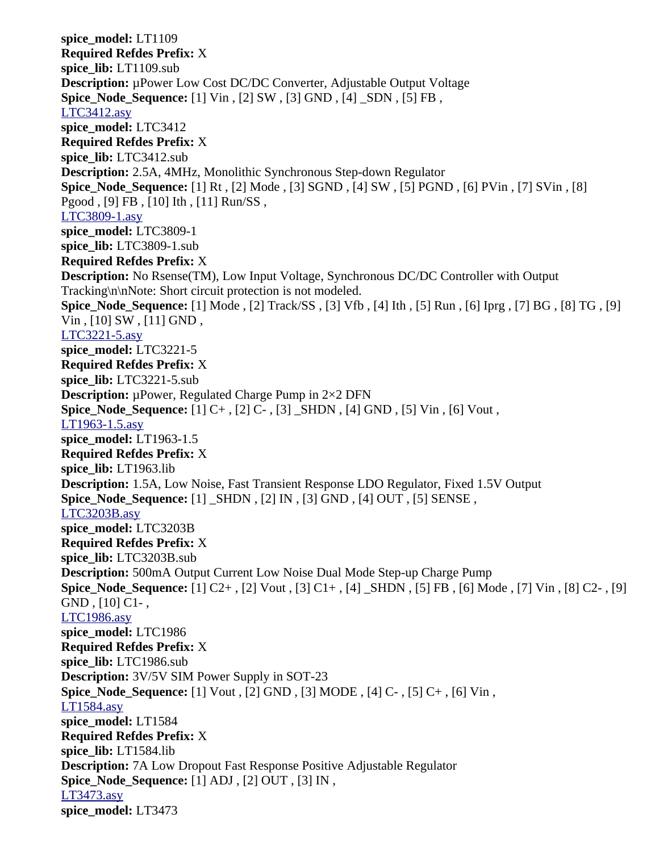**spice\_model:** LT1109 **Required Refdes Prefix:** X **spice\_lib:** LT1109.sub **Description:** µPower Low Cost DC/DC Converter, Adjustable Output Voltage **Spice\_Node\_Sequence:** [1] Vin , [2] SW , [3] GND , [4] \_SDN , [5] FB , [LTC3412.asy](file:///home/cmcdowell/.wine/drive_c/Program%20Files/LTC/LTspiceIV/lib/sym/PowerProducts/LTC3412.asy) **spice\_model:** LTC3412 **Required Refdes Prefix:** X **spice\_lib:** LTC3412.sub **Description:** 2.5A, 4MHz, Monolithic Synchronous Step-down Regulator **Spice\_Node\_Sequence:** [1] Rt , [2] Mode , [3] SGND , [4] SW , [5] PGND , [6] PVin , [7] SVin , [8] Pgood , [9] FB , [10] Ith , [11] Run/SS , [LTC3809-1.asy](file:///home/cmcdowell/.wine/drive_c/Program%20Files/LTC/LTspiceIV/lib/sym/PowerProducts/LTC3809-1.asy) **spice\_model:** LTC3809-1 **spice\_lib:** LTC3809-1.sub **Required Refdes Prefix:** X **Description:** No Rsense(TM), Low Input Voltage, Synchronous DC/DC Controller with Output Tracking\n\nNote: Short circuit protection is not modeled. **Spice\_Node\_Sequence:** [1] Mode , [2] Track/SS , [3] Vfb , [4] Ith , [5] Run , [6] Iprg , [7] BG , [8] TG , [9] Vin , [10] SW , [11] GND , [LTC3221-5.asy](file:///home/cmcdowell/.wine/drive_c/Program%20Files/LTC/LTspiceIV/lib/sym/PowerProducts/LTC3221-5.asy) **spice\_model:** LTC3221-5 **Required Refdes Prefix:** X **spice\_lib:** LTC3221-5.sub **Description:** µPower, Regulated Charge Pump in 2×2 DFN **Spice Node Sequence:** [1] C+, [2] C-, [3] SHDN, [4] GND, [5] Vin, [6] Vout, [LT1963-1.5.asy](file:///home/cmcdowell/.wine/drive_c/Program%20Files/LTC/LTspiceIV/lib/sym/PowerProducts/LT1963-1.5.asy) **spice\_model:** LT1963-1.5 **Required Refdes Prefix:** X **spice\_lib:** LT1963.lib **Description:** 1.5A, Low Noise, Fast Transient Response LDO Regulator, Fixed 1.5V Output **Spice\_Node\_Sequence:** [1] \_SHDN , [2] IN , [3] GND , [4] OUT , [5] SENSE , [LTC3203B.asy](file:///home/cmcdowell/.wine/drive_c/Program%20Files/LTC/LTspiceIV/lib/sym/PowerProducts/LTC3203B.asy) **spice\_model:** LTC3203B **Required Refdes Prefix:** X **spice\_lib:** LTC3203B.sub **Description:** 500mA Output Current Low Noise Dual Mode Step-up Charge Pump **Spice\_Node\_Sequence:** [1] C2+ , [2] Vout , [3] C1+ , [4] \_SHDN , [5] FB , [6] Mode , [7] Vin , [8] C2- , [9] GND , [10] C1- , [LTC1986.asy](file:///home/cmcdowell/.wine/drive_c/Program%20Files/LTC/LTspiceIV/lib/sym/PowerProducts/LTC1986.asy) **spice\_model:** LTC1986 **Required Refdes Prefix:** X **spice\_lib:** LTC1986.sub **Description:** 3V/5V SIM Power Supply in SOT-23 **Spice\_Node\_Sequence:** [1] Vout , [2] GND , [3] MODE , [4] C- , [5] C+ , [6] Vin , [LT1584.asy](file:///home/cmcdowell/.wine/drive_c/Program%20Files/LTC/LTspiceIV/lib/sym/PowerProducts/LT1584.asy) **spice\_model:** LT1584 **Required Refdes Prefix:** X **spice\_lib:** LT1584.lib **Description:** 7A Low Dropout Fast Response Positive Adjustable Regulator **Spice\_Node\_Sequence:** [1] ADJ , [2] OUT , [3] IN , [LT3473.asy](file:///home/cmcdowell/.wine/drive_c/Program%20Files/LTC/LTspiceIV/lib/sym/PowerProducts/LT3473.asy) **spice\_model:** LT3473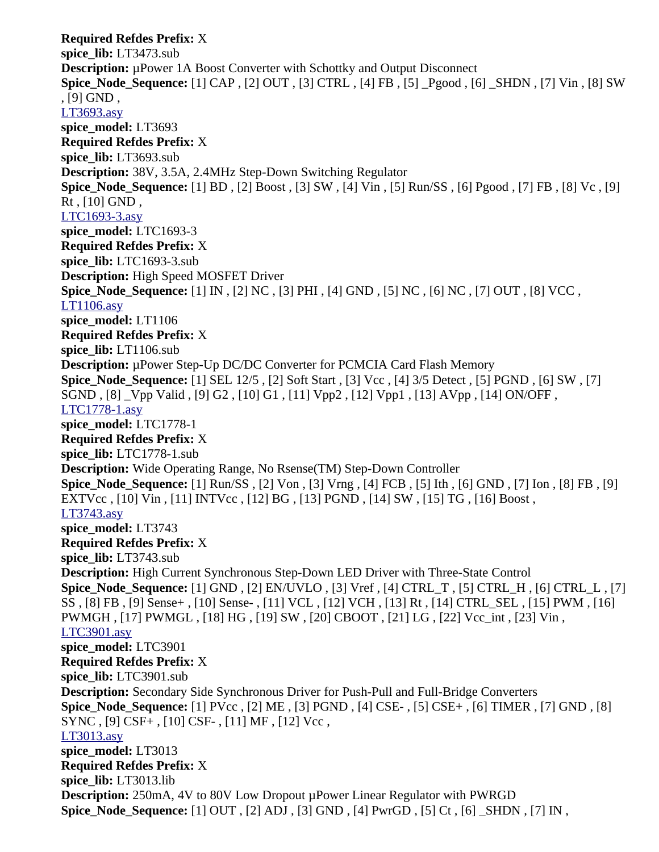**Required Refdes Prefix:** X **spice\_lib:** LT3473.sub **Description:** µPower 1A Boost Converter with Schottky and Output Disconnect **Spice\_Node\_Sequence:** [1] CAP , [2] OUT , [3] CTRL , [4] FB , [5] \_Pgood , [6] \_SHDN , [7] Vin , [8] SW , [9] GND , [LT3693.asy](file:///home/cmcdowell/.wine/drive_c/Program%20Files/LTC/LTspiceIV/lib/sym/PowerProducts/LT3693.asy) **spice\_model:** LT3693 **Required Refdes Prefix:** X **spice\_lib:** LT3693.sub **Description:** 38V, 3.5A, 2.4MHz Step-Down Switching Regulator **Spice\_Node\_Sequence:** [1] BD , [2] Boost , [3] SW , [4] Vin , [5] Run/SS , [6] Pgood , [7] FB , [8] Vc , [9]  $Rt$ ,  $[10]$  GND, [LTC1693-3.asy](file:///home/cmcdowell/.wine/drive_c/Program%20Files/LTC/LTspiceIV/lib/sym/PowerProducts/LTC1693-3.asy) **spice\_model:** LTC1693-3 **Required Refdes Prefix:** X **spice\_lib:** LTC1693-3.sub **Description:** High Speed MOSFET Driver **Spice\_Node\_Sequence:** [1] IN , [2] NC , [3] PHI , [4] GND , [5] NC , [6] NC , [7] OUT , [8] VCC , [LT1106.asy](file:///home/cmcdowell/.wine/drive_c/Program%20Files/LTC/LTspiceIV/lib/sym/PowerProducts/LT1106.asy) **spice\_model:** LT1106 **Required Refdes Prefix:** X **spice\_lib:** LT1106.sub **Description:** µPower Step-Up DC/DC Converter for PCMCIA Card Flash Memory **Spice\_Node\_Sequence:** [1] SEL 12/5 , [2] Soft Start , [3] Vcc , [4] 3/5 Detect , [5] PGND , [6] SW , [7] SGND , [8] \_Vpp Valid , [9] G2 , [10] G1 , [11] Vpp2 , [12] Vpp1 , [13] AVpp , [14] ON/OFF , [LTC1778-1.asy](file:///home/cmcdowell/.wine/drive_c/Program%20Files/LTC/LTspiceIV/lib/sym/PowerProducts/LTC1778-1.asy) **spice\_model:** LTC1778-1 **Required Refdes Prefix:** X **spice\_lib:** LTC1778-1.sub **Description:** Wide Operating Range, No Rsense(TM) Step-Down Controller **Spice\_Node\_Sequence:** [1] Run/SS , [2] Von , [3] Vrng , [4] FCB , [5] Ith , [6] GND , [7] Ion , [8] FB , [9] EXTVcc , [10] Vin , [11] INTVcc , [12] BG , [13] PGND , [14] SW , [15] TG , [16] Boost , [LT3743.asy](file:///home/cmcdowell/.wine/drive_c/Program%20Files/LTC/LTspiceIV/lib/sym/PowerProducts/LT3743.asy) **spice\_model:** LT3743 **Required Refdes Prefix:** X **spice\_lib:** LT3743.sub **Description:** High Current Synchronous Step-Down LED Driver with Three-State Control **Spice\_Node\_Sequence:** [1] GND , [2] EN/UVLO , [3] Vref , [4] CTRL\_T , [5] CTRL\_H , [6] CTRL\_L , [7] SS , [8] FB , [9] Sense+ , [10] Sense- , [11] VCL , [12] VCH , [13] Rt , [14] CTRL\_SEL , [15] PWM , [16] PWMGH , [17] PWMGL , [18] HG , [19] SW , [20] CBOOT , [21] LG , [22] Vcc\_int , [23] Vin , [LTC3901.asy](file:///home/cmcdowell/.wine/drive_c/Program%20Files/LTC/LTspiceIV/lib/sym/PowerProducts/LTC3901.asy) **spice\_model:** LTC3901 **Required Refdes Prefix:** X **spice\_lib:** LTC3901.sub **Description:** Secondary Side Synchronous Driver for Push-Pull and Full-Bridge Converters **Spice\_Node\_Sequence:** [1] PVcc , [2] ME , [3] PGND , [4] CSE- , [5] CSE+ , [6] TIMER , [7] GND , [8] SYNC , [9] CSF+ , [10] CSF- , [11] MF , [12] Vcc , [LT3013.asy](file:///home/cmcdowell/.wine/drive_c/Program%20Files/LTC/LTspiceIV/lib/sym/PowerProducts/LT3013.asy) **spice\_model:** LT3013 **Required Refdes Prefix:** X **spice\_lib:** LT3013.lib **Description:** 250mA, 4V to 80V Low Dropout µPower Linear Regulator with PWRGD **Spice\_Node\_Sequence:** [1] OUT , [2] ADJ , [3] GND , [4] PwrGD , [5] Ct , [6] \_SHDN , [7] IN ,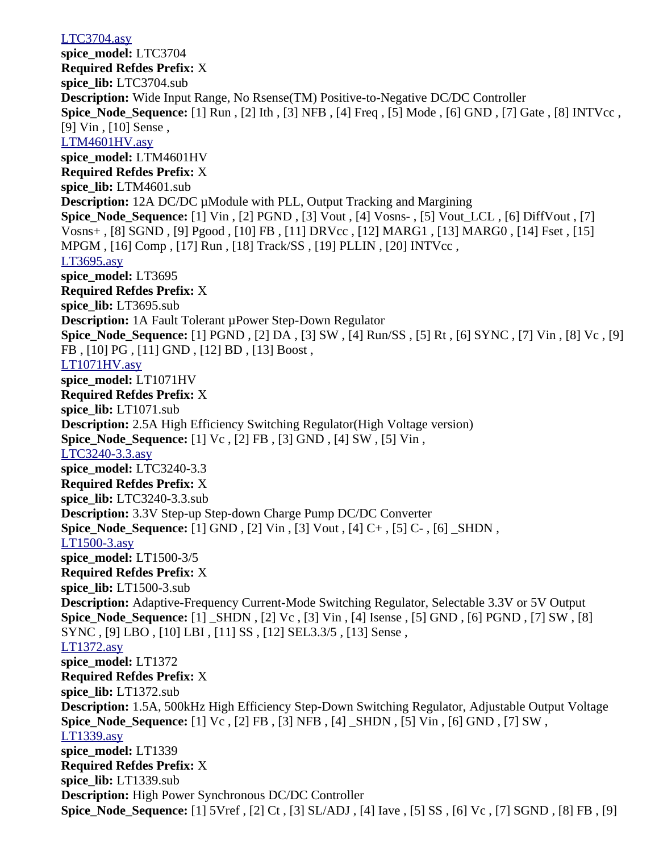[LTC3704.asy](file:///home/cmcdowell/.wine/drive_c/Program%20Files/LTC/LTspiceIV/lib/sym/PowerProducts/LTC3704.asy) **spice\_model:** LTC3704 **Required Refdes Prefix:** X **spice\_lib:** LTC3704.sub **Description:** Wide Input Range, No Rsense(TM) Positive-to-Negative DC/DC Controller **Spice\_Node\_Sequence:** [1] Run , [2] Ith , [3] NFB , [4] Freq , [5] Mode , [6] GND , [7] Gate , [8] INTVcc , [9] Vin, [10] Sense, [LTM4601HV.asy](file:///home/cmcdowell/.wine/drive_c/Program%20Files/LTC/LTspiceIV/lib/sym/PowerProducts/LTM4601HV.asy) **spice\_model:** LTM4601HV **Required Refdes Prefix:** X **spice\_lib:** LTM4601.sub **Description:** 12A DC/DC µModule with PLL, Output Tracking and Margining **Spice\_Node\_Sequence:** [1] Vin , [2] PGND , [3] Vout , [4] Vosns- , [5] Vout\_LCL , [6] DiffVout , [7] Vosns+ , [8] SGND , [9] Pgood , [10] FB , [11] DRVcc , [12] MARG1 , [13] MARG0 , [14] Fset , [15] MPGM , [16] Comp , [17] Run , [18] Track/SS , [19] PLLIN , [20] INTVcc , [LT3695.asy](file:///home/cmcdowell/.wine/drive_c/Program%20Files/LTC/LTspiceIV/lib/sym/PowerProducts/LT3695.asy) **spice\_model:** LT3695 **Required Refdes Prefix:** X **spice\_lib:** LT3695.sub **Description:** 1A Fault Tolerant µPower Step-Down Regulator **Spice\_Node\_Sequence:** [1] PGND , [2] DA , [3] SW , [4] Run/SS , [5] Rt , [6] SYNC , [7] Vin , [8] Vc , [9] FB , [10] PG , [11] GND , [12] BD , [13] Boost , [LT1071HV.asy](file:///home/cmcdowell/.wine/drive_c/Program%20Files/LTC/LTspiceIV/lib/sym/PowerProducts/LT1071HV.asy) **spice\_model:** LT1071HV **Required Refdes Prefix:** X **spice\_lib:** LT1071.sub **Description:** 2.5A High Efficiency Switching Regulator(High Voltage version) **Spice\_Node\_Sequence:** [1] Vc , [2] FB , [3] GND , [4] SW , [5] Vin , [LTC3240-3.3.asy](file:///home/cmcdowell/.wine/drive_c/Program%20Files/LTC/LTspiceIV/lib/sym/PowerProducts/LTC3240-3.3.asy) **spice\_model:** LTC3240-3.3 **Required Refdes Prefix:** X **spice\_lib:** LTC3240-3.3.sub **Description:** 3.3V Step-up Step-down Charge Pump DC/DC Converter **Spice\_Node\_Sequence:** [1] GND , [2] Vin , [3] Vout , [4] C+ , [5] C- , [6] \_SHDN , [LT1500-3.asy](file:///home/cmcdowell/.wine/drive_c/Program%20Files/LTC/LTspiceIV/lib/sym/PowerProducts/LT1500-3.asy) **spice\_model:** LT1500-3/5 **Required Refdes Prefix:** X **spice\_lib:** LT1500-3.sub **Description:** Adaptive-Frequency Current-Mode Switching Regulator, Selectable 3.3V or 5V Output **Spice\_Node\_Sequence:** [1] \_SHDN , [2] Vc , [3] Vin , [4] Isense , [5] GND , [6] PGND , [7] SW , [8] SYNC , [9] LBO , [10] LBI , [11] SS , [12] SEL3.3/5 , [13] Sense , [LT1372.asy](file:///home/cmcdowell/.wine/drive_c/Program%20Files/LTC/LTspiceIV/lib/sym/PowerProducts/LT1372.asy) **spice\_model:** LT1372 **Required Refdes Prefix:** X **spice\_lib:** LT1372.sub **Description:** 1.5A, 500kHz High Efficiency Step-Down Switching Regulator, Adjustable Output Voltage **Spice\_Node\_Sequence:** [1] Vc , [2] FB , [3] NFB , [4] \_SHDN , [5] Vin , [6] GND , [7] SW , [LT1339.asy](file:///home/cmcdowell/.wine/drive_c/Program%20Files/LTC/LTspiceIV/lib/sym/PowerProducts/LT1339.asy) **spice\_model:** LT1339 **Required Refdes Prefix:** X **spice\_lib:** LT1339.sub **Description:** High Power Synchronous DC/DC Controller **Spice\_Node\_Sequence:** [1] 5Vref , [2] Ct , [3] SL/ADJ , [4] Iave , [5] SS , [6] Vc , [7] SGND , [8] FB , [9]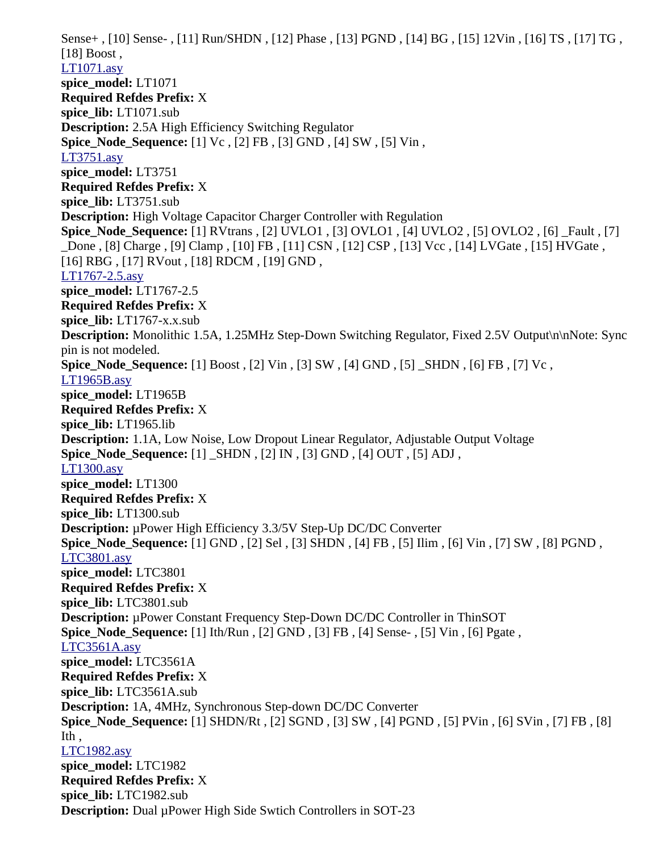Sense+ , [10] Sense- , [11] Run/SHDN , [12] Phase , [13] PGND , [14] BG , [15] 12Vin , [16] TS , [17] TG , [18] Boost , [LT1071.asy](file:///home/cmcdowell/.wine/drive_c/Program%20Files/LTC/LTspiceIV/lib/sym/PowerProducts/LT1071.asy) **spice\_model:** LT1071 **Required Refdes Prefix:** X **spice\_lib:** LT1071.sub **Description:** 2.5A High Efficiency Switching Regulator **Spice\_Node\_Sequence:** [1] Vc , [2] FB , [3] GND , [4] SW , [5] Vin , [LT3751.asy](file:///home/cmcdowell/.wine/drive_c/Program%20Files/LTC/LTspiceIV/lib/sym/PowerProducts/LT3751.asy) **spice\_model:** LT3751 **Required Refdes Prefix:** X **spice\_lib:** LT3751.sub **Description:** High Voltage Capacitor Charger Controller with Regulation **Spice\_Node\_Sequence:** [1] RVtrans , [2] UVLO1 , [3] OVLO1 , [4] UVLO2 , [5] OVLO2 , [6] \_Fault , [7] \_Done , [8] Charge , [9] Clamp , [10] FB , [11] CSN , [12] CSP , [13] Vcc , [14] LVGate , [15] HVGate , [16] RBG , [17] RVout , [18] RDCM , [19] GND , [LT1767-2.5.asy](file:///home/cmcdowell/.wine/drive_c/Program%20Files/LTC/LTspiceIV/lib/sym/PowerProducts/LT1767-2.5.asy) **spice\_model:** LT1767-2.5 **Required Refdes Prefix:** X spice lib: LT1767-x.x.sub **Description:** Monolithic 1.5A, 1.25MHz Step-Down Switching Regulator, Fixed 2.5V Output\n\nNote: Sync pin is not modeled. **Spice\_Node\_Sequence:** [1] Boost , [2] Vin , [3] SW , [4] GND , [5] \_SHDN , [6] FB , [7] Vc , [LT1965B.asy](file:///home/cmcdowell/.wine/drive_c/Program%20Files/LTC/LTspiceIV/lib/sym/PowerProducts/LT1965B.asy) **spice\_model:** LT1965B **Required Refdes Prefix:** X **spice\_lib:** LT1965.lib **Description:** 1.1A, Low Noise, Low Dropout Linear Regulator, Adjustable Output Voltage **Spice\_Node\_Sequence:** [1] \_SHDN , [2] IN , [3] GND , [4] OUT , [5] ADJ , [LT1300.asy](file:///home/cmcdowell/.wine/drive_c/Program%20Files/LTC/LTspiceIV/lib/sym/PowerProducts/LT1300.asy) **spice\_model:** LT1300 **Required Refdes Prefix:** X **spice\_lib:** LT1300.sub **Description:** µPower High Efficiency 3.3/5V Step-Up DC/DC Converter **Spice\_Node\_Sequence:** [1] GND , [2] Sel , [3] SHDN , [4] FB , [5] Ilim , [6] Vin , [7] SW , [8] PGND , [LTC3801.asy](file:///home/cmcdowell/.wine/drive_c/Program%20Files/LTC/LTspiceIV/lib/sym/PowerProducts/LTC3801.asy) **spice\_model:** LTC3801 **Required Refdes Prefix:** X **spice\_lib:** LTC3801.sub **Description:** µPower Constant Frequency Step-Down DC/DC Controller in ThinSOT **Spice\_Node\_Sequence:** [1] Ith/Run , [2] GND , [3] FB , [4] Sense- , [5] Vin , [6] Pgate , [LTC3561A.asy](file:///home/cmcdowell/.wine/drive_c/Program%20Files/LTC/LTspiceIV/lib/sym/PowerProducts/LTC3561A.asy) **spice\_model:** LTC3561A **Required Refdes Prefix:** X **spice\_lib:** LTC3561A.sub **Description:** 1A, 4MHz, Synchronous Step-down DC/DC Converter **Spice\_Node\_Sequence:** [1] SHDN/Rt , [2] SGND , [3] SW , [4] PGND , [5] PVin , [6] SVin , [7] FB , [8] Ith , [LTC1982.asy](file:///home/cmcdowell/.wine/drive_c/Program%20Files/LTC/LTspiceIV/lib/sym/PowerProducts/LTC1982.asy) **spice\_model:** LTC1982 **Required Refdes Prefix:** X **spice\_lib:** LTC1982.sub **Description:** Dual µPower High Side Swtich Controllers in SOT-23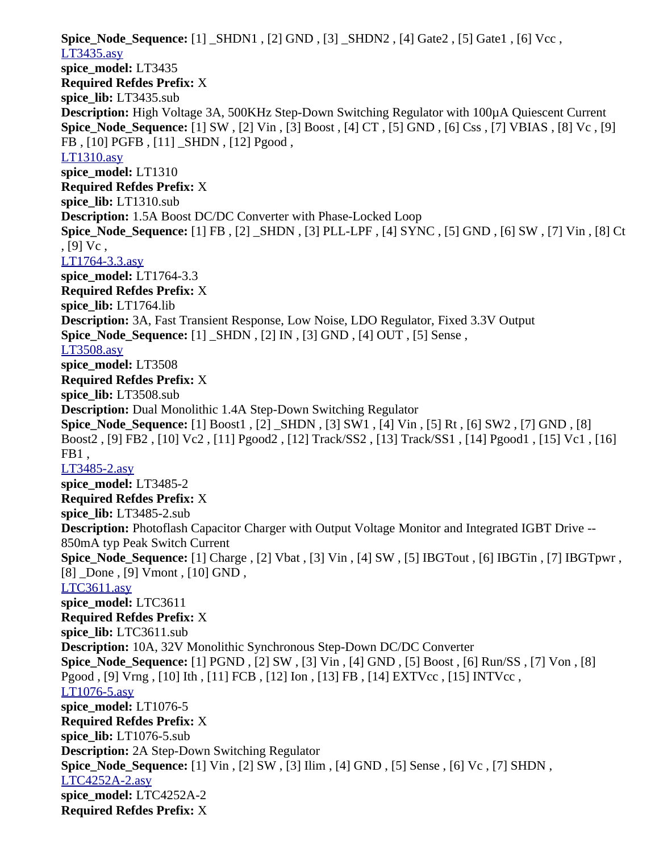**Spice\_Node\_Sequence:** [1] \_SHDN1 , [2] GND , [3] \_SHDN2 , [4] Gate2 , [5] Gate1 , [6] Vcc , [LT3435.asy](file:///home/cmcdowell/.wine/drive_c/Program%20Files/LTC/LTspiceIV/lib/sym/PowerProducts/LT3435.asy) **spice\_model:** LT3435 **Required Refdes Prefix:** X **spice\_lib:** LT3435.sub **Description:** High Voltage 3A, 500KHz Step-Down Switching Regulator with 100µA Quiescent Current **Spice\_Node\_Sequence:** [1] SW , [2] Vin , [3] Boost , [4] CT , [5] GND , [6] Css , [7] VBIAS , [8] Vc , [9] FB , [10] PGFB , [11] \_SHDN , [12] Pgood , [LT1310.asy](file:///home/cmcdowell/.wine/drive_c/Program%20Files/LTC/LTspiceIV/lib/sym/PowerProducts/LT1310.asy) **spice\_model:** LT1310 **Required Refdes Prefix:** X **spice\_lib:** LT1310.sub **Description:** 1.5A Boost DC/DC Converter with Phase-Locked Loop **Spice\_Node\_Sequence:** [1] FB , [2] \_SHDN , [3] PLL-LPF , [4] SYNC , [5] GND , [6] SW , [7] Vin , [8] Ct  $, [9]$  Vc, [LT1764-3.3.asy](file:///home/cmcdowell/.wine/drive_c/Program%20Files/LTC/LTspiceIV/lib/sym/PowerProducts/LT1764-3.3.asy) **spice\_model:** LT1764-3.3 **Required Refdes Prefix:** X **spice\_lib:** LT1764.lib **Description:** 3A, Fast Transient Response, Low Noise, LDO Regulator, Fixed 3.3V Output **Spice\_Node\_Sequence:** [1] \_SHDN , [2] IN , [3] GND , [4] OUT , [5] Sense , [LT3508.asy](file:///home/cmcdowell/.wine/drive_c/Program%20Files/LTC/LTspiceIV/lib/sym/PowerProducts/LT3508.asy) **spice\_model:** LT3508 **Required Refdes Prefix:** X **spice\_lib:** LT3508.sub **Description:** Dual Monolithic 1.4A Step-Down Switching Regulator **Spice\_Node\_Sequence:** [1] Boost1 , [2] \_SHDN , [3] SW1 , [4] Vin , [5] Rt , [6] SW2 , [7] GND , [8] Boost2 , [9] FB2 , [10] Vc2 , [11] Pgood2 , [12] Track/SS2 , [13] Track/SS1 , [14] Pgood1 , [15] Vc1 , [16] FB1 , [LT3485-2.asy](file:///home/cmcdowell/.wine/drive_c/Program%20Files/LTC/LTspiceIV/lib/sym/PowerProducts/LT3485-2.asy) **spice\_model:** LT3485-2 **Required Refdes Prefix:** X **spice\_lib:** LT3485-2.sub **Description:** Photoflash Capacitor Charger with Output Voltage Monitor and Integrated IGBT Drive -- 850mA typ Peak Switch Current **Spice\_Node\_Sequence:** [1] Charge , [2] Vbat , [3] Vin , [4] SW , [5] IBGTout , [6] IBGTin , [7] IBGTpwr , [8] \_Done , [9] Vmont , [10] GND, [LTC3611.asy](file:///home/cmcdowell/.wine/drive_c/Program%20Files/LTC/LTspiceIV/lib/sym/PowerProducts/LTC3611.asy) **spice\_model:** LTC3611 **Required Refdes Prefix:** X **spice\_lib:** LTC3611.sub **Description:** 10A, 32V Monolithic Synchronous Step-Down DC/DC Converter **Spice\_Node\_Sequence:** [1] PGND , [2] SW , [3] Vin , [4] GND , [5] Boost , [6] Run/SS , [7] Von , [8] Pgood , [9] Vrng , [10] Ith , [11] FCB , [12] Ion , [13] FB , [14] EXTVcc , [15] INTVcc , [LT1076-5.asy](file:///home/cmcdowell/.wine/drive_c/Program%20Files/LTC/LTspiceIV/lib/sym/PowerProducts/LT1076-5.asy) **spice\_model:** LT1076-5 **Required Refdes Prefix:** X **spice\_lib:** LT1076-5.sub **Description:** 2A Step-Down Switching Regulator **Spice\_Node\_Sequence:** [1] Vin , [2] SW , [3] Ilim , [4] GND , [5] Sense , [6] Vc , [7] SHDN , [LTC4252A-2.asy](file:///home/cmcdowell/.wine/drive_c/Program%20Files/LTC/LTspiceIV/lib/sym/PowerProducts/LTC4252A-2.asy) **spice\_model:** LTC4252A-2 **Required Refdes Prefix:** X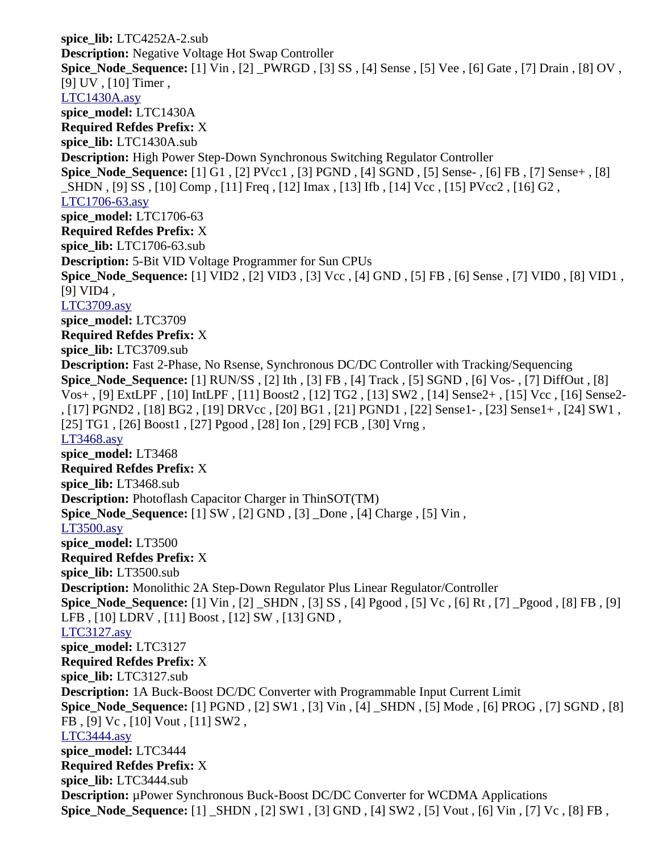**spice\_lib:** LTC4252A-2.sub **Description:** Negative Voltage Hot Swap Controller **Spice\_Node\_Sequence:** [1] Vin , [2] \_PWRGD , [3] SS , [4] Sense , [5] Vee , [6] Gate , [7] Drain , [8] OV , [9] UV , [10] Timer , [LTC1430A.asy](file:///home/cmcdowell/.wine/drive_c/Program%20Files/LTC/LTspiceIV/lib/sym/PowerProducts/LTC1430A.asy) **spice\_model:** LTC1430A **Required Refdes Prefix:** X **spice\_lib:** LTC1430A.sub **Description:** High Power Step-Down Synchronous Switching Regulator Controller **Spice\_Node\_Sequence:** [1] G1 , [2] PVcc1 , [3] PGND , [4] SGND , [5] Sense- , [6] FB , [7] Sense+ , [8] \_SHDN , [9] SS , [10] Comp , [11] Freq , [12] Imax , [13] Ifb , [14] Vcc , [15] PVcc2 , [16] G2 , [LTC1706-63.asy](file:///home/cmcdowell/.wine/drive_c/Program%20Files/LTC/LTspiceIV/lib/sym/PowerProducts/LTC1706-63.asy) **spice\_model:** LTC1706-63 **Required Refdes Prefix:** X **spice\_lib:** LTC1706-63.sub **Description:** 5-Bit VID Voltage Programmer for Sun CPUs **Spice\_Node\_Sequence:** [1] VID2 , [2] VID3 , [3] Vcc , [4] GND , [5] FB , [6] Sense , [7] VID0 , [8] VID1 , [9] VID4, [LTC3709.asy](file:///home/cmcdowell/.wine/drive_c/Program%20Files/LTC/LTspiceIV/lib/sym/PowerProducts/LTC3709.asy) **spice\_model:** LTC3709 **Required Refdes Prefix:** X **spice\_lib:** LTC3709.sub **Description:** Fast 2-Phase, No Rsense, Synchronous DC/DC Controller with Tracking/Sequencing **Spice\_Node\_Sequence:** [1] RUN/SS , [2] Ith , [3] FB , [4] Track , [5] SGND , [6] Vos- , [7] DiffOut , [8] Vos+ , [9] ExtLPF , [10] IntLPF , [11] Boost2 , [12] TG2 , [13] SW2 , [14] Sense2+ , [15] Vcc , [16] Sense2- , [17] PGND2 , [18] BG2 , [19] DRVcc , [20] BG1 , [21] PGND1 , [22] Sense1- , [23] Sense1+ , [24] SW1 , [25] TG1 , [26] Boost1 , [27] Pgood , [28] Ion , [29] FCB , [30] Vrng , [LT3468.asy](file:///home/cmcdowell/.wine/drive_c/Program%20Files/LTC/LTspiceIV/lib/sym/PowerProducts/LT3468.asy) **spice\_model:** LT3468 **Required Refdes Prefix:** X **spice\_lib:** LT3468.sub **Description:** Photoflash Capacitor Charger in ThinSOT(TM) **Spice\_Node\_Sequence:** [1] SW , [2] GND , [3] \_Done , [4] Charge , [5] Vin , [LT3500.asy](file:///home/cmcdowell/.wine/drive_c/Program%20Files/LTC/LTspiceIV/lib/sym/PowerProducts/LT3500.asy) **spice\_model:** LT3500 **Required Refdes Prefix:** X **spice\_lib:** LT3500.sub **Description:** Monolithic 2A Step-Down Regulator Plus Linear Regulator/Controller **Spice\_Node\_Sequence:** [1] Vin , [2] \_SHDN , [3] SS , [4] Pgood , [5] Vc , [6] Rt , [7] \_Pgood , [8] FB , [9] LFB , [10] LDRV , [11] Boost , [12] SW , [13] GND , [LTC3127.asy](file:///home/cmcdowell/.wine/drive_c/Program%20Files/LTC/LTspiceIV/lib/sym/PowerProducts/LTC3127.asy) **spice\_model:** LTC3127 **Required Refdes Prefix:** X **spice\_lib:** LTC3127.sub **Description:** 1A Buck-Boost DC/DC Converter with Programmable Input Current Limit **Spice\_Node\_Sequence:** [1] PGND , [2] SW1 , [3] Vin , [4] \_SHDN , [5] Mode , [6] PROG , [7] SGND , [8] FB , [9] Vc , [10] Vout , [11] SW2 , [LTC3444.asy](file:///home/cmcdowell/.wine/drive_c/Program%20Files/LTC/LTspiceIV/lib/sym/PowerProducts/LTC3444.asy) **spice\_model:** LTC3444 **Required Refdes Prefix:** X **spice\_lib:** LTC3444.sub **Description:** µPower Synchronous Buck-Boost DC/DC Converter for WCDMA Applications **Spice\_Node\_Sequence:** [1] \_SHDN , [2] SW1 , [3] GND , [4] SW2 , [5] Vout , [6] Vin , [7] Vc , [8] FB ,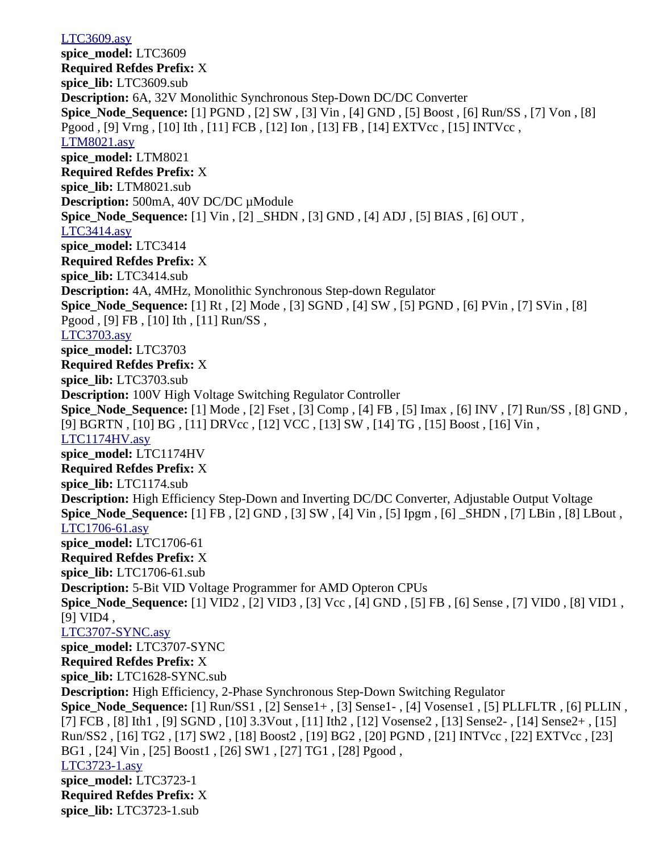[LTC3609.asy](file:///home/cmcdowell/.wine/drive_c/Program%20Files/LTC/LTspiceIV/lib/sym/PowerProducts/LTC3609.asy) **spice\_model:** LTC3609 **Required Refdes Prefix:** X **spice\_lib:** LTC3609.sub **Description:** 6A, 32V Monolithic Synchronous Step-Down DC/DC Converter **Spice\_Node\_Sequence:** [1] PGND , [2] SW , [3] Vin , [4] GND , [5] Boost , [6] Run/SS , [7] Von , [8] Pgood , [9] Vrng , [10] Ith , [11] FCB , [12] Ion , [13] FB , [14] EXTVcc , [15] INTVcc , [LTM8021.asy](file:///home/cmcdowell/.wine/drive_c/Program%20Files/LTC/LTspiceIV/lib/sym/PowerProducts/LTM8021.asy) **spice\_model:** LTM8021 **Required Refdes Prefix:** X **spice\_lib:** LTM8021.sub **Description:** 500mA, 40V DC/DC µModule **Spice\_Node\_Sequence:** [1] Vin , [2] \_SHDN , [3] GND , [4] ADJ , [5] BIAS , [6] OUT , [LTC3414.asy](file:///home/cmcdowell/.wine/drive_c/Program%20Files/LTC/LTspiceIV/lib/sym/PowerProducts/LTC3414.asy) **spice\_model:** LTC3414 **Required Refdes Prefix:** X **spice\_lib:** LTC3414.sub **Description:** 4A, 4MHz, Monolithic Synchronous Step-down Regulator **Spice\_Node\_Sequence:** [1] Rt , [2] Mode , [3] SGND , [4] SW , [5] PGND , [6] PVin , [7] SVin , [8] Pgood , [9] FB , [10] Ith , [11] Run/SS , [LTC3703.asy](file:///home/cmcdowell/.wine/drive_c/Program%20Files/LTC/LTspiceIV/lib/sym/PowerProducts/LTC3703.asy) **spice\_model:** LTC3703 **Required Refdes Prefix:** X **spice\_lib:** LTC3703.sub **Description:** 100V High Voltage Switching Regulator Controller **Spice\_Node\_Sequence:** [1] Mode , [2] Fset , [3] Comp , [4] FB , [5] Imax , [6] INV , [7] Run/SS , [8] GND , [9] BGRTN , [10] BG , [11] DRVcc , [12] VCC , [13] SW , [14] TG , [15] Boost , [16] Vin , [LTC1174HV.asy](file:///home/cmcdowell/.wine/drive_c/Program%20Files/LTC/LTspiceIV/lib/sym/PowerProducts/LTC1174HV.asy) **spice\_model:** LTC1174HV **Required Refdes Prefix:** X **spice\_lib:** LTC1174.sub **Description:** High Efficiency Step-Down and Inverting DC/DC Converter, Adjustable Output Voltage **Spice\_Node\_Sequence:** [1] FB , [2] GND , [3] SW , [4] Vin , [5] Ipgm , [6] \_SHDN , [7] LBin , [8] LBout , [LTC1706-61.asy](file:///home/cmcdowell/.wine/drive_c/Program%20Files/LTC/LTspiceIV/lib/sym/PowerProducts/LTC1706-61.asy) **spice\_model:** LTC1706-61 **Required Refdes Prefix:** X **spice\_lib:** LTC1706-61.sub **Description:** 5-Bit VID Voltage Programmer for AMD Opteron CPUs **Spice\_Node\_Sequence:** [1] VID2 , [2] VID3 , [3] Vcc , [4] GND , [5] FB , [6] Sense , [7] VID0 , [8] VID1 , [9] VID4 , [LTC3707-SYNC.asy](file:///home/cmcdowell/.wine/drive_c/Program%20Files/LTC/LTspiceIV/lib/sym/PowerProducts/LTC3707-SYNC.asy) **spice\_model:** LTC3707-SYNC **Required Refdes Prefix:** X **spice\_lib:** LTC1628-SYNC.sub **Description:** High Efficiency, 2-Phase Synchronous Step-Down Switching Regulator **Spice\_Node\_Sequence:** [1] Run/SS1 , [2] Sense1+ , [3] Sense1- , [4] Vosense1 , [5] PLLFLTR , [6] PLLIN , [7] FCB , [8] Ith1 , [9] SGND , [10] 3.3Vout , [11] Ith2 , [12] Vosense2 , [13] Sense2- , [14] Sense2+ , [15] Run/SS2 , [16] TG2 , [17] SW2 , [18] Boost2 , [19] BG2 , [20] PGND , [21] INTVcc , [22] EXTVcc , [23] BG1 , [24] Vin , [25] Boost1 , [26] SW1 , [27] TG1 , [28] Pgood , [LTC3723-1.asy](file:///home/cmcdowell/.wine/drive_c/Program%20Files/LTC/LTspiceIV/lib/sym/PowerProducts/LTC3723-1.asy) **spice\_model:** LTC3723-1 **Required Refdes Prefix:** X **spice\_lib:** LTC3723-1.sub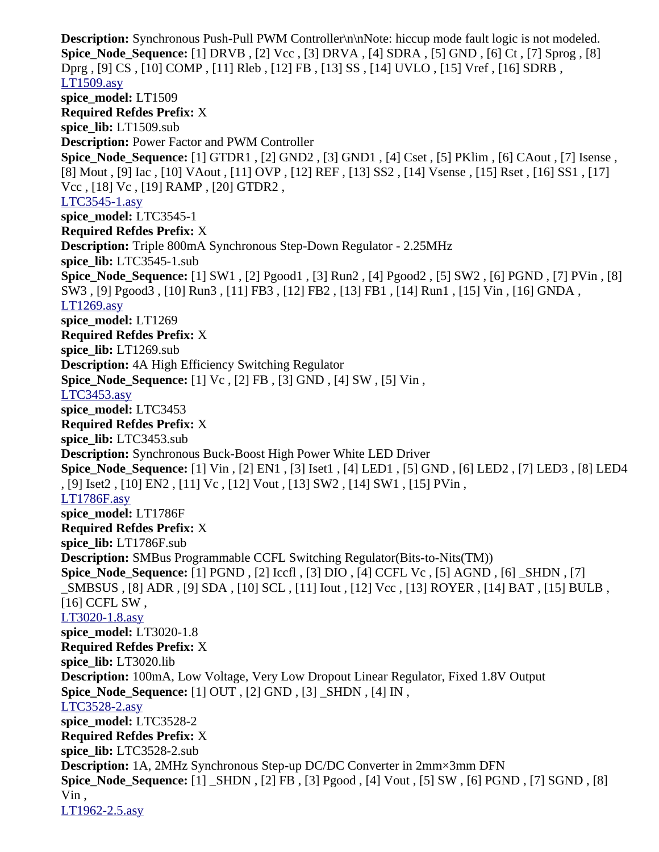**Description:** Synchronous Push-Pull PWM Controller\n\nNote: hiccup mode fault logic is not modeled. **Spice\_Node\_Sequence:** [1] DRVB , [2] Vcc , [3] DRVA , [4] SDRA , [5] GND , [6] Ct , [7] Sprog , [8] Dprg , [9] CS , [10] COMP , [11] Rleb , [12] FB , [13] SS , [14] UVLO , [15] Vref , [16] SDRB , [LT1509.asy](file:///home/cmcdowell/.wine/drive_c/Program%20Files/LTC/LTspiceIV/lib/sym/PowerProducts/LT1509.asy) **spice\_model:** LT1509 **Required Refdes Prefix:** X **spice\_lib:** LT1509.sub **Description:** Power Factor and PWM Controller **Spice\_Node\_Sequence:** [1] GTDR1 , [2] GND2 , [3] GND1 , [4] Cset , [5] PKlim , [6] CAout , [7] Isense , [8] Mout , [9] Iac , [10] VAout , [11] OVP , [12] REF , [13] SS2 , [14] Vsense , [15] Rset , [16] SS1 , [17] Vcc , [18] Vc , [19] RAMP , [20] GTDR2 , [LTC3545-1.asy](file:///home/cmcdowell/.wine/drive_c/Program%20Files/LTC/LTspiceIV/lib/sym/PowerProducts/LTC3545-1.asy) **spice\_model:** LTC3545-1 **Required Refdes Prefix:** X **Description:** Triple 800mA Synchronous Step-Down Regulator - 2.25MHz **spice\_lib:** LTC3545-1.sub **Spice\_Node\_Sequence:** [1] SW1 , [2] Pgood1 , [3] Run2 , [4] Pgood2 , [5] SW2 , [6] PGND , [7] PVin , [8] SW3 , [9] Pgood3 , [10] Run3 , [11] FB3 , [12] FB2 , [13] FB1 , [14] Run1 , [15] Vin , [16] GNDA , [LT1269.asy](file:///home/cmcdowell/.wine/drive_c/Program%20Files/LTC/LTspiceIV/lib/sym/PowerProducts/LT1269.asy) **spice\_model:** LT1269 **Required Refdes Prefix:** X **spice\_lib:** LT1269.sub **Description:** 4A High Efficiency Switching Regulator **Spice\_Node\_Sequence:** [1] Vc , [2] FB , [3] GND , [4] SW , [5] Vin , [LTC3453.asy](file:///home/cmcdowell/.wine/drive_c/Program%20Files/LTC/LTspiceIV/lib/sym/PowerProducts/LTC3453.asy) **spice\_model:** LTC3453 **Required Refdes Prefix:** X **spice\_lib:** LTC3453.sub **Description:** Synchronous Buck-Boost High Power White LED Driver **Spice\_Node\_Sequence:** [1] Vin , [2] EN1 , [3] Iset1 , [4] LED1 , [5] GND , [6] LED2 , [7] LED3 , [8] LED4 , [9] Iset2 , [10] EN2 , [11] Vc , [12] Vout , [13] SW2 , [14] SW1 , [15] PVin , [LT1786F.asy](file:///home/cmcdowell/.wine/drive_c/Program%20Files/LTC/LTspiceIV/lib/sym/PowerProducts/LT1786F.asy) **spice\_model:** LT1786F **Required Refdes Prefix:** X **spice\_lib:** LT1786F.sub **Description:** SMBus Programmable CCFL Switching Regulator(Bits-to-Nits(TM)) **Spice\_Node\_Sequence:** [1] PGND , [2] Iccfl , [3] DIO , [4] CCFL Vc , [5] AGND , [6] \_SHDN , [7] \_SMBSUS , [8] ADR , [9] SDA , [10] SCL , [11] Iout , [12] Vcc , [13] ROYER , [14] BAT , [15] BULB , [16] CCFL SW , [LT3020-1.8.asy](file:///home/cmcdowell/.wine/drive_c/Program%20Files/LTC/LTspiceIV/lib/sym/PowerProducts/LT3020-1.8.asy) **spice\_model:** LT3020-1.8 **Required Refdes Prefix:** X **spice\_lib:** LT3020.lib **Description:** 100mA, Low Voltage, Very Low Dropout Linear Regulator, Fixed 1.8V Output **Spice\_Node\_Sequence:** [1] OUT , [2] GND , [3] \_SHDN , [4] IN , [LTC3528-2.asy](file:///home/cmcdowell/.wine/drive_c/Program%20Files/LTC/LTspiceIV/lib/sym/PowerProducts/LTC3528-2.asy) **spice\_model:** LTC3528-2 **Required Refdes Prefix:** X **spice\_lib:** LTC3528-2.sub **Description:** 1A, 2MHz Synchronous Step-up DC/DC Converter in 2mm×3mm DFN **Spice\_Node\_Sequence:** [1] \_SHDN , [2] FB , [3] Pgood , [4] Vout , [5] SW , [6] PGND , [7] SGND , [8] Vin , [LT1962-2.5.asy](file:///home/cmcdowell/.wine/drive_c/Program%20Files/LTC/LTspiceIV/lib/sym/PowerProducts/LT1962-2.5.asy)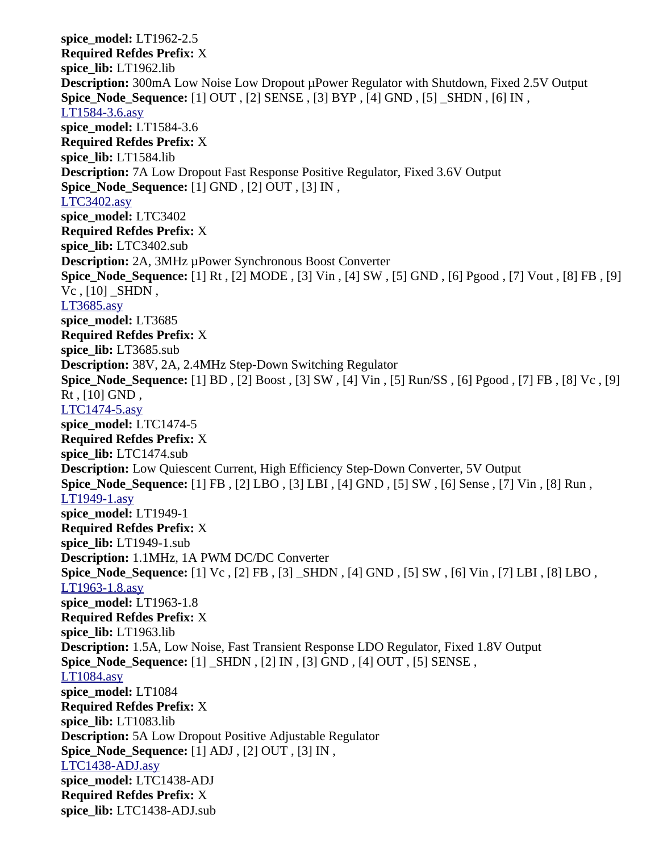**spice\_model:** LT1962-2.5 **Required Refdes Prefix:** X **spice\_lib:** LT1962.lib **Description:** 300mA Low Noise Low Dropout µPower Regulator with Shutdown, Fixed 2.5V Output **Spice\_Node\_Sequence:** [1] OUT , [2] SENSE , [3] BYP , [4] GND , [5] \_SHDN , [6] IN , [LT1584-3.6.asy](file:///home/cmcdowell/.wine/drive_c/Program%20Files/LTC/LTspiceIV/lib/sym/PowerProducts/LT1584-3.6.asy) **spice\_model:** LT1584-3.6 **Required Refdes Prefix:** X **spice\_lib:** LT1584.lib **Description:** 7A Low Dropout Fast Response Positive Regulator, Fixed 3.6V Output **Spice\_Node\_Sequence:** [1] GND , [2] OUT , [3] IN , [LTC3402.asy](file:///home/cmcdowell/.wine/drive_c/Program%20Files/LTC/LTspiceIV/lib/sym/PowerProducts/LTC3402.asy) **spice\_model:** LTC3402 **Required Refdes Prefix:** X **spice\_lib:** LTC3402.sub **Description:** 2A, 3MHz µPower Synchronous Boost Converter **Spice\_Node\_Sequence:** [1] Rt , [2] MODE , [3] Vin , [4] SW , [5] GND , [6] Pgood , [7] Vout , [8] FB , [9]  $Vc$ ,  $[10]$  SHDN, [LT3685.asy](file:///home/cmcdowell/.wine/drive_c/Program%20Files/LTC/LTspiceIV/lib/sym/PowerProducts/LT3685.asy) **spice\_model:** LT3685 **Required Refdes Prefix:** X **spice\_lib:** LT3685.sub **Description:** 38V, 2A, 2.4MHz Step-Down Switching Regulator **Spice\_Node\_Sequence:** [1] BD , [2] Boost , [3] SW , [4] Vin , [5] Run/SS , [6] Pgood , [7] FB , [8] Vc , [9]  $Rt$ ,  $[10]$  GND, [LTC1474-5.asy](file:///home/cmcdowell/.wine/drive_c/Program%20Files/LTC/LTspiceIV/lib/sym/PowerProducts/LTC1474-5.asy) **spice\_model:** LTC1474-5 **Required Refdes Prefix:** X **spice\_lib:** LTC1474.sub **Description:** Low Quiescent Current, High Efficiency Step-Down Converter, 5V Output **Spice\_Node\_Sequence:** [1] FB , [2] LBO , [3] LBI , [4] GND , [5] SW , [6] Sense , [7] Vin , [8] Run , [LT1949-1.asy](file:///home/cmcdowell/.wine/drive_c/Program%20Files/LTC/LTspiceIV/lib/sym/PowerProducts/LT1949-1.asy) **spice\_model:** LT1949-1 **Required Refdes Prefix:** X **spice\_lib:** LT1949-1.sub **Description:** 1.1MHz, 1A PWM DC/DC Converter **Spice\_Node\_Sequence:** [1] Vc , [2] FB , [3] \_SHDN , [4] GND , [5] SW , [6] Vin , [7] LBI , [8] LBO , [LT1963-1.8.asy](file:///home/cmcdowell/.wine/drive_c/Program%20Files/LTC/LTspiceIV/lib/sym/PowerProducts/LT1963-1.8.asy) **spice\_model:** LT1963-1.8 **Required Refdes Prefix:** X **spice\_lib:** LT1963.lib **Description:** 1.5A, Low Noise, Fast Transient Response LDO Regulator, Fixed 1.8V Output **Spice\_Node\_Sequence:** [1] \_SHDN , [2] IN , [3] GND , [4] OUT , [5] SENSE , [LT1084.asy](file:///home/cmcdowell/.wine/drive_c/Program%20Files/LTC/LTspiceIV/lib/sym/PowerProducts/LT1084.asy) **spice\_model:** LT1084 **Required Refdes Prefix:** X **spice\_lib:** LT1083.lib **Description:** 5A Low Dropout Positive Adjustable Regulator **Spice\_Node\_Sequence:** [1] ADJ , [2] OUT , [3] IN , [LTC1438-ADJ.asy](file:///home/cmcdowell/.wine/drive_c/Program%20Files/LTC/LTspiceIV/lib/sym/PowerProducts/LTC1438-ADJ.asy) **spice\_model:** LTC1438-ADJ **Required Refdes Prefix:** X **spice\_lib:** LTC1438-ADJ.sub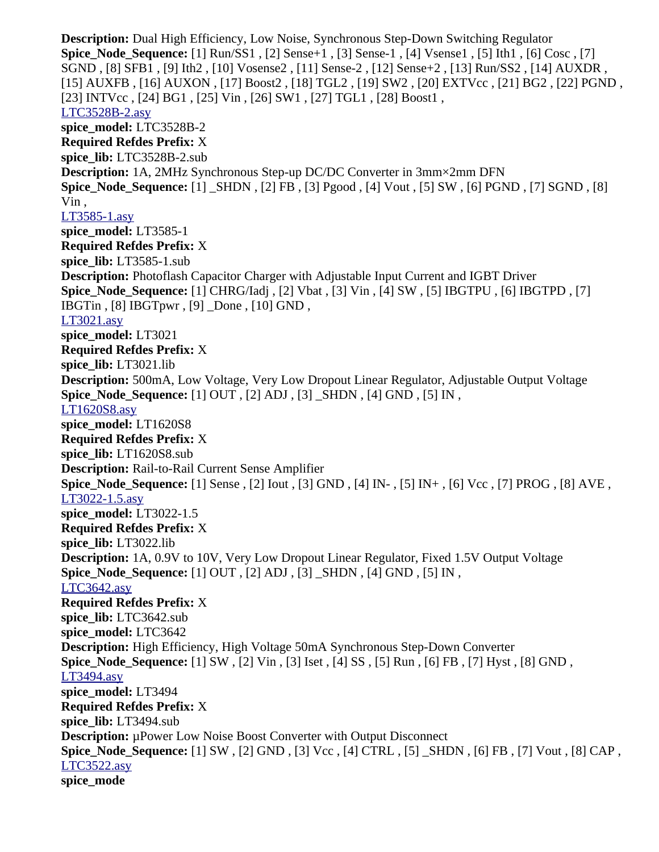**Description:** Dual High Efficiency, Low Noise, Synchronous Step-Down Switching Regulator **Spice\_Node\_Sequence:** [1] Run/SS1 , [2] Sense+1 , [3] Sense-1 , [4] Vsense1 , [5] Ith1 , [6] Cosc , [7] SGND , [8] SFB1 , [9] Ith2 , [10] Vosense2 , [11] Sense-2 , [12] Sense+2 , [13] Run/SS2 , [14] AUXDR , [15] AUXFB , [16] AUXON , [17] Boost2 , [18] TGL2 , [19] SW2 , [20] EXTVcc , [21] BG2 , [22] PGND , [23] INTVcc , [24] BG1 , [25] Vin , [26] SW1 , [27] TGL1 , [28] Boost1 , [LTC3528B-2.asy](file:///home/cmcdowell/.wine/drive_c/Program%20Files/LTC/LTspiceIV/lib/sym/PowerProducts/LTC3528B-2.asy) **spice\_model:** LTC3528B-2 **Required Refdes Prefix:** X **spice\_lib:** LTC3528B-2.sub **Description:** 1A, 2MHz Synchronous Step-up DC/DC Converter in 3mm×2mm DFN **Spice\_Node\_Sequence:** [1] \_SHDN , [2] FB , [3] Pgood , [4] Vout , [5] SW , [6] PGND , [7] SGND , [8] Vin , [LT3585-1.asy](file:///home/cmcdowell/.wine/drive_c/Program%20Files/LTC/LTspiceIV/lib/sym/PowerProducts/LT3585-1.asy) **spice\_model:** LT3585-1 **Required Refdes Prefix:** X **spice\_lib:** LT3585-1.sub **Description:** Photoflash Capacitor Charger with Adjustable Input Current and IGBT Driver **Spice\_Node\_Sequence:** [1] CHRG/Iadj , [2] Vbat , [3] Vin , [4] SW , [5] IBGTPU , [6] IBGTPD , [7] IBGTin , [8] IBGTpwr , [9] \_Done , [10] GND , [LT3021.asy](file:///home/cmcdowell/.wine/drive_c/Program%20Files/LTC/LTspiceIV/lib/sym/PowerProducts/LT3021.asy) **spice\_model:** LT3021 **Required Refdes Prefix:** X **spice\_lib:** LT3021.lib **Description:** 500mA, Low Voltage, Very Low Dropout Linear Regulator, Adjustable Output Voltage **Spice\_Node\_Sequence:** [1] OUT , [2] ADJ , [3] \_SHDN , [4] GND , [5] IN , [LT1620S8.asy](file:///home/cmcdowell/.wine/drive_c/Program%20Files/LTC/LTspiceIV/lib/sym/PowerProducts/LT1620S8.asy) **spice\_model:** LT1620S8 **Required Refdes Prefix:** X **spice\_lib:** LT1620S8.sub **Description:** Rail-to-Rail Current Sense Amplifier **Spice\_Node\_Sequence:** [1] Sense , [2] Iout , [3] GND , [4] IN- , [5] IN+ , [6] Vcc , [7] PROG , [8] AVE , [LT3022-1.5.asy](file:///home/cmcdowell/.wine/drive_c/Program%20Files/LTC/LTspiceIV/lib/sym/PowerProducts/LT3022-1.5.asy) **spice\_model:** LT3022-1.5 **Required Refdes Prefix:** X **spice\_lib:** LT3022.lib **Description:** 1A, 0.9V to 10V, Very Low Dropout Linear Regulator, Fixed 1.5V Output Voltage **Spice\_Node\_Sequence:** [1] OUT , [2] ADJ , [3] \_SHDN , [4] GND , [5] IN , [LTC3642.asy](file:///home/cmcdowell/.wine/drive_c/Program%20Files/LTC/LTspiceIV/lib/sym/PowerProducts/LTC3642.asy) **Required Refdes Prefix:** X **spice\_lib:** LTC3642.sub **spice\_model:** LTC3642 **Description:** High Efficiency, High Voltage 50mA Synchronous Step-Down Converter **Spice\_Node\_Sequence:** [1] SW , [2] Vin , [3] Iset , [4] SS , [5] Run , [6] FB , [7] Hyst , [8] GND , [LT3494.asy](file:///home/cmcdowell/.wine/drive_c/Program%20Files/LTC/LTspiceIV/lib/sym/PowerProducts/LT3494.asy) **spice\_model:** LT3494 **Required Refdes Prefix:** X **spice\_lib:** LT3494.sub **Description:** µPower Low Noise Boost Converter with Output Disconnect **Spice\_Node\_Sequence:** [1] SW , [2] GND , [3] Vcc , [4] CTRL , [5] \_SHDN , [6] FB , [7] Vout , [8] CAP , [LTC3522.asy](file:///home/cmcdowell/.wine/drive_c/Program%20Files/LTC/LTspiceIV/lib/sym/PowerProducts/LTC3522.asy) **spice\_mode**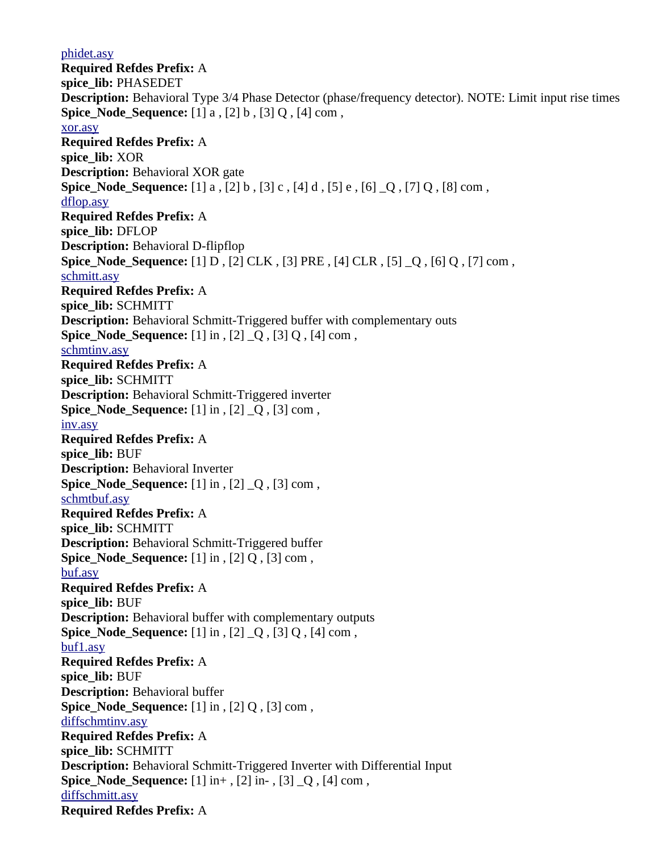[phidet.asy](file:///home/cmcdowell/.wine/drive_c/Program%20Files/LTC/LTspiceIV/lib/sym/Digital/phidet.asy) **Required Refdes Prefix:** A **spice\_lib:** PHASEDET **Description:** Behavioral Type 3/4 Phase Detector (phase/frequency detector). NOTE: Limit input rise times **Spice Node Sequence:** [1] a , [2] b , [3] Q , [4] com , [xor.asy](file:///home/cmcdowell/.wine/drive_c/Program%20Files/LTC/LTspiceIV/lib/sym/Digital/xor.asy) **Required Refdes Prefix:** A **spice\_lib:** XOR **Description:** Behavioral XOR gate **Spice\_Node\_Sequence:** [1] a , [2] b , [3] c , [4] d , [5] e , [6] \_Q , [7] Q , [8] com , [dflop.asy](file:///home/cmcdowell/.wine/drive_c/Program%20Files/LTC/LTspiceIV/lib/sym/Digital/dflop.asy) **Required Refdes Prefix:** A **spice\_lib:** DFLOP **Description:** Behavioral D-flipflop **Spice Node Sequence:** [1] D, [2] CLK, [3] PRE, [4] CLR, [5] Q, [6] Q, [7] com, [schmitt.asy](file:///home/cmcdowell/.wine/drive_c/Program%20Files/LTC/LTspiceIV/lib/sym/Digital/schmitt.asy) **Required Refdes Prefix:** A **spice\_lib:** SCHMITT **Description:** Behavioral Schmitt-Triggered buffer with complementary outs **Spice\_Node\_Sequence:** [1] in , [2] \_Q , [3] Q , [4] com , [schmtinv.asy](file:///home/cmcdowell/.wine/drive_c/Program%20Files/LTC/LTspiceIV/lib/sym/Digital/schmtinv.asy) **Required Refdes Prefix:** A **spice\_lib:** SCHMITT **Description:** Behavioral Schmitt-Triggered inverter **Spice Node Sequence:** [1] in , [2] Q, [3] com , [inv.asy](file:///home/cmcdowell/.wine/drive_c/Program%20Files/LTC/LTspiceIV/lib/sym/Digital/inv.asy) **Required Refdes Prefix:** A **spice\_lib:** BUF **Description:** Behavioral Inverter **Spice\_Node\_Sequence:** [1] in , [2] \_Q , [3] com , [schmtbuf.asy](file:///home/cmcdowell/.wine/drive_c/Program%20Files/LTC/LTspiceIV/lib/sym/Digital/schmtbuf.asy) **Required Refdes Prefix:** A **spice\_lib:** SCHMITT **Description:** Behavioral Schmitt-Triggered buffer **Spice Node Sequence:** [1] in , [2] Q , [3] com , [buf.asy](file:///home/cmcdowell/.wine/drive_c/Program%20Files/LTC/LTspiceIV/lib/sym/Digital/buf.asy) **Required Refdes Prefix:** A **spice\_lib:** BUF **Description:** Behavioral buffer with complementary outputs **Spice\_Node\_Sequence:** [1] in , [2] \_Q , [3] Q , [4] com , [buf1.asy](file:///home/cmcdowell/.wine/drive_c/Program%20Files/LTC/LTspiceIV/lib/sym/Digital/buf1.asy) **Required Refdes Prefix:** A **spice\_lib:** BUF **Description:** Behavioral buffer **Spice Node Sequence:** [1] in , [2] Q , [3] com , [diffschmtinv.asy](file:///home/cmcdowell/.wine/drive_c/Program%20Files/LTC/LTspiceIV/lib/sym/Digital/diffschmtinv.asy) **Required Refdes Prefix:** A **spice\_lib:** SCHMITT **Description:** Behavioral Schmitt-Triggered Inverter with Differential Input **Spice\_Node\_Sequence:** [1] in+ , [2] in- , [3] \_Q , [4] com , [diffschmitt.asy](file:///home/cmcdowell/.wine/drive_c/Program%20Files/LTC/LTspiceIV/lib/sym/Digital/diffschmitt.asy) **Required Refdes Prefix:** A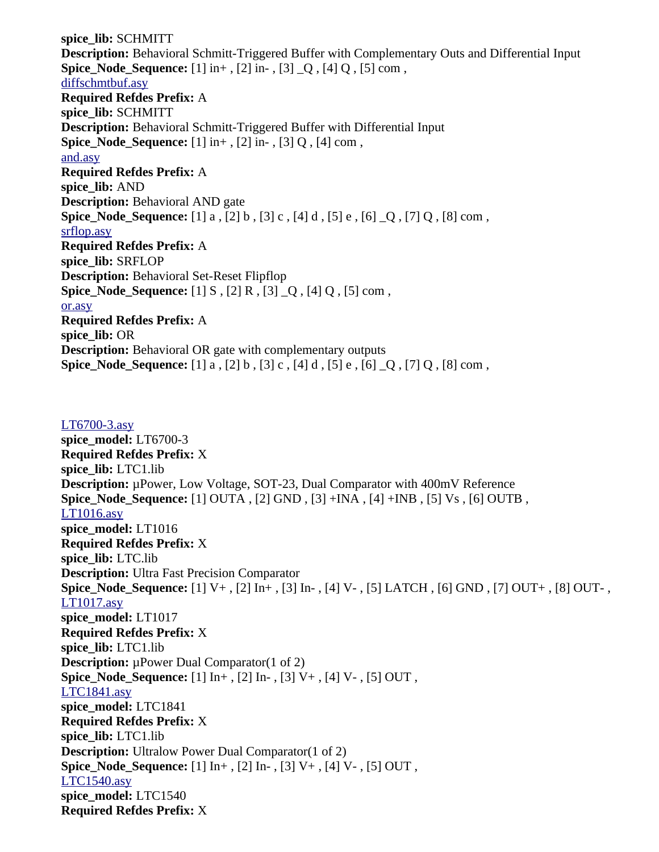**spice\_lib:** SCHMITT **Description:** Behavioral Schmitt-Triggered Buffer with Complementary Outs and Differential Input **Spice\_Node\_Sequence:** [1] in+ , [2] in- , [3] \_Q , [4] Q , [5] com , [diffschmtbuf.asy](file:///home/cmcdowell/.wine/drive_c/Program%20Files/LTC/LTspiceIV/lib/sym/Digital/diffschmtbuf.asy) **Required Refdes Prefix:** A **spice\_lib:** SCHMITT **Description:** Behavioral Schmitt-Triggered Buffer with Differential Input **Spice\_Node\_Sequence:** [1] in+ , [2] in- , [3] Q , [4] com , [and.asy](file:///home/cmcdowell/.wine/drive_c/Program%20Files/LTC/LTspiceIV/lib/sym/Digital/and.asy) **Required Refdes Prefix:** A **spice\_lib:** AND **Description:** Behavioral AND gate **Spice\_Node\_Sequence:** [1] a , [2] b , [3] c , [4] d , [5] e , [6] \_Q , [7] Q , [8] com , [srflop.asy](file:///home/cmcdowell/.wine/drive_c/Program%20Files/LTC/LTspiceIV/lib/sym/Digital/srflop.asy) **Required Refdes Prefix:** A **spice\_lib:** SRFLOP **Description:** Behavioral Set-Reset Flipflop **Spice\_Node\_Sequence:** [1] S , [2] R , [3] \_Q , [4] Q , [5] com , [or.asy](file:///home/cmcdowell/.wine/drive_c/Program%20Files/LTC/LTspiceIV/lib/sym/Digital/or.asy) **Required Refdes Prefix:** A **spice\_lib:** OR **Description:** Behavioral OR gate with complementary outputs **Spice\_Node\_Sequence:** [1] a , [2] b , [3] c , [4] d , [5] e , [6] \_Q , [7] Q , [8] com ,

[LT6700-3.asy](file:///home/cmcdowell/.wine/drive_c/Program%20Files/LTC/LTspiceIV/lib/sym/Comparators/LT6700-3.asy) **spice\_model:** LT6700-3 **Required Refdes Prefix:** X **spice\_lib:** LTC1.lib **Description:** µPower, Low Voltage, SOT-23, Dual Comparator with 400mV Reference **Spice\_Node\_Sequence:** [1] OUTA , [2] GND , [3] +INA , [4] +INB , [5] Vs , [6] OUTB , [LT1016.asy](file:///home/cmcdowell/.wine/drive_c/Program%20Files/LTC/LTspiceIV/lib/sym/Comparators/LT1016.asy) **spice\_model:** LT1016 **Required Refdes Prefix:** X **spice\_lib:** LTC.lib **Description:** Ultra Fast Precision Comparator **Spice\_Node\_Sequence:** [1] V+ , [2] In+ , [3] In- , [4] V- , [5] LATCH , [6] GND , [7] OUT+ , [8] OUT- , [LT1017.asy](file:///home/cmcdowell/.wine/drive_c/Program%20Files/LTC/LTspiceIV/lib/sym/Comparators/LT1017.asy) **spice\_model:** LT1017 **Required Refdes Prefix:** X **spice\_lib:** LTC1.lib **Description:** µPower Dual Comparator(1 of 2) **Spice\_Node\_Sequence:** [1] In+ , [2] In- , [3] V+ , [4] V- , [5] OUT , [LTC1841.asy](file:///home/cmcdowell/.wine/drive_c/Program%20Files/LTC/LTspiceIV/lib/sym/Comparators/LTC1841.asy) **spice\_model:** LTC1841 **Required Refdes Prefix:** X **spice\_lib:** LTC1.lib **Description:** Ultralow Power Dual Comparator(1 of 2) **Spice Node Sequence:** [1]  $\text{In}^+$ , [2]  $\text{In}^-$ , [3] V+, [4] V-, [5] OUT, [LTC1540.asy](file:///home/cmcdowell/.wine/drive_c/Program%20Files/LTC/LTspiceIV/lib/sym/Comparators/LTC1540.asy) **spice\_model:** LTC1540 **Required Refdes Prefix:** X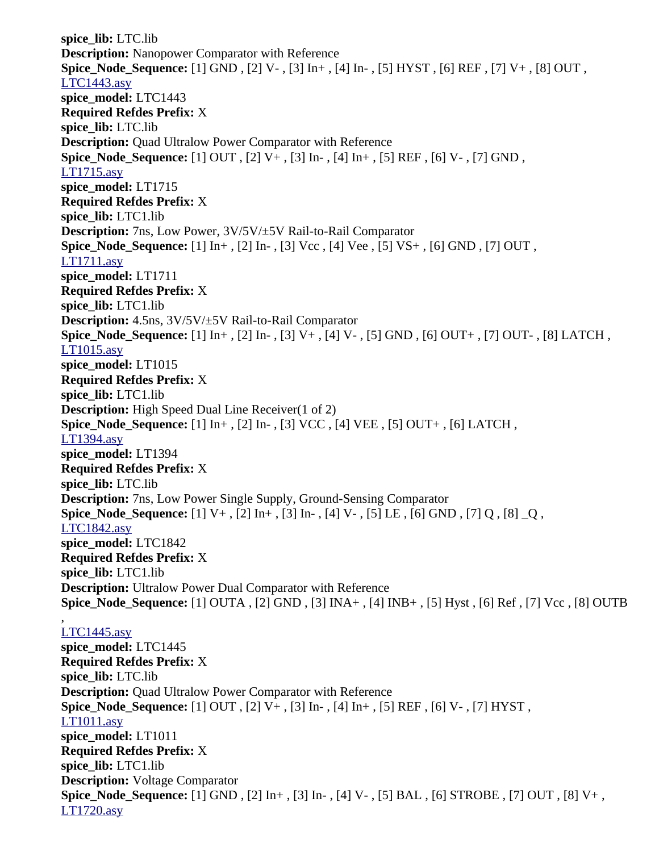**spice\_lib:** LTC.lib **Description:** Nanopower Comparator with Reference **Spice\_Node\_Sequence:** [1] GND , [2] V- , [3] In+ , [4] In- , [5] HYST , [6] REF , [7] V+ , [8] OUT , [LTC1443.asy](file:///home/cmcdowell/.wine/drive_c/Program%20Files/LTC/LTspiceIV/lib/sym/Comparators/LTC1443.asy) **spice\_model:** LTC1443 **Required Refdes Prefix:** X **spice\_lib:** LTC.lib **Description:** Quad Ultralow Power Comparator with Reference **Spice\_Node\_Sequence:** [1] OUT , [2] V+ , [3] In- , [4] In+ , [5] REF , [6] V- , [7] GND , [LT1715.asy](file:///home/cmcdowell/.wine/drive_c/Program%20Files/LTC/LTspiceIV/lib/sym/Comparators/LT1715.asy) **spice\_model:** LT1715 **Required Refdes Prefix:** X **spice\_lib:** LTC1.lib **Description:** 7ns, Low Power, 3V/5V/±5V Rail-to-Rail Comparator **Spice\_Node\_Sequence:** [1] In+ , [2] In- , [3] Vcc , [4] Vee , [5] VS+ , [6] GND , [7] OUT , [LT1711.asy](file:///home/cmcdowell/.wine/drive_c/Program%20Files/LTC/LTspiceIV/lib/sym/Comparators/LT1711.asy) **spice\_model:** LT1711 **Required Refdes Prefix:** X **spice\_lib:** LTC1.lib **Description:** 4.5ns, 3V/5V/±5V Rail-to-Rail Comparator **Spice\_Node\_Sequence:** [1] In+ , [2] In- , [3] V+ , [4] V- , [5] GND , [6] OUT+ , [7] OUT- , [8] LATCH , [LT1015.asy](file:///home/cmcdowell/.wine/drive_c/Program%20Files/LTC/LTspiceIV/lib/sym/Comparators/LT1015.asy) **spice\_model:** LT1015 **Required Refdes Prefix:** X **spice\_lib:** LTC1.lib **Description:** High Speed Dual Line Receiver(1 of 2) **Spice\_Node\_Sequence:** [1] In+ , [2] In- , [3] VCC , [4] VEE , [5] OUT+ , [6] LATCH , [LT1394.asy](file:///home/cmcdowell/.wine/drive_c/Program%20Files/LTC/LTspiceIV/lib/sym/Comparators/LT1394.asy) **spice\_model:** LT1394 **Required Refdes Prefix:** X **spice\_lib:** LTC.lib **Description:** 7ns, Low Power Single Supply, Ground-Sensing Comparator **Spice\_Node\_Sequence:** [1] V+ , [2] In+ , [3] In- , [4] V- , [5] LE , [6] GND , [7] Q , [8] \_Q , [LTC1842.asy](file:///home/cmcdowell/.wine/drive_c/Program%20Files/LTC/LTspiceIV/lib/sym/Comparators/LTC1842.asy) **spice\_model:** LTC1842 **Required Refdes Prefix:** X **spice\_lib:** LTC1.lib **Description:** Ultralow Power Dual Comparator with Reference **Spice\_Node\_Sequence:** [1] OUTA , [2] GND , [3] INA+ , [4] INB+ , [5] Hyst , [6] Ref , [7] Vcc , [8] OUTB ,

## [LTC1445.asy](file:///home/cmcdowell/.wine/drive_c/Program%20Files/LTC/LTspiceIV/lib/sym/Comparators/LTC1445.asy)

**spice\_model:** LTC1445 **Required Refdes Prefix:** X **spice\_lib:** LTC.lib **Description:** Quad Ultralow Power Comparator with Reference **Spice\_Node\_Sequence:** [1] OUT , [2] V+ , [3] In- , [4] In+ , [5] REF , [6] V- , [7] HYST , [LT1011.asy](file:///home/cmcdowell/.wine/drive_c/Program%20Files/LTC/LTspiceIV/lib/sym/Comparators/LT1011.asy) **spice\_model:** LT1011 **Required Refdes Prefix:** X **spice\_lib:** LTC1.lib **Description:** Voltage Comparator **Spice\_Node\_Sequence:** [1] GND , [2] In+ , [3] In- , [4] V- , [5] BAL , [6] STROBE , [7] OUT , [8] V+ , [LT1720.asy](file:///home/cmcdowell/.wine/drive_c/Program%20Files/LTC/LTspiceIV/lib/sym/Comparators/LT1720.asy)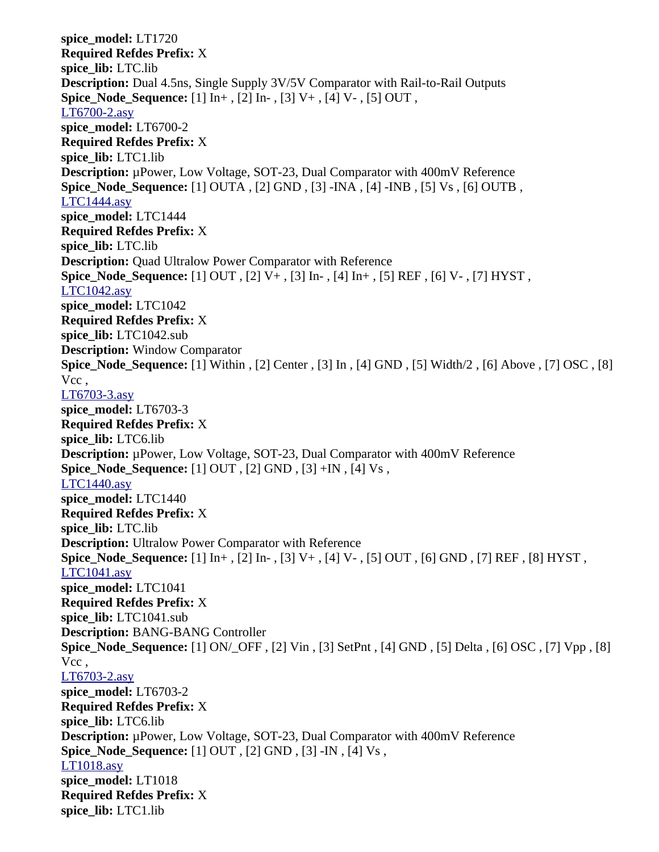**spice\_model:** LT1720 **Required Refdes Prefix:** X **spice\_lib:** LTC.lib **Description:** Dual 4.5ns, Single Supply 3V/5V Comparator with Rail-to-Rail Outputs **Spice\_Node\_Sequence:** [1] In+ , [2] In- , [3] V+ , [4] V- , [5] OUT , [LT6700-2.asy](file:///home/cmcdowell/.wine/drive_c/Program%20Files/LTC/LTspiceIV/lib/sym/Comparators/LT6700-2.asy) **spice\_model:** LT6700-2 **Required Refdes Prefix:** X **spice\_lib:** LTC1.lib **Description:** µPower, Low Voltage, SOT-23, Dual Comparator with 400mV Reference **Spice\_Node\_Sequence:** [1] OUTA , [2] GND , [3] -INA , [4] -INB , [5] Vs , [6] OUTB , [LTC1444.asy](file:///home/cmcdowell/.wine/drive_c/Program%20Files/LTC/LTspiceIV/lib/sym/Comparators/LTC1444.asy) **spice\_model:** LTC1444 **Required Refdes Prefix:** X **spice\_lib:** LTC.lib **Description:** Quad Ultralow Power Comparator with Reference **Spice\_Node\_Sequence:** [1] OUT , [2] V+ , [3] In- , [4] In+ , [5] REF , [6] V- , [7] HYST , [LTC1042.asy](file:///home/cmcdowell/.wine/drive_c/Program%20Files/LTC/LTspiceIV/lib/sym/Comparators/LTC1042.asy) **spice\_model:** LTC1042 **Required Refdes Prefix:** X **spice\_lib:** LTC1042.sub **Description:** Window Comparator **Spice\_Node\_Sequence:** [1] Within , [2] Center , [3] In , [4] GND , [5] Width/2 , [6] Above , [7] OSC , [8] Vcc , [LT6703-3.asy](file:///home/cmcdowell/.wine/drive_c/Program%20Files/LTC/LTspiceIV/lib/sym/Comparators/LT6703-3.asy) **spice\_model:** LT6703-3 **Required Refdes Prefix:** X **spice\_lib:** LTC6.lib **Description:** µPower, Low Voltage, SOT-23, Dual Comparator with 400mV Reference **Spice Node Sequence:** [1] OUT, [2] GND, [3] +IN, [4] Vs, [LTC1440.asy](file:///home/cmcdowell/.wine/drive_c/Program%20Files/LTC/LTspiceIV/lib/sym/Comparators/LTC1440.asy) **spice\_model:** LTC1440 **Required Refdes Prefix:** X **spice\_lib:** LTC.lib **Description:** Ultralow Power Comparator with Reference **Spice\_Node\_Sequence:** [1] In+ , [2] In- , [3] V+ , [4] V- , [5] OUT , [6] GND , [7] REF , [8] HYST , [LTC1041.asy](file:///home/cmcdowell/.wine/drive_c/Program%20Files/LTC/LTspiceIV/lib/sym/Comparators/LTC1041.asy) **spice\_model:** LTC1041 **Required Refdes Prefix:** X **spice\_lib:** LTC1041.sub **Description:** BANG-BANG Controller **Spice\_Node\_Sequence:** [1] ON/\_OFF , [2] Vin , [3] SetPnt , [4] GND , [5] Delta , [6] OSC , [7] Vpp , [8] Vcc , [LT6703-2.asy](file:///home/cmcdowell/.wine/drive_c/Program%20Files/LTC/LTspiceIV/lib/sym/Comparators/LT6703-2.asy) **spice\_model:** LT6703-2 **Required Refdes Prefix:** X **spice\_lib:** LTC6.lib **Description:** µPower, Low Voltage, SOT-23, Dual Comparator with 400mV Reference **Spice\_Node\_Sequence:** [1] OUT , [2] GND , [3] -IN , [4] Vs , [LT1018.asy](file:///home/cmcdowell/.wine/drive_c/Program%20Files/LTC/LTspiceIV/lib/sym/Comparators/LT1018.asy) **spice\_model:** LT1018 **Required Refdes Prefix:** X **spice\_lib:** LTC1.lib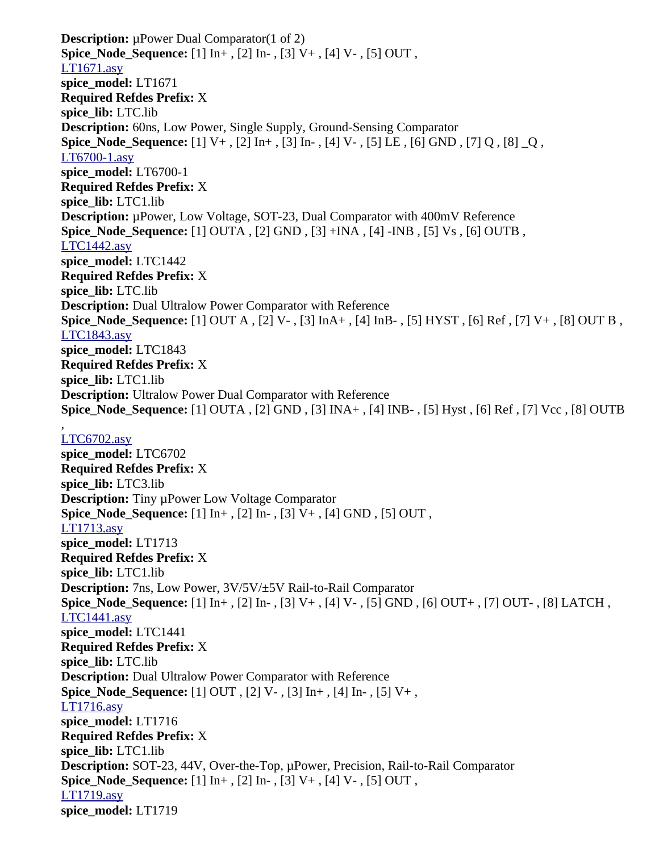**Description:** µPower Dual Comparator(1 of 2) **Spice\_Node\_Sequence:** [1] In+ , [2] In- , [3] V+ , [4] V- , [5] OUT , [LT1671.asy](file:///home/cmcdowell/.wine/drive_c/Program%20Files/LTC/LTspiceIV/lib/sym/Comparators/LT1671.asy) **spice\_model:** LT1671 **Required Refdes Prefix:** X **spice\_lib:** LTC.lib **Description:** 60ns, Low Power, Single Supply, Ground-Sensing Comparator **Spice\_Node\_Sequence:** [1] V+ , [2] In+ , [3] In- , [4] V- , [5] LE , [6] GND , [7] Q , [8] \_Q , [LT6700-1.asy](file:///home/cmcdowell/.wine/drive_c/Program%20Files/LTC/LTspiceIV/lib/sym/Comparators/LT6700-1.asy) **spice\_model:** LT6700-1 **Required Refdes Prefix:** X **spice\_lib:** LTC1.lib **Description:** µPower, Low Voltage, SOT-23, Dual Comparator with 400mV Reference **Spice\_Node\_Sequence:** [1] OUTA , [2] GND , [3] +INA , [4] -INB , [5] Vs , [6] OUTB , [LTC1442.asy](file:///home/cmcdowell/.wine/drive_c/Program%20Files/LTC/LTspiceIV/lib/sym/Comparators/LTC1442.asy) **spice\_model:** LTC1442 **Required Refdes Prefix:** X **spice\_lib:** LTC.lib **Description:** Dual Ultralow Power Comparator with Reference **Spice\_Node\_Sequence:** [1] OUT A , [2] V- , [3] InA+ , [4] InB- , [5] HYST , [6] Ref , [7] V+ , [8] OUT B , [LTC1843.asy](file:///home/cmcdowell/.wine/drive_c/Program%20Files/LTC/LTspiceIV/lib/sym/Comparators/LTC1843.asy) **spice\_model:** LTC1843 **Required Refdes Prefix:** X **spice\_lib:** LTC1.lib **Description:** Ultralow Power Dual Comparator with Reference **Spice\_Node\_Sequence:** [1] OUTA , [2] GND , [3] INA+ , [4] INB- , [5] Hyst , [6] Ref , [7] Vcc , [8] OUTB , [LTC6702.asy](file:///home/cmcdowell/.wine/drive_c/Program%20Files/LTC/LTspiceIV/lib/sym/Comparators/LTC6702.asy) **spice\_model:** LTC6702 **Required Refdes Prefix:** X **spice\_lib:** LTC3.lib **Description:** Tiny µPower Low Voltage Comparator **Spice\_Node\_Sequence:** [1] In+ , [2] In- , [3] V+ , [4] GND , [5] OUT , [LT1713.asy](file:///home/cmcdowell/.wine/drive_c/Program%20Files/LTC/LTspiceIV/lib/sym/Comparators/LT1713.asy) **spice\_model:** LT1713 **Required Refdes Prefix:** X **spice\_lib:** LTC1.lib **Description:** 7ns, Low Power, 3V/5V/±5V Rail-to-Rail Comparator **Spice\_Node\_Sequence:** [1] In+ , [2] In- , [3] V+ , [4] V- , [5] GND , [6] OUT+ , [7] OUT- , [8] LATCH , [LTC1441.asy](file:///home/cmcdowell/.wine/drive_c/Program%20Files/LTC/LTspiceIV/lib/sym/Comparators/LTC1441.asy) **spice\_model:** LTC1441 **Required Refdes Prefix:** X **spice\_lib:** LTC.lib **Description:** Dual Ultralow Power Comparator with Reference **Spice\_Node\_Sequence:** [1] OUT , [2] V- , [3] In+ , [4] In- , [5] V+ , [LT1716.asy](file:///home/cmcdowell/.wine/drive_c/Program%20Files/LTC/LTspiceIV/lib/sym/Comparators/LT1716.asy) **spice\_model:** LT1716 **Required Refdes Prefix:** X **spice\_lib:** LTC1.lib **Description:** SOT-23, 44V, Over-the-Top, µPower, Precision, Rail-to-Rail Comparator **Spice\_Node\_Sequence:** [1] In+ , [2] In- , [3] V+ , [4] V- , [5] OUT , [LT1719.asy](file:///home/cmcdowell/.wine/drive_c/Program%20Files/LTC/LTspiceIV/lib/sym/Comparators/LT1719.asy) **spice\_model:** LT1719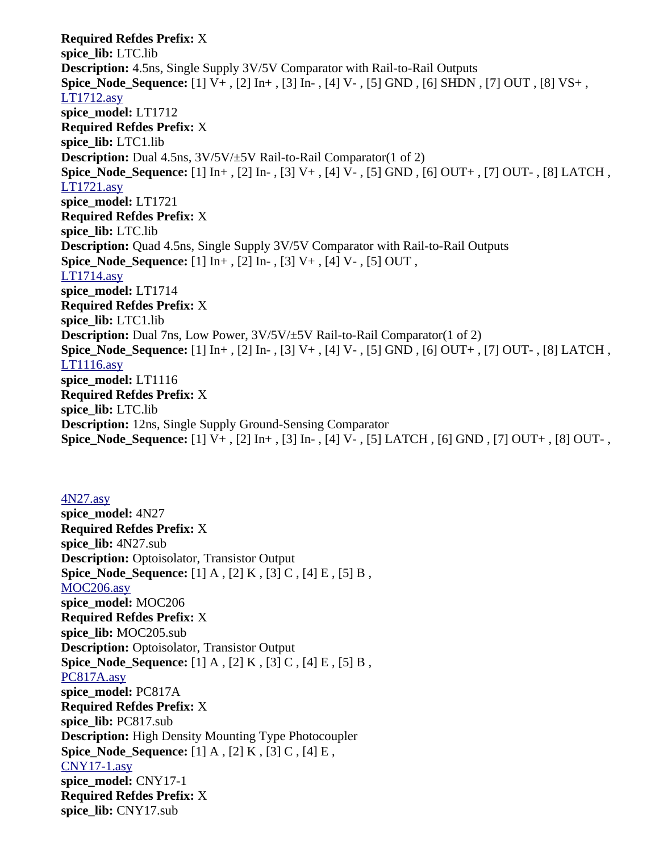**Required Refdes Prefix:** X **spice\_lib:** LTC.lib **Description:** 4.5ns, Single Supply 3V/5V Comparator with Rail-to-Rail Outputs **Spice\_Node\_Sequence:** [1] V+ , [2] In+ , [3] In- , [4] V- , [5] GND , [6] SHDN , [7] OUT , [8] VS+ , [LT1712.asy](file:///home/cmcdowell/.wine/drive_c/Program%20Files/LTC/LTspiceIV/lib/sym/Comparators/LT1712.asy) **spice\_model:** LT1712 **Required Refdes Prefix:** X **spice\_lib:** LTC1.lib **Description:** Dual 4.5ns, 3V/5V/±5V Rail-to-Rail Comparator(1 of 2) **Spice\_Node\_Sequence:** [1] In+ , [2] In- , [3] V+ , [4] V- , [5] GND , [6] OUT+ , [7] OUT- , [8] LATCH , [LT1721.asy](file:///home/cmcdowell/.wine/drive_c/Program%20Files/LTC/LTspiceIV/lib/sym/Comparators/LT1721.asy) **spice\_model:** LT1721 **Required Refdes Prefix:** X **spice\_lib:** LTC.lib **Description:** Quad 4.5ns, Single Supply 3V/5V Comparator with Rail-to-Rail Outputs **Spice Node Sequence:** [1]  $\text{In}^+$ , [2]  $\text{In}^-$ , [3] V+, [4] V-, [5] OUT, [LT1714.asy](file:///home/cmcdowell/.wine/drive_c/Program%20Files/LTC/LTspiceIV/lib/sym/Comparators/LT1714.asy) **spice\_model:** LT1714 **Required Refdes Prefix:** X **spice\_lib:** LTC1.lib **Description:** Dual 7ns, Low Power, 3V/5V/±5V Rail-to-Rail Comparator(1 of 2) **Spice\_Node\_Sequence:** [1] In+ , [2] In- , [3] V+ , [4] V- , [5] GND , [6] OUT+ , [7] OUT- , [8] LATCH , [LT1116.asy](file:///home/cmcdowell/.wine/drive_c/Program%20Files/LTC/LTspiceIV/lib/sym/Comparators/LT1116.asy) **spice\_model:** LT1116 **Required Refdes Prefix:** X **spice\_lib:** LTC.lib **Description:** 12ns, Single Supply Ground-Sensing Comparator **Spice\_Node\_Sequence:** [1] V+ , [2] In+ , [3] In- , [4] V- , [5] LATCH , [6] GND , [7] OUT+ , [8] OUT- ,

[4N27.asy](file:///home/cmcdowell/.wine/drive_c/Program%20Files/LTC/LTspiceIV/lib/sym/Optos/4N27.asy) **spice\_model:** 4N27 **Required Refdes Prefix:** X **spice\_lib:** 4N27.sub **Description:** Optoisolator, Transistor Output **Spice\_Node\_Sequence:** [1] A , [2] K , [3] C , [4] E , [5] B , [MOC206.asy](file:///home/cmcdowell/.wine/drive_c/Program%20Files/LTC/LTspiceIV/lib/sym/Optos/MOC206.asy) **spice\_model:** MOC206 **Required Refdes Prefix:** X **spice\_lib:** MOC205.sub **Description:** Optoisolator, Transistor Output **Spice\_Node\_Sequence:** [1] A , [2] K , [3] C , [4] E , [5] B , [PC817A.asy](file:///home/cmcdowell/.wine/drive_c/Program%20Files/LTC/LTspiceIV/lib/sym/Optos/PC817A.asy) **spice\_model:** PC817A **Required Refdes Prefix:** X **spice\_lib:** PC817.sub **Description:** High Density Mounting Type Photocoupler **Spice\_Node\_Sequence:** [1] A , [2] K , [3] C , [4] E , [CNY17-1.asy](file:///home/cmcdowell/.wine/drive_c/Program%20Files/LTC/LTspiceIV/lib/sym/Optos/CNY17-1.asy) **spice\_model:** CNY17-1 **Required Refdes Prefix:** X **spice\_lib:** CNY17.sub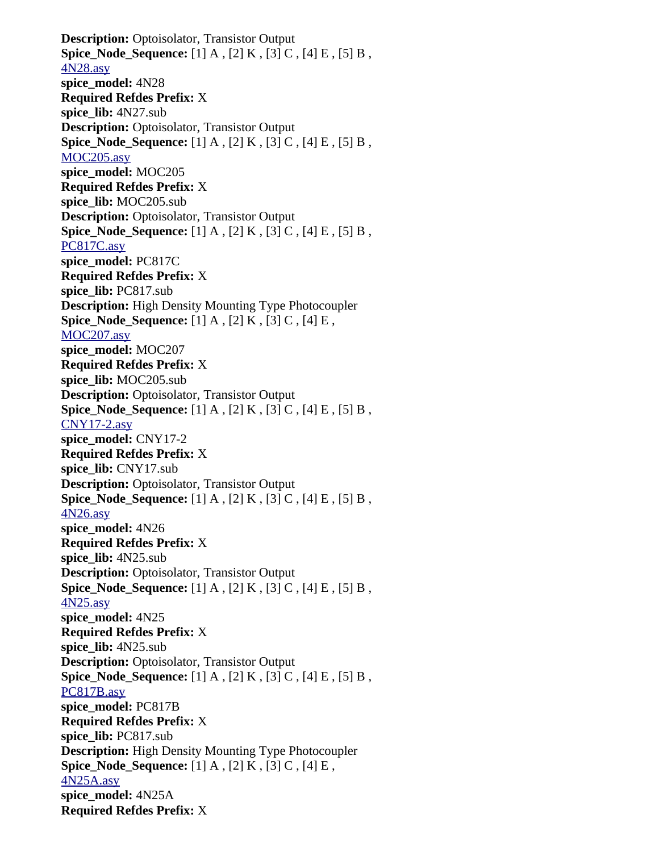**Description:** Optoisolator, Transistor Output **Spice\_Node\_Sequence:** [1] A , [2] K , [3] C , [4] E , [5] B , [4N28.asy](file:///home/cmcdowell/.wine/drive_c/Program%20Files/LTC/LTspiceIV/lib/sym/Optos/4N28.asy) **spice\_model:** 4N28 **Required Refdes Prefix:** X **spice\_lib:** 4N27.sub **Description:** Optoisolator, Transistor Output **Spice\_Node\_Sequence:** [1] A , [2] K , [3] C , [4] E , [5] B , [MOC205.asy](file:///home/cmcdowell/.wine/drive_c/Program%20Files/LTC/LTspiceIV/lib/sym/Optos/MOC205.asy) **spice\_model:** MOC205 **Required Refdes Prefix:** X **spice\_lib:** MOC205.sub **Description:** Optoisolator, Transistor Output **Spice Node Sequence:** [1] A , [2] K , [3] C , [4] E , [5] B , [PC817C.asy](file:///home/cmcdowell/.wine/drive_c/Program%20Files/LTC/LTspiceIV/lib/sym/Optos/PC817C.asy) **spice\_model:** PC817C **Required Refdes Prefix:** X **spice\_lib:** PC817.sub **Description:** High Density Mounting Type Photocoupler **Spice\_Node\_Sequence:** [1] A , [2] K , [3] C , [4] E , [MOC207.asy](file:///home/cmcdowell/.wine/drive_c/Program%20Files/LTC/LTspiceIV/lib/sym/Optos/MOC207.asy) **spice\_model:** MOC207 **Required Refdes Prefix:** X **spice\_lib:** MOC205.sub **Description:** Optoisolator, Transistor Output **Spice Node Sequence:** [1] A , [2] K , [3] C , [4] E , [5] B , [CNY17-2.asy](file:///home/cmcdowell/.wine/drive_c/Program%20Files/LTC/LTspiceIV/lib/sym/Optos/CNY17-2.asy) **spice\_model:** CNY17-2 **Required Refdes Prefix:** X **spice\_lib:** CNY17.sub **Description:** Optoisolator, Transistor Output **Spice Node Sequence:** [1] A , [2] K , [3] C , [4] E , [5] B , [4N26.asy](file:///home/cmcdowell/.wine/drive_c/Program%20Files/LTC/LTspiceIV/lib/sym/Optos/4N26.asy) **spice\_model:** 4N26 **Required Refdes Prefix:** X **spice\_lib:** 4N25.sub **Description:** Optoisolator, Transistor Output **Spice\_Node\_Sequence:** [1] A , [2] K , [3] C , [4] E , [5] B , [4N25.asy](file:///home/cmcdowell/.wine/drive_c/Program%20Files/LTC/LTspiceIV/lib/sym/Optos/4N25.asy) **spice\_model:** 4N25 **Required Refdes Prefix:** X **spice\_lib:** 4N25.sub **Description:** Optoisolator, Transistor Output **Spice\_Node\_Sequence:** [1] A , [2] K , [3] C , [4] E , [5] B , [PC817B.asy](file:///home/cmcdowell/.wine/drive_c/Program%20Files/LTC/LTspiceIV/lib/sym/Optos/PC817B.asy) **spice\_model:** PC817B **Required Refdes Prefix:** X **spice\_lib:** PC817.sub **Description:** High Density Mounting Type Photocoupler **Spice\_Node\_Sequence:** [1] A , [2] K , [3] C , [4] E , [4N25A.asy](file:///home/cmcdowell/.wine/drive_c/Program%20Files/LTC/LTspiceIV/lib/sym/Optos/4N25A.asy) **spice\_model:** 4N25A **Required Refdes Prefix:** X